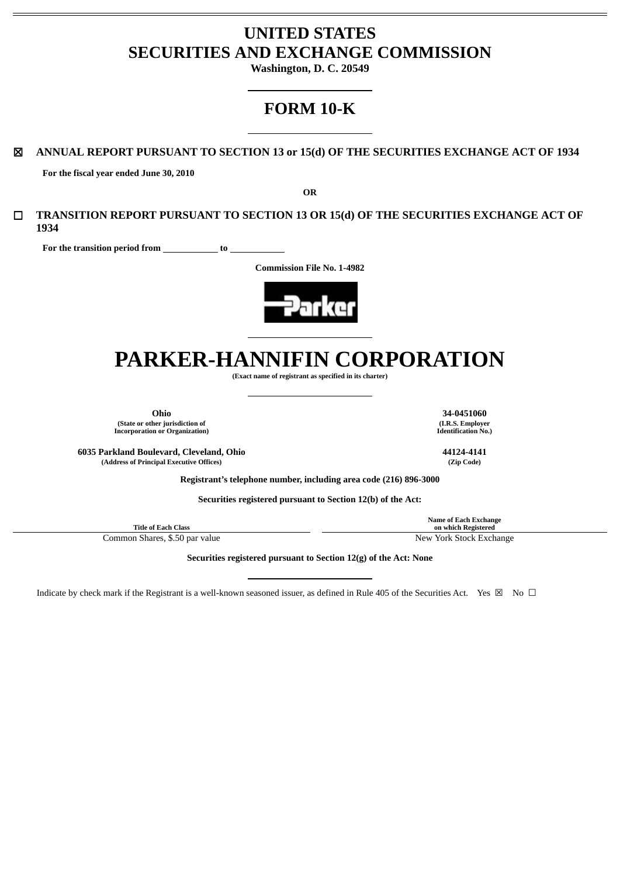# **UNITED STATES SECURITIES AND EXCHANGE COMMISSION**

**Washington, D. C. 20549**

# **FORM 10-K**

# ☒ **ANNUAL REPORT PURSUANT TO SECTION 13 or 15(d) OF THE SECURITIES EXCHANGE ACT OF 1934**

**For the fiscal year ended June 30, 2010**

**OR**

☐ **TRANSITION REPORT PURSUANT TO SECTION 13 OR 15(d) OF THE SECURITIES EXCHANGE ACT OF 1934**

**For the transition period from to** 

**Commission File No. 1-4982**



# **PARKER-HANNIFIN CORPORATION**

**(Exact name of registrant as specified in its charter)**

**Ohio 34-0451060 (State or other jurisdiction of Incorporation or Organization)**

**6035 Parkland Boulevard, Cleveland, Ohio 44124-4141 (Address of Principal Executive Offices) (Zip Code)**

**(I.R.S. Employer Identification No.)**

**Name of Each Exchange on which Registered**

**Registrant's telephone number, including area code (216) 896-3000**

**Securities registered pursuant to Section 12(b) of the Act:**

**Title of Each Class** Common Shares, \$.50 par value New York Stock Exchange

**Securities registered pursuant to Section 12(g) of the Act: None**

Indicate by check mark if the Registrant is a well-known seasoned issuer, as defined in Rule 405 of the Securities Act. Yes  $\boxtimes$  No  $\Box$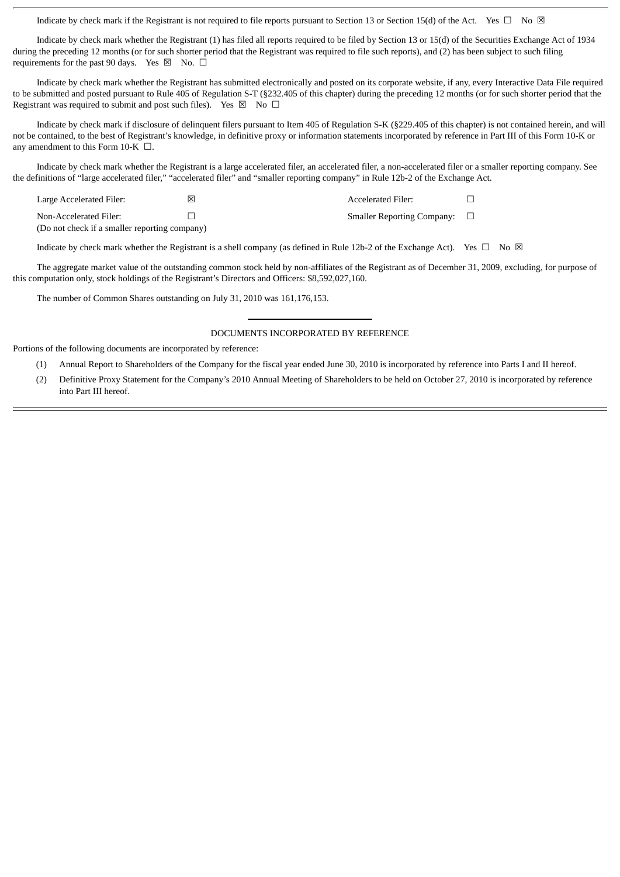Indicate by check mark if the Registrant is not required to file reports pursuant to Section 13 or Section 15(d) of the Act. Yes  $\square$  No  $\boxtimes$ 

Indicate by check mark whether the Registrant (1) has filed all reports required to be filed by Section 13 or 15(d) of the Securities Exchange Act of 1934 during the preceding 12 months (or for such shorter period that the Registrant was required to file such reports), and (2) has been subject to such filing requirements for the past 90 days. Yes  $\boxtimes$  No.  $\Box$ 

Indicate by check mark whether the Registrant has submitted electronically and posted on its corporate website, if any, every Interactive Data File required to be submitted and posted pursuant to Rule 405 of Regulation S-T (§232.405 of this chapter) during the preceding 12 months (or for such shorter period that the Registrant was required to submit and post such files). Yes  $\boxtimes$  No  $\Box$ 

Indicate by check mark if disclosure of delinquent filers pursuant to Item 405 of Regulation S-K (§229.405 of this chapter) is not contained herein, and will not be contained, to the best of Registrant's knowledge, in definitive proxy or information statements incorporated by reference in Part III of this Form 10-K or any amendment to this Form 10-K  $\Box$ .

Indicate by check mark whether the Registrant is a large accelerated filer, an accelerated filer, a non-accelerated filer or a smaller reporting company. See the definitions of "large accelerated filer," "accelerated filer" and "smaller reporting company" in Rule 12b-2 of the Exchange Act.

| Large Accelerated Filer:                      | ⊠ | Accelerated Filer:                   |  |
|-----------------------------------------------|---|--------------------------------------|--|
| Non-Accelerated Filer:                        |   | Smaller Reporting Company: $\square$ |  |
| (Do not check if a smaller reporting company) |   |                                      |  |

Indicate by check mark whether the Registrant is a shell company (as defined in Rule 12b-2 of the Exchange Act). Yes  $\Box$  No  $\boxtimes$ 

The aggregate market value of the outstanding common stock held by non-affiliates of the Registrant as of December 31, 2009, excluding, for purpose of this computation only, stock holdings of the Registrant's Directors and Officers: \$8,592,027,160.

The number of Common Shares outstanding on July 31, 2010 was 161,176,153.

# DOCUMENTS INCORPORATED BY REFERENCE

Portions of the following documents are incorporated by reference:

- (1) Annual Report to Shareholders of the Company for the fiscal year ended June 30, 2010 is incorporated by reference into Parts I and II hereof.
- (2) Definitive Proxy Statement for the Company's 2010 Annual Meeting of Shareholders to be held on October 27, 2010 is incorporated by reference into Part III hereof.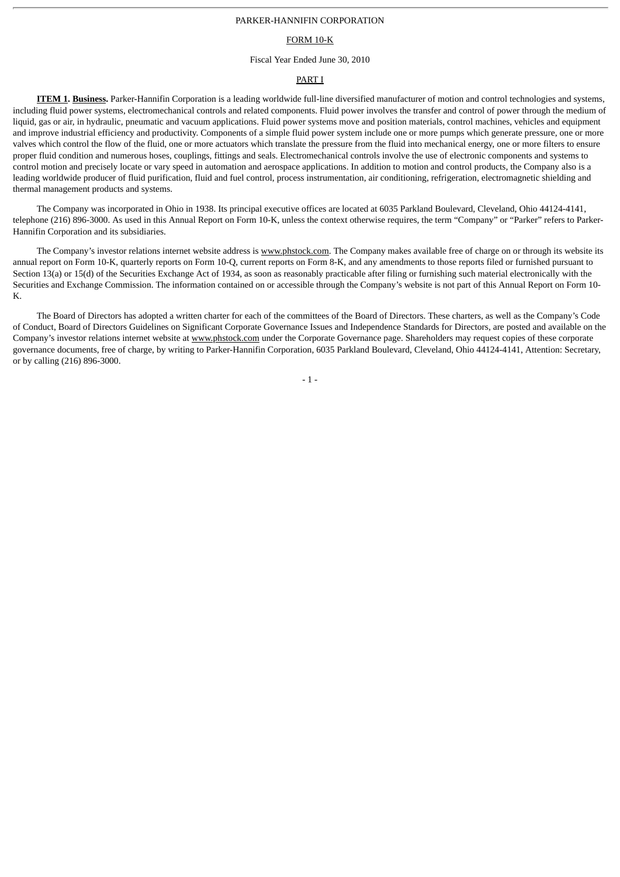#### PARKER-HANNIFIN CORPORATION

#### FORM 10-K

#### Fiscal Year Ended June 30, 2010

# PART I

**ITEM 1. Business.** Parker-Hannifin Corporation is a leading worldwide full-line diversified manufacturer of motion and control technologies and systems, including fluid power systems, electromechanical controls and related components. Fluid power involves the transfer and control of power through the medium of liquid, gas or air, in hydraulic, pneumatic and vacuum applications. Fluid power systems move and position materials, control machines, vehicles and equipment and improve industrial efficiency and productivity. Components of a simple fluid power system include one or more pumps which generate pressure, one or more valves which control the flow of the fluid, one or more actuators which translate the pressure from the fluid into mechanical energy, one or more filters to ensure proper fluid condition and numerous hoses, couplings, fittings and seals. Electromechanical controls involve the use of electronic components and systems to control motion and precisely locate or vary speed in automation and aerospace applications. In addition to motion and control products, the Company also is a leading worldwide producer of fluid purification, fluid and fuel control, process instrumentation, air conditioning, refrigeration, electromagnetic shielding and thermal management products and systems.

The Company was incorporated in Ohio in 1938. Its principal executive offices are located at 6035 Parkland Boulevard, Cleveland, Ohio 44124-4141, telephone (216) 896-3000. As used in this Annual Report on Form 10-K, unless the context otherwise requires, the term "Company" or "Parker" refers to Parker-Hannifin Corporation and its subsidiaries.

The Company's investor relations internet website address is www.phstock.com. The Company makes available free of charge on or through its website its annual report on Form 10-K, quarterly reports on Form 10-Q, current reports on Form 8-K, and any amendments to those reports filed or furnished pursuant to Section 13(a) or 15(d) of the Securities Exchange Act of 1934, as soon as reasonably practicable after filing or furnishing such material electronically with the Securities and Exchange Commission. The information contained on or accessible through the Company's website is not part of this Annual Report on Form 10- K.

The Board of Directors has adopted a written charter for each of the committees of the Board of Directors. These charters, as well as the Company's Code of Conduct, Board of Directors Guidelines on Significant Corporate Governance Issues and Independence Standards for Directors, are posted and available on the Company's investor relations internet website at www.phstock.com under the Corporate Governance page. Shareholders may request copies of these corporate governance documents, free of charge, by writing to Parker-Hannifin Corporation, 6035 Parkland Boulevard, Cleveland, Ohio 44124-4141, Attention: Secretary, or by calling (216) 896-3000.

- 1 -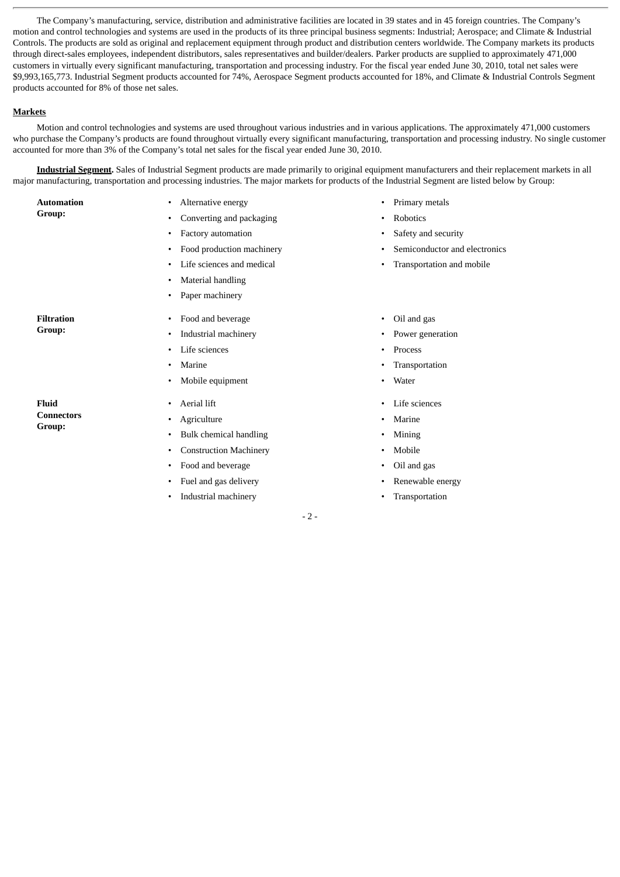The Company's manufacturing, service, distribution and administrative facilities are located in 39 states and in 45 foreign countries. The Company's motion and control technologies and systems are used in the products of its three principal business segments: Industrial; Aerospace; and Climate & Industrial Controls. The products are sold as original and replacement equipment through product and distribution centers worldwide. The Company markets its products through direct-sales employees, independent distributors, sales representatives and builder/dealers. Parker products are supplied to approximately 471,000 customers in virtually every significant manufacturing, transportation and processing industry. For the fiscal year ended June 30, 2010, total net sales were \$9,993,165,773. Industrial Segment products accounted for 74%, Aerospace Segment products accounted for 18%, and Climate & Industrial Controls Segment products accounted for 8% of those net sales.

## **Markets**

Motion and control technologies and systems are used throughout various industries and in various applications. The approximately 471,000 customers who purchase the Company's products are found throughout virtually every significant manufacturing, transportation and processing industry. No single customer accounted for more than 3% of the Company's total net sales for the fiscal year ended June 30, 2010.

**Industrial Segment.** Sales of Industrial Segment products are made primarily to original equipment manufacturers and their replacement markets in all major manufacturing, transportation and processing industries. The major markets for products of the Industrial Segment are listed below by Group:

**Automation Group:** • Converting and packaging

**Filtration Group:**

**Fluid Connectors Group:**

- Alternative energy
- Factory automation
- Food production machinery
- Life sciences and medical
- Material handling
- Paper machinery
- Food and beverage
- Industrial machinery
- Life sciences
- **Marine**
- Mobile equipment
- Aerial lift
- Agriculture
- Bulk chemical handling
- Construction Machinery
- Food and beverage
- Fuel and gas delivery
- Industrial machinery
- Primary metals
- Robotics
- Safety and security
- Semiconductor and electronics
- Transportation and mobile
- Oil and gas
- Power generation
- **Process**
- **Transportation**
- Water
- Life sciences
- Marine
- Mining
- Mobile
- Oil and gas
- Renewable energy
- **Transportation**

 $-2-$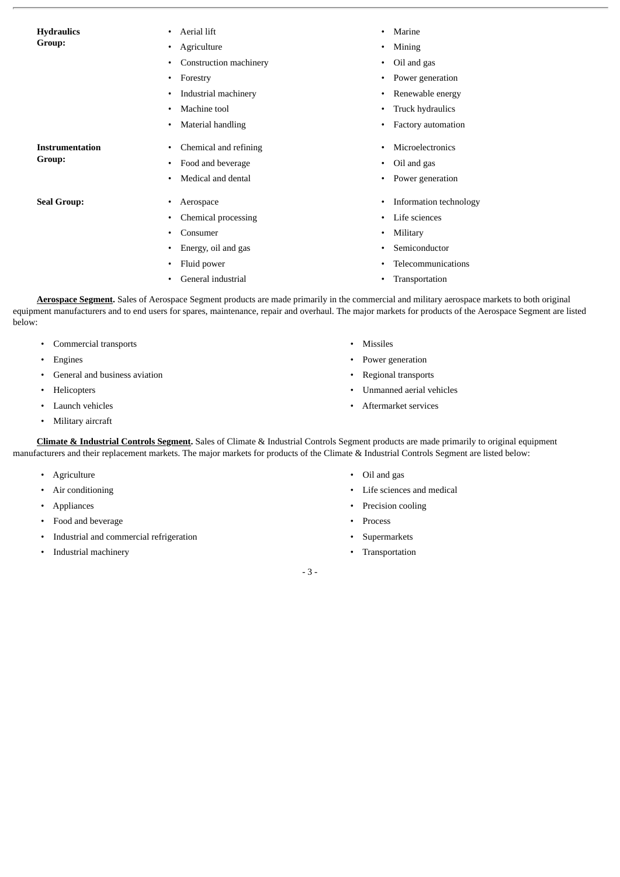| <b>Hydraulics</b>  | Aerial lift<br>$\bullet$         | Marine<br>$\bullet$         |
|--------------------|----------------------------------|-----------------------------|
| Group:             | Agriculture<br>$\bullet$         | Mining<br>٠                 |
|                    | Construction machinery<br>٠      | Oil and gas<br>٠            |
|                    | Forestry<br>$\bullet$            | Power generation<br>٠       |
|                    | Industrial machinery<br>٠        | Renewable energy<br>٠       |
|                    | Machine tool<br>$\bullet$        | Truck hydraulics<br>٠       |
|                    | Material handling<br>٠           | Factory automation<br>٠     |
| Instrumentation    | Chemical and refining<br>٠       | Microelectronics<br>٠       |
| Group:             | Food and beverage<br>$\bullet$   | Oil and gas<br>$\bullet$    |
|                    | Medical and dental<br>٠          | Power generation<br>٠       |
| <b>Seal Group:</b> | Aerospace<br>٠                   | Information technology<br>٠ |
|                    | Chemical processing<br>$\bullet$ | Life sciences<br>$\bullet$  |
|                    | Consumer<br>٠                    | Military<br>٠               |
|                    | Energy, oil and gas<br>٠         | Semiconductor<br>٠          |
|                    | Fluid power<br>٠                 | Telecommunications<br>٠     |
|                    | General industrial               | Transportation<br>٠         |

**Aerospace Segment.** Sales of Aerospace Segment products are made primarily in the commercial and military aerospace markets to both original equipment manufacturers and to end users for spares, maintenance, repair and overhaul. The major markets for products of the Aerospace Segment are listed below:

- Commercial transports
- Engines
- General and business aviation
- **Helicopters**
- Launch vehicles
- Military aircraft
- Missiles
- Power generation
- Regional transports
- Unmanned aerial vehicles
- Aftermarket services

**Climate & Industrial Controls Segment.** Sales of Climate & Industrial Controls Segment products are made primarily to original equipment manufacturers and their replacement markets. The major markets for products of the Climate & Industrial Controls Segment are listed below:

- Agriculture
- Air conditioning
- **Appliances**
- Food and beverage
- Industrial and commercial refrigeration
- Industrial machinery
- Oil and gas
- Life sciences and medical
- Precision cooling
- Process
- **Supermarkets**
- Transportation

- 3 -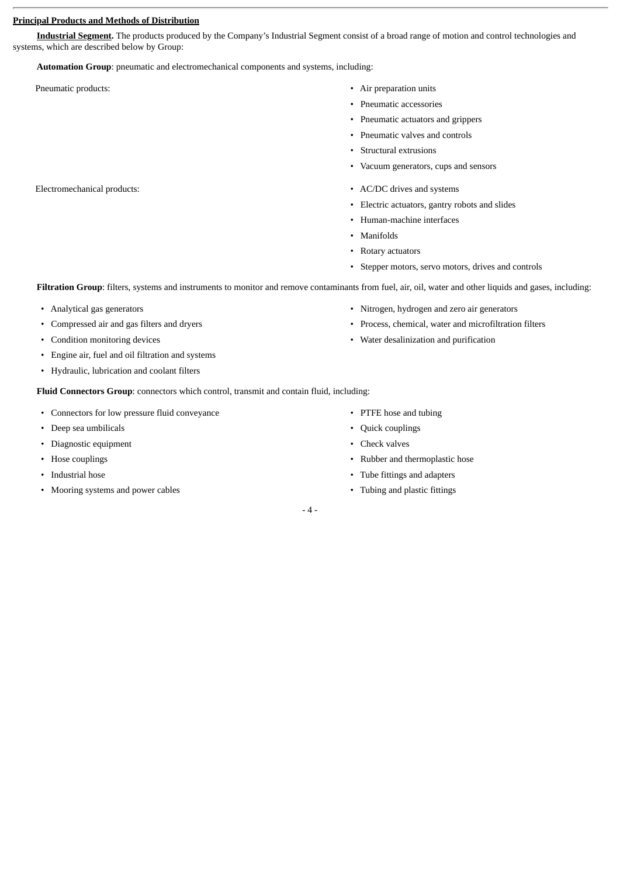#### **Principal Products and Methods of Distribution**

**Industrial Segment.** The products produced by the Company's Industrial Segment consist of a broad range of motion and control technologies and systems, which are described below by Group:

**Automation Group**: pneumatic and electromechanical components and systems, including:

Pneumatic products:

- Air preparation units
- Pneumatic accessories
- Pneumatic actuators and grippers
- Pneumatic valves and controls
- Structural extrusions
- Vacuum generators, cups and sensors
- AC/DC drives and systems
- Electric actuators, gantry robots and slides
- Human-machine interfaces
- Manifolds
- Rotary actuators
- Stepper motors, servo motors, drives and controls

Filtration Group: filters, systems and instruments to monitor and remove contaminants from fuel, air, oil, water and other liquids and gases, including:

- Analytical gas generators
- Compressed air and gas filters and dryers
- Condition monitoring devices
- Engine air, fuel and oil filtration and systems
- Hydraulic, lubrication and coolant filters

**Fluid Connectors Group**: connectors which control, transmit and contain fluid, including:

- Connectors for low pressure fluid conveyance
- Deep sea umbilicals
- Diagnostic equipment
- Hose couplings
- Industrial hose
- Mooring systems and power cables
- Nitrogen, hydrogen and zero air generators
- Process, chemical, water and microfiltration filters
- Water desalinization and purification

• PTFE hose and tubing

- Quick couplings
- Check valves
- Rubber and thermoplastic hose
- Tube fittings and adapters
- Tubing and plastic fittings

 $-4-$ 

Electromechanical products: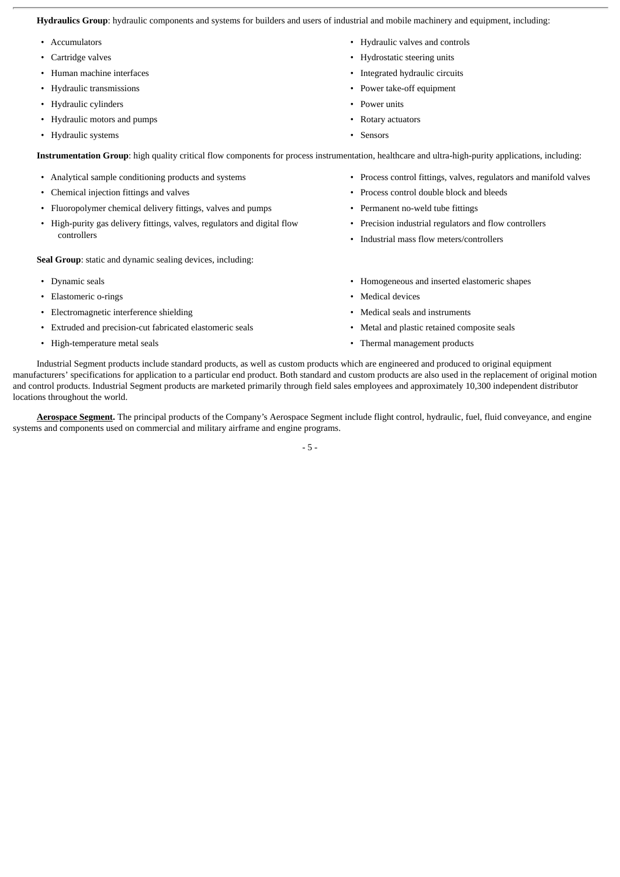**Hydraulics Group**: hydraulic components and systems for builders and users of industrial and mobile machinery and equipment, including:

- Accumulators
- Cartridge valves
- Human machine interfaces
- Hydraulic transmissions
- Hydraulic cylinders
- Hydraulic motors and pumps
- Hydraulic systems
- Hydraulic valves and controls
- Hydrostatic steering units
- Integrated hydraulic circuits
- Power take-off equipment
- Power units
- Rotary actuators
- Sensors

**Instrumentation Group**: high quality critical flow components for process instrumentation, healthcare and ultra-high-purity applications, including:

- Analytical sample conditioning products and systems
- Chemical injection fittings and valves
- Fluoropolymer chemical delivery fittings, valves and pumps
- High-purity gas delivery fittings, valves, regulators and digital flow controllers

**Seal Group**: static and dynamic sealing devices, including:

- Dynamic seals
- Elastomeric o-rings
- Electromagnetic interference shielding
- Extruded and precision-cut fabricated elastomeric seals
- High-temperature metal seals
- Process control fittings, valves, regulators and manifold valves
- Process control double block and bleeds
- Permanent no-weld tube fittings
- Precision industrial regulators and flow controllers
- Industrial mass flow meters/controllers
- Homogeneous and inserted elastomeric shapes
- Medical devices
- Medical seals and instruments
- Metal and plastic retained composite seals
- Thermal management products

Industrial Segment products include standard products, as well as custom products which are engineered and produced to original equipment manufacturers' specifications for application to a particular end product. Both standard and custom products are also used in the replacement of original motion and control products. Industrial Segment products are marketed primarily through field sales employees and approximately 10,300 independent distributor locations throughout the world.

**Aerospace Segment.** The principal products of the Company's Aerospace Segment include flight control, hydraulic, fuel, fluid conveyance, and engine systems and components used on commercial and military airframe and engine programs.

- 5 -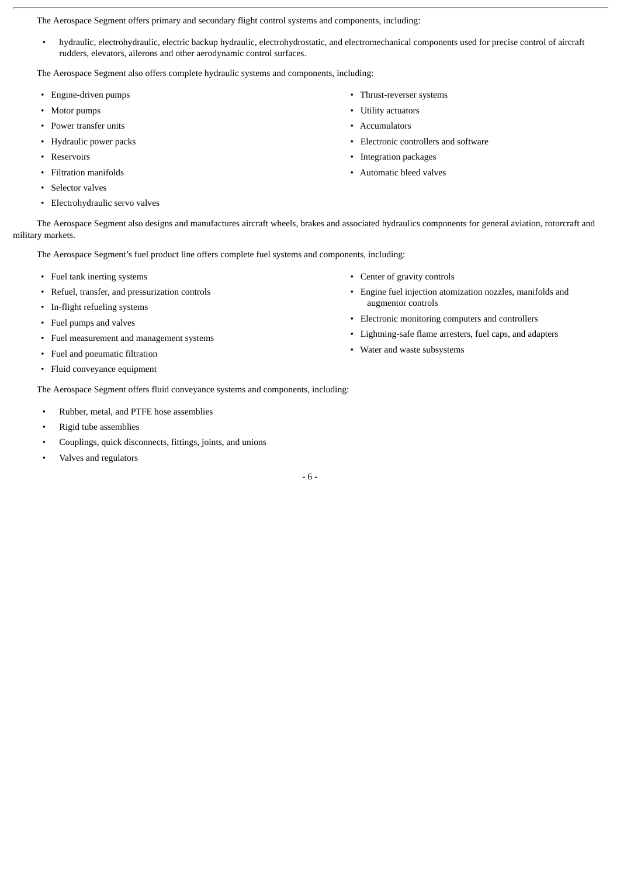The Aerospace Segment offers primary and secondary flight control systems and components, including:

• hydraulic, electrohydraulic, electric backup hydraulic, electrohydrostatic, and electromechanical components used for precise control of aircraft rudders, elevators, ailerons and other aerodynamic control surfaces.

The Aerospace Segment also offers complete hydraulic systems and components, including:

- Engine-driven pumps
- Motor pumps
- Power transfer units
- Hydraulic power packs
- Reservoirs
- Filtration manifolds
- Selector valves
- Electrohydraulic servo valves
- Thrust-reverser systems
- Utility actuators
- Accumulators
- Electronic controllers and software
- Integration packages
- Automatic bleed valves

The Aerospace Segment also designs and manufactures aircraft wheels, brakes and associated hydraulics components for general aviation, rotorcraft and military markets.

The Aerospace Segment's fuel product line offers complete fuel systems and components, including:

- Fuel tank inerting systems
- Refuel, transfer, and pressurization controls
- In-flight refueling systems
- Fuel pumps and valves
- Fuel measurement and management systems
- Fuel and pneumatic filtration
- Fluid conveyance equipment
- The Aerospace Segment offers fluid conveyance systems and components, including:
- Rubber, metal, and PTFE hose assemblies
- Rigid tube assemblies
- Couplings, quick disconnects, fittings, joints, and unions
- Valves and regulators

- 6 -

- Center of gravity controls
	- Engine fuel injection atomization nozzles, manifolds and augmentor controls
	- Electronic monitoring computers and controllers
	- Lightning-safe flame arresters, fuel caps, and adapters
	- Water and waste subsystems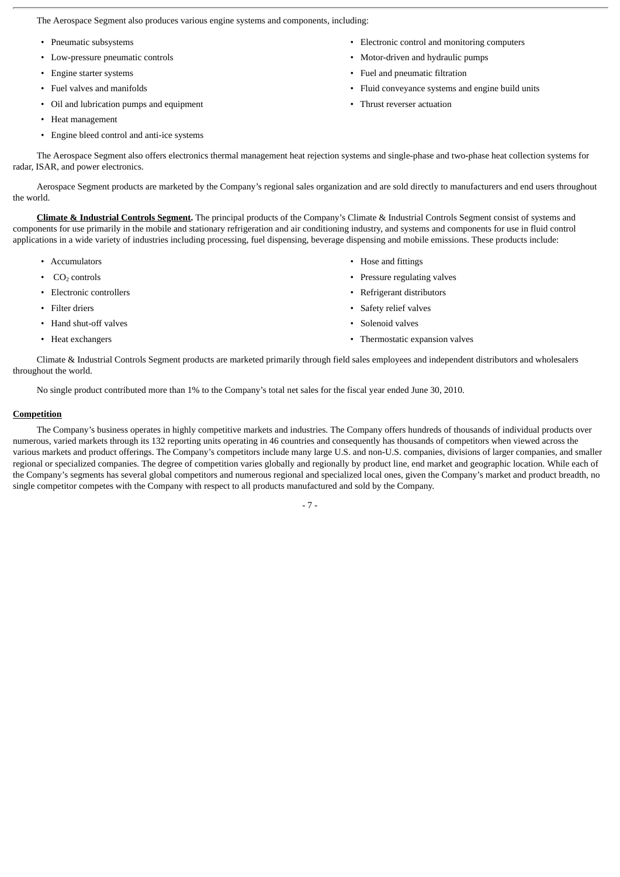The Aerospace Segment also produces various engine systems and components, including:

- Pneumatic subsystems
- Low-pressure pneumatic controls
- Engine starter systems
- Fuel valves and manifolds
- Oil and lubrication pumps and equipment
- Heat management
- Engine bleed control and anti-ice systems
- Electronic control and monitoring computers
- Motor-driven and hydraulic pumps
- Fuel and pneumatic filtration
- Fluid conveyance systems and engine build units
- Thrust reverser actuation

The Aerospace Segment also offers electronics thermal management heat rejection systems and single-phase and two-phase heat collection systems for radar, ISAR, and power electronics.

Aerospace Segment products are marketed by the Company's regional sales organization and are sold directly to manufacturers and end users throughout the world.

**Climate & Industrial Controls Segment.** The principal products of the Company's Climate & Industrial Controls Segment consist of systems and components for use primarily in the mobile and stationary refrigeration and air conditioning industry, and systems and components for use in fluid control applications in a wide variety of industries including processing, fuel dispensing, beverage dispensing and mobile emissions. These products include:

- Accumulators
- $CO<sub>2</sub>$  controls
- Electronic controllers
- Filter driers
- Hand shut-off valves
- Heat exchangers
- Hose and fittings
- Pressure regulating valves
- Refrigerant distributors
- Safety relief valves
- Solenoid valves
- Thermostatic expansion valves

Climate & Industrial Controls Segment products are marketed primarily through field sales employees and independent distributors and wholesalers throughout the world.

No single product contributed more than 1% to the Company's total net sales for the fiscal year ended June 30, 2010.

#### **Competition**

The Company's business operates in highly competitive markets and industries. The Company offers hundreds of thousands of individual products over numerous, varied markets through its 132 reporting units operating in 46 countries and consequently has thousands of competitors when viewed across the various markets and product offerings. The Company's competitors include many large U.S. and non-U.S. companies, divisions of larger companies, and smaller regional or specialized companies. The degree of competition varies globally and regionally by product line, end market and geographic location. While each of the Company's segments has several global competitors and numerous regional and specialized local ones, given the Company's market and product breadth, no single competitor competes with the Company with respect to all products manufactured and sold by the Company.

- 7 -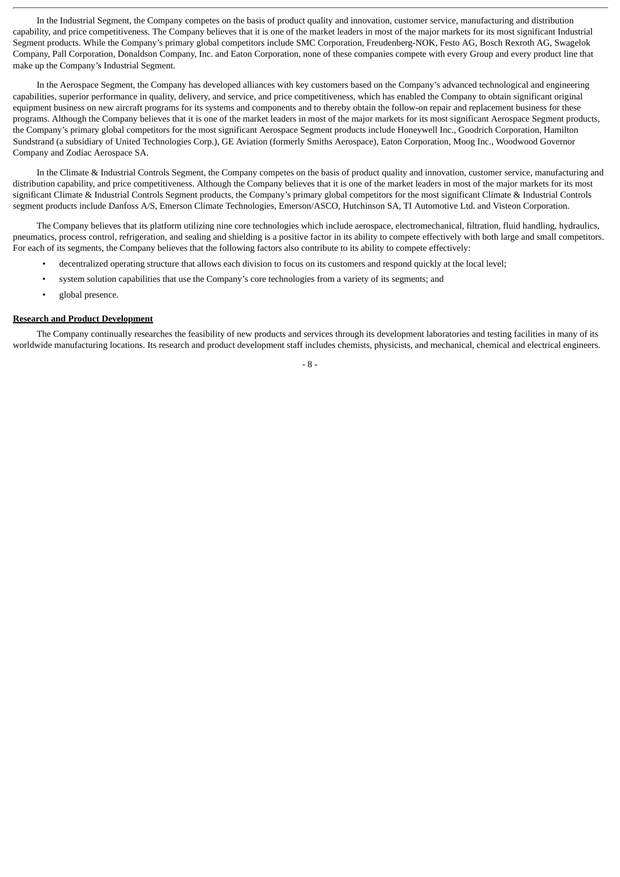In the Industrial Segment, the Company competes on the basis of product quality and innovation, customer service, manufacturing and distribution capability, and price competitiveness. The Company believes that it is one of the market leaders in most of the major markets for its most significant Industrial Segment products. While the Company's primary global competitors include SMC Corporation, Freudenberg-NOK, Festo AG, Bosch Rexroth AG, Swagelok Company, Pall Corporation, Donaldson Company, Inc. and Eaton Corporation, none of these companies compete with every Group and every product line that make up the Company's Industrial Segment.

In the Aerospace Segment, the Company has developed alliances with key customers based on the Company's advanced technological and engineering capabilities, superior performance in quality, delivery, and service, and price competitiveness, which has enabled the Company to obtain significant original equipment business on new aircraft programs for its systems and components and to thereby obtain the follow-on repair and replacement business for these programs. Although the Company believes that it is one of the market leaders in most of the major markets for its most significant Aerospace Segment products, the Company's primary global competitors for the most significant Aerospace Segment products include Honeywell Inc., Goodrich Corporation, Hamilton Sundstrand (a subsidiary of United Technologies Corp.), GE Aviation (formerly Smiths Aerospace), Eaton Corporation, Moog Inc., Woodwood Governor Company and Zodiac Aerospace SA.

In the Climate & Industrial Controls Segment, the Company competes on the basis of product quality and innovation, customer service, manufacturing and distribution capability, and price competitiveness. Although the Company believes that it is one of the market leaders in most of the major markets for its most significant Climate & Industrial Controls Segment products, the Company's primary global competitors for the most significant Climate & Industrial Controls segment products include Danfoss A/S, Emerson Climate Technologies, Emerson/ASCO, Hutchinson SA, TI Automotive Ltd. and Visteon Corporation.

The Company believes that its platform utilizing nine core technologies which include aerospace, electromechanical, filtration, fluid handling, hydraulics, pneumatics, process control, refrigeration, and sealing and shielding is a positive factor in its ability to compete effectively with both large and small competitors. For each of its segments, the Company believes that the following factors also contribute to its ability to compete effectively:

- decentralized operating structure that allows each division to focus on its customers and respond quickly at the local level;
- system solution capabilities that use the Company's core technologies from a variety of its segments; and
- global presence.

#### **Research and Product Development**

The Company continually researches the feasibility of new products and services through its development laboratories and testing facilities in many of its worldwide manufacturing locations. Its research and product development staff includes chemists, physicists, and mechanical, chemical and electrical engineers.

- 8 -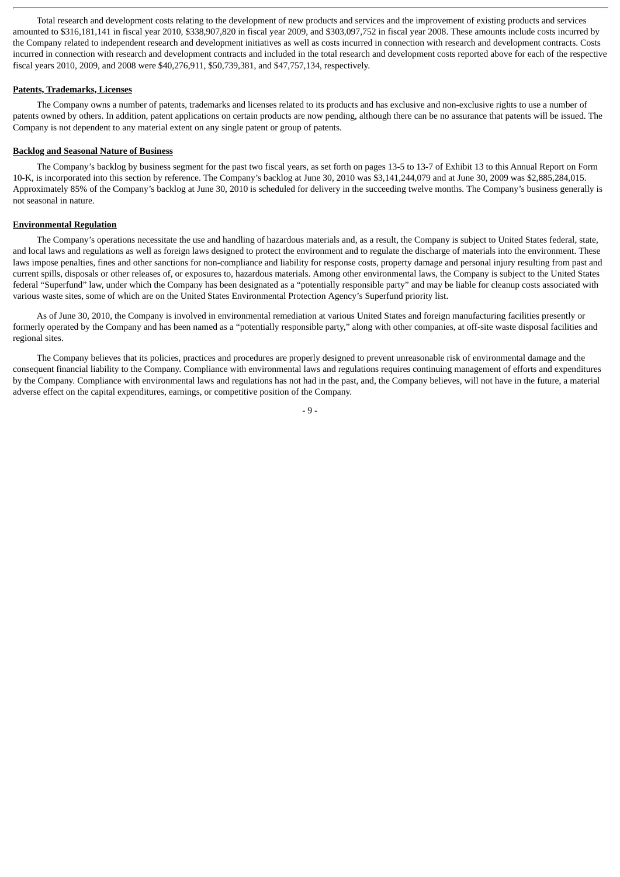Total research and development costs relating to the development of new products and services and the improvement of existing products and services amounted to \$316,181,141 in fiscal year 2010, \$338,907,820 in fiscal year 2009, and \$303,097,752 in fiscal year 2008. These amounts include costs incurred by the Company related to independent research and development initiatives as well as costs incurred in connection with research and development contracts. Costs incurred in connection with research and development contracts and included in the total research and development costs reported above for each of the respective fiscal years 2010, 2009, and 2008 were \$40,276,911, \$50,739,381, and \$47,757,134, respectively.

#### **Patents, Trademarks, Licenses**

The Company owns a number of patents, trademarks and licenses related to its products and has exclusive and non-exclusive rights to use a number of patents owned by others. In addition, patent applications on certain products are now pending, although there can be no assurance that patents will be issued. The Company is not dependent to any material extent on any single patent or group of patents.

#### **Backlog and Seasonal Nature of Business**

The Company's backlog by business segment for the past two fiscal years, as set forth on pages 13-5 to 13-7 of Exhibit 13 to this Annual Report on Form 10-K, is incorporated into this section by reference. The Company's backlog at June 30, 2010 was \$3,141,244,079 and at June 30, 2009 was \$2,885,284,015. Approximately 85% of the Company's backlog at June 30, 2010 is scheduled for delivery in the succeeding twelve months. The Company's business generally is not seasonal in nature.

#### **Environmental Regulation**

The Company's operations necessitate the use and handling of hazardous materials and, as a result, the Company is subject to United States federal, state, and local laws and regulations as well as foreign laws designed to protect the environment and to regulate the discharge of materials into the environment. These laws impose penalties, fines and other sanctions for non-compliance and liability for response costs, property damage and personal injury resulting from past and current spills, disposals or other releases of, or exposures to, hazardous materials. Among other environmental laws, the Company is subject to the United States federal "Superfund" law, under which the Company has been designated as a "potentially responsible party" and may be liable for cleanup costs associated with various waste sites, some of which are on the United States Environmental Protection Agency's Superfund priority list.

As of June 30, 2010, the Company is involved in environmental remediation at various United States and foreign manufacturing facilities presently or formerly operated by the Company and has been named as a "potentially responsible party," along with other companies, at off-site waste disposal facilities and regional sites.

The Company believes that its policies, practices and procedures are properly designed to prevent unreasonable risk of environmental damage and the consequent financial liability to the Company. Compliance with environmental laws and regulations requires continuing management of efforts and expenditures by the Company. Compliance with environmental laws and regulations has not had in the past, and, the Company believes, will not have in the future, a material adverse effect on the capital expenditures, earnings, or competitive position of the Company.

 $-9-$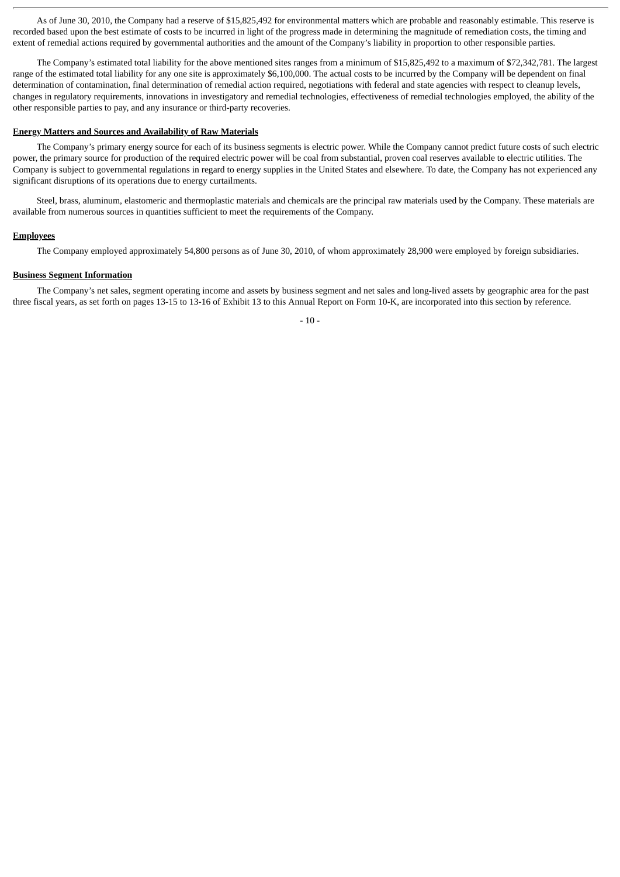As of June 30, 2010, the Company had a reserve of \$15,825,492 for environmental matters which are probable and reasonably estimable. This reserve is recorded based upon the best estimate of costs to be incurred in light of the progress made in determining the magnitude of remediation costs, the timing and extent of remedial actions required by governmental authorities and the amount of the Company's liability in proportion to other responsible parties.

The Company's estimated total liability for the above mentioned sites ranges from a minimum of \$15,825,492 to a maximum of \$72,342,781. The largest range of the estimated total liability for any one site is approximately \$6,100,000. The actual costs to be incurred by the Company will be dependent on final determination of contamination, final determination of remedial action required, negotiations with federal and state agencies with respect to cleanup levels, changes in regulatory requirements, innovations in investigatory and remedial technologies, effectiveness of remedial technologies employed, the ability of the other responsible parties to pay, and any insurance or third-party recoveries.

## **Energy Matters and Sources and Availability of Raw Materials**

The Company's primary energy source for each of its business segments is electric power. While the Company cannot predict future costs of such electric power, the primary source for production of the required electric power will be coal from substantial, proven coal reserves available to electric utilities. The Company is subject to governmental regulations in regard to energy supplies in the United States and elsewhere. To date, the Company has not experienced any significant disruptions of its operations due to energy curtailments.

Steel, brass, aluminum, elastomeric and thermoplastic materials and chemicals are the principal raw materials used by the Company. These materials are available from numerous sources in quantities sufficient to meet the requirements of the Company.

#### **Employees**

The Company employed approximately 54,800 persons as of June 30, 2010, of whom approximately 28,900 were employed by foreign subsidiaries.

#### **Business Segment Information**

The Company's net sales, segment operating income and assets by business segment and net sales and long-lived assets by geographic area for the past three fiscal years, as set forth on pages 13-15 to 13-16 of Exhibit 13 to this Annual Report on Form 10-K, are incorporated into this section by reference.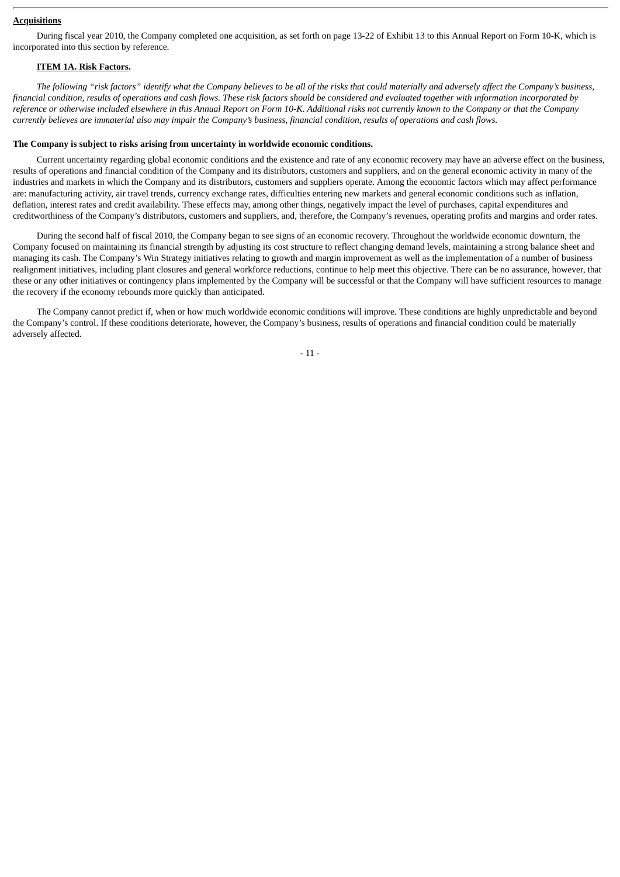#### **Acquisitions**

During fiscal year 2010, the Company completed one acquisition, as set forth on page 13-22 of Exhibit 13 to this Annual Report on Form 10-K, which is incorporated into this section by reference.

## **ITEM 1A. Risk Factors.**

*The following "risk factors" identify what the Company believes to be all of the risks that could materially and adversely affect the Company's business, financial condition, results of operations and cash flows. These risk factors should be considered and evaluated together with information incorporated by reference or otherwise included elsewhere in this Annual Report on Form 10-K. Additional risks not currently known to the Company or that the Company currently believes are immaterial also may impair the Company's business, financial condition, results of operations and cash flows.*

#### **The Company is subject to risks arising from uncertainty in worldwide economic conditions.**

Current uncertainty regarding global economic conditions and the existence and rate of any economic recovery may have an adverse effect on the business, results of operations and financial condition of the Company and its distributors, customers and suppliers, and on the general economic activity in many of the industries and markets in which the Company and its distributors, customers and suppliers operate. Among the economic factors which may affect performance are: manufacturing activity, air travel trends, currency exchange rates, difficulties entering new markets and general economic conditions such as inflation, deflation, interest rates and credit availability. These effects may, among other things, negatively impact the level of purchases, capital expenditures and creditworthiness of the Company's distributors, customers and suppliers, and, therefore, the Company's revenues, operating profits and margins and order rates.

During the second half of fiscal 2010, the Company began to see signs of an economic recovery. Throughout the worldwide economic downturn, the Company focused on maintaining its financial strength by adjusting its cost structure to reflect changing demand levels, maintaining a strong balance sheet and managing its cash. The Company's Win Strategy initiatives relating to growth and margin improvement as well as the implementation of a number of business realignment initiatives, including plant closures and general workforce reductions, continue to help meet this objective. There can be no assurance, however, that these or any other initiatives or contingency plans implemented by the Company will be successful or that the Company will have sufficient resources to manage the recovery if the economy rebounds more quickly than anticipated.

The Company cannot predict if, when or how much worldwide economic conditions will improve. These conditions are highly unpredictable and beyond the Company's control. If these conditions deteriorate, however, the Company's business, results of operations and financial condition could be materially adversely affected.

 $-11 -$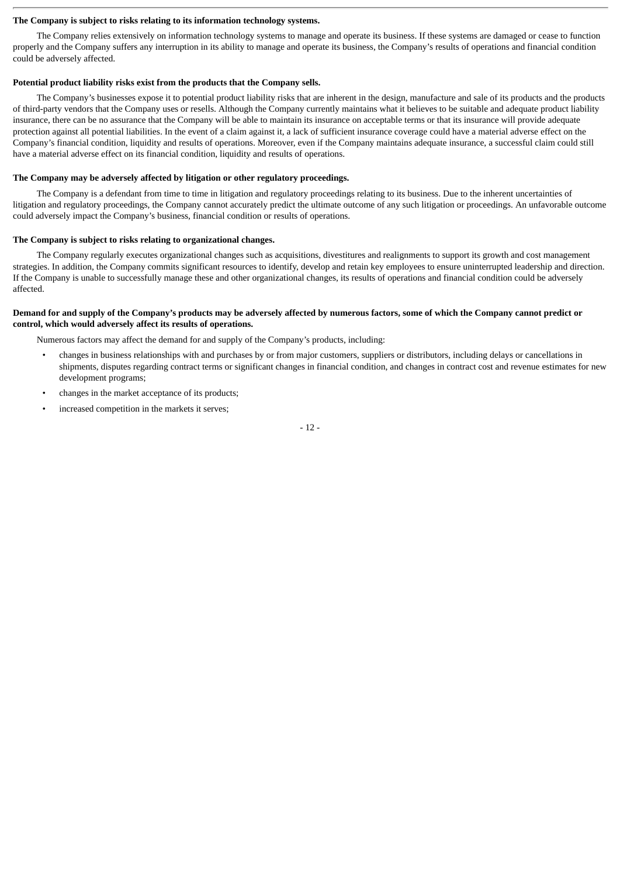#### **The Company is subject to risks relating to its information technology systems.**

The Company relies extensively on information technology systems to manage and operate its business. If these systems are damaged or cease to function properly and the Company suffers any interruption in its ability to manage and operate its business, the Company's results of operations and financial condition could be adversely affected.

#### **Potential product liability risks exist from the products that the Company sells.**

The Company's businesses expose it to potential product liability risks that are inherent in the design, manufacture and sale of its products and the products of third-party vendors that the Company uses or resells. Although the Company currently maintains what it believes to be suitable and adequate product liability insurance, there can be no assurance that the Company will be able to maintain its insurance on acceptable terms or that its insurance will provide adequate protection against all potential liabilities. In the event of a claim against it, a lack of sufficient insurance coverage could have a material adverse effect on the Company's financial condition, liquidity and results of operations. Moreover, even if the Company maintains adequate insurance, a successful claim could still have a material adverse effect on its financial condition, liquidity and results of operations.

#### **The Company may be adversely affected by litigation or other regulatory proceedings.**

The Company is a defendant from time to time in litigation and regulatory proceedings relating to its business. Due to the inherent uncertainties of litigation and regulatory proceedings, the Company cannot accurately predict the ultimate outcome of any such litigation or proceedings. An unfavorable outcome could adversely impact the Company's business, financial condition or results of operations.

#### **The Company is subject to risks relating to organizational changes.**

The Company regularly executes organizational changes such as acquisitions, divestitures and realignments to support its growth and cost management strategies. In addition, the Company commits significant resources to identify, develop and retain key employees to ensure uninterrupted leadership and direction. If the Company is unable to successfully manage these and other organizational changes, its results of operations and financial condition could be adversely affected.

#### **Demand for and supply of the Company's products may be adversely affected by numerous factors, some of which the Company cannot predict or control, which would adversely affect its results of operations.**

Numerous factors may affect the demand for and supply of the Company's products, including:

- changes in business relationships with and purchases by or from major customers, suppliers or distributors, including delays or cancellations in shipments, disputes regarding contract terms or significant changes in financial condition, and changes in contract cost and revenue estimates for new development programs;
- changes in the market acceptance of its products;
- increased competition in the markets it serves;

- 12 -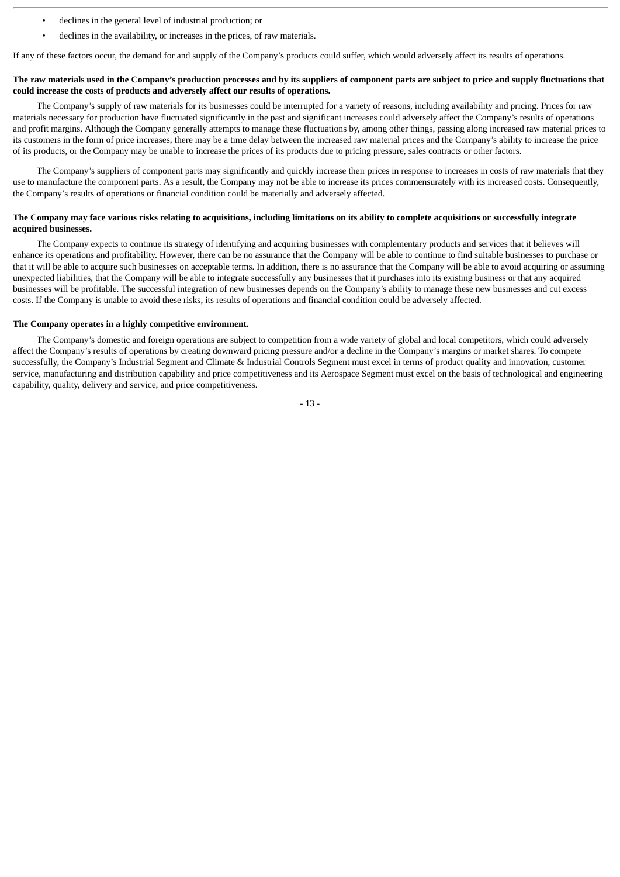- declines in the general level of industrial production; or
	- declines in the availability, or increases in the prices, of raw materials.

If any of these factors occur, the demand for and supply of the Company's products could suffer, which would adversely affect its results of operations.

#### **The raw materials used in the Company's production processes and by its suppliers of component parts are subject to price and supply fluctuations that could increase the costs of products and adversely affect our results of operations.**

The Company's supply of raw materials for its businesses could be interrupted for a variety of reasons, including availability and pricing. Prices for raw materials necessary for production have fluctuated significantly in the past and significant increases could adversely affect the Company's results of operations and profit margins. Although the Company generally attempts to manage these fluctuations by, among other things, passing along increased raw material prices to its customers in the form of price increases, there may be a time delay between the increased raw material prices and the Company's ability to increase the price of its products, or the Company may be unable to increase the prices of its products due to pricing pressure, sales contracts or other factors.

The Company's suppliers of component parts may significantly and quickly increase their prices in response to increases in costs of raw materials that they use to manufacture the component parts. As a result, the Company may not be able to increase its prices commensurately with its increased costs. Consequently, the Company's results of operations or financial condition could be materially and adversely affected.

#### **The Company may face various risks relating to acquisitions, including limitations on its ability to complete acquisitions or successfully integrate acquired businesses.**

The Company expects to continue its strategy of identifying and acquiring businesses with complementary products and services that it believes will enhance its operations and profitability. However, there can be no assurance that the Company will be able to continue to find suitable businesses to purchase or that it will be able to acquire such businesses on acceptable terms. In addition, there is no assurance that the Company will be able to avoid acquiring or assuming unexpected liabilities, that the Company will be able to integrate successfully any businesses that it purchases into its existing business or that any acquired businesses will be profitable. The successful integration of new businesses depends on the Company's ability to manage these new businesses and cut excess costs. If the Company is unable to avoid these risks, its results of operations and financial condition could be adversely affected.

#### **The Company operates in a highly competitive environment.**

The Company's domestic and foreign operations are subject to competition from a wide variety of global and local competitors, which could adversely affect the Company's results of operations by creating downward pricing pressure and/or a decline in the Company's margins or market shares. To compete successfully, the Company's Industrial Segment and Climate & Industrial Controls Segment must excel in terms of product quality and innovation, customer service, manufacturing and distribution capability and price competitiveness and its Aerospace Segment must excel on the basis of technological and engineering capability, quality, delivery and service, and price competitiveness.

- 13 -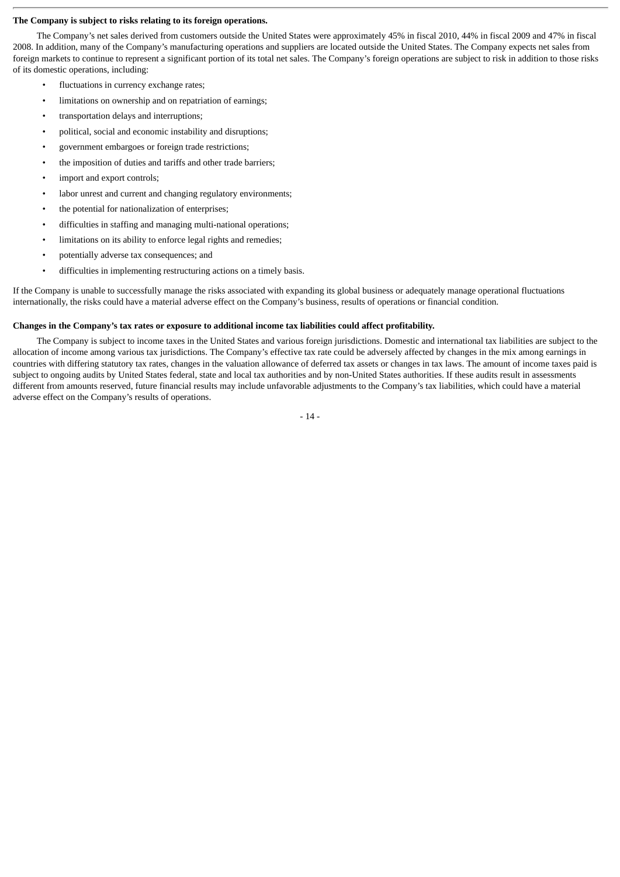## **The Company is subject to risks relating to its foreign operations.**

The Company's net sales derived from customers outside the United States were approximately 45% in fiscal 2010, 44% in fiscal 2009 and 47% in fiscal 2008. In addition, many of the Company's manufacturing operations and suppliers are located outside the United States. The Company expects net sales from foreign markets to continue to represent a significant portion of its total net sales. The Company's foreign operations are subject to risk in addition to those risks of its domestic operations, including:

- fluctuations in currency exchange rates;
- limitations on ownership and on repatriation of earnings;
- transportation delays and interruptions;
- political, social and economic instability and disruptions;
- government embargoes or foreign trade restrictions;
- the imposition of duties and tariffs and other trade barriers;
- import and export controls;
- labor unrest and current and changing regulatory environments;
- the potential for nationalization of enterprises;
- difficulties in staffing and managing multi-national operations;
- limitations on its ability to enforce legal rights and remedies;
- potentially adverse tax consequences; and
- difficulties in implementing restructuring actions on a timely basis.

If the Company is unable to successfully manage the risks associated with expanding its global business or adequately manage operational fluctuations internationally, the risks could have a material adverse effect on the Company's business, results of operations or financial condition.

## **Changes in the Company's tax rates or exposure to additional income tax liabilities could affect profitability.**

The Company is subject to income taxes in the United States and various foreign jurisdictions. Domestic and international tax liabilities are subject to the allocation of income among various tax jurisdictions. The Company's effective tax rate could be adversely affected by changes in the mix among earnings in countries with differing statutory tax rates, changes in the valuation allowance of deferred tax assets or changes in tax laws. The amount of income taxes paid is subject to ongoing audits by United States federal, state and local tax authorities and by non-United States authorities. If these audits result in assessments different from amounts reserved, future financial results may include unfavorable adjustments to the Company's tax liabilities, which could have a material adverse effect on the Company's results of operations.

- 14 -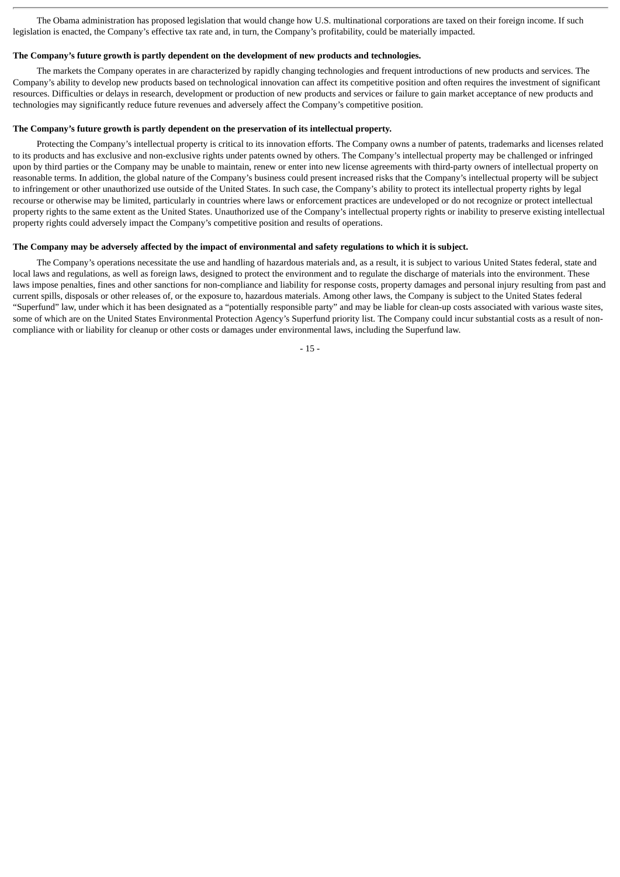The Obama administration has proposed legislation that would change how U.S. multinational corporations are taxed on their foreign income. If such legislation is enacted, the Company's effective tax rate and, in turn, the Company's profitability, could be materially impacted.

#### **The Company's future growth is partly dependent on the development of new products and technologies.**

The markets the Company operates in are characterized by rapidly changing technologies and frequent introductions of new products and services. The Company's ability to develop new products based on technological innovation can affect its competitive position and often requires the investment of significant resources. Difficulties or delays in research, development or production of new products and services or failure to gain market acceptance of new products and technologies may significantly reduce future revenues and adversely affect the Company's competitive position.

#### **The Company's future growth is partly dependent on the preservation of its intellectual property.**

Protecting the Company's intellectual property is critical to its innovation efforts. The Company owns a number of patents, trademarks and licenses related to its products and has exclusive and non-exclusive rights under patents owned by others. The Company's intellectual property may be challenged or infringed upon by third parties or the Company may be unable to maintain, renew or enter into new license agreements with third-party owners of intellectual property on reasonable terms. In addition, the global nature of the Company's business could present increased risks that the Company's intellectual property will be subject to infringement or other unauthorized use outside of the United States. In such case, the Company's ability to protect its intellectual property rights by legal recourse or otherwise may be limited, particularly in countries where laws or enforcement practices are undeveloped or do not recognize or protect intellectual property rights to the same extent as the United States. Unauthorized use of the Company's intellectual property rights or inability to preserve existing intellectual property rights could adversely impact the Company's competitive position and results of operations.

#### **The Company may be adversely affected by the impact of environmental and safety regulations to which it is subject.**

The Company's operations necessitate the use and handling of hazardous materials and, as a result, it is subject to various United States federal, state and local laws and regulations, as well as foreign laws, designed to protect the environment and to regulate the discharge of materials into the environment. These laws impose penalties, fines and other sanctions for non-compliance and liability for response costs, property damages and personal injury resulting from past and current spills, disposals or other releases of, or the exposure to, hazardous materials. Among other laws, the Company is subject to the United States federal "Superfund" law, under which it has been designated as a "potentially responsible party" and may be liable for clean-up costs associated with various waste sites, some of which are on the United States Environmental Protection Agency's Superfund priority list. The Company could incur substantial costs as a result of noncompliance with or liability for cleanup or other costs or damages under environmental laws, including the Superfund law.

- 15 -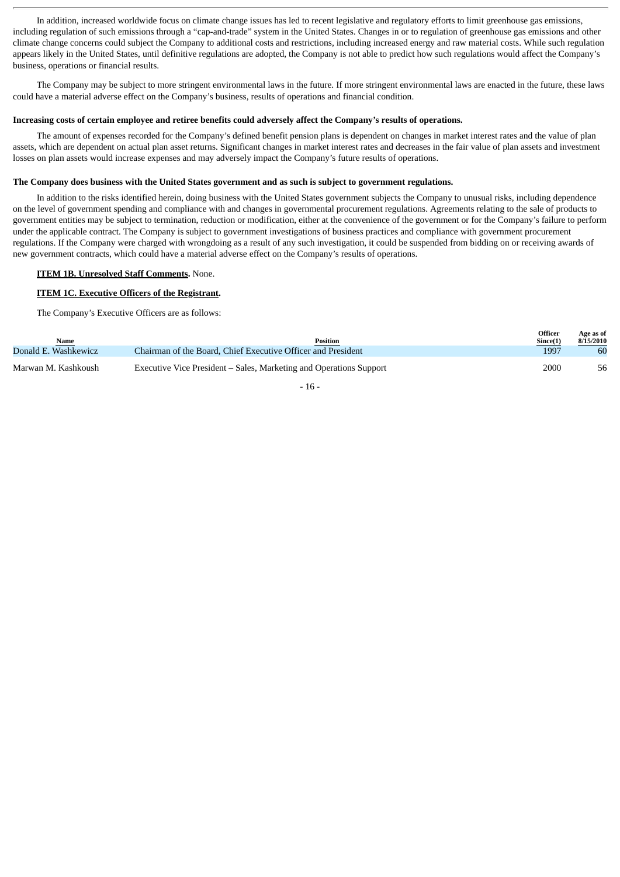In addition, increased worldwide focus on climate change issues has led to recent legislative and regulatory efforts to limit greenhouse gas emissions, including regulation of such emissions through a "cap-and-trade" system in the United States. Changes in or to regulation of greenhouse gas emissions and other climate change concerns could subject the Company to additional costs and restrictions, including increased energy and raw material costs. While such regulation appears likely in the United States, until definitive regulations are adopted, the Company is not able to predict how such regulations would affect the Company's business, operations or financial results.

The Company may be subject to more stringent environmental laws in the future. If more stringent environmental laws are enacted in the future, these laws could have a material adverse effect on the Company's business, results of operations and financial condition.

#### **Increasing costs of certain employee and retiree benefits could adversely affect the Company's results of operations.**

The amount of expenses recorded for the Company's defined benefit pension plans is dependent on changes in market interest rates and the value of plan assets, which are dependent on actual plan asset returns. Significant changes in market interest rates and decreases in the fair value of plan assets and investment losses on plan assets would increase expenses and may adversely impact the Company's future results of operations.

#### **The Company does business with the United States government and as such is subject to government regulations.**

In addition to the risks identified herein, doing business with the United States government subjects the Company to unusual risks, including dependence on the level of government spending and compliance with and changes in governmental procurement regulations. Agreements relating to the sale of products to government entities may be subject to termination, reduction or modification, either at the convenience of the government or for the Company's failure to perform under the applicable contract. The Company is subject to government investigations of business practices and compliance with government procurement regulations. If the Company were charged with wrongdoing as a result of any such investigation, it could be suspended from bidding on or receiving awards of new government contracts, which could have a material adverse effect on the Company's results of operations.

#### **ITEM 1B. Unresolved Staff Comments.** None.

#### **ITEM 1C. Executive Officers of the Registrant.**

The Company's Executive Officers are as follows:

|                      |                                                                    | Officer  | Age as of |
|----------------------|--------------------------------------------------------------------|----------|-----------|
| Name                 | <b>Position</b>                                                    | Since(1` | 8/15/2010 |
| Donald E. Washkewicz | Chairman of the Board, Chief Executive Officer and President       | 1997     | 60        |
| Marwan M. Kashkoush  | Executive Vice President – Sales, Marketing and Operations Support | 2000     | 56        |

$$
-16
$$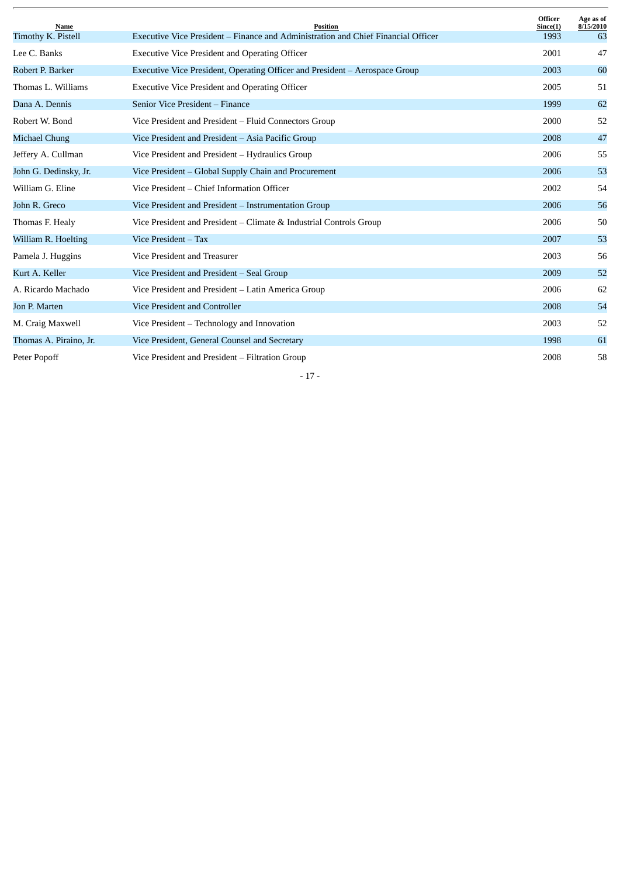| Name                   | Position                                                                          | Officer<br>Since(1) | Age as of<br>8/15/2010 |
|------------------------|-----------------------------------------------------------------------------------|---------------------|------------------------|
| Timothy K. Pistell     | Executive Vice President – Finance and Administration and Chief Financial Officer | 1993                | 63                     |
| Lee C. Banks           | <b>Executive Vice President and Operating Officer</b>                             | 2001                | 47                     |
| Robert P. Barker       | Executive Vice President, Operating Officer and President – Aerospace Group       | 2003                | 60                     |
| Thomas L. Williams     | <b>Executive Vice President and Operating Officer</b>                             | 2005                | 51                     |
| Dana A. Dennis         | Senior Vice President - Finance                                                   | 1999                | 62                     |
| Robert W. Bond         | Vice President and President - Fluid Connectors Group                             | 2000                | 52                     |
| <b>Michael Chung</b>   | Vice President and President - Asia Pacific Group                                 | 2008                | 47                     |
| Jeffery A. Cullman     | Vice President and President - Hydraulics Group                                   | 2006                | 55                     |
| John G. Dedinsky, Jr.  | Vice President – Global Supply Chain and Procurement                              | 2006                | 53                     |
| William G. Eline       | Vice President – Chief Information Officer                                        | 2002                | 54                     |
| John R. Greco          | Vice President and President - Instrumentation Group                              | 2006                | 56                     |
| Thomas F. Healy        | Vice President and President – Climate & Industrial Controls Group                | 2006                | 50                     |
| William R. Hoelting    | Vice President - Tax                                                              | 2007                | 53                     |
| Pamela J. Huggins      | Vice President and Treasurer                                                      | 2003                | 56                     |
| Kurt A. Keller         | Vice President and President - Seal Group                                         | 2009                | 52                     |
| A. Ricardo Machado     | Vice President and President - Latin America Group                                | 2006                | 62                     |
| Jon P. Marten          | Vice President and Controller                                                     | 2008                | 54                     |
| M. Craig Maxwell       | Vice President – Technology and Innovation                                        | 2003                | 52                     |
| Thomas A. Piraino, Jr. | Vice President, General Counsel and Secretary                                     | 1998                | 61                     |
| Peter Popoff           | Vice President and President - Filtration Group                                   | 2008                | 58                     |

- 17 -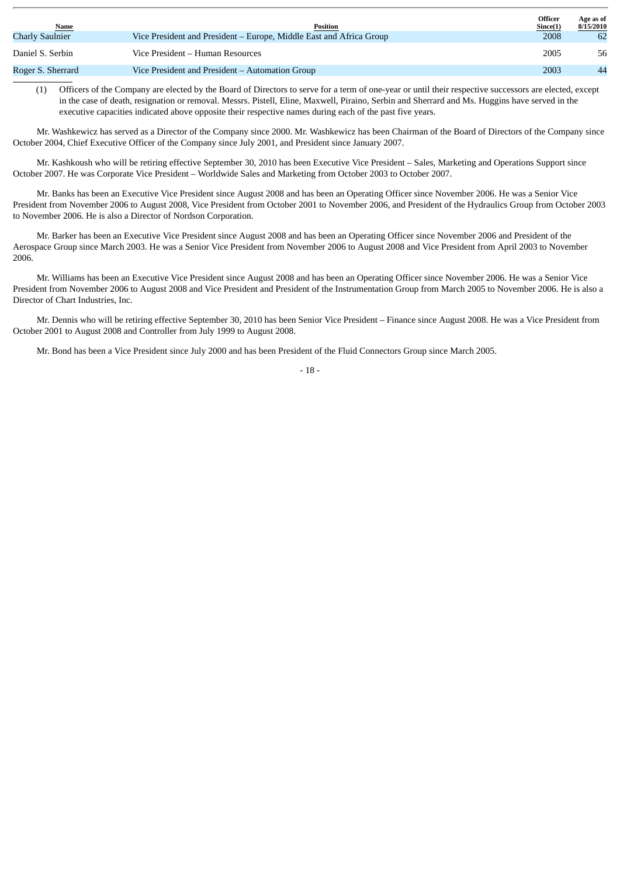| <b>Name</b>       | Position                                                            | <b>Officer</b><br>Since(1) | Age as of<br>8/15/2010 |
|-------------------|---------------------------------------------------------------------|----------------------------|------------------------|
| Charly Saulnier   | Vice President and President – Europe, Middle East and Africa Group | 2008                       | 62                     |
| Daniel S. Serbin  | Vice President – Human Resources                                    | 2005                       | 56                     |
| Roger S. Sherrard | Vice President and President – Automation Group                     | 2003                       | 44                     |

(1) Officers of the Company are elected by the Board of Directors to serve for a term of one-year or until their respective successors are elected, except in the case of death, resignation or removal. Messrs. Pistell, Eline, Maxwell, Piraino, Serbin and Sherrard and Ms. Huggins have served in the executive capacities indicated above opposite their respective names during each of the past five years.

Mr. Washkewicz has served as a Director of the Company since 2000. Mr. Washkewicz has been Chairman of the Board of Directors of the Company since October 2004, Chief Executive Officer of the Company since July 2001, and President since January 2007.

Mr. Kashkoush who will be retiring effective September 30, 2010 has been Executive Vice President – Sales, Marketing and Operations Support since October 2007. He was Corporate Vice President – Worldwide Sales and Marketing from October 2003 to October 2007.

Mr. Banks has been an Executive Vice President since August 2008 and has been an Operating Officer since November 2006. He was a Senior Vice President from November 2006 to August 2008, Vice President from October 2001 to November 2006, and President of the Hydraulics Group from October 2003 to November 2006. He is also a Director of Nordson Corporation.

Mr. Barker has been an Executive Vice President since August 2008 and has been an Operating Officer since November 2006 and President of the Aerospace Group since March 2003. He was a Senior Vice President from November 2006 to August 2008 and Vice President from April 2003 to November 2006.

Mr. Williams has been an Executive Vice President since August 2008 and has been an Operating Officer since November 2006. He was a Senior Vice President from November 2006 to August 2008 and Vice President and President of the Instrumentation Group from March 2005 to November 2006. He is also a Director of Chart Industries, Inc.

Mr. Dennis who will be retiring effective September 30, 2010 has been Senior Vice President – Finance since August 2008. He was a Vice President from October 2001 to August 2008 and Controller from July 1999 to August 2008.

Mr. Bond has been a Vice President since July 2000 and has been President of the Fluid Connectors Group since March 2005.

- 18 -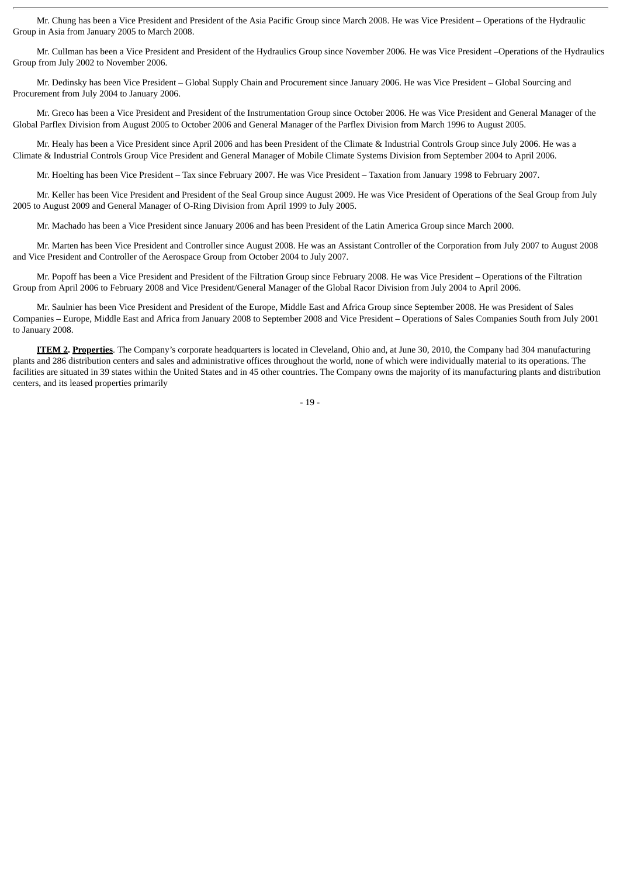Mr. Chung has been a Vice President and President of the Asia Pacific Group since March 2008. He was Vice President – Operations of the Hydraulic Group in Asia from January 2005 to March 2008.

Mr. Cullman has been a Vice President and President of the Hydraulics Group since November 2006. He was Vice President –Operations of the Hydraulics Group from July 2002 to November 2006.

Mr. Dedinsky has been Vice President – Global Supply Chain and Procurement since January 2006. He was Vice President – Global Sourcing and Procurement from July 2004 to January 2006.

Mr. Greco has been a Vice President and President of the Instrumentation Group since October 2006. He was Vice President and General Manager of the Global Parflex Division from August 2005 to October 2006 and General Manager of the Parflex Division from March 1996 to August 2005.

Mr. Healy has been a Vice President since April 2006 and has been President of the Climate & Industrial Controls Group since July 2006. He was a Climate & Industrial Controls Group Vice President and General Manager of Mobile Climate Systems Division from September 2004 to April 2006.

Mr. Hoelting has been Vice President – Tax since February 2007. He was Vice President – Taxation from January 1998 to February 2007.

Mr. Keller has been Vice President and President of the Seal Group since August 2009. He was Vice President of Operations of the Seal Group from July 2005 to August 2009 and General Manager of O-Ring Division from April 1999 to July 2005.

Mr. Machado has been a Vice President since January 2006 and has been President of the Latin America Group since March 2000.

Mr. Marten has been Vice President and Controller since August 2008. He was an Assistant Controller of the Corporation from July 2007 to August 2008 and Vice President and Controller of the Aerospace Group from October 2004 to July 2007.

Mr. Popoff has been a Vice President and President of the Filtration Group since February 2008. He was Vice President – Operations of the Filtration Group from April 2006 to February 2008 and Vice President/General Manager of the Global Racor Division from July 2004 to April 2006.

Mr. Saulnier has been Vice President and President of the Europe, Middle East and Africa Group since September 2008. He was President of Sales Companies – Europe, Middle East and Africa from January 2008 to September 2008 and Vice President – Operations of Sales Companies South from July 2001 to January 2008.

**ITEM 2. Properties**. The Company's corporate headquarters is located in Cleveland, Ohio and, at June 30, 2010, the Company had 304 manufacturing plants and 286 distribution centers and sales and administrative offices throughout the world, none of which were individually material to its operations. The facilities are situated in 39 states within the United States and in 45 other countries. The Company owns the majority of its manufacturing plants and distribution centers, and its leased properties primarily

- 19 -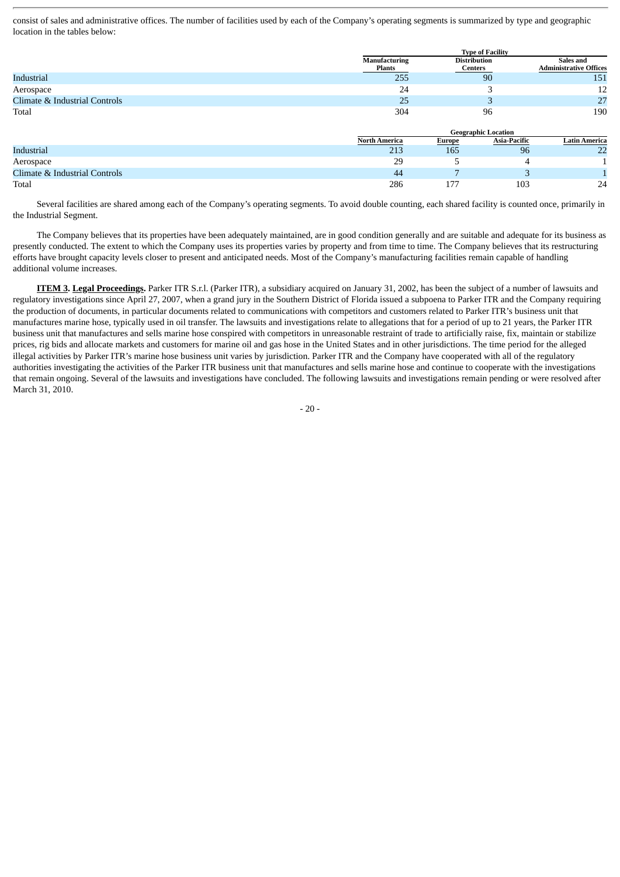consist of sales and administrative offices. The number of facilities used by each of the Company's operating segments is summarized by type and geographic location in the tables below:

|                               |                                | <b>Type of Facility</b>    |                                       |                                            |  |
|-------------------------------|--------------------------------|----------------------------|---------------------------------------|--------------------------------------------|--|
|                               | Manufacturing<br><b>Plants</b> |                            | <b>Distribution</b><br><b>Centers</b> | Sales and<br><b>Administrative Offices</b> |  |
| Industrial                    | 255                            |                            | 90                                    | 151                                        |  |
| Aerospace                     | 24                             |                            | 3                                     | 12                                         |  |
| Climate & Industrial Controls | 25                             |                            | 3                                     | 27                                         |  |
| Total                         | 304                            |                            | 96                                    | 190                                        |  |
|                               |                                | <b>Geographic Location</b> |                                       |                                            |  |
|                               | <b>North America</b>           | <b>Europe</b>              | <b>Asia-Pacific</b>                   | <b>Latin America</b>                       |  |
| Industrial                    | 213                            | 165                        | 96                                    | 22                                         |  |
| Aerospace                     | 29                             |                            | 4                                     |                                            |  |
| Climate & Industrial Controls | 44                             |                            | 3                                     |                                            |  |
| Total                         | 286                            | 177                        | 103                                   | 24                                         |  |

Several facilities are shared among each of the Company's operating segments. To avoid double counting, each shared facility is counted once, primarily in the Industrial Segment.

The Company believes that its properties have been adequately maintained, are in good condition generally and are suitable and adequate for its business as presently conducted. The extent to which the Company uses its properties varies by property and from time to time. The Company believes that its restructuring efforts have brought capacity levels closer to present and anticipated needs. Most of the Company's manufacturing facilities remain capable of handling additional volume increases.

**ITEM 3. Legal Proceedings.** Parker ITR S.r.l. (Parker ITR), a subsidiary acquired on January 31, 2002, has been the subject of a number of lawsuits and regulatory investigations since April 27, 2007, when a grand jury in the Southern District of Florida issued a subpoena to Parker ITR and the Company requiring the production of documents, in particular documents related to communications with competitors and customers related to Parker ITR's business unit that manufactures marine hose, typically used in oil transfer. The lawsuits and investigations relate to allegations that for a period of up to 21 years, the Parker ITR business unit that manufactures and sells marine hose conspired with competitors in unreasonable restraint of trade to artificially raise, fix, maintain or stabilize prices, rig bids and allocate markets and customers for marine oil and gas hose in the United States and in other jurisdictions. The time period for the alleged illegal activities by Parker ITR's marine hose business unit varies by jurisdiction. Parker ITR and the Company have cooperated with all of the regulatory authorities investigating the activities of the Parker ITR business unit that manufactures and sells marine hose and continue to cooperate with the investigations that remain ongoing. Several of the lawsuits and investigations have concluded. The following lawsuits and investigations remain pending or were resolved after March 31, 2010.

- 20 -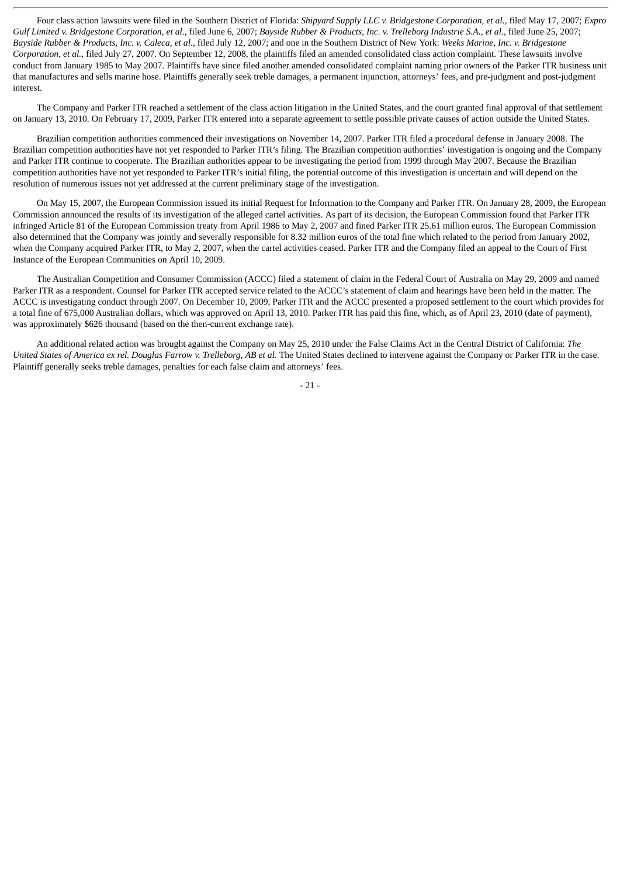Four class action lawsuits were filed in the Southern District of Florida: *Shipyard Supply LLC v. Bridgestone Corporation, et al.*, filed May 17, 2007; *Expro Gulf Limited v. Bridgestone Corporation, et al.*, filed June 6, 2007; *Bayside Rubber & Products, Inc. v. Trelleborg Industrie S.A., et al.*, filed June 25, 2007; *Bayside Rubber & Products, Inc. v. Caleca, et al*., filed July 12, 2007; and one in the Southern District of New York: *Weeks Marine, Inc. v. Bridgestone Corporation, et al.*, filed July 27, 2007. On September 12, 2008, the plaintiffs filed an amended consolidated class action complaint. These lawsuits involve conduct from January 1985 to May 2007. Plaintiffs have since filed another amended consolidated complaint naming prior owners of the Parker ITR business unit that manufactures and sells marine hose. Plaintiffs generally seek treble damages, a permanent injunction, attorneys' fees, and pre-judgment and post-judgment interest.

The Company and Parker ITR reached a settlement of the class action litigation in the United States, and the court granted final approval of that settlement on January 13, 2010. On February 17, 2009, Parker ITR entered into a separate agreement to settle possible private causes of action outside the United States.

Brazilian competition authorities commenced their investigations on November 14, 2007. Parker ITR filed a procedural defense in January 2008. The Brazilian competition authorities have not yet responded to Parker ITR's filing. The Brazilian competition authorities' investigation is ongoing and the Company and Parker ITR continue to cooperate. The Brazilian authorities appear to be investigating the period from 1999 through May 2007. Because the Brazilian competition authorities have not yet responded to Parker ITR's initial filing, the potential outcome of this investigation is uncertain and will depend on the resolution of numerous issues not yet addressed at the current preliminary stage of the investigation.

On May 15, 2007, the European Commission issued its initial Request for Information to the Company and Parker ITR. On January 28, 2009, the European Commission announced the results of its investigation of the alleged cartel activities. As part of its decision, the European Commission found that Parker ITR infringed Article 81 of the European Commission treaty from April 1986 to May 2, 2007 and fined Parker ITR 25.61 million euros. The European Commission also determined that the Company was jointly and severally responsible for 8.32 million euros of the total fine which related to the period from January 2002, when the Company acquired Parker ITR, to May 2, 2007, when the cartel activities ceased. Parker ITR and the Company filed an appeal to the Court of First Instance of the European Communities on April 10, 2009.

The Australian Competition and Consumer Commission (ACCC) filed a statement of claim in the Federal Court of Australia on May 29, 2009 and named Parker ITR as a respondent. Counsel for Parker ITR accepted service related to the ACCC's statement of claim and hearings have been held in the matter. The ACCC is investigating conduct through 2007. On December 10, 2009, Parker ITR and the ACCC presented a proposed settlement to the court which provides for a total fine of 675,000 Australian dollars, which was approved on April 13, 2010. Parker ITR has paid this fine, which, as of April 23, 2010 (date of payment), was approximately \$626 thousand (based on the then-current exchange rate).

An additional related action was brought against the Company on May 25, 2010 under the False Claims Act in the Central District of California: *The United States of America ex rel. Douglas Farrow v. Trelleborg, AB et al.* The United States declined to intervene against the Company or Parker ITR in the case. Plaintiff generally seeks treble damages, penalties for each false claim and attorneys' fees.

- 21 -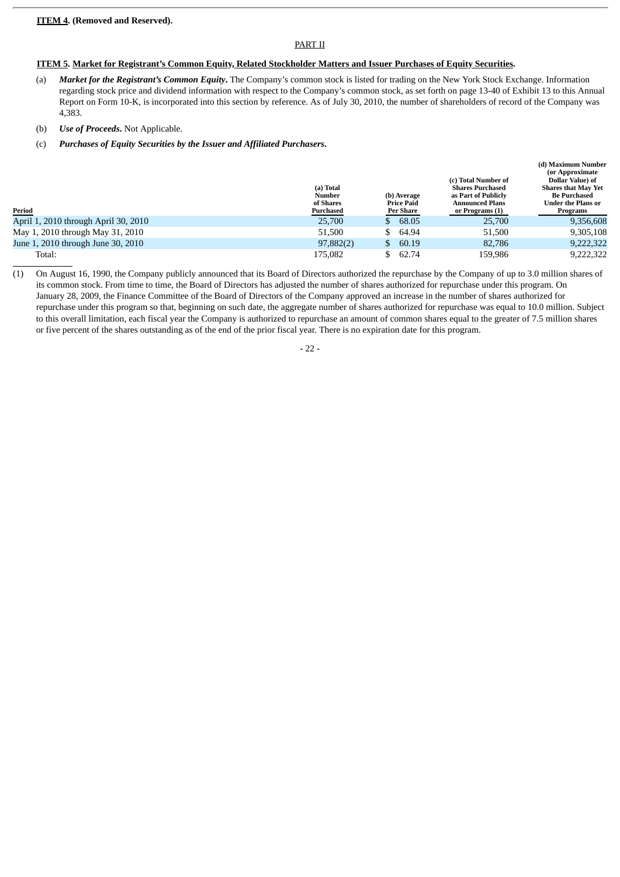# **ITEM 4. (Removed and Reserved).**

#### PART II

# **ITEM 5. Market for Registrant's Common Equity, Related Stockholder Matters and Issuer Purchases of Equity Securities.**

- (a) *Market for the Registrant's Common Equity***.** The Company's common stock is listed for trading on the New York Stock Exchange. Information regarding stock price and dividend information with respect to the Company's common stock, as set forth on page 13-40 of Exhibit 13 to this Annual Report on Form 10-K, is incorporated into this section by reference. As of July 30, 2010, the number of shareholders of record of the Company was 4,383.
- (b) *Use of Proceeds***.** Not Applicable.

# (c) *Purchases of Equity Securities by the Issuer and Affiliated Purchasers***.**

| Period                               | (a) Total<br>Number<br>of Shares<br>Purchased | (b) Average<br><b>Price Paid</b><br>Per Share | (c) Total Number of<br><b>Shares Purchased</b><br>as Part of Publicly<br>Announced Plans<br>or Programs (1) | (d) Maximum Number<br>(or Approximate)<br>Dollar Value) of<br><b>Shares that May Yet</b><br><b>Be Purchased</b><br><b>Under the Plans or</b><br>Programs |
|--------------------------------------|-----------------------------------------------|-----------------------------------------------|-------------------------------------------------------------------------------------------------------------|----------------------------------------------------------------------------------------------------------------------------------------------------------|
| April 1, 2010 through April 30, 2010 | 25,700                                        | 68.05<br>S.                                   | 25,700                                                                                                      | 9,356,608                                                                                                                                                |
| May 1, 2010 through May 31, 2010     | 51.500                                        | 64.94<br>S.                                   | 51.500                                                                                                      | 9,305,108                                                                                                                                                |
| June 1, 2010 through June 30, 2010   | 97,882(2)                                     | 60.19<br>S.                                   | 82,786                                                                                                      | 9,222,322                                                                                                                                                |
| Total:                               | 175,082                                       | 62.74                                         | 159.986                                                                                                     | 9,222,322                                                                                                                                                |

<sup>(1)</sup> On August 16, 1990, the Company publicly announced that its Board of Directors authorized the repurchase by the Company of up to 3.0 million shares of its common stock. From time to time, the Board of Directors has adjusted the number of shares authorized for repurchase under this program. On January 28, 2009, the Finance Committee of the Board of Directors of the Company approved an increase in the number of shares authorized for repurchase under this program so that, beginning on such date, the aggregate number of shares authorized for repurchase was equal to 10.0 million. Subject to this overall limitation, each fiscal year the Company is authorized to repurchase an amount of common shares equal to the greater of 7.5 million shares or five percent of the shares outstanding as of the end of the prior fiscal year. There is no expiration date for this program.

- 22 -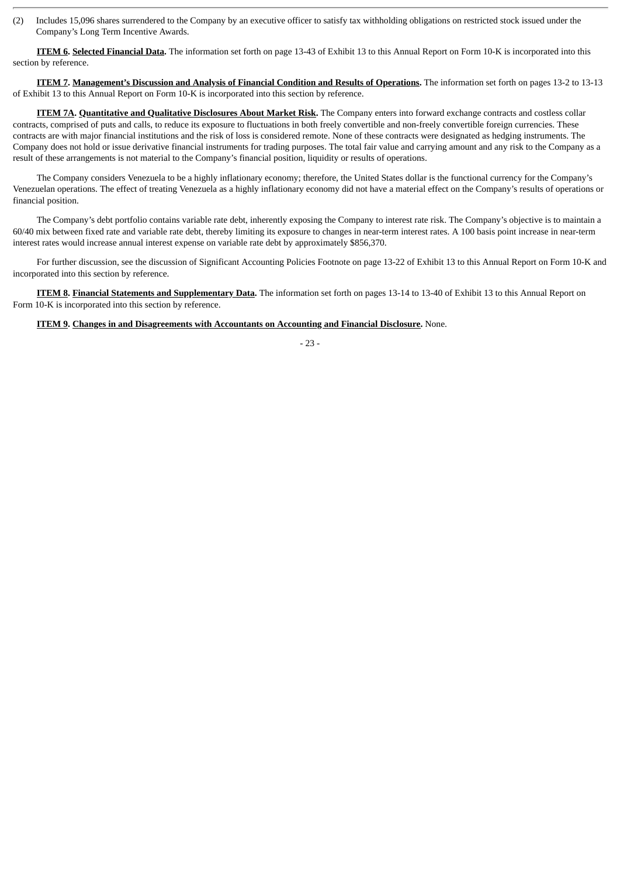(2) Includes 15,096 shares surrendered to the Company by an executive officer to satisfy tax withholding obligations on restricted stock issued under the Company's Long Term Incentive Awards.

**ITEM 6. Selected Financial Data.** The information set forth on page 13-43 of Exhibit 13 to this Annual Report on Form 10-K is incorporated into this section by reference.

**ITEM 7. Management's Discussion and Analysis of Financial Condition and Results of Operations.** The information set forth on pages 13-2 to 13-13 of Exhibit 13 to this Annual Report on Form 10-K is incorporated into this section by reference.

**ITEM 7A. Quantitative and Qualitative Disclosures About Market Risk.** The Company enters into forward exchange contracts and costless collar contracts, comprised of puts and calls, to reduce its exposure to fluctuations in both freely convertible and non-freely convertible foreign currencies. These contracts are with major financial institutions and the risk of loss is considered remote. None of these contracts were designated as hedging instruments. The Company does not hold or issue derivative financial instruments for trading purposes. The total fair value and carrying amount and any risk to the Company as a result of these arrangements is not material to the Company's financial position, liquidity or results of operations.

The Company considers Venezuela to be a highly inflationary economy; therefore, the United States dollar is the functional currency for the Company's Venezuelan operations. The effect of treating Venezuela as a highly inflationary economy did not have a material effect on the Company's results of operations or financial position.

The Company's debt portfolio contains variable rate debt, inherently exposing the Company to interest rate risk. The Company's objective is to maintain a 60/40 mix between fixed rate and variable rate debt, thereby limiting its exposure to changes in near-term interest rates. A 100 basis point increase in near-term interest rates would increase annual interest expense on variable rate debt by approximately \$856,370.

For further discussion, see the discussion of Significant Accounting Policies Footnote on page 13-22 of Exhibit 13 to this Annual Report on Form 10-K and incorporated into this section by reference.

**ITEM 8. Financial Statements and Supplementary Data.** The information set forth on pages 13-14 to 13-40 of Exhibit 13 to this Annual Report on Form 10-K is incorporated into this section by reference.

**ITEM 9. Changes in and Disagreements with Accountants on Accounting and Financial Disclosure.** None.

- 23 -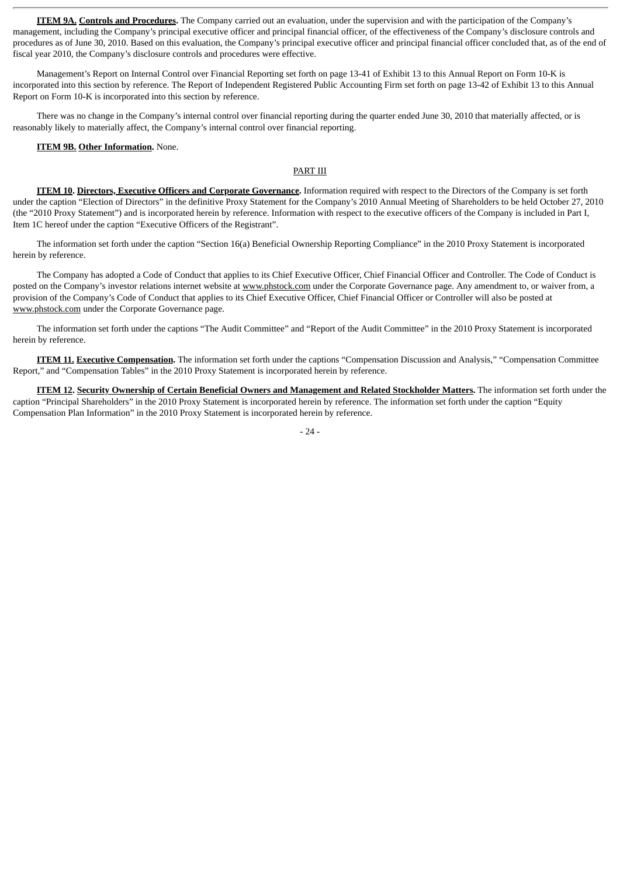**ITEM 9A. Controls and Procedures.** The Company carried out an evaluation, under the supervision and with the participation of the Company's management, including the Company's principal executive officer and principal financial officer, of the effectiveness of the Company's disclosure controls and procedures as of June 30, 2010. Based on this evaluation, the Company's principal executive officer and principal financial officer concluded that, as of the end of fiscal year 2010, the Company's disclosure controls and procedures were effective.

Management's Report on Internal Control over Financial Reporting set forth on page 13-41 of Exhibit 13 to this Annual Report on Form 10-K is incorporated into this section by reference. The Report of Independent Registered Public Accounting Firm set forth on page 13-42 of Exhibit 13 to this Annual Report on Form 10-K is incorporated into this section by reference.

There was no change in the Company's internal control over financial reporting during the quarter ended June 30, 2010 that materially affected, or is reasonably likely to materially affect, the Company's internal control over financial reporting.

#### **ITEM 9B. Other Information.** None.

#### PART III

**ITEM 10. Directors, Executive Officers and Corporate Governance.** Information required with respect to the Directors of the Company is set forth under the caption "Election of Directors" in the definitive Proxy Statement for the Company's 2010 Annual Meeting of Shareholders to be held October 27, 2010 (the "2010 Proxy Statement") and is incorporated herein by reference. Information with respect to the executive officers of the Company is included in Part I, Item 1C hereof under the caption "Executive Officers of the Registrant".

The information set forth under the caption "Section 16(a) Beneficial Ownership Reporting Compliance" in the 2010 Proxy Statement is incorporated herein by reference.

The Company has adopted a Code of Conduct that applies to its Chief Executive Officer, Chief Financial Officer and Controller. The Code of Conduct is posted on the Company's investor relations internet website at www.phstock.com under the Corporate Governance page. Any amendment to, or waiver from, a provision of the Company's Code of Conduct that applies to its Chief Executive Officer, Chief Financial Officer or Controller will also be posted at www.phstock.com under the Corporate Governance page.

The information set forth under the captions "The Audit Committee" and "Report of the Audit Committee" in the 2010 Proxy Statement is incorporated herein by reference.

**ITEM 11. Executive Compensation.** The information set forth under the captions "Compensation Discussion and Analysis," "Compensation Committee Report," and "Compensation Tables" in the 2010 Proxy Statement is incorporated herein by reference.

**ITEM 12. Security Ownership of Certain Beneficial Owners and Management and Related Stockholder Matters.** The information set forth under the caption "Principal Shareholders" in the 2010 Proxy Statement is incorporated herein by reference. The information set forth under the caption "Equity Compensation Plan Information" in the 2010 Proxy Statement is incorporated herein by reference.

 $-24-$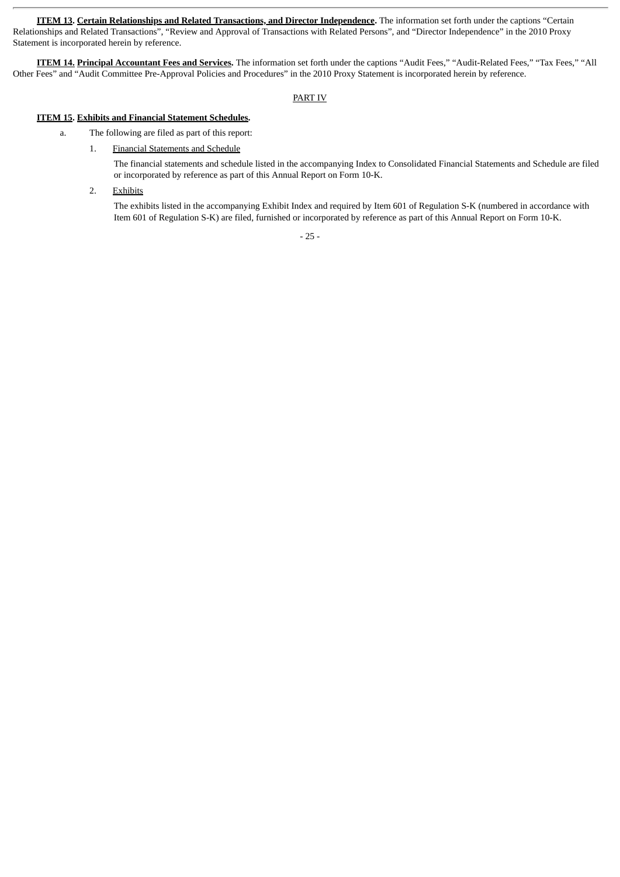**ITEM 13. Certain Relationships and Related Transactions, and Director Independence.** The information set forth under the captions "Certain Relationships and Related Transactions", "Review and Approval of Transactions with Related Persons", and "Director Independence" in the 2010 Proxy Statement is incorporated herein by reference.

**ITEM 14. Principal Accountant Fees and Services.** The information set forth under the captions "Audit Fees," "Audit-Related Fees," "Tax Fees," "All Other Fees" and "Audit Committee Pre-Approval Policies and Procedures" in the 2010 Proxy Statement is incorporated herein by reference.

# PART IV

#### **ITEM 15. Exhibits and Financial Statement Schedules.**

- a. The following are filed as part of this report:
	- 1. Financial Statements and Schedule

The financial statements and schedule listed in the accompanying Index to Consolidated Financial Statements and Schedule are filed or incorporated by reference as part of this Annual Report on Form 10-K.

2. Exhibits

The exhibits listed in the accompanying Exhibit Index and required by Item 601 of Regulation S-K (numbered in accordance with Item 601 of Regulation S-K) are filed, furnished or incorporated by reference as part of this Annual Report on Form 10-K.

- 25 -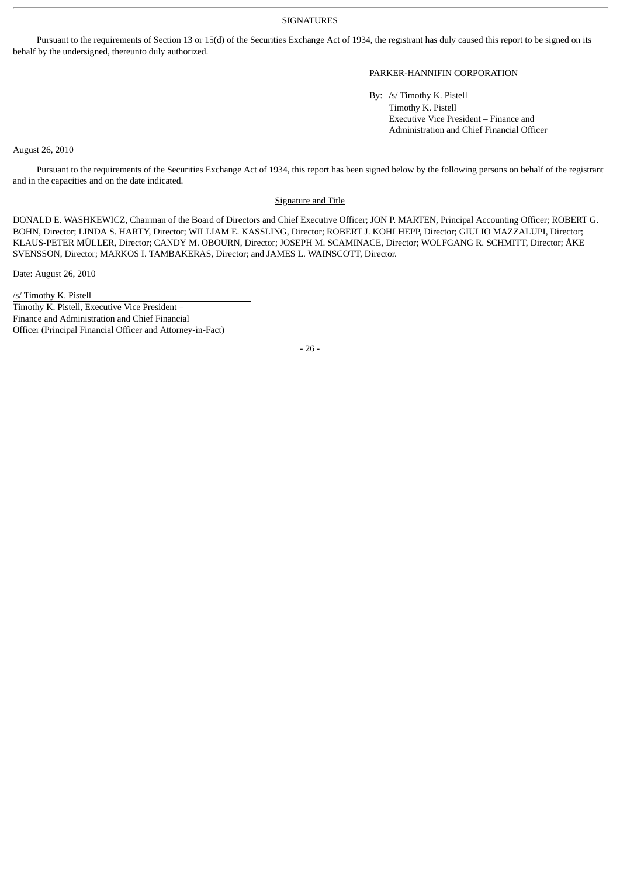**SIGNATURES** 

Pursuant to the requirements of Section 13 or 15(d) of the Securities Exchange Act of 1934, the registrant has duly caused this report to be signed on its behalf by the undersigned, thereunto duly authorized.

# PARKER-HANNIFIN CORPORATION

By: /s/ Timothy K. Pistell

Timothy K. Pistell Executive Vice President – Finance and Administration and Chief Financial Officer

August 26, 2010

Pursuant to the requirements of the Securities Exchange Act of 1934, this report has been signed below by the following persons on behalf of the registrant and in the capacities and on the date indicated.

#### Signature and Title

DONALD E. WASHKEWICZ, Chairman of the Board of Directors and Chief Executive Officer; JON P. MARTEN, Principal Accounting Officer; ROBERT G. BOHN, Director; LINDA S. HARTY, Director; WILLIAM E. KASSLING, Director; ROBERT J. KOHLHEPP, Director; GIULIO MAZZALUPI, Director; KLAUS-PETER MÜLLER, Director; CANDY M. OBOURN, Director; JOSEPH M. SCAMINACE, Director; WOLFGANG R. SCHMITT, Director; ÅKE SVENSSON, Director; MARKOS I. TAMBAKERAS, Director; and JAMES L. WAINSCOTT, Director.

Date: August 26, 2010

/s/ Timothy K. Pistell

Timothy K. Pistell, Executive Vice President – Finance and Administration and Chief Financial Officer (Principal Financial Officer and Attorney-in-Fact)

- 26 -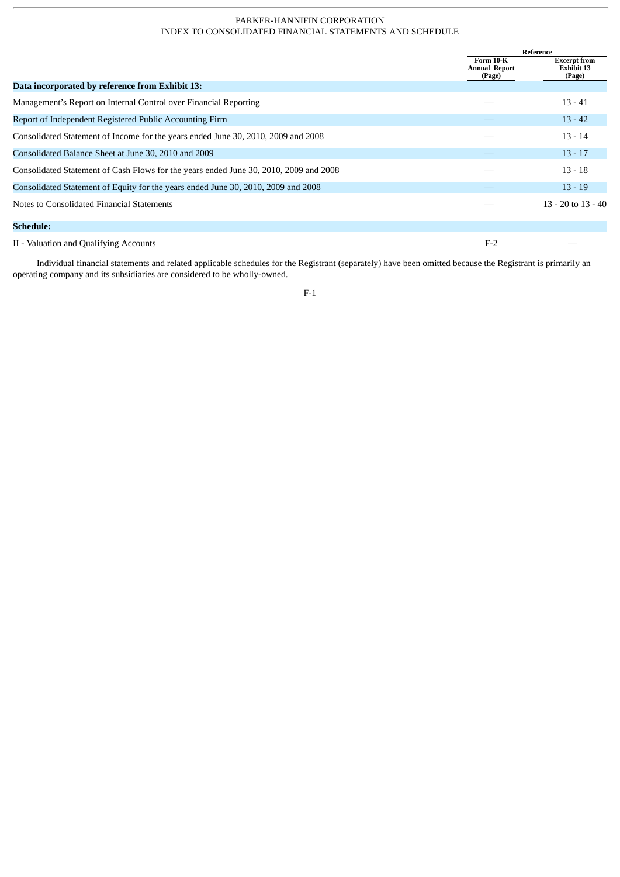# PARKER-HANNIFIN CORPORATION INDEX TO CONSOLIDATED FINANCIAL STATEMENTS AND SCHEDULE

|                                                                                       |                                             | Reference                                          |
|---------------------------------------------------------------------------------------|---------------------------------------------|----------------------------------------------------|
|                                                                                       | Form 10-K<br><b>Annual Report</b><br>(Page) | <b>Excerpt from</b><br><b>Exhibit 13</b><br>(Page) |
| Data incorporated by reference from Exhibit 13:                                       |                                             |                                                    |
| Management's Report on Internal Control over Financial Reporting                      |                                             | $13 - 41$                                          |
| Report of Independent Registered Public Accounting Firm                               |                                             | $13 - 42$                                          |
| Consolidated Statement of Income for the years ended June 30, 2010, 2009 and 2008     |                                             | $13 - 14$                                          |
| Consolidated Balance Sheet at June 30, 2010 and 2009                                  |                                             | $13 - 17$                                          |
| Consolidated Statement of Cash Flows for the years ended June 30, 2010, 2009 and 2008 |                                             | $13 - 18$                                          |
| Consolidated Statement of Equity for the years ended June 30, 2010, 2009 and 2008     |                                             | $13 - 19$                                          |
| Notes to Consolidated Financial Statements                                            |                                             | 13 - 20 to 13 - 40                                 |
| <b>Schedule:</b>                                                                      |                                             |                                                    |
|                                                                                       |                                             |                                                    |

II - Valuation and Qualifying Accounts F-2

Individual financial statements and related applicable schedules for the Registrant (separately) have been omitted because the Registrant is primarily an operating company and its subsidiaries are considered to be wholly-owned.

F-1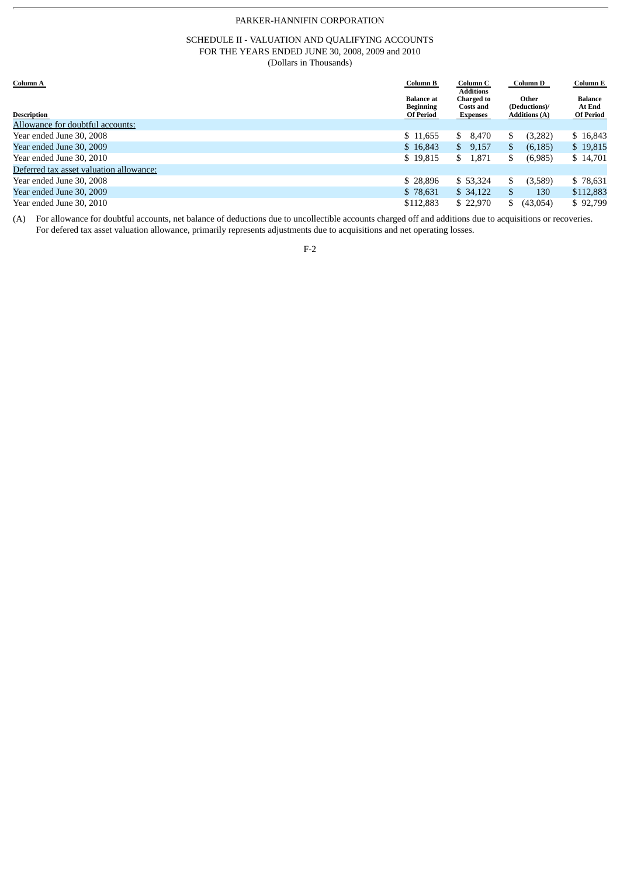#### PARKER-HANNIFIN CORPORATION

# SCHEDULE II - VALUATION AND QUALIFYING ACCOUNTS FOR THE YEARS ENDED JUNE 30, 2008, 2009 and 2010 (Dollars in Thousands)

| Column A                                | Column B                              | Column C<br><b>Additions</b>   | Column D               | Column E                 |
|-----------------------------------------|---------------------------------------|--------------------------------|------------------------|--------------------------|
|                                         | <b>Balance</b> at<br><b>Beginning</b> | <b>Charged to</b><br>Costs and | Other<br>(Deductions)/ | <b>Balance</b><br>At End |
| <b>Description</b>                      | Of Period                             | <b>Expenses</b>                | <b>Additions (A)</b>   | <b>Of Period</b>         |
| Allowance for doubtful accounts:        |                                       |                                |                        |                          |
| Year ended June 30, 2008                | \$11,655                              | \$8,470                        | \$<br>(3,282)          | \$16,843                 |
| Year ended June 30, 2009                | \$16,843                              | \$9,157                        | \$<br>(6, 185)         | \$19,815                 |
| Year ended June 30, 2010                | \$19,815                              | 1,871<br>\$                    | \$<br>(6,985)          | \$14,701                 |
| Deferred tax asset valuation allowance: |                                       |                                |                        |                          |
| Year ended June 30, 2008                | \$28,896                              | \$53,324                       | \$<br>(3,589)          | \$78,631                 |
| Year ended June 30, 2009                | \$78,631                              | \$34,122                       | \$<br>130              | \$112,883                |
| Year ended June 30. 2010                | \$112,883                             | \$22,970                       | \$<br>(43,054)         | \$92,799                 |

(A) For allowance for doubtful accounts, net balance of deductions due to uncollectible accounts charged off and additions due to acquisitions or recoveries. For defered tax asset valuation allowance, primarily represents adjustments due to acquisitions and net operating losses.

F-2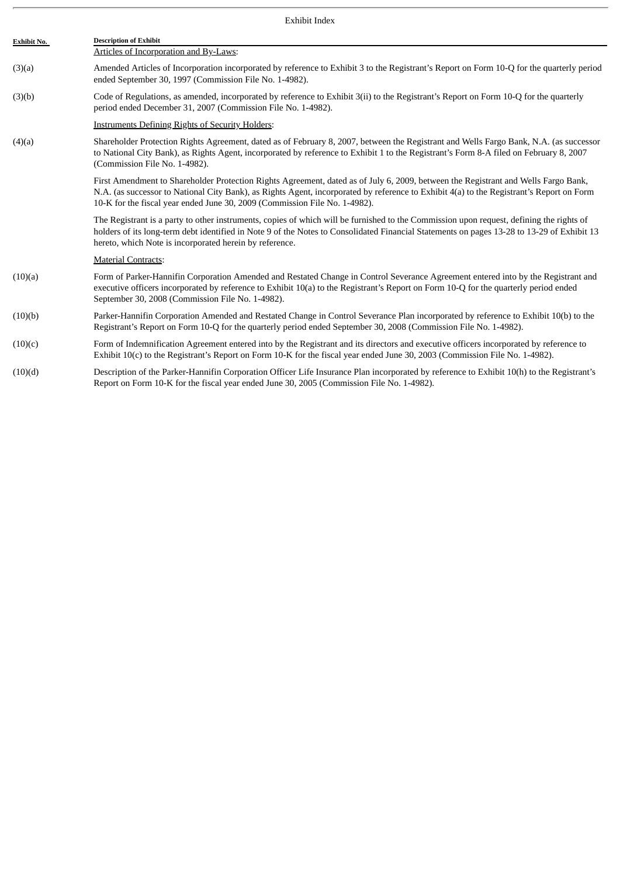|             | Exhibit Index                                                                                                                                                                                                                                                                                                                                                |
|-------------|--------------------------------------------------------------------------------------------------------------------------------------------------------------------------------------------------------------------------------------------------------------------------------------------------------------------------------------------------------------|
| Exhibit No. | <b>Description of Exhibit</b><br>Articles of Incorporation and By-Laws:                                                                                                                                                                                                                                                                                      |
| (3)(a)      | Amended Articles of Incorporation incorporated by reference to Exhibit 3 to the Registrant's Report on Form 10-Q for the quarterly period<br>ended September 30, 1997 (Commission File No. 1-4982).                                                                                                                                                          |
| (3)(b)      | Code of Regulations, as amended, incorporated by reference to Exhibit 3(ii) to the Registrant's Report on Form 10-Q for the quarterly<br>period ended December 31, 2007 (Commission File No. 1-4982).                                                                                                                                                        |
|             | <b>Instruments Defining Rights of Security Holders:</b>                                                                                                                                                                                                                                                                                                      |
| (4)(a)      | Shareholder Protection Rights Agreement, dated as of February 8, 2007, between the Registrant and Wells Fargo Bank, N.A. (as successor<br>to National City Bank), as Rights Agent, incorporated by reference to Exhibit 1 to the Registrant's Form 8-A filed on February 8, 2007<br>(Commission File No. 1-4982).                                            |
|             | First Amendment to Shareholder Protection Rights Agreement, dated as of July 6, 2009, between the Registrant and Wells Fargo Bank,<br>N.A. (as successor to National City Bank), as Rights Agent, incorporated by reference to Exhibit 4(a) to the Registrant's Report on Form<br>10-K for the fiscal year ended June 30, 2009 (Commission File No. 1-4982). |
|             | The Registrant is a party to other instruments, copies of which will be furnished to the Commission upon request, defining the rights of<br>holders of its long-term debt identified in Note 9 of the Notes to Consolidated Financial Statements on pages 13-28 to 13-29 of Exhibit 13<br>hereto, which Note is incorporated herein by reference.            |
|             | <b>Material Contracts:</b>                                                                                                                                                                                                                                                                                                                                   |
| (10)(a)     | Form of Parker-Hannifin Corporation Amended and Restated Change in Control Severance Agreement entered into by the Registrant and<br>executive officers incorporated by reference to Exhibit 10(a) to the Registrant's Report on Form 10-Q for the quarterly period ended<br>September 30, 2008 (Commission File No. 1-4982).                                |
| (10)(b)     | Parker-Hannifin Corporation Amended and Restated Change in Control Severance Plan incorporated by reference to Exhibit 10(b) to the<br>Registrant's Report on Form 10-Q for the quarterly period ended September 30, 2008 (Commission File No. 1-4982).                                                                                                      |
| (10)(c)     | Form of Indemnification Agreement entered into by the Registrant and its directors and executive officers incorporated by reference to<br>Exhibit $10(c)$ to the Registrant's Report on Form 10-K for the fiscal year ended June 30, 2003 (Commission File No. 1-4982).                                                                                      |
| (10)(d)     | Description of the Parker-Hannifin Corporation Officer Life Insurance Plan incorporated by reference to Exhibit 10(h) to the Registrant's<br>Report on Form 10-K for the fiscal year ended June 30, 2005 (Commission File No. 1-4982).                                                                                                                       |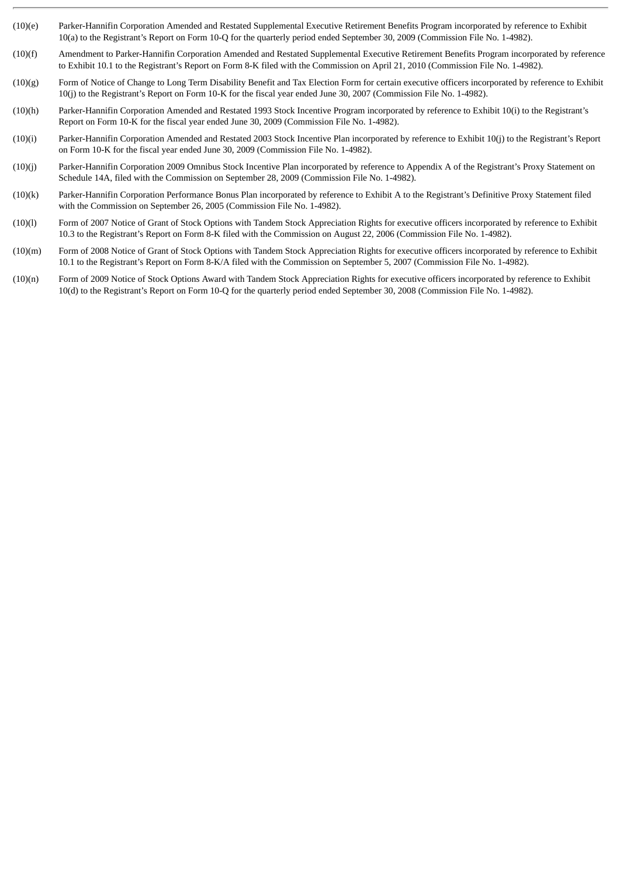- (10)(e) Parker-Hannifin Corporation Amended and Restated Supplemental Executive Retirement Benefits Program incorporated by reference to Exhibit 10(a) to the Registrant's Report on Form 10-Q for the quarterly period ended September 30, 2009 (Commission File No. 1-4982).
- (10)(f) Amendment to Parker-Hannifin Corporation Amended and Restated Supplemental Executive Retirement Benefits Program incorporated by reference to Exhibit 10.1 to the Registrant's Report on Form 8-K filed with the Commission on April 21, 2010 (Commission File No. 1-4982).
- (10)(g) Form of Notice of Change to Long Term Disability Benefit and Tax Election Form for certain executive officers incorporated by reference to Exhibit 10(j) to the Registrant's Report on Form 10-K for the fiscal year ended June 30, 2007 (Commission File No. 1-4982).
- (10)(h) Parker-Hannifin Corporation Amended and Restated 1993 Stock Incentive Program incorporated by reference to Exhibit 10(i) to the Registrant's Report on Form 10-K for the fiscal year ended June 30, 2009 (Commission File No. 1-4982).
- (10)(i) Parker-Hannifin Corporation Amended and Restated 2003 Stock Incentive Plan incorporated by reference to Exhibit 10(j) to the Registrant's Report on Form 10-K for the fiscal year ended June 30, 2009 (Commission File No. 1-4982).
- (10)(j) Parker-Hannifin Corporation 2009 Omnibus Stock Incentive Plan incorporated by reference to Appendix A of the Registrant's Proxy Statement on Schedule 14A, filed with the Commission on September 28, 2009 (Commission File No. 1-4982).
- (10)(k) Parker-Hannifin Corporation Performance Bonus Plan incorporated by reference to Exhibit A to the Registrant's Definitive Proxy Statement filed with the Commission on September 26, 2005 (Commission File No. 1-4982).
- (10)(l) Form of 2007 Notice of Grant of Stock Options with Tandem Stock Appreciation Rights for executive officers incorporated by reference to Exhibit 10.3 to the Registrant's Report on Form 8-K filed with the Commission on August 22, 2006 (Commission File No. 1-4982).
- (10)(m) Form of 2008 Notice of Grant of Stock Options with Tandem Stock Appreciation Rights for executive officers incorporated by reference to Exhibit 10.1 to the Registrant's Report on Form 8-K/A filed with the Commission on September 5, 2007 (Commission File No. 1-4982).
- (10)(n) Form of 2009 Notice of Stock Options Award with Tandem Stock Appreciation Rights for executive officers incorporated by reference to Exhibit 10(d) to the Registrant's Report on Form 10-Q for the quarterly period ended September 30, 2008 (Commission File No. 1-4982).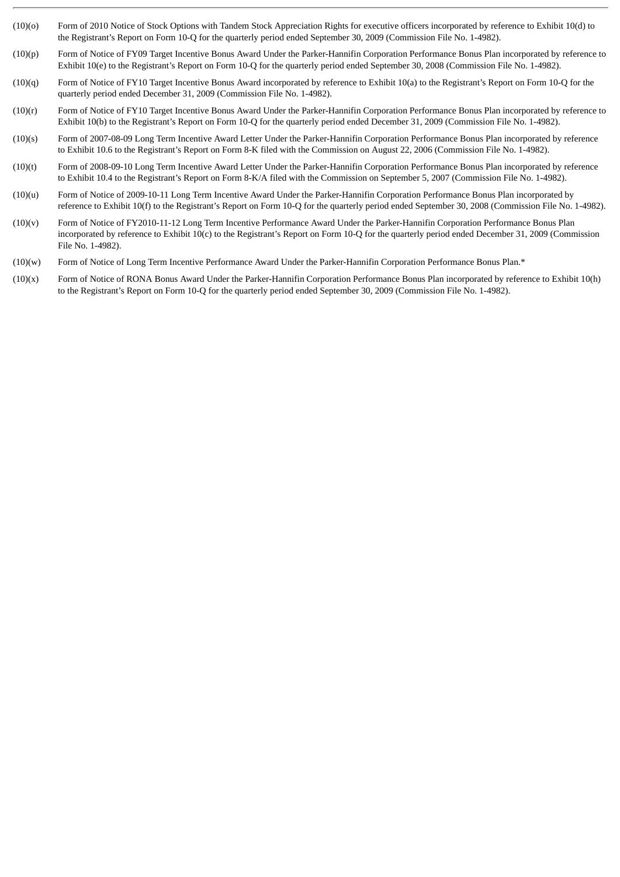- (10)(o) Form of 2010 Notice of Stock Options with Tandem Stock Appreciation Rights for executive officers incorporated by reference to Exhibit 10(d) to the Registrant's Report on Form 10-Q for the quarterly period ended September 30, 2009 (Commission File No. 1-4982).
- (10)(p) Form of Notice of FY09 Target Incentive Bonus Award Under the Parker-Hannifin Corporation Performance Bonus Plan incorporated by reference to Exhibit 10(e) to the Registrant's Report on Form 10-Q for the quarterly period ended September 30, 2008 (Commission File No. 1-4982).
- (10)(q) Form of Notice of FY10 Target Incentive Bonus Award incorporated by reference to Exhibit 10(a) to the Registrant's Report on Form 10-Q for the quarterly period ended December 31, 2009 (Commission File No. 1-4982).
- (10)(r) Form of Notice of FY10 Target Incentive Bonus Award Under the Parker-Hannifin Corporation Performance Bonus Plan incorporated by reference to Exhibit 10(b) to the Registrant's Report on Form 10-Q for the quarterly period ended December 31, 2009 (Commission File No. 1-4982).
- (10)(s) Form of 2007-08-09 Long Term Incentive Award Letter Under the Parker-Hannifin Corporation Performance Bonus Plan incorporated by reference to Exhibit 10.6 to the Registrant's Report on Form 8-K filed with the Commission on August 22, 2006 (Commission File No. 1-4982).
- (10)(t) Form of 2008-09-10 Long Term Incentive Award Letter Under the Parker-Hannifin Corporation Performance Bonus Plan incorporated by reference to Exhibit 10.4 to the Registrant's Report on Form 8-K/A filed with the Commission on September 5, 2007 (Commission File No. 1-4982).
- (10)(u) Form of Notice of 2009-10-11 Long Term Incentive Award Under the Parker-Hannifin Corporation Performance Bonus Plan incorporated by reference to Exhibit 10(f) to the Registrant's Report on Form 10-Q for the quarterly period ended September 30, 2008 (Commission File No. 1-4982).
- (10)(v) Form of Notice of FY2010-11-12 Long Term Incentive Performance Award Under the Parker-Hannifin Corporation Performance Bonus Plan incorporated by reference to Exhibit 10(c) to the Registrant's Report on Form 10-Q for the quarterly period ended December 31, 2009 (Commission File No. 1-4982).
- (10)(w) Form of Notice of Long Term Incentive Performance Award Under the Parker-Hannifin Corporation Performance Bonus Plan.\*
- (10)(x) Form of Notice of RONA Bonus Award Under the Parker-Hannifin Corporation Performance Bonus Plan incorporated by reference to Exhibit 10(h) to the Registrant's Report on Form 10-Q for the quarterly period ended September 30, 2009 (Commission File No. 1-4982).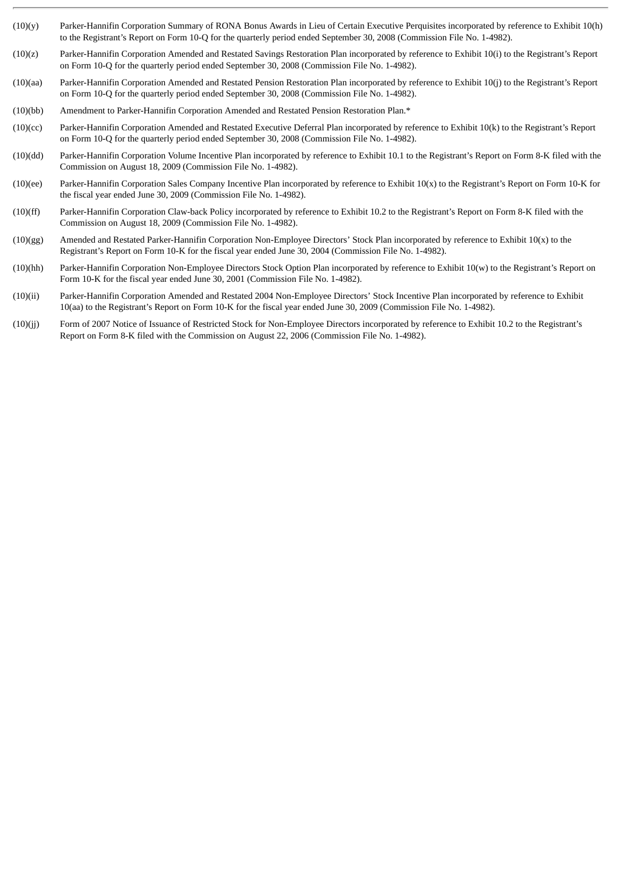- (10)(y) Parker-Hannifin Corporation Summary of RONA Bonus Awards in Lieu of Certain Executive Perquisites incorporated by reference to Exhibit 10(h) to the Registrant's Report on Form 10-Q for the quarterly period ended September 30, 2008 (Commission File No. 1-4982).
- (10)(z) Parker-Hannifin Corporation Amended and Restated Savings Restoration Plan incorporated by reference to Exhibit 10(i) to the Registrant's Report on Form 10-Q for the quarterly period ended September 30, 2008 (Commission File No. 1-4982).
- (10)(aa) Parker-Hannifin Corporation Amended and Restated Pension Restoration Plan incorporated by reference to Exhibit 10(j) to the Registrant's Report on Form 10-Q for the quarterly period ended September 30, 2008 (Commission File No. 1-4982).
- (10)(bb) Amendment to Parker-Hannifin Corporation Amended and Restated Pension Restoration Plan.\*
- (10)(cc) Parker-Hannifin Corporation Amended and Restated Executive Deferral Plan incorporated by reference to Exhibit 10(k) to the Registrant's Report on Form 10-Q for the quarterly period ended September 30, 2008 (Commission File No. 1-4982).
- (10)(dd) Parker-Hannifin Corporation Volume Incentive Plan incorporated by reference to Exhibit 10.1 to the Registrant's Report on Form 8-K filed with the Commission on August 18, 2009 (Commission File No. 1-4982).
- (10)(ee) Parker-Hannifin Corporation Sales Company Incentive Plan incorporated by reference to Exhibit 10(x) to the Registrant's Report on Form 10-K for the fiscal year ended June 30, 2009 (Commission File No. 1-4982).
- (10)(ff) Parker-Hannifin Corporation Claw-back Policy incorporated by reference to Exhibit 10.2 to the Registrant's Report on Form 8-K filed with the Commission on August 18, 2009 (Commission File No. 1-4982).
- (10)(gg) Amended and Restated Parker-Hannifin Corporation Non-Employee Directors' Stock Plan incorporated by reference to Exhibit 10(x) to the Registrant's Report on Form 10-K for the fiscal year ended June 30, 2004 (Commission File No. 1-4982).
- (10)(hh) Parker-Hannifin Corporation Non-Employee Directors Stock Option Plan incorporated by reference to Exhibit 10(w) to the Registrant's Report on Form 10-K for the fiscal year ended June 30, 2001 (Commission File No. 1-4982).
- (10)(ii) Parker-Hannifin Corporation Amended and Restated 2004 Non-Employee Directors' Stock Incentive Plan incorporated by reference to Exhibit 10(aa) to the Registrant's Report on Form 10-K for the fiscal year ended June 30, 2009 (Commission File No. 1-4982).
- (10)(jj) Form of 2007 Notice of Issuance of Restricted Stock for Non-Employee Directors incorporated by reference to Exhibit 10.2 to the Registrant's Report on Form 8-K filed with the Commission on August 22, 2006 (Commission File No. 1-4982).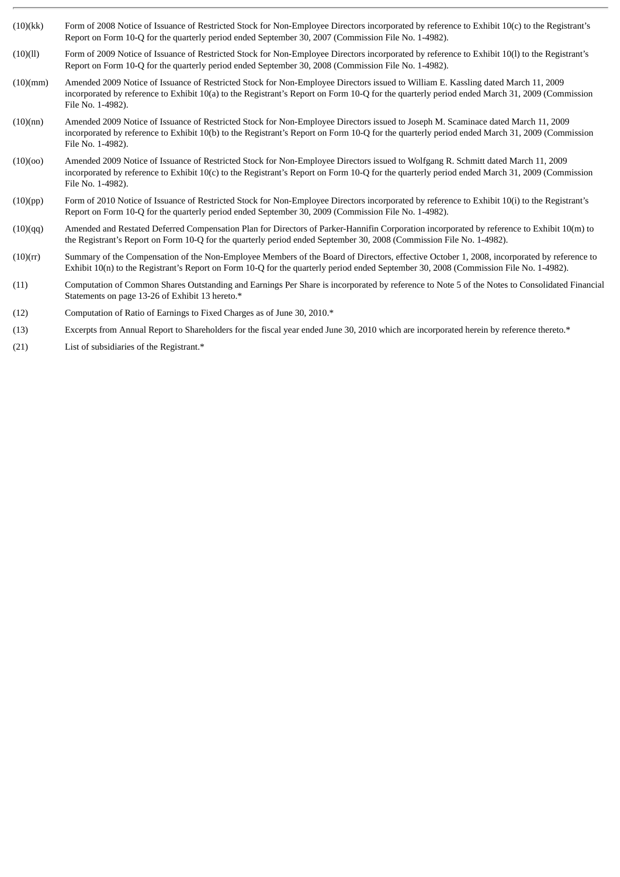- (10)(kk) Form of 2008 Notice of Issuance of Restricted Stock for Non-Employee Directors incorporated by reference to Exhibit 10(c) to the Registrant's Report on Form 10-Q for the quarterly period ended September 30, 2007 (Commission File No. 1-4982).
- (10)(ll) Form of 2009 Notice of Issuance of Restricted Stock for Non-Employee Directors incorporated by reference to Exhibit 10(l) to the Registrant's Report on Form 10-Q for the quarterly period ended September 30, 2008 (Commission File No. 1-4982).
- (10)(mm) Amended 2009 Notice of Issuance of Restricted Stock for Non-Employee Directors issued to William E. Kassling dated March 11, 2009 incorporated by reference to Exhibit 10(a) to the Registrant's Report on Form 10-Q for the quarterly period ended March 31, 2009 (Commission File No. 1-4982).
- (10)(nn) Amended 2009 Notice of Issuance of Restricted Stock for Non-Employee Directors issued to Joseph M. Scaminace dated March 11, 2009 incorporated by reference to Exhibit 10(b) to the Registrant's Report on Form 10-Q for the quarterly period ended March 31, 2009 (Commission File No. 1-4982).
- (10)(oo) Amended 2009 Notice of Issuance of Restricted Stock for Non-Employee Directors issued to Wolfgang R. Schmitt dated March 11, 2009 incorporated by reference to Exhibit 10(c) to the Registrant's Report on Form 10-Q for the quarterly period ended March 31, 2009 (Commission File No. 1-4982).
- (10)(pp) Form of 2010 Notice of Issuance of Restricted Stock for Non-Employee Directors incorporated by reference to Exhibit 10(i) to the Registrant's Report on Form 10-Q for the quarterly period ended September 30, 2009 (Commission File No. 1-4982).
- (10)(qq) Amended and Restated Deferred Compensation Plan for Directors of Parker-Hannifin Corporation incorporated by reference to Exhibit 10(m) to the Registrant's Report on Form 10-Q for the quarterly period ended September 30, 2008 (Commission File No. 1-4982).
- (10)(rr) Summary of the Compensation of the Non-Employee Members of the Board of Directors, effective October 1, 2008, incorporated by reference to Exhibit 10(n) to the Registrant's Report on Form 10-Q for the quarterly period ended September 30, 2008 (Commission File No. 1-4982).
- (11) Computation of Common Shares Outstanding and Earnings Per Share is incorporated by reference to Note 5 of the Notes to Consolidated Financial Statements on page 13-26 of Exhibit 13 hereto.\*
- (12) Computation of Ratio of Earnings to Fixed Charges as of June 30, 2010.\*
- (13) Excerpts from Annual Report to Shareholders for the fiscal year ended June 30, 2010 which are incorporated herein by reference thereto.\*
- (21) List of subsidiaries of the Registrant.\*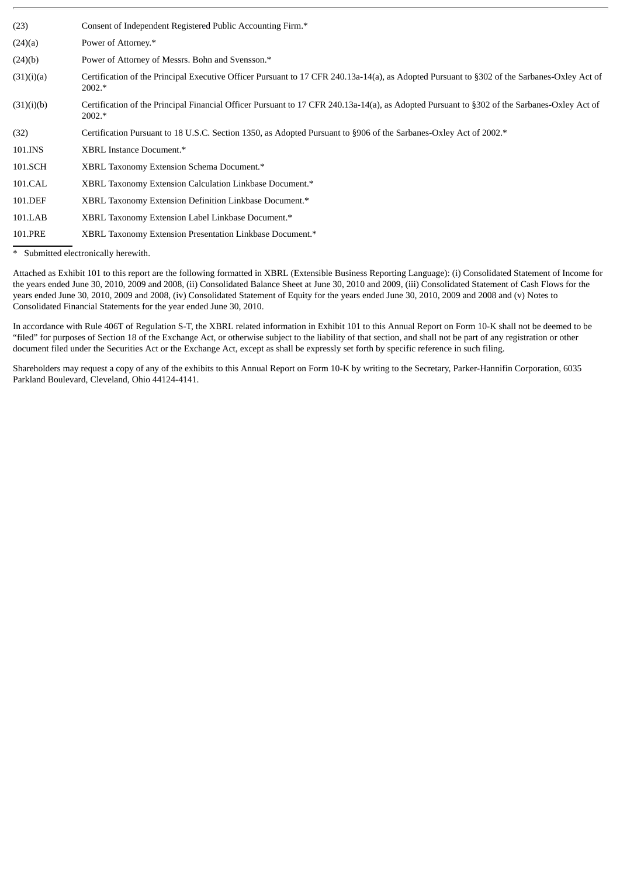| (23)       | Consent of Independent Registered Public Accounting Firm.*                                                                                              |
|------------|---------------------------------------------------------------------------------------------------------------------------------------------------------|
| (24)(a)    | Power of Attorney.*                                                                                                                                     |
| (24)(b)    | Power of Attorney of Messrs. Bohn and Svensson.*                                                                                                        |
| (31)(i)(a) | Certification of the Principal Executive Officer Pursuant to 17 CFR 240.13a-14(a), as Adopted Pursuant to §302 of the Sarbanes-Oxley Act of<br>2002.*   |
| (31)(i)(b) | Certification of the Principal Financial Officer Pursuant to 17 CFR 240.13a-14(a), as Adopted Pursuant to §302 of the Sarbanes-Oxley Act of<br>$2002.*$ |
| (32)       | Certification Pursuant to 18 U.S.C. Section 1350, as Adopted Pursuant to §906 of the Sarbanes-Oxley Act of 2002.*                                       |
| 101.INS    | XBRL Instance Document.*                                                                                                                                |
| 101.SCH    | XBRL Taxonomy Extension Schema Document.*                                                                                                               |
| 101.CAL    | XBRL Taxonomy Extension Calculation Linkbase Document.*                                                                                                 |
| 101.DEF    | XBRL Taxonomy Extension Definition Linkbase Document.*                                                                                                  |
| 101.LAB    | XBRL Taxonomy Extension Label Linkbase Document.*                                                                                                       |
| 101.PRE    | XBRL Taxonomy Extension Presentation Linkbase Document.*                                                                                                |
|            |                                                                                                                                                         |

\* Submitted electronically herewith.

Attached as Exhibit 101 to this report are the following formatted in XBRL (Extensible Business Reporting Language): (i) Consolidated Statement of Income for the years ended June 30, 2010, 2009 and 2008, (ii) Consolidated Balance Sheet at June 30, 2010 and 2009, (iii) Consolidated Statement of Cash Flows for the years ended June 30, 2010, 2009 and 2008, (iv) Consolidated Statement of Equity for the years ended June 30, 2010, 2009 and 2008 and (v) Notes to Consolidated Financial Statements for the year ended June 30, 2010.

In accordance with Rule 406T of Regulation S-T, the XBRL related information in Exhibit 101 to this Annual Report on Form 10-K shall not be deemed to be "filed" for purposes of Section 18 of the Exchange Act, or otherwise subject to the liability of that section, and shall not be part of any registration or other document filed under the Securities Act or the Exchange Act, except as shall be expressly set forth by specific reference in such filing.

Shareholders may request a copy of any of the exhibits to this Annual Report on Form 10-K by writing to the Secretary, Parker-Hannifin Corporation, 6035 Parkland Boulevard, Cleveland, Ohio 44124-4141.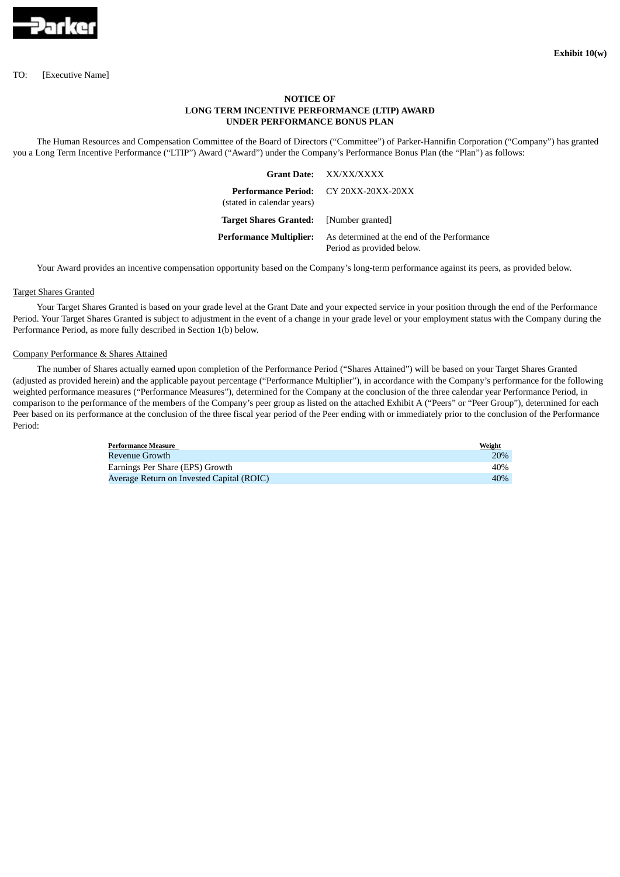

#### **NOTICE OF LONG TERM INCENTIVE PERFORMANCE (LTIP) AWARD UNDER PERFORMANCE BONUS PLAN**

The Human Resources and Compensation Committee of the Board of Directors ("Committee") of Parker-Hannifin Corporation ("Company") has granted you a Long Term Incentive Performance ("LTIP") Award ("Award") under the Company's Performance Bonus Plan (the "Plan") as follows:

|                                                | Grant Date: XX/XX/XXXX                                                   |
|------------------------------------------------|--------------------------------------------------------------------------|
| (stated in calendar years)                     | <b>Performance Period:</b> CY 20XX-20XX-20XX                             |
| <b>Target Shares Granted:</b> [Number granted] |                                                                          |
| <b>Performance Multiplier:</b>                 | As determined at the end of the Performance<br>Period as provided below. |

Your Award provides an incentive compensation opportunity based on the Company's long-term performance against its peers, as provided below.

### Target Shares Granted

Your Target Shares Granted is based on your grade level at the Grant Date and your expected service in your position through the end of the Performance Period. Your Target Shares Granted is subject to adjustment in the event of a change in your grade level or your employment status with the Company during the Performance Period, as more fully described in Section 1(b) below.

#### Company Performance & Shares Attained

The number of Shares actually earned upon completion of the Performance Period ("Shares Attained") will be based on your Target Shares Granted (adjusted as provided herein) and the applicable payout percentage ("Performance Multiplier"), in accordance with the Company's performance for the following weighted performance measures ("Performance Measures"), determined for the Company at the conclusion of the three calendar year Performance Period, in comparison to the performance of the members of the Company's peer group as listed on the attached Exhibit A ("Peers" or "Peer Group"), determined for each Peer based on its performance at the conclusion of the three fiscal year period of the Peer ending with or immediately prior to the conclusion of the Performance Period:

| <b>Performance Measure</b>                | Weight |
|-------------------------------------------|--------|
| Revenue Growth                            | 20%    |
| Earnings Per Share (EPS) Growth           | 40%    |
| Average Return on Invested Capital (ROIC) | 40%    |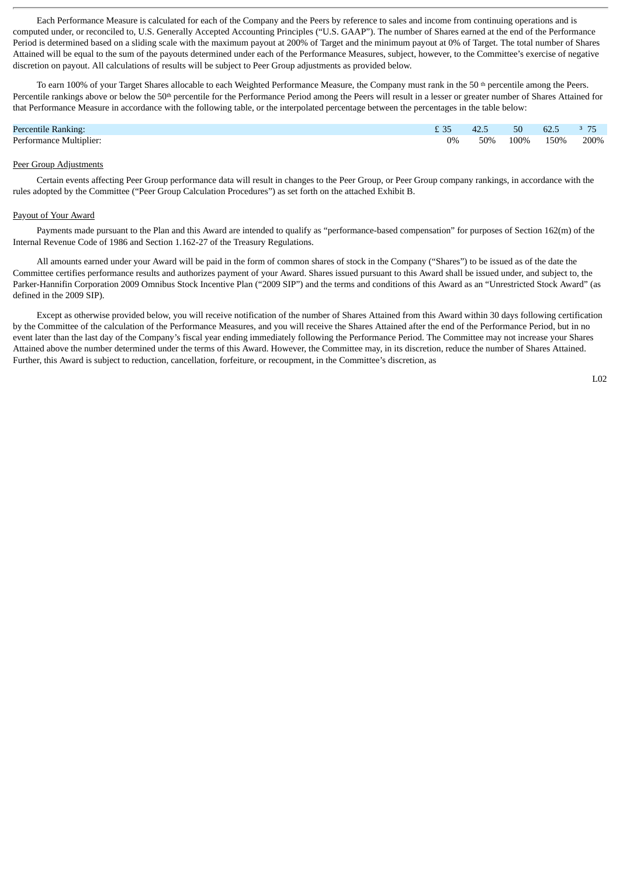Each Performance Measure is calculated for each of the Company and the Peers by reference to sales and income from continuing operations and is computed under, or reconciled to, U.S. Generally Accepted Accounting Principles ("U.S. GAAP"). The number of Shares earned at the end of the Performance Period is determined based on a sliding scale with the maximum payout at 200% of Target and the minimum payout at 0% of Target. The total number of Shares Attained will be equal to the sum of the payouts determined under each of the Performance Measures, subject, however, to the Committee's exercise of negative discretion on payout. All calculations of results will be subject to Peer Group adjustments as provided below.

To earn 100% of your Target Shares allocable to each Weighted Performance Measure, the Company must rank in the 50 <sup>th</sup> percentile among the Peers. Percentile rankings above or below the 50<sup>th</sup> percentile for the Performance Period among the Peers will result in a lesser or greater number of Shares Attained for that Performance Measure in accordance with the following table, or the interpolated percentage between the percentages in the table below:

| Percentile Ranking:     | £ 35. | 42.5 | 50   | 62.5 |      |
|-------------------------|-------|------|------|------|------|
| Performance Multiplier: | 0%    | 50%  | 100% | 150% | 200% |

#### Peer Group Adjustments

Certain events affecting Peer Group performance data will result in changes to the Peer Group, or Peer Group company rankings, in accordance with the rules adopted by the Committee ("Peer Group Calculation Procedures") as set forth on the attached Exhibit B.

#### Payout of Your Award

Payments made pursuant to the Plan and this Award are intended to qualify as "performance-based compensation" for purposes of Section 162(m) of the Internal Revenue Code of 1986 and Section 1.162-27 of the Treasury Regulations.

All amounts earned under your Award will be paid in the form of common shares of stock in the Company ("Shares") to be issued as of the date the Committee certifies performance results and authorizes payment of your Award. Shares issued pursuant to this Award shall be issued under, and subject to, the Parker-Hannifin Corporation 2009 Omnibus Stock Incentive Plan ("2009 SIP") and the terms and conditions of this Award as an "Unrestricted Stock Award" (as defined in the 2009 SIP).

Except as otherwise provided below, you will receive notification of the number of Shares Attained from this Award within 30 days following certification by the Committee of the calculation of the Performance Measures, and you will receive the Shares Attained after the end of the Performance Period, but in no event later than the last day of the Company's fiscal year ending immediately following the Performance Period. The Committee may not increase your Shares Attained above the number determined under the terms of this Award. However, the Committee may, in its discretion, reduce the number of Shares Attained. Further, this Award is subject to reduction, cancellation, forfeiture, or recoupment, in the Committee's discretion, as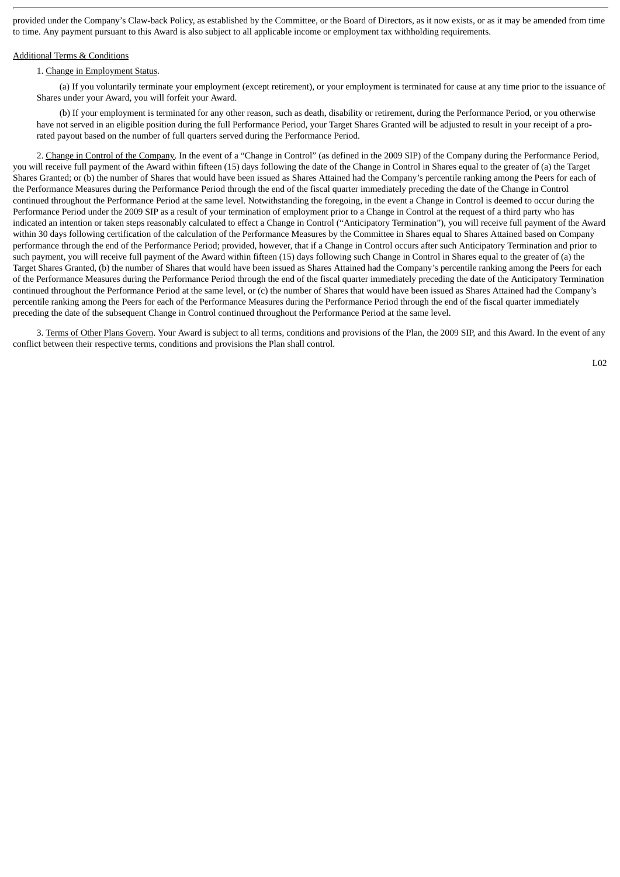provided under the Company's Claw-back Policy, as established by the Committee, or the Board of Directors, as it now exists, or as it may be amended from time to time. Any payment pursuant to this Award is also subject to all applicable income or employment tax withholding requirements.

#### Additional Terms & Conditions

#### 1. Change in Employment Status.

(a) If you voluntarily terminate your employment (except retirement), or your employment is terminated for cause at any time prior to the issuance of Shares under your Award, you will forfeit your Award.

(b) If your employment is terminated for any other reason, such as death, disability or retirement, during the Performance Period, or you otherwise have not served in an eligible position during the full Performance Period, your Target Shares Granted will be adjusted to result in your receipt of a prorated payout based on the number of full quarters served during the Performance Period.

2. Change in Control of the Company. In the event of a "Change in Control" (as defined in the 2009 SIP) of the Company during the Performance Period. you will receive full payment of the Award within fifteen (15) days following the date of the Change in Control in Shares equal to the greater of (a) the Target Shares Granted; or (b) the number of Shares that would have been issued as Shares Attained had the Company's percentile ranking among the Peers for each of the Performance Measures during the Performance Period through the end of the fiscal quarter immediately preceding the date of the Change in Control continued throughout the Performance Period at the same level. Notwithstanding the foregoing, in the event a Change in Control is deemed to occur during the Performance Period under the 2009 SIP as a result of your termination of employment prior to a Change in Control at the request of a third party who has indicated an intention or taken steps reasonably calculated to effect a Change in Control ("Anticipatory Termination"), you will receive full payment of the Award within 30 days following certification of the calculation of the Performance Measures by the Committee in Shares equal to Shares Attained based on Company performance through the end of the Performance Period; provided, however, that if a Change in Control occurs after such Anticipatory Termination and prior to such payment, you will receive full payment of the Award within fifteen (15) days following such Change in Control in Shares equal to the greater of (a) the Target Shares Granted, (b) the number of Shares that would have been issued as Shares Attained had the Company's percentile ranking among the Peers for each of the Performance Measures during the Performance Period through the end of the fiscal quarter immediately preceding the date of the Anticipatory Termination continued throughout the Performance Period at the same level, or (c) the number of Shares that would have been issued as Shares Attained had the Company's percentile ranking among the Peers for each of the Performance Measures during the Performance Period through the end of the fiscal quarter immediately preceding the date of the subsequent Change in Control continued throughout the Performance Period at the same level.

3. Terms of Other Plans Govern. Your Award is subject to all terms, conditions and provisions of the Plan, the 2009 SIP, and this Award. In the event of any conflict between their respective terms, conditions and provisions the Plan shall control.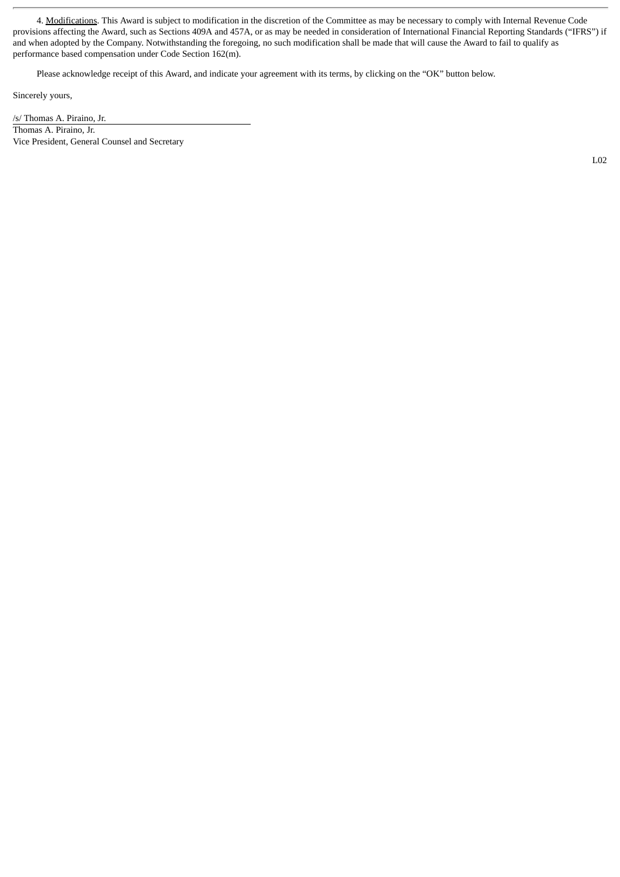4. Modifications. This Award is subject to modification in the discretion of the Committee as may be necessary to comply with Internal Revenue Code provisions affecting the Award, such as Sections 409A and 457A, or as may be needed in consideration of International Financial Reporting Standards ("IFRS") if and when adopted by the Company. Notwithstanding the foregoing, no such modification shall be made that will cause the Award to fail to qualify as performance based compensation under Code Section 162(m).

Please acknowledge receipt of this Award, and indicate your agreement with its terms, by clicking on the "OK" button below.

Sincerely yours,

/s/ Thomas A. Piraino, Jr.

Thomas A. Piraino, Jr. Vice President, General Counsel and Secretary

L02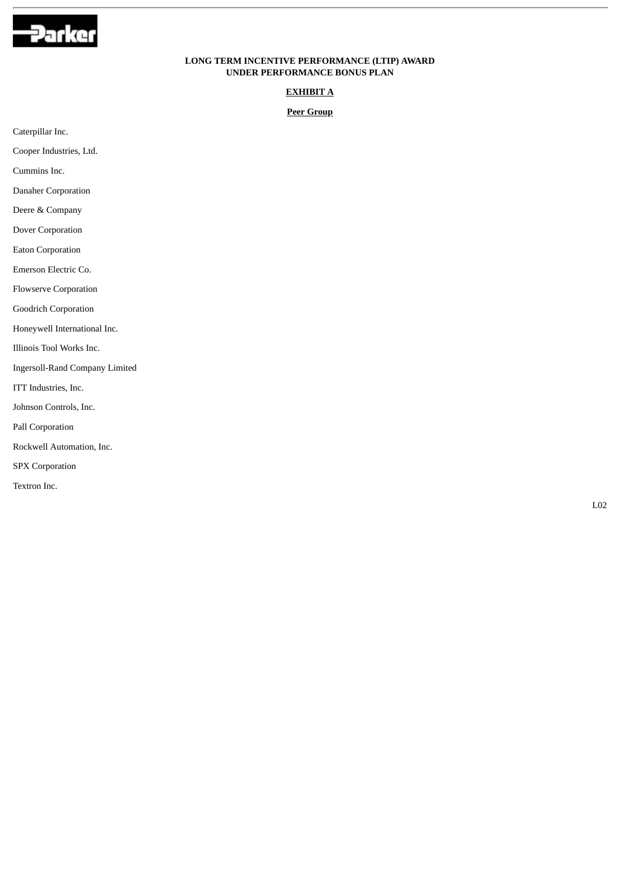

# **LONG TERM INCENTIVE PERFORMANCE (LTIP) AWARD UNDER PERFORMANCE BONUS PLAN**

# **EXHIBIT A**

```
Peer Group
```
Caterpillar Inc.

Cooper Industries, Ltd.

Cummins Inc.

Danaher Corporation

Deere & Company

Dover Corporation

Eaton Corporation

Emerson Electric Co.

Flowserve Corporation

Goodrich Corporation

Honeywell International Inc.

Illinois Tool Works Inc.

Ingersoll-Rand Company Limited

ITT Industries, Inc.

Johnson Controls, Inc.

Pall Corporation

Rockwell Automation, Inc.

SPX Corporation

Textron Inc.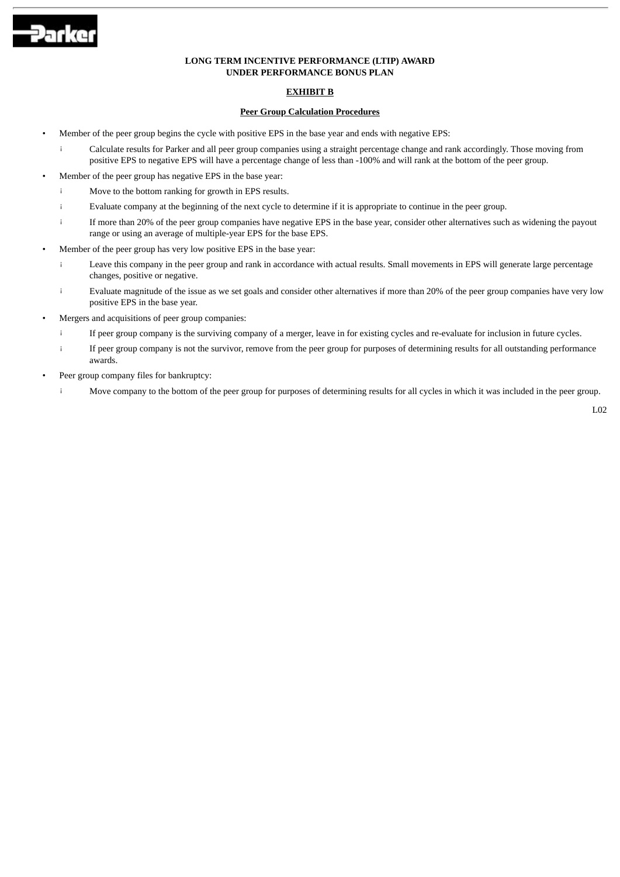# **LONG TERM INCENTIVE PERFORMANCE (LTIP) AWARD UNDER PERFORMANCE BONUS PLAN**

# **EXHIBIT B**

### **Peer Group Calculation Procedures**

- Member of the peer group begins the cycle with positive EPS in the base year and ends with negative EPS:
	- ¡ Calculate results for Parker and all peer group companies using a straight percentage change and rank accordingly. Those moving from positive EPS to negative EPS will have a percentage change of less than -100% and will rank at the bottom of the peer group.
- Member of the peer group has negative EPS in the base year:
	- ¡ Move to the bottom ranking for growth in EPS results.
	- ¡ Evaluate company at the beginning of the next cycle to determine if it is appropriate to continue in the peer group.
	- If more than 20% of the peer group companies have negative EPS in the base year, consider other alternatives such as widening the payout range or using an average of multiple-year EPS for the base EPS.
- Member of the peer group has very low positive EPS in the base year:
	- ¡ Leave this company in the peer group and rank in accordance with actual results. Small movements in EPS will generate large percentage changes, positive or negative.
	- i Evaluate magnitude of the issue as we set goals and consider other alternatives if more than 20% of the peer group companies have very low positive EPS in the base year.
- Mergers and acquisitions of peer group companies:
	- If peer group company is the surviving company of a merger, leave in for existing cycles and re-evaluate for inclusion in future cycles.
	- <sup>i</sup> If peer group company is not the survivor, remove from the peer group for purposes of determining results for all outstanding performance awards.
- Peer group company files for bankruptcy:
	- ¡ Move company to the bottom of the peer group for purposes of determining results for all cycles in which it was included in the peer group.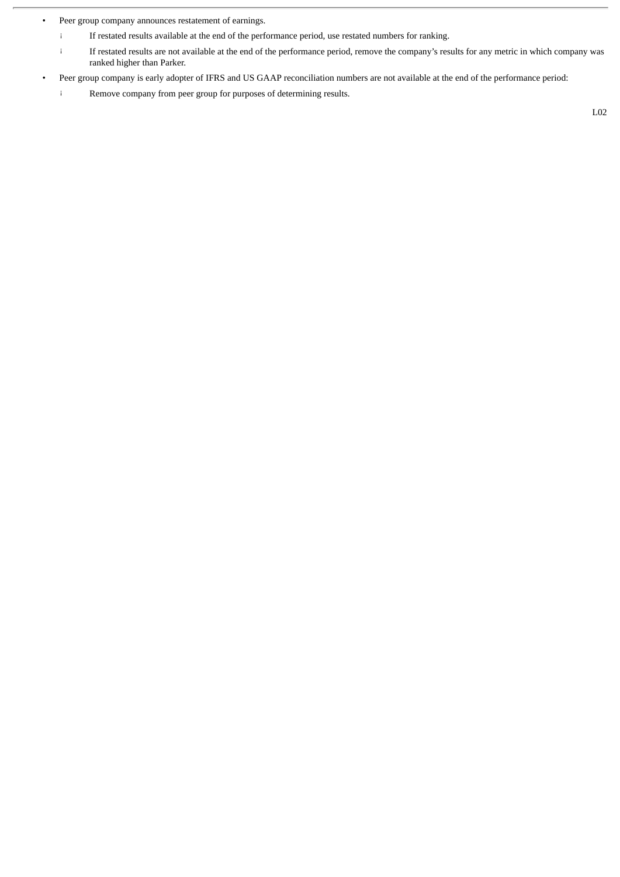- Peer group company announces restatement of earnings.
	- ¡ If restated results available at the end of the performance period, use restated numbers for ranking.
	- i If restated results are not available at the end of the performance period, remove the company's results for any metric in which company was ranked higher than Parker.
- Peer group company is early adopter of IFRS and US GAAP reconciliation numbers are not available at the end of the performance period:
	- ¡ Remove company from peer group for purposes of determining results.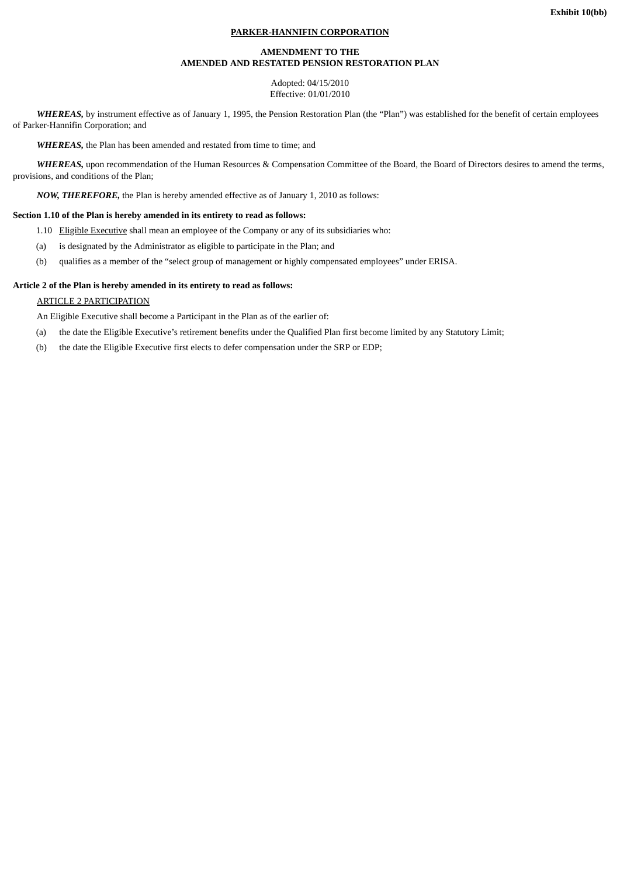# **PARKER-HANNIFIN CORPORATION**

### **AMENDMENT TO THE AMENDED AND RESTATED PENSION RESTORATION PLAN**

Adopted: 04/15/2010 Effective: 01/01/2010

*WHEREAS,* by instrument effective as of January 1, 1995, the Pension Restoration Plan (the "Plan") was established for the benefit of certain employees of Parker-Hannifin Corporation; and

*WHEREAS,* the Plan has been amended and restated from time to time; and

*WHEREAS,* upon recommendation of the Human Resources & Compensation Committee of the Board, the Board of Directors desires to amend the terms, provisions, and conditions of the Plan;

*NOW, THEREFORE,* the Plan is hereby amended effective as of January 1, 2010 as follows:

#### **Section 1.10 of the Plan is hereby amended in its entirety to read as follows:**

1.10 Eligible Executive shall mean an employee of the Company or any of its subsidiaries who:

- (a) is designated by the Administrator as eligible to participate in the Plan; and
- (b) qualifies as a member of the "select group of management or highly compensated employees" under ERISA.

#### **Article 2 of the Plan is hereby amended in its entirety to read as follows:**

# ARTICLE 2 PARTICIPATION

An Eligible Executive shall become a Participant in the Plan as of the earlier of:

- (a) the date the Eligible Executive's retirement benefits under the Qualified Plan first become limited by any Statutory Limit;
- (b) the date the Eligible Executive first elects to defer compensation under the SRP or EDP;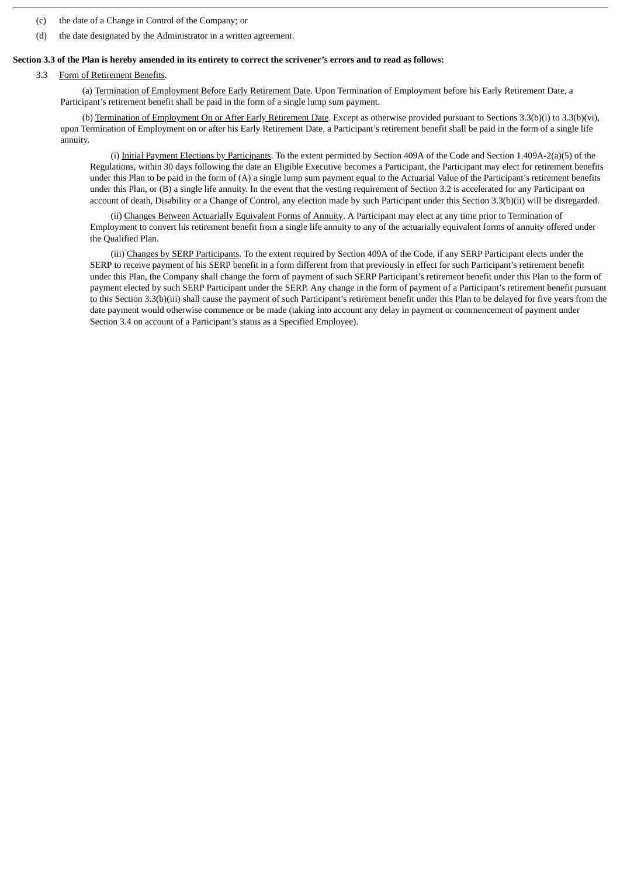- (c) the date of a Change in Control of the Company; or
- (d) the date designated by the Administrator in a written agreement.

### **Section 3.3 of the Plan is hereby amended in its entirety to correct the scrivener's errors and to read as follows:**

# 3.3 Form of Retirement Benefits.

(a) Termination of Employment Before Early Retirement Date. Upon Termination of Employment before his Early Retirement Date, a Participant's retirement benefit shall be paid in the form of a single lump sum payment.

(b) Termination of Employment On or After Early Retirement Date. Except as otherwise provided pursuant to Sections 3.3(b)(i) to 3.3(b)(vi), upon Termination of Employment on or after his Early Retirement Date, a Participant's retirement benefit shall be paid in the form of a single life annuity.

(i) Initial Payment Elections by Participants. To the extent permitted by Section 409A of the Code and Section 1.409A-2(a)(5) of the Regulations, within 30 days following the date an Eligible Executive becomes a Participant, the Participant may elect for retirement benefits under this Plan to be paid in the form of (A) a single lump sum payment equal to the Actuarial Value of the Participant's retirement benefits under this Plan, or (B) a single life annuity. In the event that the vesting requirement of Section 3.2 is accelerated for any Participant on account of death, Disability or a Change of Control, any election made by such Participant under this Section 3.3(b)(ii) will be disregarded.

(ii) Changes Between Actuarially Equivalent Forms of Annuity. A Participant may elect at any time prior to Termination of Employment to convert his retirement benefit from a single life annuity to any of the actuarially equivalent forms of annuity offered under the Qualified Plan.

(iii) Changes by SERP Participants. To the extent required by Section 409A of the Code, if any SERP Participant elects under the SERP to receive payment of his SERP benefit in a form different from that previously in effect for such Participant's retirement benefit under this Plan, the Company shall change the form of payment of such SERP Participant's retirement benefit under this Plan to the form of payment elected by such SERP Participant under the SERP. Any change in the form of payment of a Participant's retirement benefit pursuant to this Section 3.3(b)(iii) shall cause the payment of such Participant's retirement benefit under this Plan to be delayed for five years from the date payment would otherwise commence or be made (taking into account any delay in payment or commencement of payment under Section 3.4 on account of a Participant's status as a Specified Employee).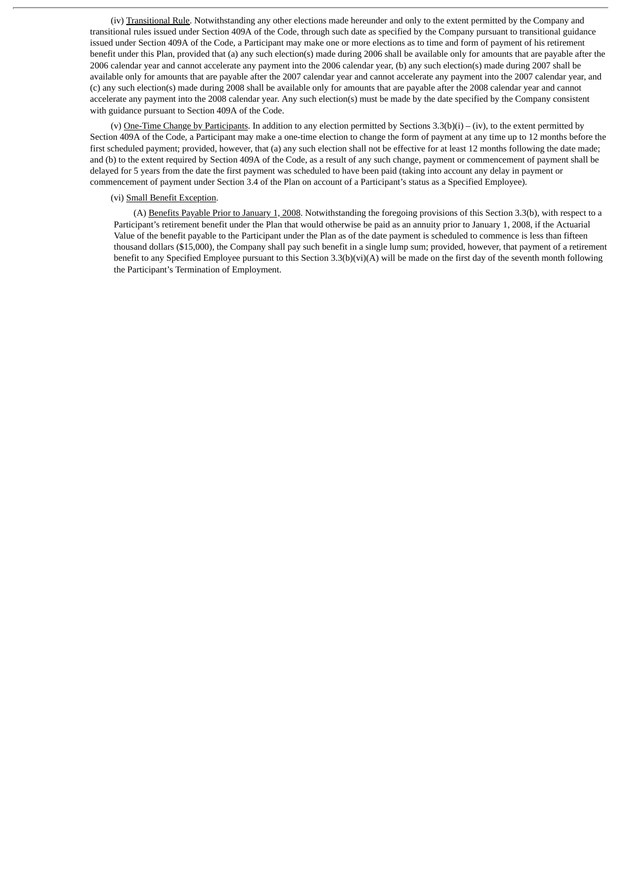(iv) Transitional Rule. Notwithstanding any other elections made hereunder and only to the extent permitted by the Company and transitional rules issued under Section 409A of the Code, through such date as specified by the Company pursuant to transitional guidance issued under Section 409A of the Code, a Participant may make one or more elections as to time and form of payment of his retirement benefit under this Plan, provided that (a) any such election(s) made during 2006 shall be available only for amounts that are payable after the 2006 calendar year and cannot accelerate any payment into the 2006 calendar year, (b) any such election(s) made during 2007 shall be available only for amounts that are payable after the 2007 calendar year and cannot accelerate any payment into the 2007 calendar year, and (c) any such election(s) made during 2008 shall be available only for amounts that are payable after the 2008 calendar year and cannot accelerate any payment into the 2008 calendar year. Any such election(s) must be made by the date specified by the Company consistent with guidance pursuant to Section 409A of the Code.

(v) One-Time Change by Participants. In addition to any election permitted by Sections  $3.3(b)(i) - (iv)$ , to the extent permitted by Section 409A of the Code, a Participant may make a one-time election to change the form of payment at any time up to 12 months before the first scheduled payment; provided, however, that (a) any such election shall not be effective for at least 12 months following the date made; and (b) to the extent required by Section 409A of the Code, as a result of any such change, payment or commencement of payment shall be delayed for 5 years from the date the first payment was scheduled to have been paid (taking into account any delay in payment or commencement of payment under Section 3.4 of the Plan on account of a Participant's status as a Specified Employee).

# (vi) Small Benefit Exception.

(A) Benefits Payable Prior to January 1, 2008. Notwithstanding the foregoing provisions of this Section 3.3(b), with respect to a Participant's retirement benefit under the Plan that would otherwise be paid as an annuity prior to January 1, 2008, if the Actuarial Value of the benefit payable to the Participant under the Plan as of the date payment is scheduled to commence is less than fifteen thousand dollars (\$15,000), the Company shall pay such benefit in a single lump sum; provided, however, that payment of a retirement benefit to any Specified Employee pursuant to this Section 3.3(b)(vi)(A) will be made on the first day of the seventh month following the Participant's Termination of Employment.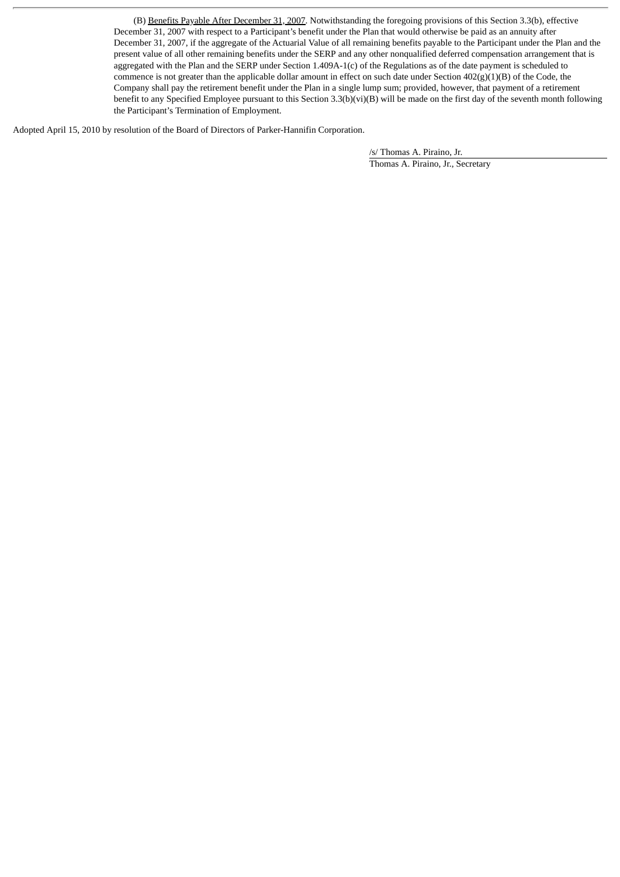(B) Benefits Payable After December 31, 2007. Notwithstanding the foregoing provisions of this Section 3.3(b), effective December 31, 2007 with respect to a Participant's benefit under the Plan that would otherwise be paid as an annuity after December 31, 2007, if the aggregate of the Actuarial Value of all remaining benefits payable to the Participant under the Plan and the present value of all other remaining benefits under the SERP and any other nonqualified deferred compensation arrangement that is aggregated with the Plan and the SERP under Section 1.409A-1(c) of the Regulations as of the date payment is scheduled to commence is not greater than the applicable dollar amount in effect on such date under Section 402(g)(1)(B) of the Code, the Company shall pay the retirement benefit under the Plan in a single lump sum; provided, however, that payment of a retirement benefit to any Specified Employee pursuant to this Section 3.3(b)(vi)(B) will be made on the first day of the seventh month following the Participant's Termination of Employment.

Adopted April 15, 2010 by resolution of the Board of Directors of Parker-Hannifin Corporation.

/s/ Thomas A. Piraino, Jr.

Thomas A. Piraino, Jr., Secretary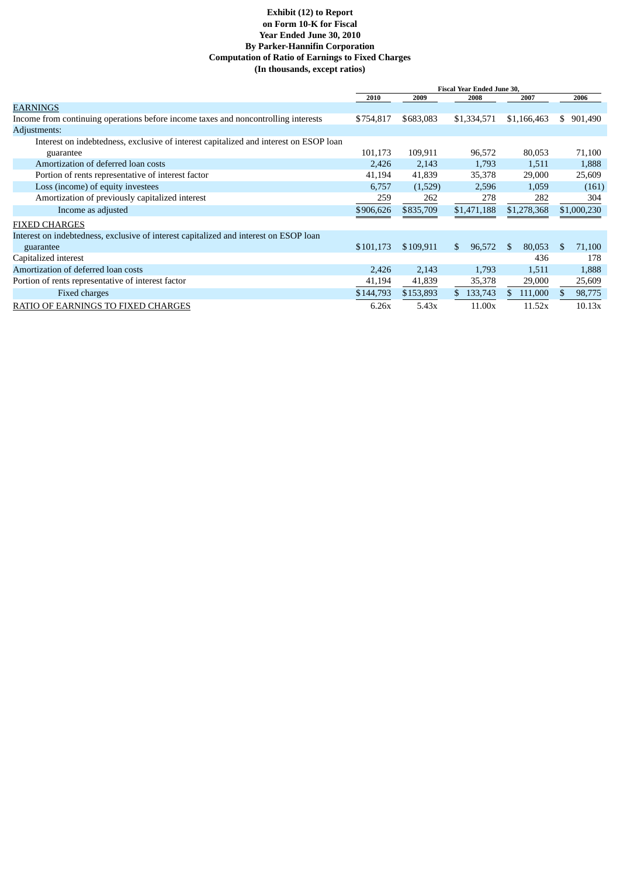# **Exhibit (12) to Report on Form 10-K for Fiscal Year Ended June 30, 2010 By Parker-Hannifin Corporation Computation of Ratio of Earnings to Fixed Charges (In thousands, except ratios)**

|                                                                                       | <b>Fiscal Year Ended June 30,</b> |           |              |                         |               |
|---------------------------------------------------------------------------------------|-----------------------------------|-----------|--------------|-------------------------|---------------|
|                                                                                       | 2010                              | 2009      | 2008         | 2007                    | 2006          |
| <b>EARNINGS</b>                                                                       |                                   |           |              |                         |               |
| Income from continuing operations before income taxes and noncontrolling interests    | \$754,817                         | \$683,083 | \$1,334,571  | \$1,166,463             | 901,490<br>S. |
| Adjustments:                                                                          |                                   |           |              |                         |               |
| Interest on indebtedness, exclusive of interest capitalized and interest on ESOP loan |                                   |           |              |                         |               |
| guarantee                                                                             | 101,173                           | 109,911   | 96,572       | 80,053                  | 71,100        |
| Amortization of deferred loan costs                                                   | 2,426                             | 2,143     | 1,793        | 1,511                   | 1,888         |
| Portion of rents representative of interest factor                                    | 41,194                            | 41,839    | 35,378       | 29,000                  | 25,609        |
| Loss (income) of equity investees                                                     | 6,757                             | (1,529)   | 2,596        | 1,059                   | (161)         |
| Amortization of previously capitalized interest                                       | 259                               | 262       | 278          | 282                     | 304           |
| Income as adjusted                                                                    | \$906,626                         | \$835,709 | \$1,471,188  | \$1,278,368             | \$1,000,230   |
| <b>FIXED CHARGES</b>                                                                  |                                   |           |              |                         |               |
| Interest on indebtedness, exclusive of interest capitalized and interest on ESOP loan |                                   |           |              |                         |               |
| guarantee                                                                             | \$101,173                         | \$109,911 | 96,572<br>\$ | <sup>\$</sup><br>80,053 | 71,100<br>S.  |
| Capitalized interest                                                                  |                                   |           |              | 436                     | 178           |
| Amortization of deferred loan costs                                                   | 2,426                             | 2,143     | 1,793        | 1,511                   | 1,888         |
| Portion of rents representative of interest factor                                    | 41,194                            | 41,839    | 35,378       | 29,000                  | 25,609        |
| Fixed charges                                                                         | \$144,793                         | \$153,893 | \$133,743    | 111,000<br>\$.          | 98,775<br>S.  |
| RATIO OF EARNINGS TO FIXED CHARGES                                                    | 6.26x                             | 5.43x     | 11.00x       | 11.52x                  | 10.13x        |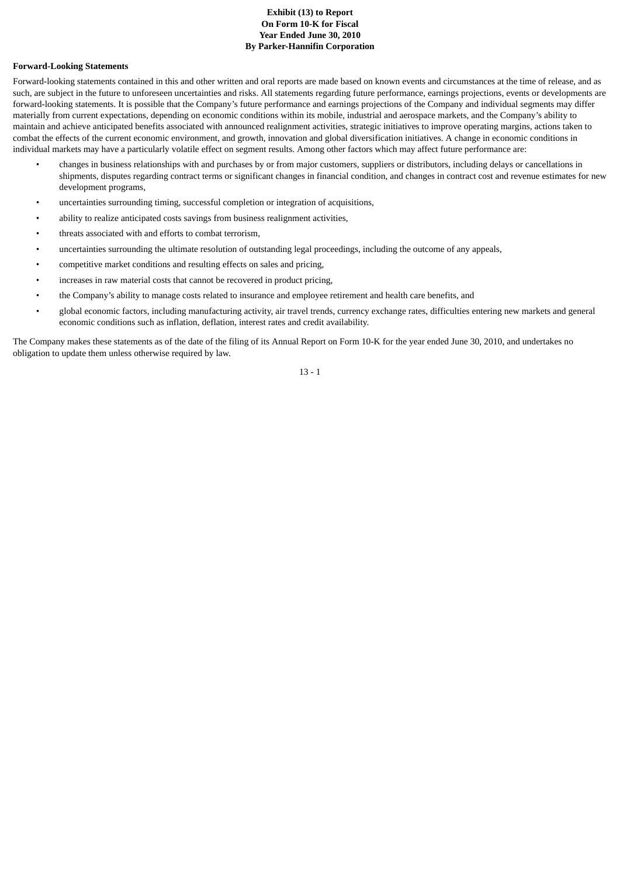## **Exhibit (13) to Report On Form 10-K for Fiscal Year Ended June 30, 2010 By Parker-Hannifin Corporation**

#### **Forward-Looking Statements**

Forward-looking statements contained in this and other written and oral reports are made based on known events and circumstances at the time of release, and as such, are subject in the future to unforeseen uncertainties and risks. All statements regarding future performance, earnings projections, events or developments are forward-looking statements. It is possible that the Company's future performance and earnings projections of the Company and individual segments may differ materially from current expectations, depending on economic conditions within its mobile, industrial and aerospace markets, and the Company's ability to maintain and achieve anticipated benefits associated with announced realignment activities, strategic initiatives to improve operating margins, actions taken to combat the effects of the current economic environment, and growth, innovation and global diversification initiatives. A change in economic conditions in individual markets may have a particularly volatile effect on segment results. Among other factors which may affect future performance are:

- changes in business relationships with and purchases by or from major customers, suppliers or distributors, including delays or cancellations in shipments, disputes regarding contract terms or significant changes in financial condition, and changes in contract cost and revenue estimates for new development programs,
- uncertainties surrounding timing, successful completion or integration of acquisitions,
- ability to realize anticipated costs savings from business realignment activities,
- threats associated with and efforts to combat terrorism,
- uncertainties surrounding the ultimate resolution of outstanding legal proceedings, including the outcome of any appeals,
- competitive market conditions and resulting effects on sales and pricing,
- increases in raw material costs that cannot be recovered in product pricing,
- the Company's ability to manage costs related to insurance and employee retirement and health care benefits, and
- global economic factors, including manufacturing activity, air travel trends, currency exchange rates, difficulties entering new markets and general economic conditions such as inflation, deflation, interest rates and credit availability.

The Company makes these statements as of the date of the filing of its Annual Report on Form 10-K for the year ended June 30, 2010, and undertakes no obligation to update them unless otherwise required by law.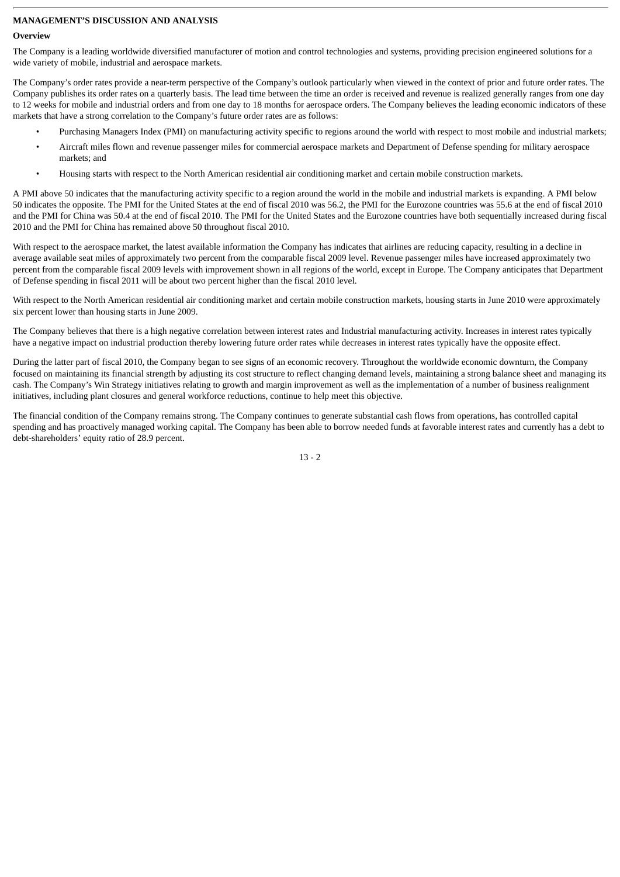# **MANAGEMENT'S DISCUSSION AND ANALYSIS**

### **Overview**

The Company is a leading worldwide diversified manufacturer of motion and control technologies and systems, providing precision engineered solutions for a wide variety of mobile, industrial and aerospace markets.

The Company's order rates provide a near-term perspective of the Company's outlook particularly when viewed in the context of prior and future order rates. The Company publishes its order rates on a quarterly basis. The lead time between the time an order is received and revenue is realized generally ranges from one day to 12 weeks for mobile and industrial orders and from one day to 18 months for aerospace orders. The Company believes the leading economic indicators of these markets that have a strong correlation to the Company's future order rates are as follows:

- Purchasing Managers Index (PMI) on manufacturing activity specific to regions around the world with respect to most mobile and industrial markets;
- Aircraft miles flown and revenue passenger miles for commercial aerospace markets and Department of Defense spending for military aerospace markets; and
- Housing starts with respect to the North American residential air conditioning market and certain mobile construction markets.

A PMI above 50 indicates that the manufacturing activity specific to a region around the world in the mobile and industrial markets is expanding. A PMI below 50 indicates the opposite. The PMI for the United States at the end of fiscal 2010 was 56.2, the PMI for the Eurozone countries was 55.6 at the end of fiscal 2010 and the PMI for China was 50.4 at the end of fiscal 2010. The PMI for the United States and the Eurozone countries have both sequentially increased during fiscal 2010 and the PMI for China has remained above 50 throughout fiscal 2010.

With respect to the aerospace market, the latest available information the Company has indicates that airlines are reducing capacity, resulting in a decline in average available seat miles of approximately two percent from the comparable fiscal 2009 level. Revenue passenger miles have increased approximately two percent from the comparable fiscal 2009 levels with improvement shown in all regions of the world, except in Europe. The Company anticipates that Department of Defense spending in fiscal 2011 will be about two percent higher than the fiscal 2010 level.

With respect to the North American residential air conditioning market and certain mobile construction markets, housing starts in June 2010 were approximately six percent lower than housing starts in June 2009.

The Company believes that there is a high negative correlation between interest rates and Industrial manufacturing activity. Increases in interest rates typically have a negative impact on industrial production thereby lowering future order rates while decreases in interest rates typically have the opposite effect.

During the latter part of fiscal 2010, the Company began to see signs of an economic recovery. Throughout the worldwide economic downturn, the Company focused on maintaining its financial strength by adjusting its cost structure to reflect changing demand levels, maintaining a strong balance sheet and managing its cash. The Company's Win Strategy initiatives relating to growth and margin improvement as well as the implementation of a number of business realignment initiatives, including plant closures and general workforce reductions, continue to help meet this objective.

The financial condition of the Company remains strong. The Company continues to generate substantial cash flows from operations, has controlled capital spending and has proactively managed working capital. The Company has been able to borrow needed funds at favorable interest rates and currently has a debt to debt-shareholders' equity ratio of 28.9 percent.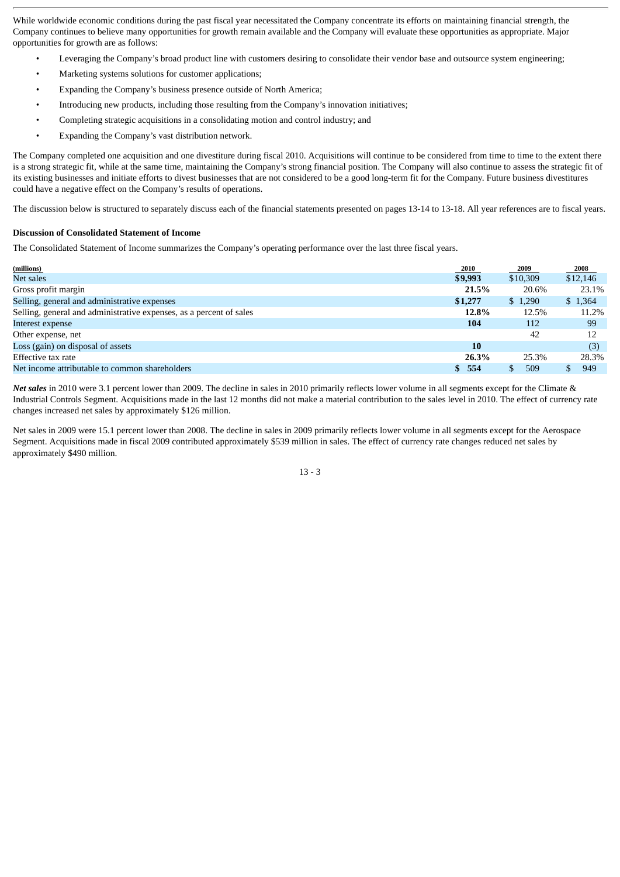While worldwide economic conditions during the past fiscal year necessitated the Company concentrate its efforts on maintaining financial strength, the Company continues to believe many opportunities for growth remain available and the Company will evaluate these opportunities as appropriate. Major opportunities for growth are as follows:

- Leveraging the Company's broad product line with customers desiring to consolidate their vendor base and outsource system engineering;
- Marketing systems solutions for customer applications;
- Expanding the Company's business presence outside of North America;
- Introducing new products, including those resulting from the Company's innovation initiatives;
- Completing strategic acquisitions in a consolidating motion and control industry; and
- Expanding the Company's vast distribution network.

The Company completed one acquisition and one divestiture during fiscal 2010. Acquisitions will continue to be considered from time to time to the extent there is a strong strategic fit, while at the same time, maintaining the Company's strong financial position. The Company will also continue to assess the strategic fit of its existing businesses and initiate efforts to divest businesses that are not considered to be a good long-term fit for the Company. Future business divestitures could have a negative effect on the Company's results of operations.

The discussion below is structured to separately discuss each of the financial statements presented on pages 13-14 to 13-18. All year references are to fiscal years.

# **Discussion of Consolidated Statement of Income**

The Consolidated Statement of Income summarizes the Company's operating performance over the last three fiscal years.

| 2010    | 2009     | 2008     |
|---------|----------|----------|
| \$9,993 | \$10,309 | \$12,146 |
| 21.5%   | 20.6%    | 23.1%    |
| \$1,277 | \$1,290  | \$1,364  |
| 12.8%   | 12.5%    | 11.2%    |
| 104     | 112      | 99       |
|         | 42       | 12       |
| 10      |          | (3)      |
| 26.3%   | 25.3%    | 28.3%    |
| \$554   | 509      | 949      |
|         |          |          |

*Net sales* in 2010 were 3.1 percent lower than 2009. The decline in sales in 2010 primarily reflects lower volume in all segments except for the Climate & Industrial Controls Segment. Acquisitions made in the last 12 months did not make a material contribution to the sales level in 2010. The effect of currency rate changes increased net sales by approximately \$126 million.

Net sales in 2009 were 15.1 percent lower than 2008. The decline in sales in 2009 primarily reflects lower volume in all segments except for the Aerospace Segment. Acquisitions made in fiscal 2009 contributed approximately \$539 million in sales. The effect of currency rate changes reduced net sales by approximately \$490 million.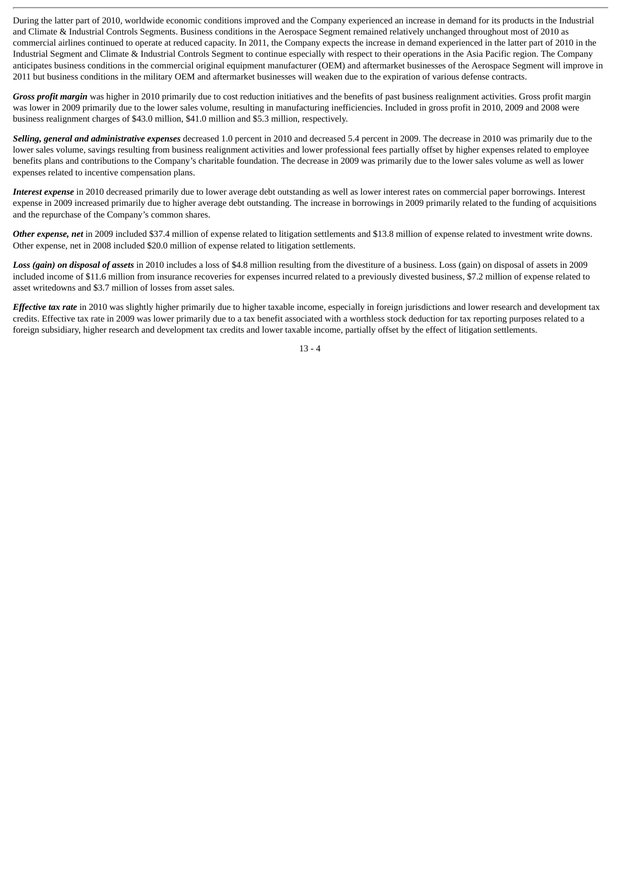During the latter part of 2010, worldwide economic conditions improved and the Company experienced an increase in demand for its products in the Industrial and Climate & Industrial Controls Segments. Business conditions in the Aerospace Segment remained relatively unchanged throughout most of 2010 as commercial airlines continued to operate at reduced capacity. In 2011, the Company expects the increase in demand experienced in the latter part of 2010 in the Industrial Segment and Climate & Industrial Controls Segment to continue especially with respect to their operations in the Asia Pacific region. The Company anticipates business conditions in the commercial original equipment manufacturer (OEM) and aftermarket businesses of the Aerospace Segment will improve in 2011 but business conditions in the military OEM and aftermarket businesses will weaken due to the expiration of various defense contracts.

*Gross profit margin* was higher in 2010 primarily due to cost reduction initiatives and the benefits of past business realignment activities. Gross profit margin was lower in 2009 primarily due to the lower sales volume, resulting in manufacturing inefficiencies. Included in gross profit in 2010, 2009 and 2008 were business realignment charges of \$43.0 million, \$41.0 million and \$5.3 million, respectively.

*Selling, general and administrative expenses* decreased 1.0 percent in 2010 and decreased 5.4 percent in 2009. The decrease in 2010 was primarily due to the lower sales volume, savings resulting from business realignment activities and lower professional fees partially offset by higher expenses related to employee benefits plans and contributions to the Company's charitable foundation. The decrease in 2009 was primarily due to the lower sales volume as well as lower expenses related to incentive compensation plans.

*Interest expense* in 2010 decreased primarily due to lower average debt outstanding as well as lower interest rates on commercial paper borrowings. Interest expense in 2009 increased primarily due to higher average debt outstanding. The increase in borrowings in 2009 primarily related to the funding of acquisitions and the repurchase of the Company's common shares.

*Other expense, net* in 2009 included \$37.4 million of expense related to litigation settlements and \$13.8 million of expense related to investment write downs. Other expense, net in 2008 included \$20.0 million of expense related to litigation settlements.

*Loss (gain) on disposal of assets* in 2010 includes a loss of \$4.8 million resulting from the divestiture of a business. Loss (gain) on disposal of assets in 2009 included income of \$11.6 million from insurance recoveries for expenses incurred related to a previously divested business, \$7.2 million of expense related to asset writedowns and \$3.7 million of losses from asset sales.

*Effective tax rate* in 2010 was slightly higher primarily due to higher taxable income, especially in foreign jurisdictions and lower research and development tax credits. Effective tax rate in 2009 was lower primarily due to a tax benefit associated with a worthless stock deduction for tax reporting purposes related to a foreign subsidiary, higher research and development tax credits and lower taxable income, partially offset by the effect of litigation settlements.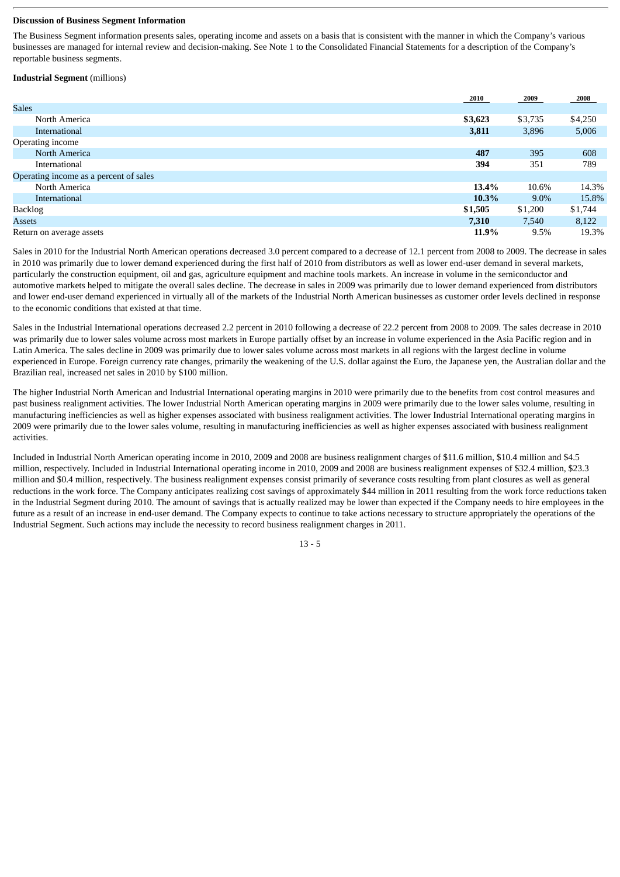#### **Discussion of Business Segment Information**

The Business Segment information presents sales, operating income and assets on a basis that is consistent with the manner in which the Company's various businesses are managed for internal review and decision-making. See Note 1 to the Consolidated Financial Statements for a description of the Company's reportable business segments.

## **Industrial Segment** (millions)

|                                        | 2010    | 2009    | 2008    |
|----------------------------------------|---------|---------|---------|
| <b>Sales</b>                           |         |         |         |
| North America                          | \$3,623 | \$3,735 | \$4,250 |
| <b>International</b>                   | 3,811   | 3,896   | 5,006   |
| Operating income                       |         |         |         |
| North America                          | 487     | 395     | 608     |
| International                          | 394     | 351     | 789     |
| Operating income as a percent of sales |         |         |         |
| North America                          | 13.4%   | 10.6%   | 14.3%   |
| International                          | 10.3%   | 9.0%    | 15.8%   |
| Backlog                                | \$1,505 | \$1,200 | \$1,744 |
| <b>Assets</b>                          | 7.310   | 7,540   | 8,122   |
| Return on average assets               | 11.9%   | 9.5%    | 19.3%   |

Sales in 2010 for the Industrial North American operations decreased 3.0 percent compared to a decrease of 12.1 percent from 2008 to 2009. The decrease in sales in 2010 was primarily due to lower demand experienced during the first half of 2010 from distributors as well as lower end-user demand in several markets, particularly the construction equipment, oil and gas, agriculture equipment and machine tools markets. An increase in volume in the semiconductor and automotive markets helped to mitigate the overall sales decline. The decrease in sales in 2009 was primarily due to lower demand experienced from distributors and lower end-user demand experienced in virtually all of the markets of the Industrial North American businesses as customer order levels declined in response to the economic conditions that existed at that time.

Sales in the Industrial International operations decreased 2.2 percent in 2010 following a decrease of 22.2 percent from 2008 to 2009. The sales decrease in 2010 was primarily due to lower sales volume across most markets in Europe partially offset by an increase in volume experienced in the Asia Pacific region and in Latin America. The sales decline in 2009 was primarily due to lower sales volume across most markets in all regions with the largest decline in volume experienced in Europe. Foreign currency rate changes, primarily the weakening of the U.S. dollar against the Euro, the Japanese yen, the Australian dollar and the Brazilian real, increased net sales in 2010 by \$100 million.

The higher Industrial North American and Industrial International operating margins in 2010 were primarily due to the benefits from cost control measures and past business realignment activities. The lower Industrial North American operating margins in 2009 were primarily due to the lower sales volume, resulting in manufacturing inefficiencies as well as higher expenses associated with business realignment activities. The lower Industrial International operating margins in 2009 were primarily due to the lower sales volume, resulting in manufacturing inefficiencies as well as higher expenses associated with business realignment activities.

Included in Industrial North American operating income in 2010, 2009 and 2008 are business realignment charges of \$11.6 million, \$10.4 million and \$4.5 million, respectively. Included in Industrial International operating income in 2010, 2009 and 2008 are business realignment expenses of \$32.4 million, \$23.3 million and \$0.4 million, respectively. The business realignment expenses consist primarily of severance costs resulting from plant closures as well as general reductions in the work force. The Company anticipates realizing cost savings of approximately \$44 million in 2011 resulting from the work force reductions taken in the Industrial Segment during 2010. The amount of savings that is actually realized may be lower than expected if the Company needs to hire employees in the future as a result of an increase in end-user demand. The Company expects to continue to take actions necessary to structure appropriately the operations of the Industrial Segment. Such actions may include the necessity to record business realignment charges in 2011.

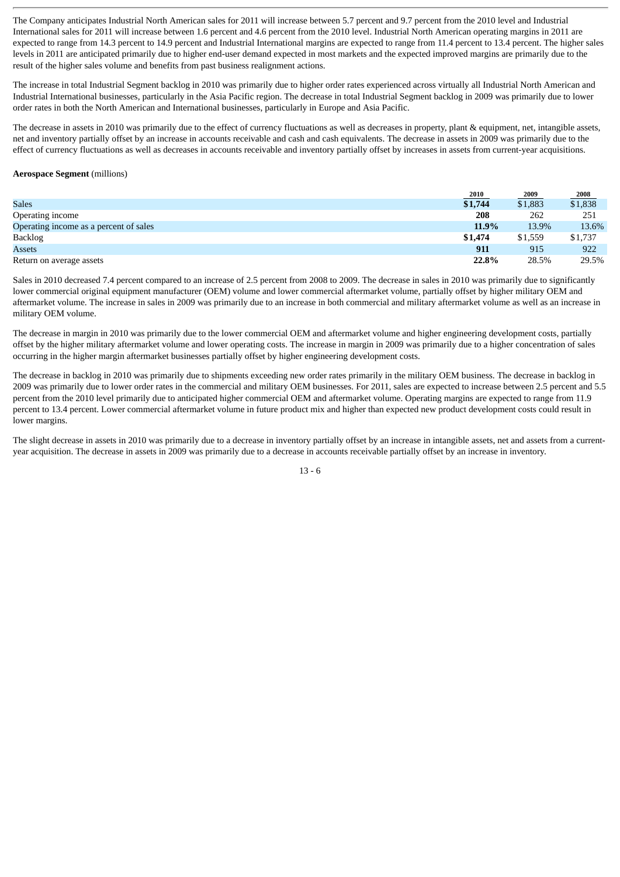The Company anticipates Industrial North American sales for 2011 will increase between 5.7 percent and 9.7 percent from the 2010 level and Industrial International sales for 2011 will increase between 1.6 percent and 4.6 percent from the 2010 level. Industrial North American operating margins in 2011 are expected to range from 14.3 percent to 14.9 percent and Industrial International margins are expected to range from 11.4 percent to 13.4 percent. The higher sales levels in 2011 are anticipated primarily due to higher end-user demand expected in most markets and the expected improved margins are primarily due to the result of the higher sales volume and benefits from past business realignment actions.

The increase in total Industrial Segment backlog in 2010 was primarily due to higher order rates experienced across virtually all Industrial North American and Industrial International businesses, particularly in the Asia Pacific region. The decrease in total Industrial Segment backlog in 2009 was primarily due to lower order rates in both the North American and International businesses, particularly in Europe and Asia Pacific.

The decrease in assets in 2010 was primarily due to the effect of currency fluctuations as well as decreases in property, plant & equipment, net, intangible assets, net and inventory partially offset by an increase in accounts receivable and cash and cash equivalents. The decrease in assets in 2009 was primarily due to the effect of currency fluctuations as well as decreases in accounts receivable and inventory partially offset by increases in assets from current-year acquisitions.

#### **Aerospace Segment** (millions)

|                                        | 2010            | 2009    | 2008    |
|----------------------------------------|-----------------|---------|---------|
| <b>Sales</b>                           | $\sqrt{51,744}$ | \$1,883 | \$1,838 |
| Operating income                       | 208             | 262     | 251     |
| Operating income as a percent of sales | 11.9%           | 13.9%   | 13.6%   |
| <b>Backlog</b>                         | \$1,474         | \$1,559 | \$1,737 |
| Assets                                 | 911             | 915     | 922     |
| Return on average assets               | 22.8%           | 28.5%   | 29.5%   |

Sales in 2010 decreased 7.4 percent compared to an increase of 2.5 percent from 2008 to 2009. The decrease in sales in 2010 was primarily due to significantly lower commercial original equipment manufacturer (OEM) volume and lower commercial aftermarket volume, partially offset by higher military OEM and aftermarket volume. The increase in sales in 2009 was primarily due to an increase in both commercial and military aftermarket volume as well as an increase in military OEM volume.

The decrease in margin in 2010 was primarily due to the lower commercial OEM and aftermarket volume and higher engineering development costs, partially offset by the higher military aftermarket volume and lower operating costs. The increase in margin in 2009 was primarily due to a higher concentration of sales occurring in the higher margin aftermarket businesses partially offset by higher engineering development costs.

The decrease in backlog in 2010 was primarily due to shipments exceeding new order rates primarily in the military OEM business. The decrease in backlog in 2009 was primarily due to lower order rates in the commercial and military OEM businesses. For 2011, sales are expected to increase between 2.5 percent and 5.5 percent from the 2010 level primarily due to anticipated higher commercial OEM and aftermarket volume. Operating margins are expected to range from 11.9 percent to 13.4 percent. Lower commercial aftermarket volume in future product mix and higher than expected new product development costs could result in lower margins.

The slight decrease in assets in 2010 was primarily due to a decrease in inventory partially offset by an increase in intangible assets, net and assets from a currentyear acquisition. The decrease in assets in 2009 was primarily due to a decrease in accounts receivable partially offset by an increase in inventory.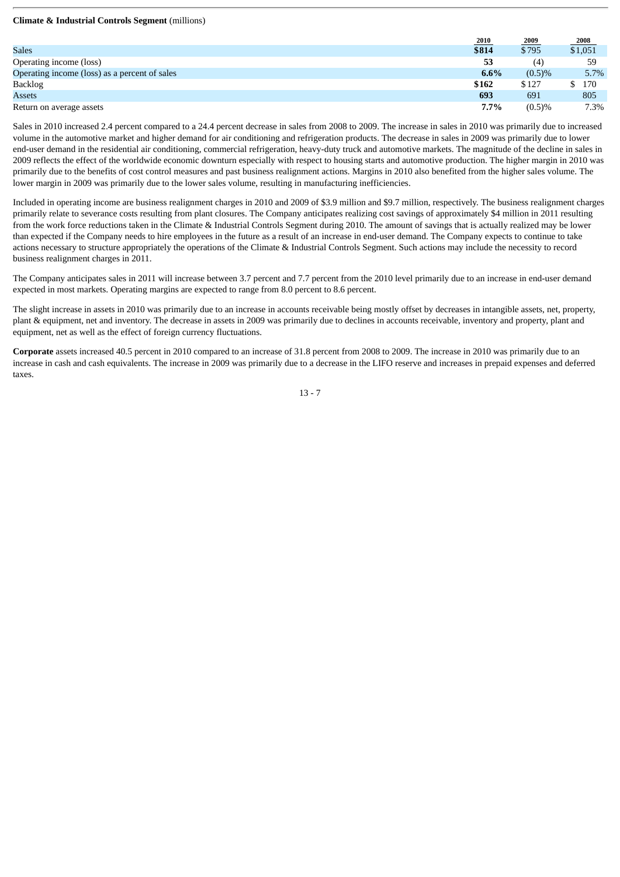### **Climate & Industrial Controls Segment** (millions)

|                                               | 2010    | 2009      | 2008    |
|-----------------------------------------------|---------|-----------|---------|
| <b>Sales</b>                                  | \$814   | \$795     | \$1,051 |
| Operating income (loss)                       | 53      | (4)       | 59      |
| Operating income (loss) as a percent of sales | $6.6\%$ | (0.5)%    | 5.7%    |
| <b>Backlog</b>                                | \$162   | \$127     | 170     |
| Assets                                        | 693     | 691       | 805     |
| Return on average assets                      | 7.7%    | $(0.5)\%$ | 7.3%    |

Sales in 2010 increased 2.4 percent compared to a 24.4 percent decrease in sales from 2008 to 2009. The increase in sales in 2010 was primarily due to increased volume in the automotive market and higher demand for air conditioning and refrigeration products. The decrease in sales in 2009 was primarily due to lower end-user demand in the residential air conditioning, commercial refrigeration, heavy-duty truck and automotive markets. The magnitude of the decline in sales in 2009 reflects the effect of the worldwide economic downturn especially with respect to housing starts and automotive production. The higher margin in 2010 was primarily due to the benefits of cost control measures and past business realignment actions. Margins in 2010 also benefited from the higher sales volume. The lower margin in 2009 was primarily due to the lower sales volume, resulting in manufacturing inefficiencies.

Included in operating income are business realignment charges in 2010 and 2009 of \$3.9 million and \$9.7 million, respectively. The business realignment charges primarily relate to severance costs resulting from plant closures. The Company anticipates realizing cost savings of approximately \$4 million in 2011 resulting from the work force reductions taken in the Climate & Industrial Controls Segment during 2010. The amount of savings that is actually realized may be lower than expected if the Company needs to hire employees in the future as a result of an increase in end-user demand. The Company expects to continue to take actions necessary to structure appropriately the operations of the Climate & Industrial Controls Segment. Such actions may include the necessity to record business realignment charges in 2011.

The Company anticipates sales in 2011 will increase between 3.7 percent and 7.7 percent from the 2010 level primarily due to an increase in end-user demand expected in most markets. Operating margins are expected to range from 8.0 percent to 8.6 percent.

The slight increase in assets in 2010 was primarily due to an increase in accounts receivable being mostly offset by decreases in intangible assets, net, property, plant & equipment, net and inventory. The decrease in assets in 2009 was primarily due to declines in accounts receivable, inventory and property, plant and equipment, net as well as the effect of foreign currency fluctuations.

**Corporate** assets increased 40.5 percent in 2010 compared to an increase of 31.8 percent from 2008 to 2009. The increase in 2010 was primarily due to an increase in cash and cash equivalents. The increase in 2009 was primarily due to a decrease in the LIFO reserve and increases in prepaid expenses and deferred taxes.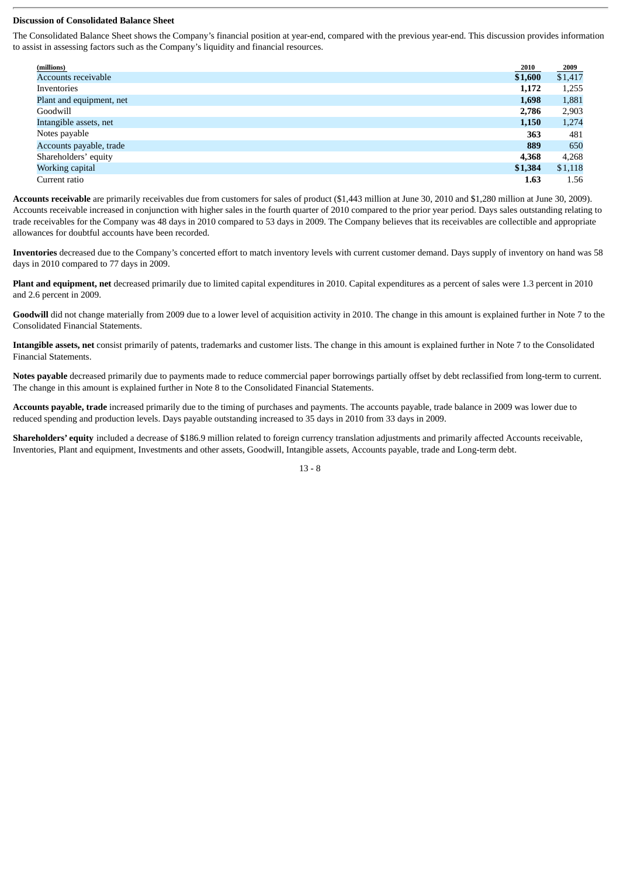### **Discussion of Consolidated Balance Sheet**

The Consolidated Balance Sheet shows the Company's financial position at year-end, compared with the previous year-end. This discussion provides information to assist in assessing factors such as the Company's liquidity and financial resources.

| (millions)               | 2010    | 2009    |
|--------------------------|---------|---------|
| Accounts receivable      | \$1,600 | \$1,417 |
| Inventories              | 1,172   | 1,255   |
| Plant and equipment, net | 1,698   | 1,881   |
| Goodwill                 | 2,786   | 2,903   |
| Intangible assets, net   | 1,150   | 1,274   |
| Notes payable            | 363     | 481     |
| Accounts payable, trade  | 889     | 650     |
| Shareholders' equity     | 4.368   | 4,268   |
| Working capital          | \$1,384 | \$1,118 |
| Current ratio            | 1.63    | 1.56    |

**Accounts receivable** are primarily receivables due from customers for sales of product (\$1,443 million at June 30, 2010 and \$1,280 million at June 30, 2009). Accounts receivable increased in conjunction with higher sales in the fourth quarter of 2010 compared to the prior year period. Days sales outstanding relating to trade receivables for the Company was 48 days in 2010 compared to 53 days in 2009. The Company believes that its receivables are collectible and appropriate allowances for doubtful accounts have been recorded.

**Inventories** decreased due to the Company's concerted effort to match inventory levels with current customer demand. Days supply of inventory on hand was 58 days in 2010 compared to 77 days in 2009.

**Plant and equipment, net** decreased primarily due to limited capital expenditures in 2010. Capital expenditures as a percent of sales were 1.3 percent in 2010 and 2.6 percent in 2009.

Goodwill did not change materially from 2009 due to a lower level of acquisition activity in 2010. The change in this amount is explained further in Note 7 to the Consolidated Financial Statements.

**Intangible assets, net** consist primarily of patents, trademarks and customer lists. The change in this amount is explained further in Note 7 to the Consolidated Financial Statements.

**Notes payable** decreased primarily due to payments made to reduce commercial paper borrowings partially offset by debt reclassified from long-term to current. The change in this amount is explained further in Note 8 to the Consolidated Financial Statements.

**Accounts payable, trade** increased primarily due to the timing of purchases and payments. The accounts payable, trade balance in 2009 was lower due to reduced spending and production levels. Days payable outstanding increased to 35 days in 2010 from 33 days in 2009.

**Shareholders' equity** included a decrease of \$186.9 million related to foreign currency translation adjustments and primarily affected Accounts receivable, Inventories, Plant and equipment, Investments and other assets, Goodwill, Intangible assets, Accounts payable, trade and Long-term debt.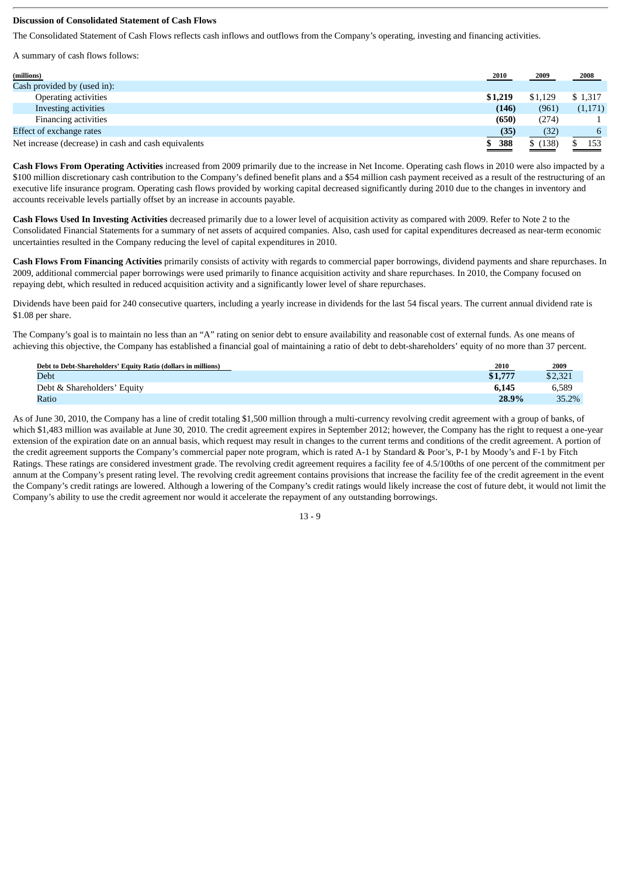# **Discussion of Consolidated Statement of Cash Flows**

The Consolidated Statement of Cash Flows reflects cash inflows and outflows from the Company's operating, investing and financing activities.

A summary of cash flows follows:

| (millions)                                           | 2010      | 2009         | 2008    |
|------------------------------------------------------|-----------|--------------|---------|
| Cash provided by (used in):                          |           |              |         |
| <b>Operating activities</b>                          | \$1,219   | \$1,129      | \$1,317 |
| Investing activities                                 | (146)     | (961)        | (1,171) |
| <b>Financing activities</b>                          | (650)     | (274)        |         |
| Effect of exchange rates                             | (35)      | (32)         | 6       |
| Net increase (decrease) in cash and cash equivalents | 388<br>S. | (138)<br>S ( | 153     |

**Cash Flows From Operating Activities** increased from 2009 primarily due to the increase in Net Income. Operating cash flows in 2010 were also impacted by a \$100 million discretionary cash contribution to the Company's defined benefit plans and a \$54 million cash payment received as a result of the restructuring of an executive life insurance program. Operating cash flows provided by working capital decreased significantly during 2010 due to the changes in inventory and accounts receivable levels partially offset by an increase in accounts payable.

**Cash Flows Used In Investing Activities** decreased primarily due to a lower level of acquisition activity as compared with 2009. Refer to Note 2 to the Consolidated Financial Statements for a summary of net assets of acquired companies. Also, cash used for capital expenditures decreased as near-term economic uncertainties resulted in the Company reducing the level of capital expenditures in 2010.

**Cash Flows From Financing Activities** primarily consists of activity with regards to commercial paper borrowings, dividend payments and share repurchases. In 2009, additional commercial paper borrowings were used primarily to finance acquisition activity and share repurchases. In 2010, the Company focused on repaying debt, which resulted in reduced acquisition activity and a significantly lower level of share repurchases.

Dividends have been paid for 240 consecutive quarters, including a yearly increase in dividends for the last 54 fiscal years. The current annual dividend rate is \$1.08 per share.

The Company's goal is to maintain no less than an "A" rating on senior debt to ensure availability and reasonable cost of external funds. As one means of achieving this objective, the Company has established a financial goal of maintaining a ratio of debt to debt-shareholders' equity of no more than 37 percent.

| Debt to Debt-Shareholders' Equity Ratio (dollars in millions) | 2010    | $-2009$ |
|---------------------------------------------------------------|---------|---------|
| Debt                                                          | \$1,777 | \$2,321 |
| Debt & Shareholders' Equity                                   | 6.145   | 6,589   |
| Ratio                                                         | 28.9%   | 35.2%   |

As of June 30, 2010, the Company has a line of credit totaling \$1,500 million through a multi-currency revolving credit agreement with a group of banks, of which \$1,483 million was available at June 30, 2010. The credit agreement expires in September 2012; however, the Company has the right to request a one-year extension of the expiration date on an annual basis, which request may result in changes to the current terms and conditions of the credit agreement. A portion of the credit agreement supports the Company's commercial paper note program, which is rated A-1 by Standard & Poor's, P-1 by Moody's and F-1 by Fitch Ratings. These ratings are considered investment grade. The revolving credit agreement requires a facility fee of 4.5/100ths of one percent of the commitment per annum at the Company's present rating level. The revolving credit agreement contains provisions that increase the facility fee of the credit agreement in the event the Company's credit ratings are lowered. Although a lowering of the Company's credit ratings would likely increase the cost of future debt, it would not limit the Company's ability to use the credit agreement nor would it accelerate the repayment of any outstanding borrowings.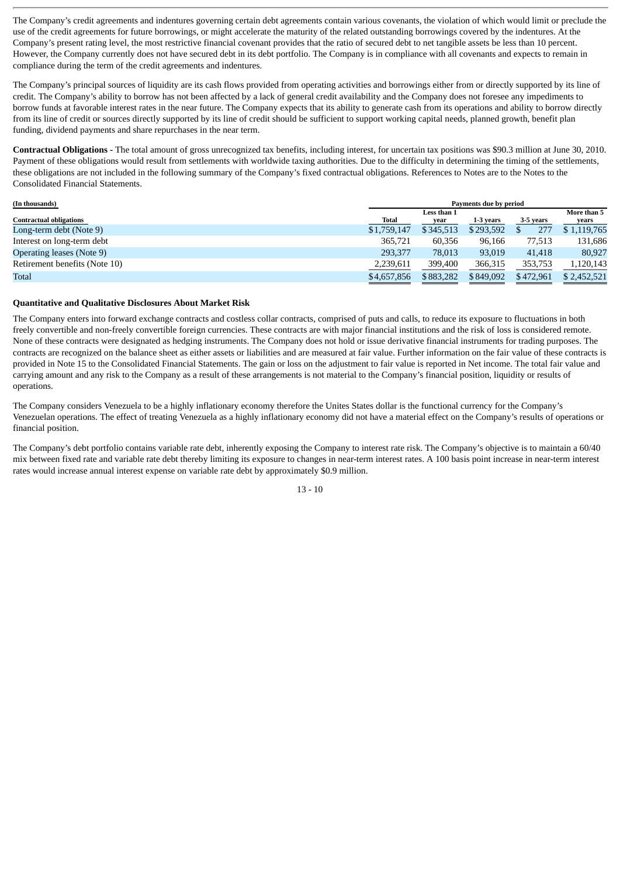The Company's credit agreements and indentures governing certain debt agreements contain various covenants, the violation of which would limit or preclude the use of the credit agreements for future borrowings, or might accelerate the maturity of the related outstanding borrowings covered by the indentures. At the Company's present rating level, the most restrictive financial covenant provides that the ratio of secured debt to net tangible assets be less than 10 percent. However, the Company currently does not have secured debt in its debt portfolio. The Company is in compliance with all covenants and expects to remain in compliance during the term of the credit agreements and indentures.

The Company's principal sources of liquidity are its cash flows provided from operating activities and borrowings either from or directly supported by its line of credit. The Company's ability to borrow has not been affected by a lack of general credit availability and the Company does not foresee any impediments to borrow funds at favorable interest rates in the near future. The Company expects that its ability to generate cash from its operations and ability to borrow directly from its line of credit or sources directly supported by its line of credit should be sufficient to support working capital needs, planned growth, benefit plan funding, dividend payments and share repurchases in the near term.

**Contractual Obligations -** The total amount of gross unrecognized tax benefits, including interest, for uncertain tax positions was \$90.3 million at June 30, 2010. Payment of these obligations would result from settlements with worldwide taxing authorities. Due to the difficulty in determining the timing of the settlements, these obligations are not included in the following summary of the Company's fixed contractual obligations. References to Notes are to the Notes to the Consolidated Financial Statements.

| (In thousands)                 | Payments due by period |             |           |           |             |
|--------------------------------|------------------------|-------------|-----------|-----------|-------------|
|                                |                        | Less than 1 |           |           | More than 5 |
| <b>Contractual obligations</b> | <b>Total</b>           | vear        | 1-3 years | 3-5 years | years       |
| Long-term debt (Note 9)        | \$1,759,147            | \$345,513   | \$293.592 | 277       | \$1,119,765 |
| Interest on long-term debt     | 365,721                | 60,356      | 96,166    | 77,513    | 131,686     |
| Operating leases (Note 9)      | 293,377                | 78.013      | 93,019    | 41,418    | 80,927      |
| Retirement benefits (Note 10)  | 2,239,611              | 399,400     | 366,315   | 353,753   | 1,120,143   |
| <b>Total</b>                   | \$4,657,856            | \$883,282   | \$849,092 | \$472.961 | \$2,452,521 |

### **Quantitative and Qualitative Disclosures About Market Risk**

The Company enters into forward exchange contracts and costless collar contracts, comprised of puts and calls, to reduce its exposure to fluctuations in both freely convertible and non-freely convertible foreign currencies. These contracts are with major financial institutions and the risk of loss is considered remote. None of these contracts were designated as hedging instruments. The Company does not hold or issue derivative financial instruments for trading purposes. The contracts are recognized on the balance sheet as either assets or liabilities and are measured at fair value. Further information on the fair value of these contracts is provided in Note 15 to the Consolidated Financial Statements. The gain or loss on the adjustment to fair value is reported in Net income. The total fair value and carrying amount and any risk to the Company as a result of these arrangements is not material to the Company's financial position, liquidity or results of operations.

The Company considers Venezuela to be a highly inflationary economy therefore the Unites States dollar is the functional currency for the Company's Venezuelan operations. The effect of treating Venezuela as a highly inflationary economy did not have a material effect on the Company's results of operations or financial position.

The Company's debt portfolio contains variable rate debt, inherently exposing the Company to interest rate risk. The Company's objective is to maintain a 60/40 mix between fixed rate and variable rate debt thereby limiting its exposure to changes in near-term interest rates. A 100 basis point increase in near-term interest rates would increase annual interest expense on variable rate debt by approximately \$0.9 million.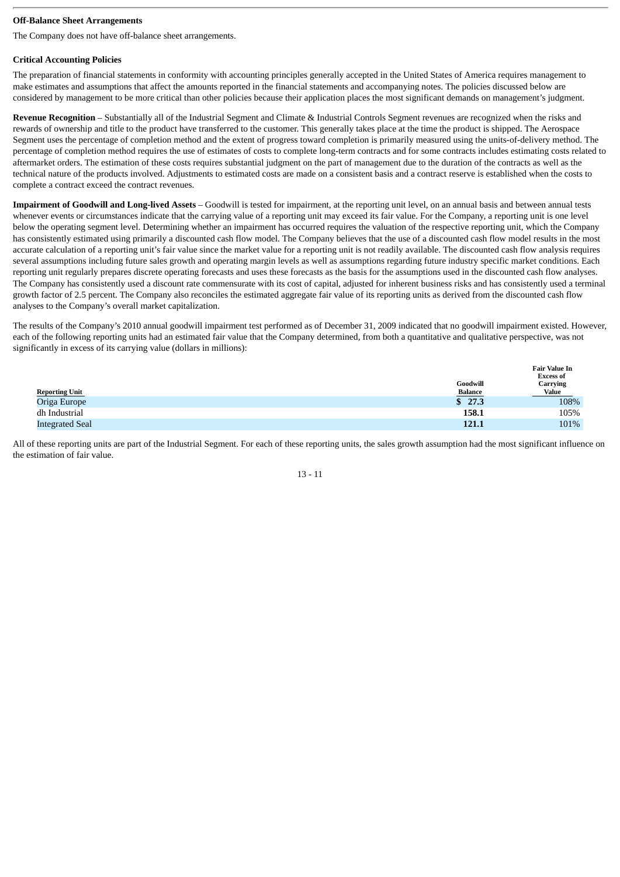### **Off-Balance Sheet Arrangements**

The Company does not have off-balance sheet arrangements.

#### **Critical Accounting Policies**

The preparation of financial statements in conformity with accounting principles generally accepted in the United States of America requires management to make estimates and assumptions that affect the amounts reported in the financial statements and accompanying notes. The policies discussed below are considered by management to be more critical than other policies because their application places the most significant demands on management's judgment.

**Revenue Recognition** – Substantially all of the Industrial Segment and Climate & Industrial Controls Segment revenues are recognized when the risks and rewards of ownership and title to the product have transferred to the customer. This generally takes place at the time the product is shipped. The Aerospace Segment uses the percentage of completion method and the extent of progress toward completion is primarily measured using the units-of-delivery method. The percentage of completion method requires the use of estimates of costs to complete long-term contracts and for some contracts includes estimating costs related to aftermarket orders. The estimation of these costs requires substantial judgment on the part of management due to the duration of the contracts as well as the technical nature of the products involved. Adjustments to estimated costs are made on a consistent basis and a contract reserve is established when the costs to complete a contract exceed the contract revenues.

**Impairment of Goodwill and Long-lived Assets** – Goodwill is tested for impairment, at the reporting unit level, on an annual basis and between annual tests whenever events or circumstances indicate that the carrying value of a reporting unit may exceed its fair value. For the Company, a reporting unit is one level below the operating segment level. Determining whether an impairment has occurred requires the valuation of the respective reporting unit, which the Company has consistently estimated using primarily a discounted cash flow model. The Company believes that the use of a discounted cash flow model results in the most accurate calculation of a reporting unit's fair value since the market value for a reporting unit is not readily available. The discounted cash flow analysis requires several assumptions including future sales growth and operating margin levels as well as assumptions regarding future industry specific market conditions. Each reporting unit regularly prepares discrete operating forecasts and uses these forecasts as the basis for the assumptions used in the discounted cash flow analyses. The Company has consistently used a discount rate commensurate with its cost of capital, adjusted for inherent business risks and has consistently used a terminal growth factor of 2.5 percent. The Company also reconciles the estimated aggregate fair value of its reporting units as derived from the discounted cash flow analyses to the Company's overall market capitalization.

The results of the Company's 2010 annual goodwill impairment test performed as of December 31, 2009 indicated that no goodwill impairment existed. However, each of the following reporting units had an estimated fair value that the Company determined, from both a quantitative and qualitative perspective, was not significantly in excess of its carrying value (dollars in millions):

|                        |                | <b>Fair Value In</b> |
|------------------------|----------------|----------------------|
|                        |                | <b>Excess of</b>     |
|                        | Goodwill       | Carrying             |
| <b>Reporting Unit</b>  | <b>Balance</b> | Value                |
| Origa Europe           | 27.3<br>S.     | 108%                 |
| dh Industrial          | 158.1          | 105%                 |
| <b>Integrated Seal</b> | 121.1          | 101%                 |

All of these reporting units are part of the Industrial Segment. For each of these reporting units, the sales growth assumption had the most significant influence on the estimation of fair value.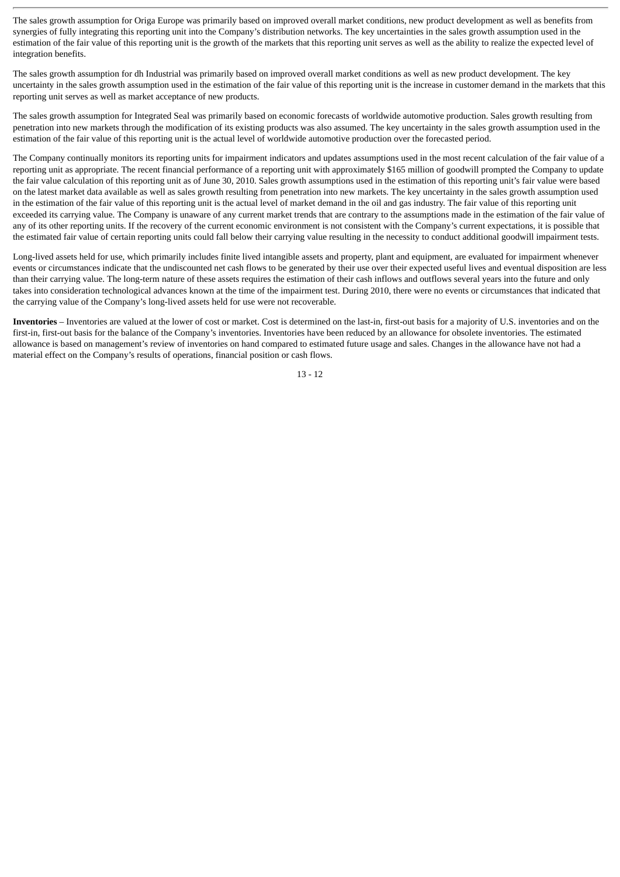The sales growth assumption for Origa Europe was primarily based on improved overall market conditions, new product development as well as benefits from synergies of fully integrating this reporting unit into the Company's distribution networks. The key uncertainties in the sales growth assumption used in the estimation of the fair value of this reporting unit is the growth of the markets that this reporting unit serves as well as the ability to realize the expected level of integration benefits.

The sales growth assumption for dh Industrial was primarily based on improved overall market conditions as well as new product development. The key uncertainty in the sales growth assumption used in the estimation of the fair value of this reporting unit is the increase in customer demand in the markets that this reporting unit serves as well as market acceptance of new products.

The sales growth assumption for Integrated Seal was primarily based on economic forecasts of worldwide automotive production. Sales growth resulting from penetration into new markets through the modification of its existing products was also assumed. The key uncertainty in the sales growth assumption used in the estimation of the fair value of this reporting unit is the actual level of worldwide automotive production over the forecasted period.

The Company continually monitors its reporting units for impairment indicators and updates assumptions used in the most recent calculation of the fair value of a reporting unit as appropriate. The recent financial performance of a reporting unit with approximately \$165 million of goodwill prompted the Company to update the fair value calculation of this reporting unit as of June 30, 2010. Sales growth assumptions used in the estimation of this reporting unit's fair value were based on the latest market data available as well as sales growth resulting from penetration into new markets. The key uncertainty in the sales growth assumption used in the estimation of the fair value of this reporting unit is the actual level of market demand in the oil and gas industry. The fair value of this reporting unit exceeded its carrying value. The Company is unaware of any current market trends that are contrary to the assumptions made in the estimation of the fair value of any of its other reporting units. If the recovery of the current economic environment is not consistent with the Company's current expectations, it is possible that the estimated fair value of certain reporting units could fall below their carrying value resulting in the necessity to conduct additional goodwill impairment tests.

Long-lived assets held for use, which primarily includes finite lived intangible assets and property, plant and equipment, are evaluated for impairment whenever events or circumstances indicate that the undiscounted net cash flows to be generated by their use over their expected useful lives and eventual disposition are less than their carrying value. The long-term nature of these assets requires the estimation of their cash inflows and outflows several years into the future and only takes into consideration technological advances known at the time of the impairment test. During 2010, there were no events or circumstances that indicated that the carrying value of the Company's long-lived assets held for use were not recoverable.

**Inventories** – Inventories are valued at the lower of cost or market. Cost is determined on the last-in, first-out basis for a majority of U.S. inventories and on the first-in, first-out basis for the balance of the Company's inventories. Inventories have been reduced by an allowance for obsolete inventories. The estimated allowance is based on management's review of inventories on hand compared to estimated future usage and sales. Changes in the allowance have not had a material effect on the Company's results of operations, financial position or cash flows.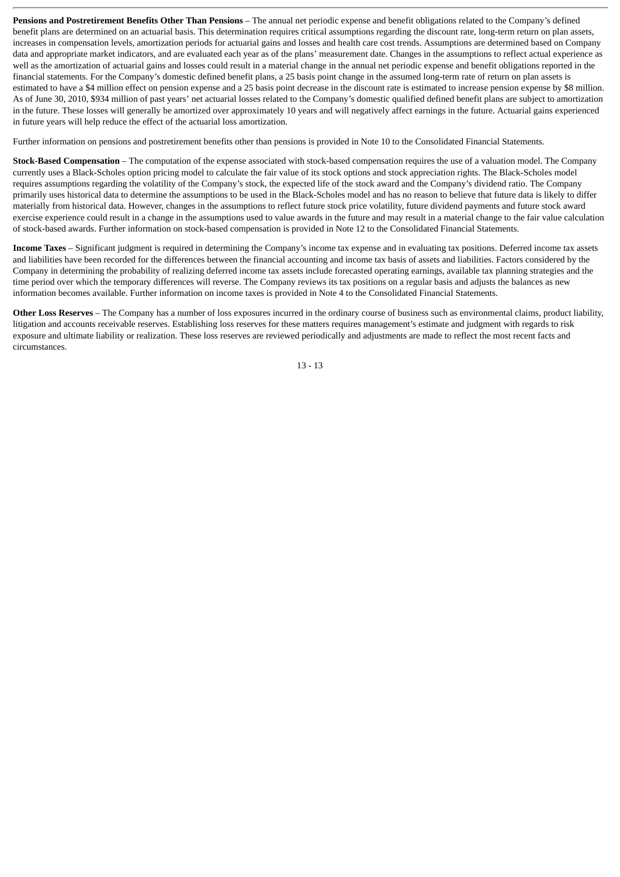**Pensions and Postretirement Benefits Other Than Pensions** – The annual net periodic expense and benefit obligations related to the Company's defined benefit plans are determined on an actuarial basis. This determination requires critical assumptions regarding the discount rate, long-term return on plan assets, increases in compensation levels, amortization periods for actuarial gains and losses and health care cost trends. Assumptions are determined based on Company data and appropriate market indicators, and are evaluated each year as of the plans' measurement date. Changes in the assumptions to reflect actual experience as well as the amortization of actuarial gains and losses could result in a material change in the annual net periodic expense and benefit obligations reported in the financial statements. For the Company's domestic defined benefit plans, a 25 basis point change in the assumed long-term rate of return on plan assets is estimated to have a \$4 million effect on pension expense and a 25 basis point decrease in the discount rate is estimated to increase pension expense by \$8 million. As of June 30, 2010, \$934 million of past years' net actuarial losses related to the Company's domestic qualified defined benefit plans are subject to amortization in the future. These losses will generally be amortized over approximately 10 years and will negatively affect earnings in the future. Actuarial gains experienced in future years will help reduce the effect of the actuarial loss amortization.

Further information on pensions and postretirement benefits other than pensions is provided in Note 10 to the Consolidated Financial Statements.

**Stock-Based Compensation** – The computation of the expense associated with stock-based compensation requires the use of a valuation model. The Company currently uses a Black-Scholes option pricing model to calculate the fair value of its stock options and stock appreciation rights. The Black-Scholes model requires assumptions regarding the volatility of the Company's stock, the expected life of the stock award and the Company's dividend ratio. The Company primarily uses historical data to determine the assumptions to be used in the Black-Scholes model and has no reason to believe that future data is likely to differ materially from historical data. However, changes in the assumptions to reflect future stock price volatility, future dividend payments and future stock award exercise experience could result in a change in the assumptions used to value awards in the future and may result in a material change to the fair value calculation of stock-based awards. Further information on stock-based compensation is provided in Note 12 to the Consolidated Financial Statements.

**Income Taxes** – Significant judgment is required in determining the Company's income tax expense and in evaluating tax positions. Deferred income tax assets and liabilities have been recorded for the differences between the financial accounting and income tax basis of assets and liabilities. Factors considered by the Company in determining the probability of realizing deferred income tax assets include forecasted operating earnings, available tax planning strategies and the time period over which the temporary differences will reverse. The Company reviews its tax positions on a regular basis and adjusts the balances as new information becomes available. Further information on income taxes is provided in Note 4 to the Consolidated Financial Statements.

**Other Loss Reserves** – The Company has a number of loss exposures incurred in the ordinary course of business such as environmental claims, product liability, litigation and accounts receivable reserves. Establishing loss reserves for these matters requires management's estimate and judgment with regards to risk exposure and ultimate liability or realization. These loss reserves are reviewed periodically and adjustments are made to reflect the most recent facts and circumstances.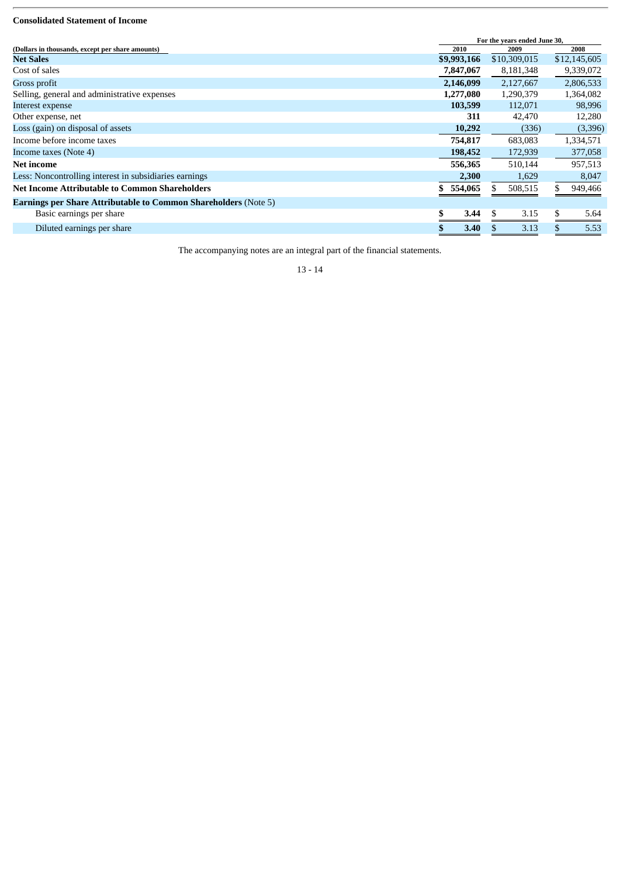# **Consolidated Statement of Income**

|                                                                        | For the years ended June 30, |    |              |     |              |
|------------------------------------------------------------------------|------------------------------|----|--------------|-----|--------------|
| (Dollars in thousands, except per share amounts)                       | 2010                         |    | 2009         |     | 2008         |
| <b>Net Sales</b>                                                       | \$9,993,166                  |    | \$10,309,015 |     | \$12,145,605 |
| Cost of sales                                                          | 7,847,067                    |    | 8,181,348    |     | 9,339,072    |
| Gross profit                                                           | 2,146,099                    |    | 2,127,667    |     | 2,806,533    |
| Selling, general and administrative expenses                           | 1,277,080                    |    | 1,290,379    |     | 1,364,082    |
| Interest expense                                                       | 103,599                      |    | 112,071      |     | 98,996       |
| Other expense, net                                                     | 311                          |    | 42,470       |     | 12,280       |
| Loss (gain) on disposal of assets                                      | 10,292                       |    | (336)        |     | (3,396)      |
| Income before income taxes                                             | 754,817                      |    | 683,083      |     | 1,334,571    |
| Income taxes (Note 4)                                                  | 198,452                      |    | 172,939      |     | 377,058      |
| <b>Net income</b>                                                      | 556,365                      |    | 510,144      |     | 957,513      |
| Less: Noncontrolling interest in subsidiaries earnings                 | 2,300                        |    | 1,629        |     | 8,047        |
| <b>Net Income Attributable to Common Shareholders</b>                  | 554,065                      |    | 508,515      | \$. | 949,466      |
| <b>Earnings per Share Attributable to Common Shareholders (Note 5)</b> |                              |    |              |     |              |
| Basic earnings per share                                               | \$<br>3.44                   | \$ | 3.15         | \$  | 5.64         |
| Diluted earnings per share                                             | 3.40                         |    | 3.13         |     | 5.53         |

The accompanying notes are an integral part of the financial statements.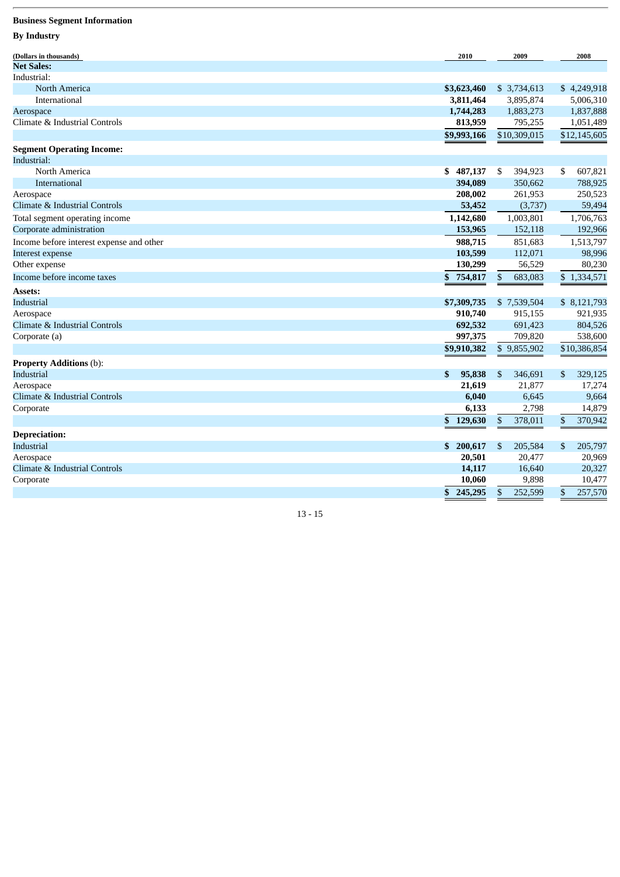# **Business Segment Information**

**By Industry**

| (Dollars in thousands)                   | 2010          | 2009                      | 2008                    |
|------------------------------------------|---------------|---------------------------|-------------------------|
| <b>Net Sales:</b>                        |               |                           |                         |
| Industrial:                              |               |                           |                         |
| <b>North America</b>                     | \$3,623,460   | \$ 3,734,613              | \$4,249,918             |
| International                            | 3,811,464     | 3,895,874                 | 5,006,310               |
| Aerospace                                | 1,744,283     | 1,883,273                 | 1,837,888               |
| Climate & Industrial Controls            | 813,959       | 795,255                   | 1,051,489               |
|                                          | \$9,993,166   | \$10,309,015              | \$12,145,605            |
| <b>Segment Operating Income:</b>         |               |                           |                         |
| Industrial:                              |               |                           |                         |
| North America                            | \$487,137     | 394,923<br>\$             | 607,821<br>\$           |
| International                            | 394,089       | 350,662                   | 788,925                 |
| Aerospace                                | 208,002       | 261,953                   | 250,523                 |
| Climate & Industrial Controls            | 53,452        | (3,737)                   | 59,494                  |
| Total segment operating income           | 1,142,680     | 1,003,801                 | 1,706,763               |
| Corporate administration                 | 153,965       | 152,118                   | 192,966                 |
| Income before interest expense and other | 988,715       | 851,683                   | 1,513,797               |
| Interest expense                         | 103,599       | 112,071                   | 98,996                  |
| Other expense                            | 130,299       | 56,529                    | 80,230                  |
| Income before income taxes               | \$<br>754,817 | \$<br>683,083             | \$1,334,571             |
| <b>Assets:</b>                           |               |                           |                         |
| Industrial                               | \$7,309,735   | \$7,539,504               | \$ 8,121,793            |
| Aerospace                                | 910,740       | 915,155                   | 921,935                 |
| Climate & Industrial Controls            | 692,532       | 691,423                   | 804,526                 |
| Corporate (a)                            | 997,375       | 709,820                   | 538,600                 |
|                                          | \$9,910,382   | \$9,855,902               | \$10,386,854            |
| <b>Property Additions (b):</b>           |               |                           |                         |
| Industrial                               | \$<br>95,838  | \$<br>346,691             | \$<br>329,125           |
| Aerospace                                | 21,619        | 21,877                    | 17,274                  |
| Climate & Industrial Controls            | 6,040         | 6,645                     | 9,664                   |
| Corporate                                | 6,133         | 2,798                     | 14,879                  |
|                                          | 129,630<br>\$ | 378,011<br>\$             | \$<br>370,942           |
| <b>Depreciation:</b>                     |               |                           |                         |
| <b>Industrial</b>                        | \$<br>200,617 | $\mathfrak{S}$<br>205,584 | \$<br>205,797           |
| Aerospace                                | 20,501        | 20,477                    | 20,969                  |
| Climate & Industrial Controls            | 14,117        | 16,640                    | 20,327                  |
| Corporate                                | 10,060        | 9,898                     | 10,477                  |
|                                          | \$<br>245,295 | \$<br>252,599             | $\mathbb{S}$<br>257,570 |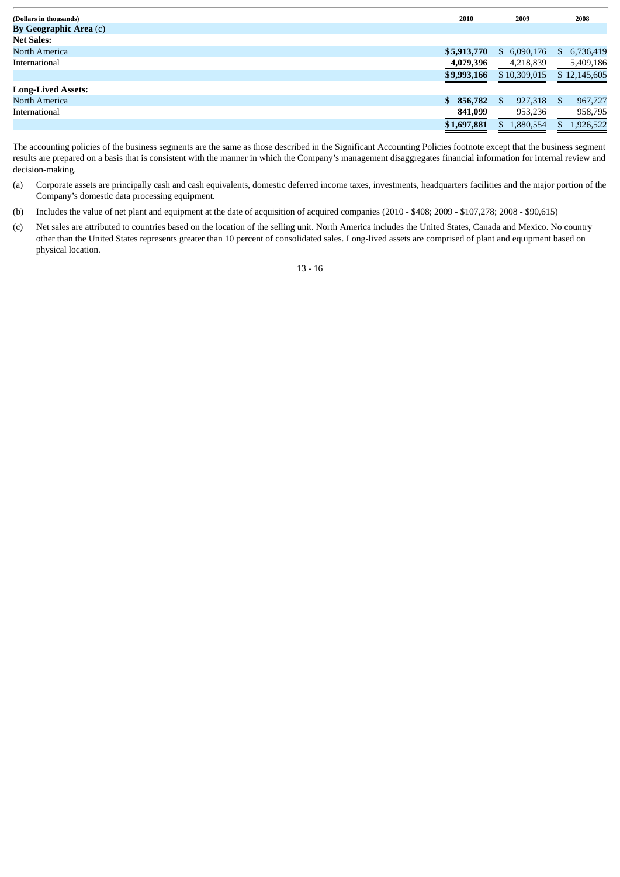| (Dollars in thousands)        | 2010        | 2009                       | 2008            |
|-------------------------------|-------------|----------------------------|-----------------|
| <b>By Geographic Area (c)</b> |             |                            |                 |
| <b>Net Sales:</b>             |             |                            |                 |
| North America                 | \$5,913,770 | \$6,090,176                | 6,736,419<br>S. |
| International                 | 4,079,396   | 4,218,839                  | 5,409,186       |
|                               | \$9,993,166 | \$10,309,015               | \$12,145,605    |
| <b>Long-Lived Assets:</b>     |             |                            |                 |
| North America                 | \$856,782   | 927,318<br><sup>S</sup>    | 967,727<br>-S   |
| International                 | 841,099     | 953,236                    | 958,795         |
|                               | \$1,697,881 | 1,880,554<br><sup>\$</sup> | 1,926,522       |

The accounting policies of the business segments are the same as those described in the Significant Accounting Policies footnote except that the business segment results are prepared on a basis that is consistent with the manner in which the Company's management disaggregates financial information for internal review and decision-making.

- (a) Corporate assets are principally cash and cash equivalents, domestic deferred income taxes, investments, headquarters facilities and the major portion of the Company's domestic data processing equipment.
- (b) Includes the value of net plant and equipment at the date of acquisition of acquired companies (2010 \$408; 2009 \$107,278; 2008 \$90,615)
- (c) Net sales are attributed to countries based on the location of the selling unit. North America includes the United States, Canada and Mexico. No country other than the United States represents greater than 10 percent of consolidated sales. Long-lived assets are comprised of plant and equipment based on physical location.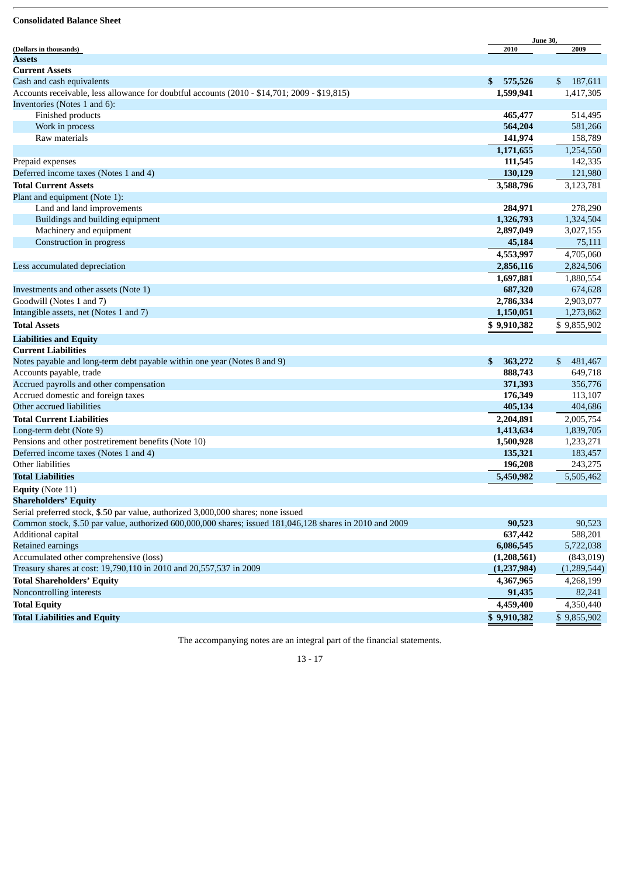# **Consolidated Balance Sheet**

|                                                                                                                  | <b>June 30,</b> |               |
|------------------------------------------------------------------------------------------------------------------|-----------------|---------------|
| (Dollars in thousands)                                                                                           | 2010            | 2009          |
| <b>Assets</b>                                                                                                    |                 |               |
| <b>Current Assets</b>                                                                                            |                 |               |
| Cash and cash equivalents                                                                                        | \$<br>575,526   | \$187,611     |
| Accounts receivable, less allowance for doubtful accounts (2010 - \$14,701; 2009 - \$19,815)                     | 1,599,941       | 1,417,305     |
| Inventories (Notes 1 and 6):                                                                                     |                 |               |
| Finished products                                                                                                | 465,477         | 514,495       |
| Work in process                                                                                                  | 564,204         | 581,266       |
| Raw materials                                                                                                    | 141,974         | 158,789       |
|                                                                                                                  | 1,171,655       | 1,254,550     |
| Prepaid expenses                                                                                                 | 111,545         | 142,335       |
| Deferred income taxes (Notes 1 and 4)                                                                            | 130,129         | 121,980       |
| <b>Total Current Assets</b>                                                                                      | 3,588,796       | 3,123,781     |
| Plant and equipment (Note 1):                                                                                    |                 |               |
| Land and land improvements                                                                                       | 284,971         | 278,290       |
| Buildings and building equipment                                                                                 | 1,326,793       | 1,324,504     |
| Machinery and equipment                                                                                          | 2,897,049       | 3,027,155     |
| Construction in progress                                                                                         | 45,184          | 75,111        |
|                                                                                                                  | 4,553,997       | 4,705,060     |
|                                                                                                                  | 2,856,116       |               |
| Less accumulated depreciation                                                                                    |                 | 2,824,506     |
|                                                                                                                  | 1,697,881       | 1,880,554     |
| Investments and other assets (Note 1)                                                                            | 687,320         | 674,628       |
| Goodwill (Notes 1 and 7)                                                                                         | 2,786,334       | 2,903,077     |
| Intangible assets, net (Notes 1 and 7)                                                                           | 1,150,051       | 1,273,862     |
| <b>Total Assets</b>                                                                                              | \$9,910,382     | \$9,855,902   |
| <b>Liabilities and Equity</b>                                                                                    |                 |               |
| <b>Current Liabilities</b>                                                                                       |                 |               |
| Notes payable and long-term debt payable within one year (Notes 8 and 9)                                         | \$<br>363,272   | \$<br>481,467 |
| Accounts payable, trade                                                                                          | 888,743         | 649,718       |
| Accrued payrolls and other compensation                                                                          | 371,393         | 356,776       |
| Accrued domestic and foreign taxes                                                                               | 176,349         | 113,107       |
| Other accrued liabilities                                                                                        | 405,134         | 404,686       |
| <b>Total Current Liabilities</b>                                                                                 | 2,204,891       | 2,005,754     |
| Long-term debt (Note 9)                                                                                          | 1,413,634       | 1,839,705     |
| Pensions and other postretirement benefits (Note 10)                                                             | 1,500,928       | 1,233,271     |
| Deferred income taxes (Notes 1 and 4)                                                                            | 135,321         | 183,457       |
| Other liabilities                                                                                                | 196,208         | 243,275       |
| <b>Total Liabilities</b>                                                                                         | 5,450,982       | 5,505,462     |
|                                                                                                                  |                 |               |
| <b>Equity</b> (Note 11)                                                                                          |                 |               |
| <b>Shareholders' Equity</b><br>Serial preferred stock, \$.50 par value, authorized 3,000,000 shares; none issued |                 |               |
|                                                                                                                  |                 |               |
| Common stock, \$.50 par value, authorized 600,000,000 shares; issued 181,046,128 shares in 2010 and 2009         | 90,523          | 90,523        |
| Additional capital                                                                                               | 637,442         | 588,201       |
| Retained earnings                                                                                                | 6,086,545       | 5,722,038     |
| Accumulated other comprehensive (loss)                                                                           | (1,208,561)     | (843,019)     |
| Treasury shares at cost: 19,790,110 in 2010 and 20,557,537 in 2009                                               | (1,237,984)     | (1,289,544)   |
| <b>Total Shareholders' Equity</b>                                                                                | 4,367,965       | 4,268,199     |
| Noncontrolling interests                                                                                         | 91,435          | 82,241        |
| <b>Total Equity</b>                                                                                              | 4,459,400       | 4,350,440     |
| <b>Total Liabilities and Equity</b>                                                                              | \$9,910,382     | \$9,855,902   |

The accompanying notes are an integral part of the financial statements.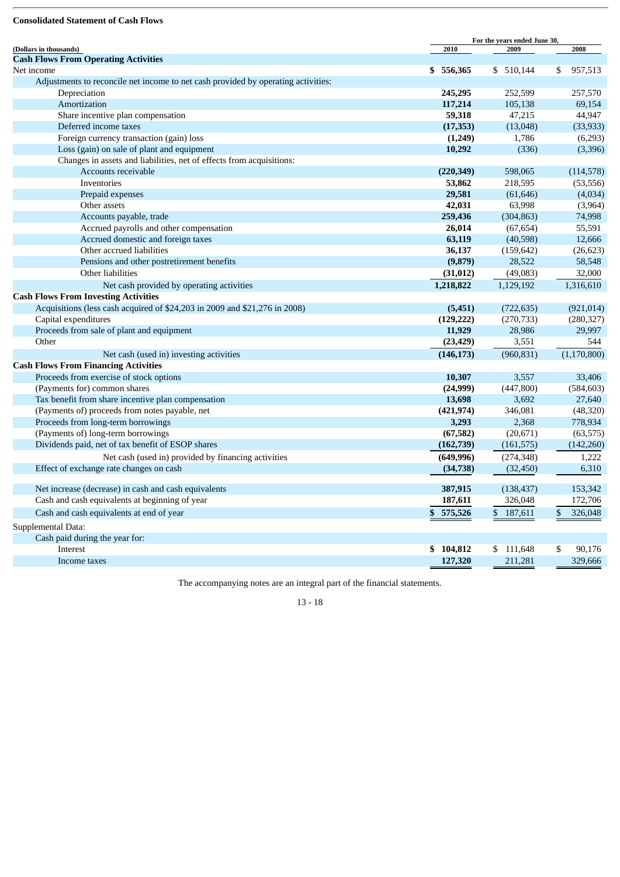# **Consolidated Statement of Cash Flows**

|                                                                                   | For the years ended June 30, |                    |                      |
|-----------------------------------------------------------------------------------|------------------------------|--------------------|----------------------|
| (Dollars in thousands)                                                            | 2010                         | 2009               | 2008                 |
| <b>Cash Flows From Operating Activities</b>                                       |                              |                    |                      |
| Net income                                                                        | \$556,365                    | \$510,144          | 957,513<br>\$        |
| Adjustments to reconcile net income to net cash provided by operating activities: |                              |                    |                      |
| Depreciation                                                                      | 245,295                      | 252,599            | 257,570              |
| Amortization                                                                      | 117,214                      | 105,138            | 69,154               |
| Share incentive plan compensation                                                 | 59,318                       | 47,215             | 44,947               |
| Deferred income taxes                                                             | (17, 353)                    | (13,048)           | (33, 933)            |
| Foreign currency transaction (gain) loss                                          | (1,249)                      | 1,786              | (6,293)              |
| Loss (gain) on sale of plant and equipment                                        | 10,292                       | (336)              | (3, 396)             |
| Changes in assets and liabilities, net of effects from acquisitions:              |                              |                    |                      |
| Accounts receivable                                                               | (220, 349)                   | 598,065            | (114, 578)           |
| Inventories                                                                       | 53,862                       | 218,595            | (53, 556)            |
| Prepaid expenses                                                                  | 29,581                       | (61, 646)          | (4,034)              |
| Other assets                                                                      | 42,031                       | 63,998             | (3,964)              |
| Accounts payable, trade                                                           | 259,436                      | (304, 863)         | 74,998               |
| Accrued payrolls and other compensation                                           | 26,014                       | (67, 654)          | 55,591               |
| Accrued domestic and foreign taxes                                                | 63,119                       | (40,598)           | 12,666               |
| Other accrued liabilities                                                         | 36,137                       | (159, 642)         | (26, 623)            |
| Pensions and other postretirement benefits                                        | (9, 879)                     | 28,522             | 58,548               |
| Other liabilities                                                                 | (31, 012)                    | (49,083)           | 32,000               |
| Net cash provided by operating activities                                         | 1.218.822                    | 1,129,192          | 1,316,610            |
| <b>Cash Flows From Investing Activities</b>                                       |                              |                    |                      |
| Acquisitions (less cash acquired of \$24,203 in 2009 and \$21,276 in 2008)        | (5,451)                      | (722, 635)         | (921, 014)           |
| Capital expenditures                                                              | (129, 222)                   | (270, 733)         | (280, 327)           |
| Proceeds from sale of plant and equipment                                         | 11,929                       | 28,986             | 29,997               |
| Other                                                                             | (23, 429)                    | 3,551              | 544                  |
| Net cash (used in) investing activities                                           | (146, 173)                   | (960, 831)         | (1,170,800)          |
| <b>Cash Flows From Financing Activities</b>                                       |                              |                    |                      |
| Proceeds from exercise of stock options                                           | 10,307                       | 3,557              | 33,406               |
|                                                                                   |                              |                    |                      |
| (Payments for) common shares                                                      | (24,999)<br>13,698           | (447,800)<br>3,692 | (584, 603)<br>27,640 |
| Tax benefit from share incentive plan compensation                                |                              |                    |                      |
| (Payments of) proceeds from notes payable, net                                    | (421, 974)                   | 346,081            | (48, 320)            |
| Proceeds from long-term borrowings                                                | 3,293                        | 2,368              | 778,934              |
| (Payments of) long-term borrowings                                                | (67, 582)                    | (20, 671)          | (63, 575)            |
| Dividends paid, net of tax benefit of ESOP shares                                 | (162, 739)                   | (161, 575)         | (142, 260)           |
| Net cash (used in) provided by financing activities                               | (649, 996)                   | (274, 348)         | 1,222                |
| Effect of exchange rate changes on cash                                           | (34, 738)                    | (32, 450)          | 6,310                |
| Net increase (decrease) in cash and cash equivalents                              | 387,915                      | (138, 437)         | 153,342              |
| Cash and cash equivalents at beginning of year                                    | 187,611                      | 326,048            | 172,706              |
| Cash and cash equivalents at end of year                                          | \$575,526                    | \$ 187,611         | \$<br>326,048        |
| Supplemental Data:                                                                |                              |                    |                      |
| Cash paid during the year for:                                                    |                              |                    |                      |
| Interest                                                                          | \$104,812                    | \$111,648          | \$<br>90,176         |
| Income taxes                                                                      | 127,320                      | 211,281            | 329.666              |

The accompanying notes are an integral part of the financial statements.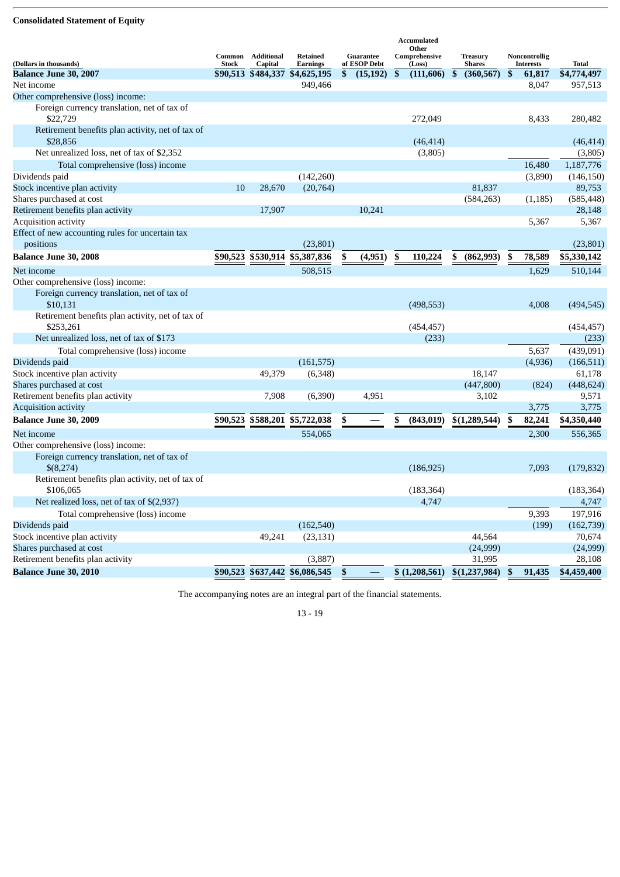# **Consolidated Statement of Equity**

| (Dollars in thousands)                                        | <b>Stock</b> | Common Additional<br>Capital | <b>Retained</b><br><b>Earnings</b> | Guarantee<br>of ESOP Debt | Accumulated<br>Other<br>Comprehensive<br>(Loss) |     | <b>Treasury</b><br><b>Shares</b> |              | Noncontrollig<br><b>Interests</b> | <b>Total</b> |
|---------------------------------------------------------------|--------------|------------------------------|------------------------------------|---------------------------|-------------------------------------------------|-----|----------------------------------|--------------|-----------------------------------|--------------|
| <b>Balance June 30, 2007</b>                                  |              |                              | \$90,513 \$484,337 \$4,625,195     | \$<br>(15, 192)           | \$<br>(111,606)                                 | -\$ | (360, 567)                       | -S           | 61,817                            | \$4,774,497  |
| Net income                                                    |              |                              | 949,466                            |                           |                                                 |     |                                  |              | 8,047                             | 957,513      |
| Other comprehensive (loss) income:                            |              |                              |                                    |                           |                                                 |     |                                  |              |                                   |              |
| Foreign currency translation, net of tax of<br>\$22,729       |              |                              |                                    |                           | 272,049                                         |     |                                  |              | 8,433                             | 280,482      |
| Retirement benefits plan activity, net of tax of<br>\$28,856  |              |                              |                                    |                           | (46, 414)                                       |     |                                  |              |                                   | (46, 414)    |
| Net unrealized loss, net of tax of \$2,352                    |              |                              |                                    |                           | (3,805)                                         |     |                                  |              |                                   | (3,805)      |
| Total comprehensive (loss) income                             |              |                              |                                    |                           |                                                 |     |                                  |              | 16,480                            | 1,187,776    |
| Dividends paid                                                |              |                              | (142, 260)                         |                           |                                                 |     |                                  |              | (3,890)                           | (146, 150)   |
| Stock incentive plan activity                                 | 10           | 28,670                       | (20, 764)                          |                           |                                                 |     | 81,837                           |              |                                   | 89,753       |
| Shares purchased at cost                                      |              |                              |                                    |                           |                                                 |     | (584, 263)                       |              | (1, 185)                          | (585, 448)   |
| Retirement benefits plan activity                             |              | 17,907                       |                                    | 10,241                    |                                                 |     |                                  |              |                                   | 28,148       |
| <b>Acquisition activity</b>                                   |              |                              |                                    |                           |                                                 |     |                                  |              | 5,367                             | 5,367        |
| Effect of new accounting rules for uncertain tax              |              |                              |                                    |                           |                                                 |     |                                  |              |                                   |              |
| positions                                                     |              |                              | (23, 801)                          |                           |                                                 |     |                                  |              |                                   | (23, 801)    |
| <b>Balance June 30, 2008</b>                                  |              |                              | \$90,523 \$530,914 \$5,387,836     | \$<br>(4,951)             | \$<br>110,224                                   | \$  | (862,993)                        | \$           | 78,589                            | \$5,330,142  |
| Net income                                                    |              |                              | 508,515                            |                           |                                                 |     |                                  |              | 1,629                             | 510,144      |
| Other comprehensive (loss) income:                            |              |                              |                                    |                           |                                                 |     |                                  |              |                                   |              |
| Foreign currency translation, net of tax of<br>\$10,131       |              |                              |                                    |                           | (498, 553)                                      |     |                                  |              | 4,008                             | (494, 545)   |
| Retirement benefits plan activity, net of tax of<br>\$253,261 |              |                              |                                    |                           | (454, 457)                                      |     |                                  |              |                                   | (454, 457)   |
| Net unrealized loss, net of tax of \$173                      |              |                              |                                    |                           | (233)                                           |     |                                  |              |                                   | (233)        |
| Total comprehensive (loss) income                             |              |                              |                                    |                           |                                                 |     |                                  |              | 5,637                             | (439,091)    |
| Dividends paid                                                |              |                              | (161, 575)                         |                           |                                                 |     |                                  |              | (4,936)                           | (166, 511)   |
| Stock incentive plan activity                                 |              | 49,379                       | (6,348)                            |                           |                                                 |     | 18,147                           |              |                                   | 61,178       |
| Shares purchased at cost                                      |              |                              |                                    |                           |                                                 |     | (447,800)                        |              | (824)                             | (448, 624)   |
| Retirement benefits plan activity                             |              | 7,908                        | (6,390)                            | 4,951                     |                                                 |     | 3,102                            |              |                                   | 9,571        |
| <b>Acquisition activity</b>                                   |              |                              |                                    |                           |                                                 |     |                                  |              | 3,775                             | 3,775        |
| <b>Balance June 30, 2009</b>                                  |              |                              | \$90,523 \$588,201 \$5,722,038     | \$                        | \$<br>(843, 019)                                |     | \$(1,289,544)                    | \$           | 82,241                            | \$4,350,440  |
| Net income                                                    |              |                              | 554,065                            |                           |                                                 |     |                                  |              | 2,300                             | 556,365      |
| Other comprehensive (loss) income:                            |              |                              |                                    |                           |                                                 |     |                                  |              |                                   |              |
| Foreign currency translation, net of tax of<br>\$(8,274)      |              |                              |                                    |                           | (186, 925)                                      |     |                                  |              | 7,093                             | (179, 832)   |
| Retirement benefits plan activity, net of tax of<br>\$106,065 |              |                              |                                    |                           | (183, 364)                                      |     |                                  |              |                                   | (183, 364)   |
| Net realized loss, net of tax of $\S(2,937)$                  |              |                              |                                    |                           | 4,747                                           |     |                                  |              |                                   | 4,747        |
| Total comprehensive (loss) income                             |              |                              |                                    |                           |                                                 |     |                                  |              | 9,393                             | 197,916      |
| Dividends paid                                                |              |                              | (162, 540)                         |                           |                                                 |     |                                  |              | (199)                             | (162, 739)   |
| Stock incentive plan activity                                 |              | 49,241                       | (23, 131)                          |                           |                                                 |     | 44,564                           |              |                                   | 70,674       |
| Shares purchased at cost                                      |              |                              |                                    |                           |                                                 |     | (24,999)                         |              |                                   | (24, 999)    |
| Retirement benefits plan activity                             |              |                              | (3,887)                            |                           |                                                 |     | 31,995                           |              |                                   | 28,108       |
| <b>Balance June 30, 2010</b>                                  |              |                              | \$90,523 \$637,442 \$6,086,545     | \$                        | \$(1,208,561)                                   |     | \$(1,237,984)                    | $\mathbf{s}$ | 91,435                            | \$4,459,400  |

The accompanying notes are an integral part of the financial statements.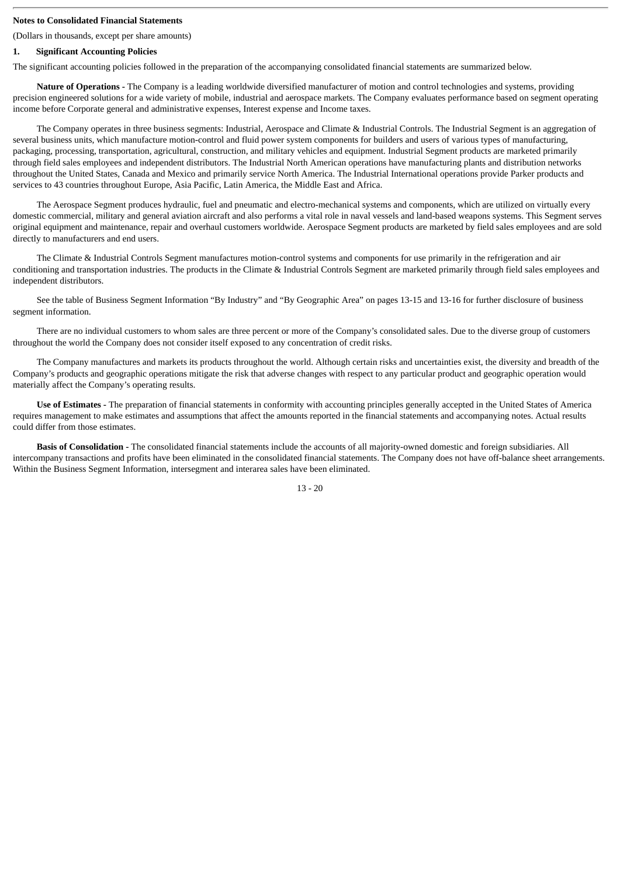#### **Notes to Consolidated Financial Statements**

(Dollars in thousands, except per share amounts)

#### **1. Significant Accounting Policies**

The significant accounting policies followed in the preparation of the accompanying consolidated financial statements are summarized below.

**Nature of Operations -** The Company is a leading worldwide diversified manufacturer of motion and control technologies and systems, providing precision engineered solutions for a wide variety of mobile, industrial and aerospace markets. The Company evaluates performance based on segment operating income before Corporate general and administrative expenses, Interest expense and Income taxes.

The Company operates in three business segments: Industrial, Aerospace and Climate & Industrial Controls. The Industrial Segment is an aggregation of several business units, which manufacture motion-control and fluid power system components for builders and users of various types of manufacturing, packaging, processing, transportation, agricultural, construction, and military vehicles and equipment. Industrial Segment products are marketed primarily through field sales employees and independent distributors. The Industrial North American operations have manufacturing plants and distribution networks throughout the United States, Canada and Mexico and primarily service North America. The Industrial International operations provide Parker products and services to 43 countries throughout Europe, Asia Pacific, Latin America, the Middle East and Africa.

The Aerospace Segment produces hydraulic, fuel and pneumatic and electro-mechanical systems and components, which are utilized on virtually every domestic commercial, military and general aviation aircraft and also performs a vital role in naval vessels and land-based weapons systems. This Segment serves original equipment and maintenance, repair and overhaul customers worldwide. Aerospace Segment products are marketed by field sales employees and are sold directly to manufacturers and end users.

The Climate & Industrial Controls Segment manufactures motion-control systems and components for use primarily in the refrigeration and air conditioning and transportation industries. The products in the Climate & Industrial Controls Segment are marketed primarily through field sales employees and independent distributors.

See the table of Business Segment Information "By Industry" and "By Geographic Area" on pages 13-15 and 13-16 for further disclosure of business segment information.

There are no individual customers to whom sales are three percent or more of the Company's consolidated sales. Due to the diverse group of customers throughout the world the Company does not consider itself exposed to any concentration of credit risks.

The Company manufactures and markets its products throughout the world. Although certain risks and uncertainties exist, the diversity and breadth of the Company's products and geographic operations mitigate the risk that adverse changes with respect to any particular product and geographic operation would materially affect the Company's operating results.

**Use of Estimates -** The preparation of financial statements in conformity with accounting principles generally accepted in the United States of America requires management to make estimates and assumptions that affect the amounts reported in the financial statements and accompanying notes. Actual results could differ from those estimates.

**Basis of Consolidation -** The consolidated financial statements include the accounts of all majority-owned domestic and foreign subsidiaries. All intercompany transactions and profits have been eliminated in the consolidated financial statements. The Company does not have off-balance sheet arrangements. Within the Business Segment Information, intersegment and interarea sales have been eliminated.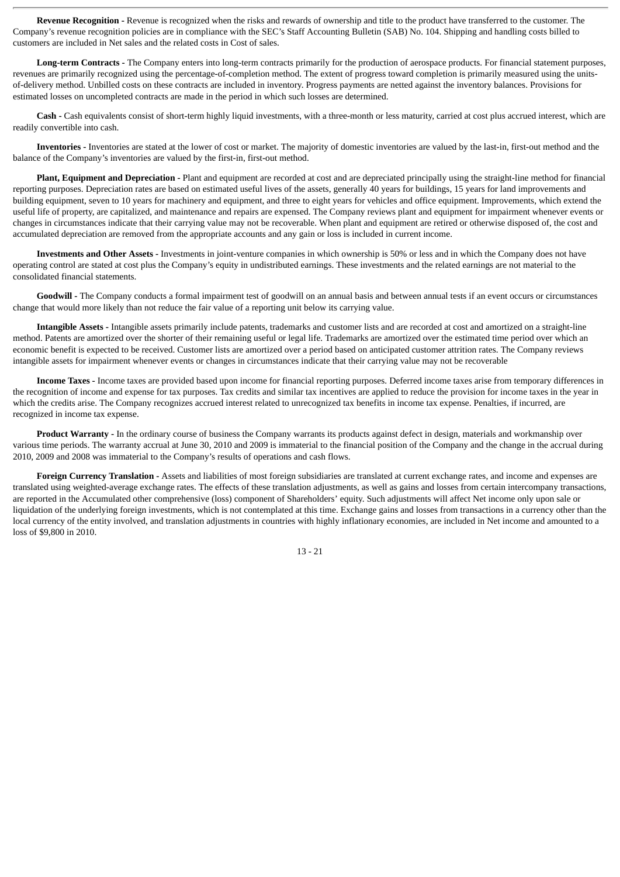**Revenue Recognition -** Revenue is recognized when the risks and rewards of ownership and title to the product have transferred to the customer. The Company's revenue recognition policies are in compliance with the SEC's Staff Accounting Bulletin (SAB) No. 104. Shipping and handling costs billed to customers are included in Net sales and the related costs in Cost of sales.

**Long-term Contracts -** The Company enters into long-term contracts primarily for the production of aerospace products. For financial statement purposes, revenues are primarily recognized using the percentage-of-completion method. The extent of progress toward completion is primarily measured using the unitsof-delivery method. Unbilled costs on these contracts are included in inventory. Progress payments are netted against the inventory balances. Provisions for estimated losses on uncompleted contracts are made in the period in which such losses are determined.

**Cash -** Cash equivalents consist of short-term highly liquid investments, with a three-month or less maturity, carried at cost plus accrued interest, which are readily convertible into cash.

**Inventories -** Inventories are stated at the lower of cost or market. The majority of domestic inventories are valued by the last-in, first-out method and the balance of the Company's inventories are valued by the first-in, first-out method.

**Plant, Equipment and Depreciation -** Plant and equipment are recorded at cost and are depreciated principally using the straight-line method for financial reporting purposes. Depreciation rates are based on estimated useful lives of the assets, generally 40 years for buildings, 15 years for land improvements and building equipment, seven to 10 years for machinery and equipment, and three to eight years for vehicles and office equipment. Improvements, which extend the useful life of property, are capitalized, and maintenance and repairs are expensed. The Company reviews plant and equipment for impairment whenever events or changes in circumstances indicate that their carrying value may not be recoverable. When plant and equipment are retired or otherwise disposed of, the cost and accumulated depreciation are removed from the appropriate accounts and any gain or loss is included in current income.

**Investments and Other Assets -** Investments in joint-venture companies in which ownership is 50% or less and in which the Company does not have operating control are stated at cost plus the Company's equity in undistributed earnings. These investments and the related earnings are not material to the consolidated financial statements.

**Goodwill -** The Company conducts a formal impairment test of goodwill on an annual basis and between annual tests if an event occurs or circumstances change that would more likely than not reduce the fair value of a reporting unit below its carrying value.

**Intangible Assets -** Intangible assets primarily include patents, trademarks and customer lists and are recorded at cost and amortized on a straight-line method. Patents are amortized over the shorter of their remaining useful or legal life. Trademarks are amortized over the estimated time period over which an economic benefit is expected to be received. Customer lists are amortized over a period based on anticipated customer attrition rates. The Company reviews intangible assets for impairment whenever events or changes in circumstances indicate that their carrying value may not be recoverable

**Income Taxes -** Income taxes are provided based upon income for financial reporting purposes. Deferred income taxes arise from temporary differences in the recognition of income and expense for tax purposes. Tax credits and similar tax incentives are applied to reduce the provision for income taxes in the year in which the credits arise. The Company recognizes accrued interest related to unrecognized tax benefits in income tax expense. Penalties, if incurred, are recognized in income tax expense.

**Product Warranty -** In the ordinary course of business the Company warrants its products against defect in design, materials and workmanship over various time periods. The warranty accrual at June 30, 2010 and 2009 is immaterial to the financial position of the Company and the change in the accrual during 2010, 2009 and 2008 was immaterial to the Company's results of operations and cash flows.

**Foreign Currency Translation -** Assets and liabilities of most foreign subsidiaries are translated at current exchange rates, and income and expenses are translated using weighted-average exchange rates. The effects of these translation adjustments, as well as gains and losses from certain intercompany transactions, are reported in the Accumulated other comprehensive (loss) component of Shareholders' equity. Such adjustments will affect Net income only upon sale or liquidation of the underlying foreign investments, which is not contemplated at this time. Exchange gains and losses from transactions in a currency other than the local currency of the entity involved, and translation adjustments in countries with highly inflationary economies, are included in Net income and amounted to a loss of \$9,800 in 2010.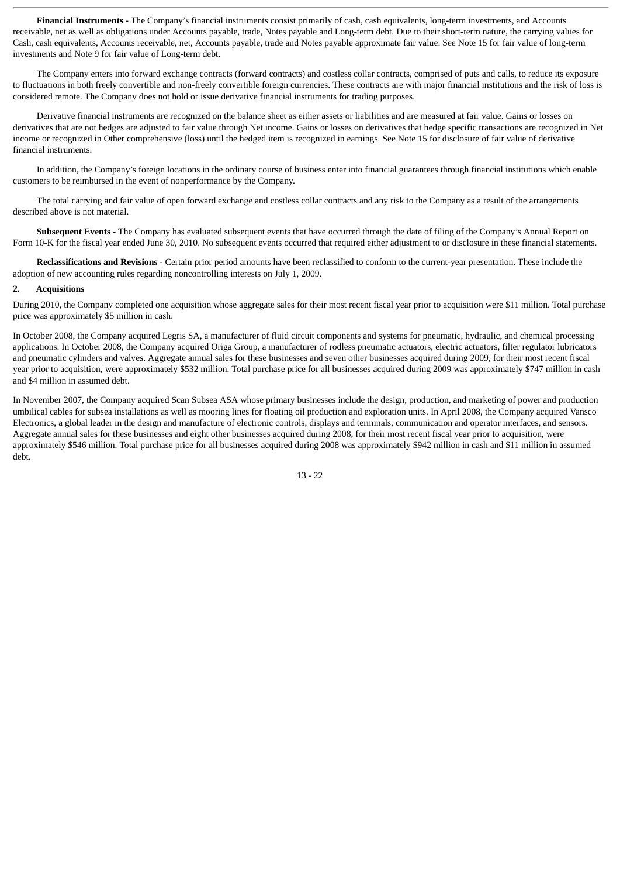**Financial Instruments -** The Company's financial instruments consist primarily of cash, cash equivalents, long-term investments, and Accounts receivable, net as well as obligations under Accounts payable, trade, Notes payable and Long-term debt. Due to their short-term nature, the carrying values for Cash, cash equivalents, Accounts receivable, net, Accounts payable, trade and Notes payable approximate fair value. See Note 15 for fair value of long-term investments and Note 9 for fair value of Long-term debt.

The Company enters into forward exchange contracts (forward contracts) and costless collar contracts, comprised of puts and calls, to reduce its exposure to fluctuations in both freely convertible and non-freely convertible foreign currencies. These contracts are with major financial institutions and the risk of loss is considered remote. The Company does not hold or issue derivative financial instruments for trading purposes.

Derivative financial instruments are recognized on the balance sheet as either assets or liabilities and are measured at fair value. Gains or losses on derivatives that are not hedges are adjusted to fair value through Net income. Gains or losses on derivatives that hedge specific transactions are recognized in Net income or recognized in Other comprehensive (loss) until the hedged item is recognized in earnings. See Note 15 for disclosure of fair value of derivative financial instruments.

In addition, the Company's foreign locations in the ordinary course of business enter into financial guarantees through financial institutions which enable customers to be reimbursed in the event of nonperformance by the Company.

The total carrying and fair value of open forward exchange and costless collar contracts and any risk to the Company as a result of the arrangements described above is not material.

**Subsequent Events -** The Company has evaluated subsequent events that have occurred through the date of filing of the Company's Annual Report on Form 10-K for the fiscal year ended June 30, 2010. No subsequent events occurred that required either adjustment to or disclosure in these financial statements.

**Reclassifications and Revisions -** Certain prior period amounts have been reclassified to conform to the current-year presentation. These include the adoption of new accounting rules regarding noncontrolling interests on July 1, 2009.

#### **2. Acquisitions**

During 2010, the Company completed one acquisition whose aggregate sales for their most recent fiscal year prior to acquisition were \$11 million. Total purchase price was approximately \$5 million in cash.

In October 2008, the Company acquired Legris SA, a manufacturer of fluid circuit components and systems for pneumatic, hydraulic, and chemical processing applications. In October 2008, the Company acquired Origa Group, a manufacturer of rodless pneumatic actuators, electric actuators, filter regulator lubricators and pneumatic cylinders and valves. Aggregate annual sales for these businesses and seven other businesses acquired during 2009, for their most recent fiscal year prior to acquisition, were approximately \$532 million. Total purchase price for all businesses acquired during 2009 was approximately \$747 million in cash and \$4 million in assumed debt.

In November 2007, the Company acquired Scan Subsea ASA whose primary businesses include the design, production, and marketing of power and production umbilical cables for subsea installations as well as mooring lines for floating oil production and exploration units. In April 2008, the Company acquired Vansco Electronics, a global leader in the design and manufacture of electronic controls, displays and terminals, communication and operator interfaces, and sensors. Aggregate annual sales for these businesses and eight other businesses acquired during 2008, for their most recent fiscal year prior to acquisition, were approximately \$546 million. Total purchase price for all businesses acquired during 2008 was approximately \$942 million in cash and \$11 million in assumed debt.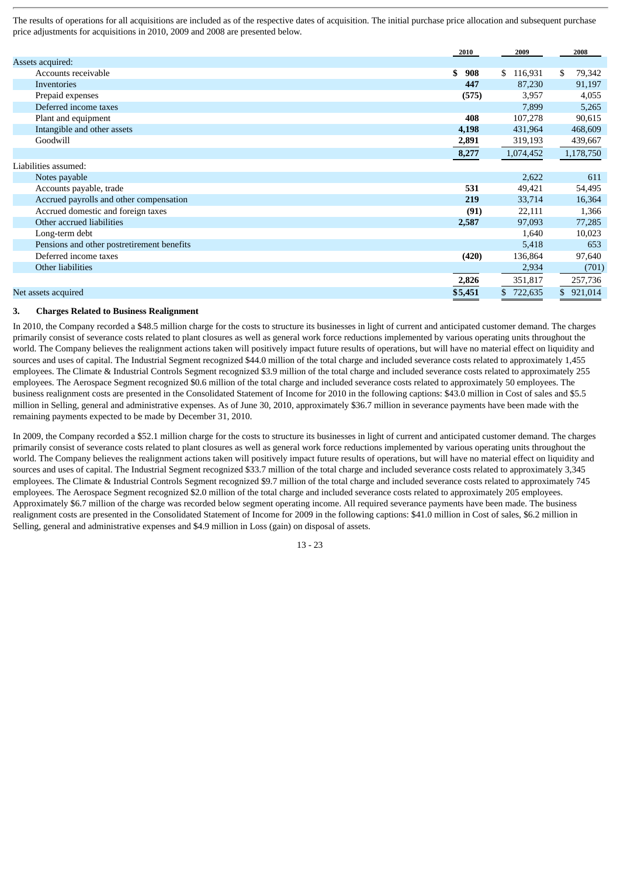The results of operations for all acquisitions are included as of the respective dates of acquisition. The initial purchase price allocation and subsequent purchase price adjustments for acquisitions in 2010, 2009 and 2008 are presented below.

|                                            | 2010      | 2009                    | 2008         |
|--------------------------------------------|-----------|-------------------------|--------------|
| Assets acquired:                           |           |                         |              |
| Accounts receivable                        | \$<br>908 | $\mathbb{S}$<br>116,931 | 79,342<br>\$ |
| <b>Inventories</b>                         | 447       | 87,230                  | 91,197       |
| Prepaid expenses                           | (575)     | 3,957                   | 4,055        |
| Deferred income taxes                      |           | 7,899                   | 5,265        |
| Plant and equipment                        | 408       | 107,278                 | 90,615       |
| Intangible and other assets                | 4,198     | 431,964                 | 468,609      |
| Goodwill                                   | 2,891     | 319,193                 | 439,667      |
|                                            | 8,277     | 1,074,452               | 1,178,750    |
| Liabilities assumed:                       |           |                         |              |
| Notes payable                              |           | 2,622                   | 611          |
| Accounts payable, trade                    | 531       | 49,421                  | 54,495       |
| Accrued payrolls and other compensation    | 219       | 33,714                  | 16,364       |
| Accrued domestic and foreign taxes         | (91)      | 22,111                  | 1,366        |
| Other accrued liabilities                  | 2,587     | 97,093                  | 77,285       |
| Long-term debt                             |           | 1,640                   | 10,023       |
| Pensions and other postretirement benefits |           | 5,418                   | 653          |
| Deferred income taxes                      | (420)     | 136,864                 | 97,640       |
| Other liabilities                          |           | 2,934                   | (701)        |
|                                            | 2,826     | 351,817                 | 257,736      |
| Net assets acquired                        | \$5,451   | \$722,635               | \$921,014    |

# **3. Charges Related to Business Realignment**

In 2010, the Company recorded a \$48.5 million charge for the costs to structure its businesses in light of current and anticipated customer demand. The charges primarily consist of severance costs related to plant closures as well as general work force reductions implemented by various operating units throughout the world. The Company believes the realignment actions taken will positively impact future results of operations, but will have no material effect on liquidity and sources and uses of capital. The Industrial Segment recognized \$44.0 million of the total charge and included severance costs related to approximately 1,455 employees. The Climate & Industrial Controls Segment recognized \$3.9 million of the total charge and included severance costs related to approximately 255 employees. The Aerospace Segment recognized \$0.6 million of the total charge and included severance costs related to approximately 50 employees. The business realignment costs are presented in the Consolidated Statement of Income for 2010 in the following captions: \$43.0 million in Cost of sales and \$5.5 million in Selling, general and administrative expenses. As of June 30, 2010, approximately \$36.7 million in severance payments have been made with the remaining payments expected to be made by December 31, 2010.

In 2009, the Company recorded a \$52.1 million charge for the costs to structure its businesses in light of current and anticipated customer demand. The charges primarily consist of severance costs related to plant closures as well as general work force reductions implemented by various operating units throughout the world. The Company believes the realignment actions taken will positively impact future results of operations, but will have no material effect on liquidity and sources and uses of capital. The Industrial Segment recognized \$33.7 million of the total charge and included severance costs related to approximately 3,345 employees. The Climate & Industrial Controls Segment recognized \$9.7 million of the total charge and included severance costs related to approximately 745 employees. The Aerospace Segment recognized \$2.0 million of the total charge and included severance costs related to approximately 205 employees. Approximately \$6.7 million of the charge was recorded below segment operating income. All required severance payments have been made. The business realignment costs are presented in the Consolidated Statement of Income for 2009 in the following captions: \$41.0 million in Cost of sales, \$6.2 million in Selling, general and administrative expenses and \$4.9 million in Loss (gain) on disposal of assets.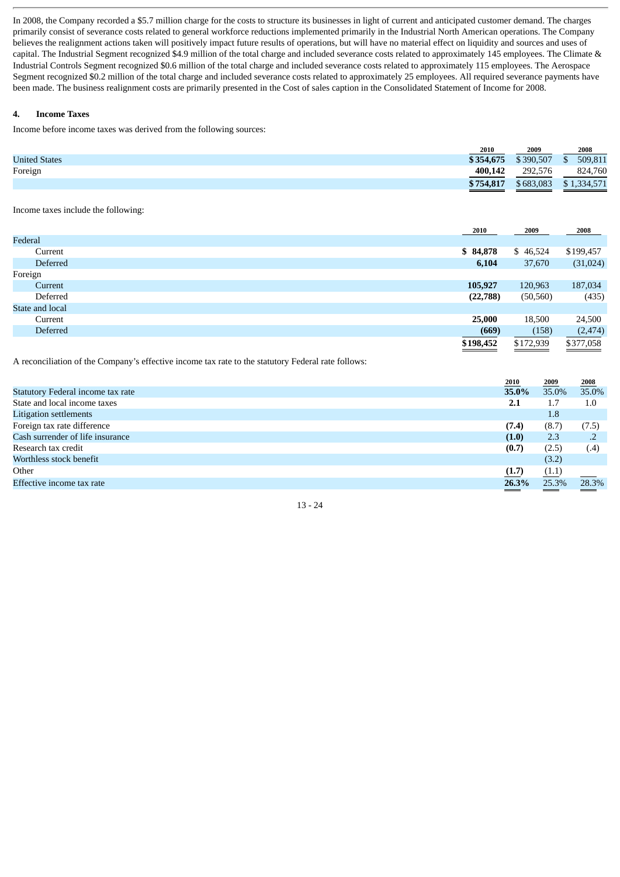In 2008, the Company recorded a \$5.7 million charge for the costs to structure its businesses in light of current and anticipated customer demand. The charges primarily consist of severance costs related to general workforce reductions implemented primarily in the Industrial North American operations. The Company believes the realignment actions taken will positively impact future results of operations, but will have no material effect on liquidity and sources and uses of capital. The Industrial Segment recognized \$4.9 million of the total charge and included severance costs related to approximately 145 employees. The Climate & Industrial Controls Segment recognized \$0.6 million of the total charge and included severance costs related to approximately 115 employees. The Aerospace Segment recognized \$0.2 million of the total charge and included severance costs related to approximately 25 employees. All required severance payments have been made. The business realignment costs are primarily presented in the Cost of sales caption in the Consolidated Statement of Income for 2008.

# **4. Income Taxes**

Income before income taxes was derived from the following sources:

|                      | 2010                                                                                                                  | 2009      |   | 2008                                                                                                                  |
|----------------------|-----------------------------------------------------------------------------------------------------------------------|-----------|---|-----------------------------------------------------------------------------------------------------------------------|
| <b>United States</b> | \$354,675                                                                                                             | \$390,507 | S | 509,811                                                                                                               |
| Foreign              | 400,142                                                                                                               | 292,576   |   | 824,760                                                                                                               |
|                      | \$754,817                                                                                                             | \$683,083 |   | \$1,334,571                                                                                                           |
|                      | <u> Tanzania de la contenentación de la contenentación de la contenentación de la contenentación de la contenenta</u> |           |   | <u> Tanzania de la contenentación de la contenentación de la contenentación de la contenentación de la contenenta</u> |

Income taxes include the following:

|                 | 2010      | 2009      | 2008      |
|-----------------|-----------|-----------|-----------|
| Federal         |           |           |           |
| Current         | \$84,878  | \$46,524  | \$199,457 |
| <b>Deferred</b> | 6,104     | 37,670    | (31,024)  |
| Foreign         |           |           |           |
| Current         | 105,927   | 120,963   | 187,034   |
| Deferred        | (22,788)  | (50, 560) | (435)     |
| State and local |           |           |           |
| Current         | 25,000    | 18,500    | 24,500    |
| Deferred        | (669)     | (158)     | (2, 474)  |
|                 | \$198,452 | \$172,939 | \$377,058 |

A reconciliation of the Company's effective income tax rate to the statutory Federal rate follows:

|                                   | 2010  | 2009  | <b>2008</b> |
|-----------------------------------|-------|-------|-------------|
| Statutory Federal income tax rate | 35.0% | 35.0% | 35.0%       |
| State and local income taxes      | 2.1   | 1.7   | 1.0         |
| <b>Litigation settlements</b>     |       | 1.8   |             |
| Foreign tax rate difference       | (7.4) | (8.7) | (7.5)       |
| Cash surrender of life insurance  | (1.0) | 2.3   |             |
| Research tax credit               | (0.7) | (2.5) | (.4)        |
| Worthless stock benefit           |       | (3.2) |             |
| Other                             | (1.7) | (1.1) |             |
| Effective income tax rate         | 26.3% | 25.3% | 28.3%       |
|                                   |       | ___   |             |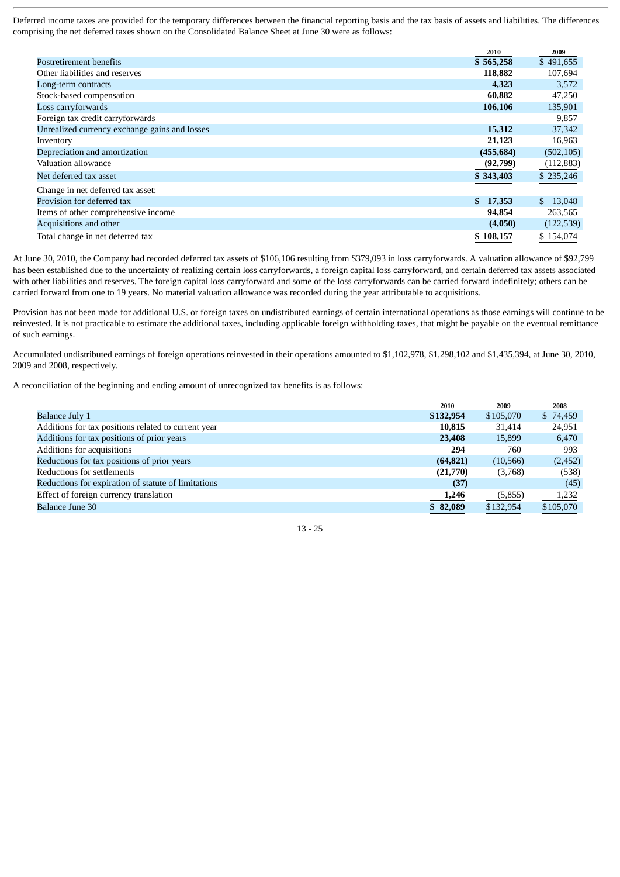Deferred income taxes are provided for the temporary differences between the financial reporting basis and the tax basis of assets and liabilities. The differences comprising the net deferred taxes shown on the Consolidated Balance Sheet at June 30 were as follows:

|                                               | 2010          | 2009                   |
|-----------------------------------------------|---------------|------------------------|
| Postretirement benefits                       | \$565,258     | \$491,655              |
| Other liabilities and reserves                | 118,882       | 107,694                |
| Long-term contracts                           | 4,323         | 3,572                  |
| Stock-based compensation                      | 60,882        | 47,250                 |
| Loss carryforwards                            | 106,106       | 135,901                |
| Foreign tax credit carryforwards              |               | 9,857                  |
| Unrealized currency exchange gains and losses | 15,312        | 37,342                 |
| Inventory                                     | 21,123        | 16,963                 |
| Depreciation and amortization                 | (455, 684)    | (502, 105)             |
| Valuation allowance                           | (92,799)      | (112,883)              |
| Net deferred tax asset                        | \$343,403     | \$235,246              |
| Change in net deferred tax asset:             |               |                        |
| Provision for deferred tax                    | 17,353<br>\$. | 13,048<br>$\mathbf{s}$ |
| Items of other comprehensive income           | 94,854        | 263,565                |
| Acquisitions and other                        | (4,050)       | (122, 539)             |
| Total change in net deferred tax              | \$108,157     | \$154,074              |

At June 30, 2010, the Company had recorded deferred tax assets of \$106,106 resulting from \$379,093 in loss carryforwards. A valuation allowance of \$92,799 has been established due to the uncertainty of realizing certain loss carryforwards, a foreign capital loss carryforward, and certain deferred tax assets associated with other liabilities and reserves. The foreign capital loss carryforward and some of the loss carryforwards can be carried forward indefinitely; others can be carried forward from one to 19 years. No material valuation allowance was recorded during the year attributable to acquisitions.

Provision has not been made for additional U.S. or foreign taxes on undistributed earnings of certain international operations as those earnings will continue to be reinvested. It is not practicable to estimate the additional taxes, including applicable foreign withholding taxes, that might be payable on the eventual remittance of such earnings.

Accumulated undistributed earnings of foreign operations reinvested in their operations amounted to \$1,102,978, \$1,298,102 and \$1,435,394, at June 30, 2010, 2009 and 2008, respectively.

A reconciliation of the beginning and ending amount of unrecognized tax benefits is as follows:

|                                                     | 2010      | 2009      | 2008      |
|-----------------------------------------------------|-----------|-----------|-----------|
| Balance July 1                                      | \$132,954 | \$105,070 | \$74,459  |
| Additions for tax positions related to current year | 10,815    | 31.414    | 24,951    |
| Additions for tax positions of prior years          | 23,408    | 15,899    | 6,470     |
| Additions for acquisitions                          | 294       | 760       | 993       |
| Reductions for tax positions of prior years         | (64, 821) | (10, 566) | (2, 452)  |
| Reductions for settlements                          | (21,770)  | (3,768)   | (538)     |
| Reductions for expiration of statute of limitations | (37)      |           | (45)      |
| Effect of foreign currency translation              | 1,246     | (5,855)   | 1,232     |
| Balance June 30                                     | \$82,089  | \$132,954 | \$105,070 |
|                                                     |           |           |           |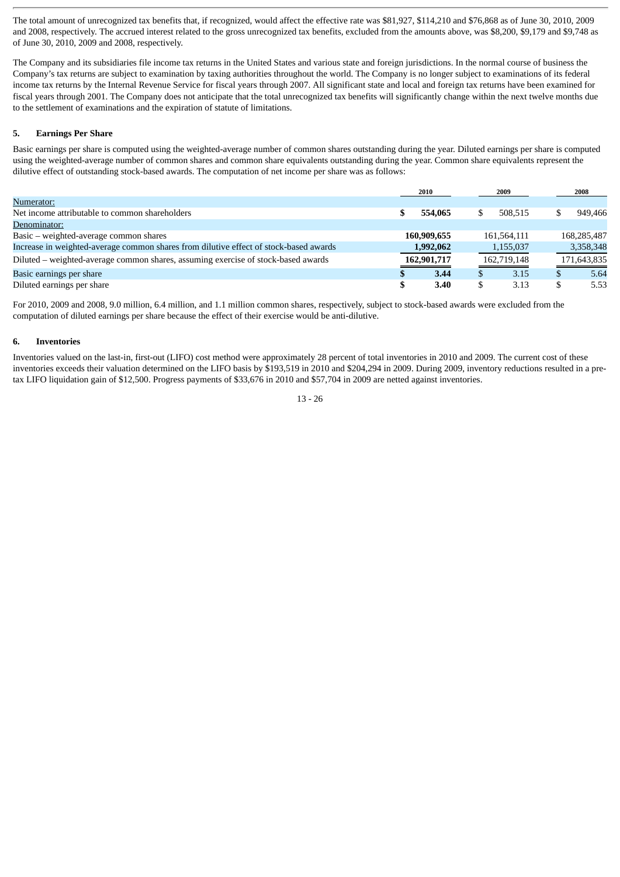The total amount of unrecognized tax benefits that, if recognized, would affect the effective rate was \$81,927, \$114,210 and \$76,868 as of June 30, 2010, 2009 and 2008, respectively. The accrued interest related to the gross unrecognized tax benefits, excluded from the amounts above, was \$8,200, \$9,179 and \$9,748 as of June 30, 2010, 2009 and 2008, respectively.

The Company and its subsidiaries file income tax returns in the United States and various state and foreign jurisdictions. In the normal course of business the Company's tax returns are subject to examination by taxing authorities throughout the world. The Company is no longer subject to examinations of its federal income tax returns by the Internal Revenue Service for fiscal years through 2007. All significant state and local and foreign tax returns have been examined for fiscal years through 2001. The Company does not anticipate that the total unrecognized tax benefits will significantly change within the next twelve months due to the settlement of examinations and the expiration of statute of limitations.

## **5. Earnings Per Share**

Basic earnings per share is computed using the weighted-average number of common shares outstanding during the year. Diluted earnings per share is computed using the weighted-average number of common shares and common share equivalents outstanding during the year. Common share equivalents represent the dilutive effect of outstanding stock-based awards. The computation of net income per share was as follows:

|                                                                                       | 2010        |   | 2009        |   | 2008        |
|---------------------------------------------------------------------------------------|-------------|---|-------------|---|-------------|
| Numerator:                                                                            |             |   |             |   |             |
| Net income attributable to common shareholders                                        | 554,065     |   | 508.515     | S | 949,466     |
| Denominator:                                                                          |             |   |             |   |             |
| Basic – weighted-average common shares                                                | 160,909,655 |   | 161.564.111 |   | 168,285,487 |
| Increase in weighted-average common shares from dilutive effect of stock-based awards | 1,992,062   |   | 1,155,037   |   | 3,358,348   |
| Diluted – weighted-average common shares, assuming exercise of stock-based awards     | 162,901,717 |   | 162,719,148 |   | 171,643,835 |
| Basic earnings per share                                                              | 3.44        | S | 3.15        | S | 5.64        |
| Diluted earnings per share                                                            | 3.40        |   | 3.13        |   | 5.53        |

For 2010, 2009 and 2008, 9.0 million, 6.4 million, and 1.1 million common shares, respectively, subject to stock-based awards were excluded from the computation of diluted earnings per share because the effect of their exercise would be anti-dilutive.

#### **6. Inventories**

Inventories valued on the last-in, first-out (LIFO) cost method were approximately 28 percent of total inventories in 2010 and 2009. The current cost of these inventories exceeds their valuation determined on the LIFO basis by \$193,519 in 2010 and \$204,294 in 2009. During 2009, inventory reductions resulted in a pretax LIFO liquidation gain of \$12,500. Progress payments of \$33,676 in 2010 and \$57,704 in 2009 are netted against inventories.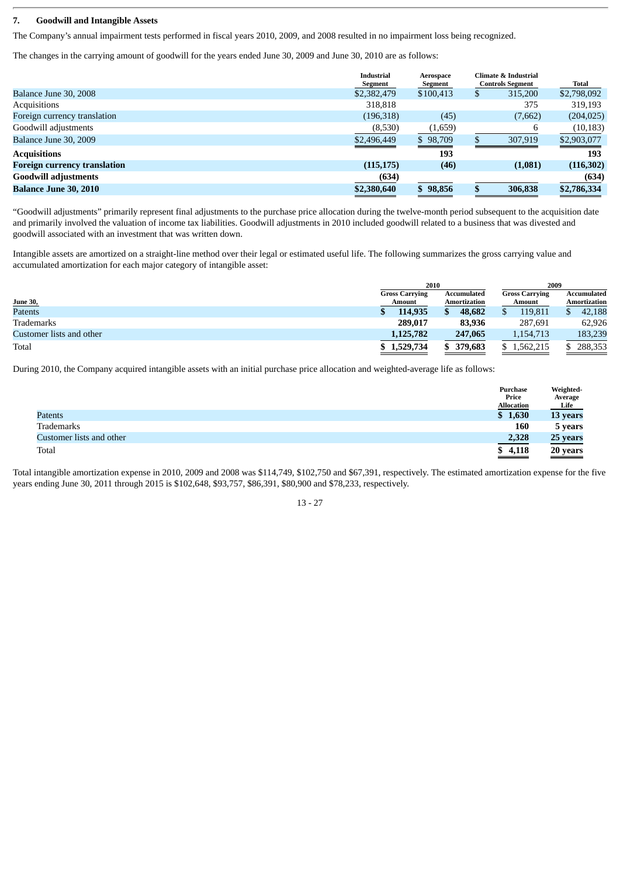### **7. Goodwill and Intangible Assets**

The Company's annual impairment tests performed in fiscal years 2010, 2009, and 2008 resulted in no impairment loss being recognized.

The changes in the carrying amount of goodwill for the years ended June 30, 2009 and June 30, 2010 are as follows:

|                                     | <b>Industrial</b><br>Segment | Aerospace<br>Segment |   | Climate & Industrial<br><b>Controls Segment</b> | Total       |
|-------------------------------------|------------------------------|----------------------|---|-------------------------------------------------|-------------|
| Balance June 30, 2008               | \$2,382,479                  | \$100,413            | D | 315,200                                         | \$2,798,092 |
| Acquisitions                        | 318.818                      |                      |   | 375                                             | 319,193     |
| Foreign currency translation        | (196,318)                    | (45)                 |   | (7,662)                                         | (204, 025)  |
| Goodwill adjustments                | (8,530)                      | (1,659)              |   | b                                               | (10, 183)   |
| Balance June 30, 2009               | \$2,496,449                  | \$98,709             |   | 307.919                                         | \$2,903,077 |
| <b>Acquisitions</b>                 |                              | 193                  |   |                                                 | 193         |
| <b>Foreign currency translation</b> | (115, 175)                   | (46)                 |   | (1,081)                                         | (116, 302)  |
| <b>Goodwill adjustments</b>         | (634)                        |                      |   |                                                 | (634)       |
| <b>Balance June 30, 2010</b>        | \$2,380,640                  | \$98,856             |   | 306,838                                         | \$2,786,334 |

"Goodwill adjustments" primarily represent final adjustments to the purchase price allocation during the twelve-month period subsequent to the acquisition date and primarily involved the valuation of income tax liabilities. Goodwill adjustments in 2010 included goodwill related to a business that was divested and goodwill associated with an investment that was written down.

Intangible assets are amortized on a straight-line method over their legal or estimated useful life. The following summarizes the gross carrying value and accumulated amortization for each major category of intangible asset:

|                            |                                 | 2010                        |                                 | 2009                               |
|----------------------------|---------------------------------|-----------------------------|---------------------------------|------------------------------------|
|                            | <b>Gross Carrying</b><br>Amount | Accumulated<br>Amortization | <b>Gross Carrying</b><br>Amount | Accumulated<br><b>Amortization</b> |
| <b>June 30,</b><br>Patents | 114,935<br>w                    | 48,682                      | 119.811                         | 42,188                             |
| Trademarks                 | 289,017                         | 83,936                      | 287,691                         | 62,926                             |
| Customer lists and other   | 1,125,782                       | 247,065                     | 1,154,713                       | 183,239                            |
| Total                      | \$1,529,734                     | 379,683                     | ,562,215                        | 288,353                            |

During 2010, the Company acquired intangible assets with an initial purchase price allocation and weighted-average life as follows:

|                          | Purchase<br>Price<br><b>Allocation</b> | Weighted-<br>Average<br><u>Life</u>  |
|--------------------------|----------------------------------------|--------------------------------------|
| Patents                  | \$1,630                                | 13 years                             |
| Trademarks               | 160                                    | 5 years                              |
| Customer lists and other | 2,328                                  | 25 years                             |
| Total                    | \$4,118                                | 20 years<br>$\overline{\phantom{a}}$ |

Total intangible amortization expense in 2010, 2009 and 2008 was \$114,749, \$102,750 and \$67,391, respectively. The estimated amortization expense for the five years ending June 30, 2011 through 2015 is \$102,648, \$93,757, \$86,391, \$80,900 and \$78,233, respectively.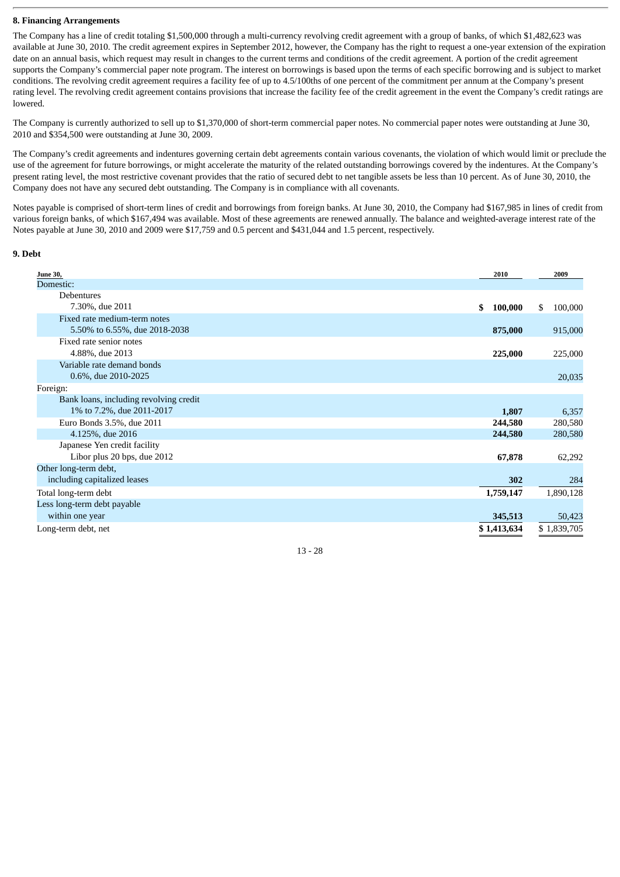#### **8. Financing Arrangements**

The Company has a line of credit totaling \$1,500,000 through a multi-currency revolving credit agreement with a group of banks, of which \$1,482,623 was available at June 30, 2010. The credit agreement expires in September 2012, however, the Company has the right to request a one-year extension of the expiration date on an annual basis, which request may result in changes to the current terms and conditions of the credit agreement. A portion of the credit agreement supports the Company's commercial paper note program. The interest on borrowings is based upon the terms of each specific borrowing and is subject to market conditions. The revolving credit agreement requires a facility fee of up to 4.5/100ths of one percent of the commitment per annum at the Company's present rating level. The revolving credit agreement contains provisions that increase the facility fee of the credit agreement in the event the Company's credit ratings are lowered.

The Company is currently authorized to sell up to \$1,370,000 of short-term commercial paper notes. No commercial paper notes were outstanding at June 30, 2010 and \$354,500 were outstanding at June 30, 2009.

The Company's credit agreements and indentures governing certain debt agreements contain various covenants, the violation of which would limit or preclude the use of the agreement for future borrowings, or might accelerate the maturity of the related outstanding borrowings covered by the indentures. At the Company's present rating level, the most restrictive covenant provides that the ratio of secured debt to net tangible assets be less than 10 percent. As of June 30, 2010, the Company does not have any secured debt outstanding. The Company is in compliance with all covenants.

Notes payable is comprised of short-term lines of credit and borrowings from foreign banks. At June 30, 2010, the Company had \$167,985 in lines of credit from various foreign banks, of which \$167,494 was available. Most of these agreements are renewed annually. The balance and weighted-average interest rate of the Notes payable at June 30, 2010 and 2009 were \$17,759 and 0.5 percent and \$431,044 and 1.5 percent, respectively.

#### **9. Debt**

| <b>June 30,</b>                        | 2010          |    | 2009        |
|----------------------------------------|---------------|----|-------------|
| Domestic:                              |               |    |             |
| <b>Debentures</b>                      |               |    |             |
| 7.30%, due 2011                        | \$<br>100,000 | S. | 100,000     |
| Fixed rate medium-term notes           |               |    |             |
| 5.50% to 6.55%, due 2018-2038          | 875,000       |    | 915,000     |
| Fixed rate senior notes                |               |    |             |
| 4.88%, due 2013                        | 225,000       |    | 225,000     |
| Variable rate demand bonds             |               |    |             |
| 0.6%, due 2010-2025                    |               |    | 20,035      |
| Foreign:                               |               |    |             |
| Bank loans, including revolving credit |               |    |             |
| 1% to 7.2%, due 2011-2017              | 1,807         |    | 6,357       |
| Euro Bonds 3.5%, due 2011              | 244,580       |    | 280,580     |
| 4.125%, due 2016                       | 244,580       |    | 280,580     |
| Japanese Yen credit facility           |               |    |             |
| Libor plus 20 bps, due 2012            | 67,878        |    | 62,292      |
| Other long-term debt,                  |               |    |             |
| including capitalized leases           | 302           |    | 284         |
| Total long-term debt                   | 1,759,147     |    | 1,890,128   |
| Less long-term debt payable            |               |    |             |
| within one year                        | 345,513       |    | 50,423      |
| Long-term debt, net                    | \$1,413,634   |    | \$1,839,705 |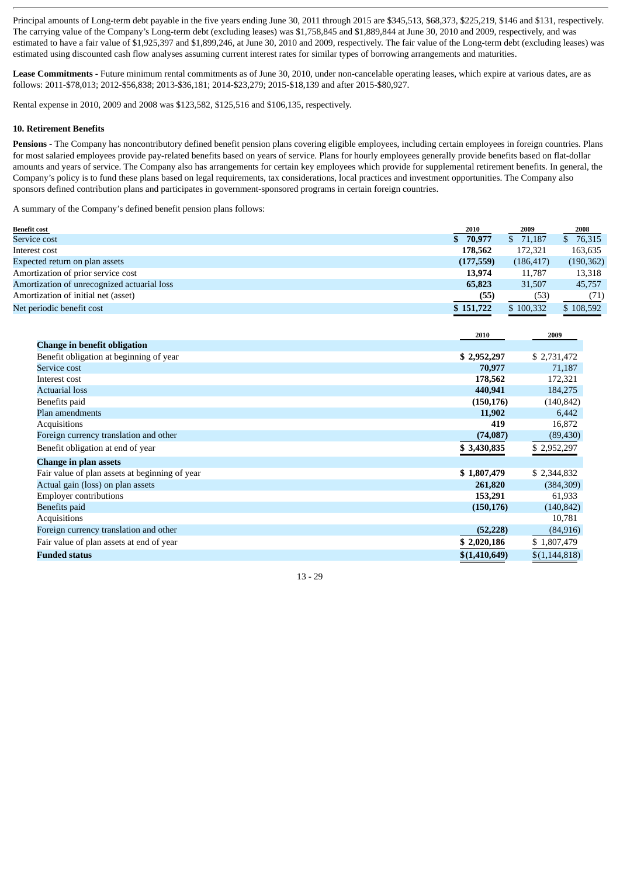Principal amounts of Long-term debt payable in the five years ending June 30, 2011 through 2015 are \$345,513, \$68,373, \$225,219, \$146 and \$131, respectively. The carrying value of the Company's Long-term debt (excluding leases) was \$1,758,845 and \$1,889,844 at June 30, 2010 and 2009, respectively, and was estimated to have a fair value of \$1,925,397 and \$1,899,246, at June 30, 2010 and 2009, respectively. The fair value of the Long-term debt (excluding leases) was estimated using discounted cash flow analyses assuming current interest rates for similar types of borrowing arrangements and maturities.

**Lease Commitments -** Future minimum rental commitments as of June 30, 2010, under non-cancelable operating leases, which expire at various dates, are as follows: 2011-\$78,013; 2012-\$56,838; 2013-\$36,181; 2014-\$23,279; 2015-\$18,139 and after 2015-\$80,927.

Rental expense in 2010, 2009 and 2008 was \$123,582, \$125,516 and \$106,135, respectively.

#### **10. Retirement Benefits**

Pensions - The Company has noncontributory defined benefit pension plans covering eligible employees, including certain employees in foreign countries. Plans for most salaried employees provide pay-related benefits based on years of service. Plans for hourly employees generally provide benefits based on flat-dollar amounts and years of service. The Company also has arrangements for certain key employees which provide for supplemental retirement benefits. In general, the Company's policy is to fund these plans based on legal requirements, tax considerations, local practices and investment opportunities. The Company also sponsors defined contribution plans and participates in government-sponsored programs in certain foreign countries.

A summary of the Company's defined benefit pension plans follows:

| <b>Benefit cost</b>                         | 2010       | 2009       | 2008       |
|---------------------------------------------|------------|------------|------------|
| Service cost                                | \$70,977   | \$71,187   | 76,315     |
| Interest cost                               | 178,562    | 172,321    | 163,635    |
| Expected return on plan assets              | (177, 559) | (186, 417) | (190, 362) |
| Amortization of prior service cost          | 13,974     | 11.787     | 13,318     |
| Amortization of unrecognized actuarial loss | 65,823     | 31,507     | 45,757     |
| Amortization of initial net (asset)         | (55)       | (53)       | (71)       |
| Net periodic benefit cost                   | \$151,722  | \$100,332  | \$108,592  |

|                                                | 2010          | 2009          |
|------------------------------------------------|---------------|---------------|
| <b>Change in benefit obligation</b>            |               |               |
| Benefit obligation at beginning of year        | \$2,952,297   | \$2,731,472   |
| Service cost                                   | 70,977        | 71,187        |
| Interest cost                                  | 178,562       | 172,321       |
| Actuarial loss                                 | 440,941       | 184,275       |
| Benefits paid                                  | (150, 176)    | (140, 842)    |
| Plan amendments                                | 11,902        | 6,442         |
| Acquisitions                                   | 419           | 16,872        |
| Foreign currency translation and other         | (74, 087)     | (89, 430)     |
| Benefit obligation at end of year              | \$3,430,835   | \$2,952,297   |
| Change in plan assets                          |               |               |
| Fair value of plan assets at beginning of year | \$1,807,479   | \$2,344,832   |
| Actual gain (loss) on plan assets              | 261,820       | (384, 309)    |
| <b>Employer contributions</b>                  | 153,291       | 61,933        |
| Benefits paid                                  | (150, 176)    | (140, 842)    |
| Acquisitions                                   |               | 10,781        |
| Foreign currency translation and other         | (52, 228)     | (84, 916)     |
| Fair value of plan assets at end of year       | \$2,020,186   | \$1,807,479   |
| <b>Funded status</b>                           | \$(1,410,649) | \$(1,144,818) |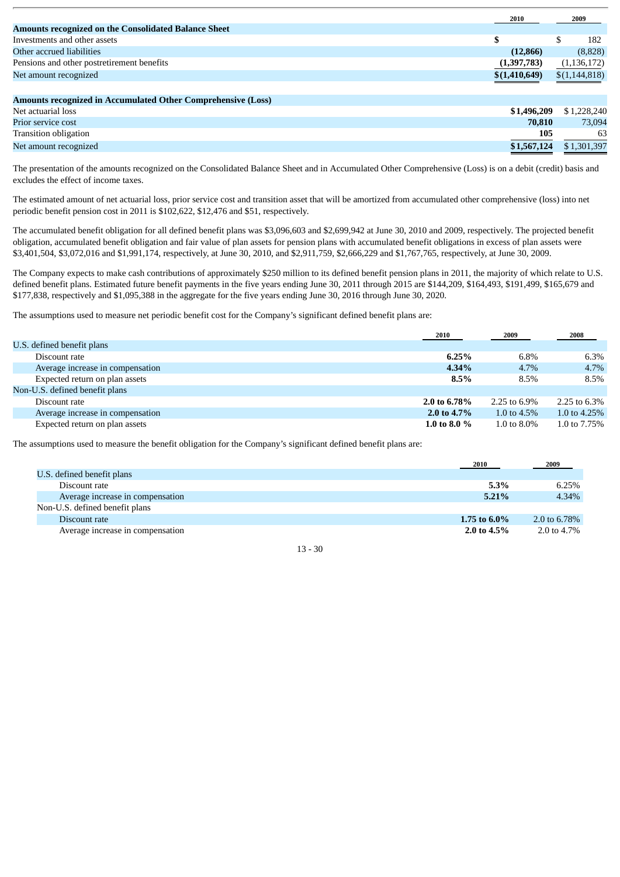|                                                                     | 2010          | 2009          |
|---------------------------------------------------------------------|---------------|---------------|
| <b>Amounts recognized on the Consolidated Balance Sheet</b>         |               |               |
| Investments and other assets                                        |               | 182           |
| Other accrued liabilities                                           | (12, 866)     | (8,828)       |
| Pensions and other postretirement benefits                          | (1,397,783)   | (1, 136, 172) |
| Net amount recognized                                               | \$(1,410,649) | \$(1,144,818) |
|                                                                     |               |               |
| <b>Amounts recognized in Accumulated Other Comprehensive (Loss)</b> |               |               |

| \$1,228,240<br>\$1,496,209 |
|----------------------------|
| 73,094<br>70,810           |
| 63<br>105                  |
| \$1,301,397<br>\$1,567,124 |
|                            |

The presentation of the amounts recognized on the Consolidated Balance Sheet and in Accumulated Other Comprehensive (Loss) is on a debit (credit) basis and excludes the effect of income taxes.

The estimated amount of net actuarial loss, prior service cost and transition asset that will be amortized from accumulated other comprehensive (loss) into net periodic benefit pension cost in 2011 is \$102,622, \$12,476 and \$51, respectively.

The accumulated benefit obligation for all defined benefit plans was \$3,096,603 and \$2,699,942 at June 30, 2010 and 2009, respectively. The projected benefit obligation, accumulated benefit obligation and fair value of plan assets for pension plans with accumulated benefit obligations in excess of plan assets were \$3,401,504, \$3,072,016 and \$1,991,174, respectively, at June 30, 2010, and \$2,911,759, \$2,666,229 and \$1,767,765, respectively, at June 30, 2009.

The Company expects to make cash contributions of approximately \$250 million to its defined benefit pension plans in 2011, the majority of which relate to U.S. defined benefit plans. Estimated future benefit payments in the five years ending June 30, 2011 through 2015 are \$144,209, \$164,493, \$191,499, \$165,679 and \$177,838, respectively and \$1,095,388 in the aggregate for the five years ending June 30, 2016 through June 30, 2020.

The assumptions used to measure net periodic benefit cost for the Company's significant defined benefit plans are:

|                                  | 2010           | 2009            | 2008         |
|----------------------------------|----------------|-----------------|--------------|
| U.S. defined benefit plans       |                |                 |              |
| Discount rate                    | $6.25\%$       | 6.8%            | 6.3%         |
| Average increase in compensation | 4.34%          | 4.7%            | 4.7%         |
| Expected return on plan assets   | $8.5\%$        | 8.5%            | 8.5%         |
| Non-U.S. defined benefit plans   |                |                 |              |
| Discount rate                    | 2.0 to 6.78%   | 2.25 to $6.9\%$ | 2.25 to 6.3% |
| Average increase in compensation | 2.0 to 4.7%    | 1.0 to $4.5\%$  | 1.0 to 4.25% |
| Expected return on plan assets   | 1.0 to 8.0 $%$ | 1.0 to 8.0%     | 1.0 to 7.75% |

The assumptions used to measure the benefit obligation for the Company's significant defined benefit plans are:

|                                  | 2010            | 2009           |
|----------------------------------|-----------------|----------------|
| U.S. defined benefit plans       |                 |                |
| Discount rate                    | 5.3%            | 6.25%          |
| Average increase in compensation | $5.21\%$        | 4.34%          |
| Non-U.S. defined benefit plans   |                 |                |
| Discount rate                    | 1.75 to $6.0\%$ | 2.0 to 6.78%   |
| Average increase in compensation | 2.0 to $4.5\%$  | 2.0 to $4.7\%$ |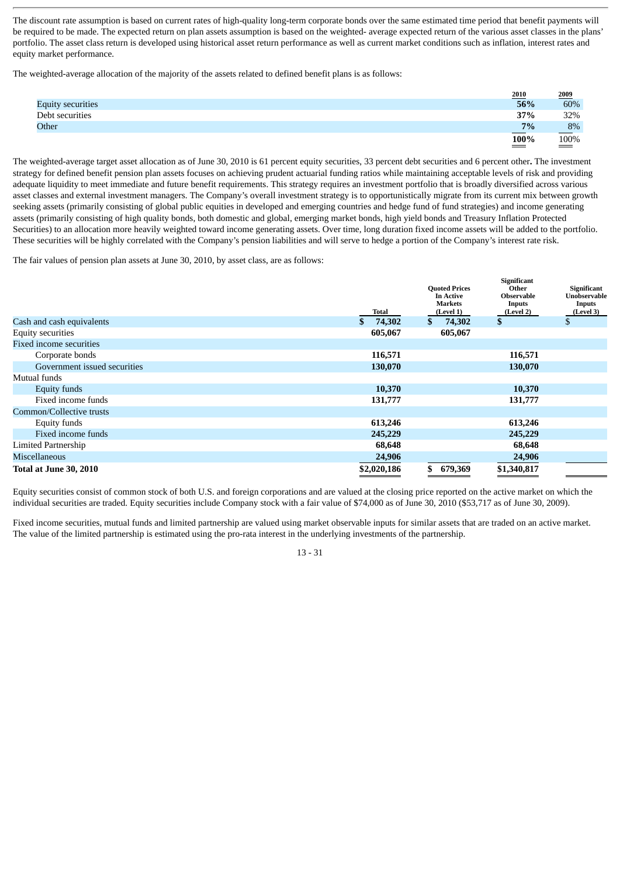The discount rate assumption is based on current rates of high-quality long-term corporate bonds over the same estimated time period that benefit payments will be required to be made. The expected return on plan assets assumption is based on the weighted- average expected return of the various asset classes in the plans' portfolio. The asset class return is developed using historical asset return performance as well as current market conditions such as inflation, interest rates and equity market performance.

The weighted-average allocation of the majority of the assets related to defined benefit plans is as follows:

|                          | 2010                                                                                                                                                                                                                                         | 2009                             |
|--------------------------|----------------------------------------------------------------------------------------------------------------------------------------------------------------------------------------------------------------------------------------------|----------------------------------|
| <b>Equity securities</b> | 56%                                                                                                                                                                                                                                          | 60%                              |
| Debt securities          | 37%                                                                                                                                                                                                                                          | 32%                              |
| Other                    | 7%                                                                                                                                                                                                                                           | 8%                               |
|                          | <u> a shekara ta 1999 a shekara ta 1999 a shekara ta 1999 a shekara ta 1999 a shekara ta 1999 a shekara ta 1999 a shekara ta 1999 a shekara ta 1999 a shekara ta 1999 a shekara ta 1999 a shekara ta 1999 a shekara ta 1999 a sh</u><br>100% | <b>Contract Contract</b><br>100% |

The weighted-average target asset allocation as of June 30, 2010 is 61 percent equity securities, 33 percent debt securities and 6 percent other**.** The investment strategy for defined benefit pension plan assets focuses on achieving prudent actuarial funding ratios while maintaining acceptable levels of risk and providing adequate liquidity to meet immediate and future benefit requirements. This strategy requires an investment portfolio that is broadly diversified across various asset classes and external investment managers. The Company's overall investment strategy is to opportunistically migrate from its current mix between growth seeking assets (primarily consisting of global public equities in developed and emerging countries and hedge fund of fund strategies) and income generating assets (primarily consisting of high quality bonds, both domestic and global, emerging market bonds, high yield bonds and Treasury Inflation Protected Securities) to an allocation more heavily weighted toward income generating assets. Over time, long duration fixed income assets will be added to the portfolio. These securities will be highly correlated with the Company's pension liabilities and will serve to hedge a portion of the Company's interest rate risk.

The fair values of pension plan assets at June 30, 2010, by asset class, are as follows:

|                                | Total        | <b>Quoted Prices</b><br><b>In Active</b><br><b>Markets</b><br>(Level 1) | <b>Significant</b><br>Other<br><b>Observable</b><br>Inputs<br>(Level 2) | Significant<br>Unobservable<br>Inputs<br>(Level 3) |
|--------------------------------|--------------|-------------------------------------------------------------------------|-------------------------------------------------------------------------|----------------------------------------------------|
| Cash and cash equivalents      | \$<br>74,302 | $\mathbf{s}$<br>74,302                                                  | \$                                                                      | \$                                                 |
| <b>Equity securities</b>       | 605,067      | 605,067                                                                 |                                                                         |                                                    |
| <b>Fixed income securities</b> |              |                                                                         |                                                                         |                                                    |
| Corporate bonds                | 116,571      |                                                                         | 116,571                                                                 |                                                    |
| Government issued securities   | 130,070      |                                                                         | 130,070                                                                 |                                                    |
| Mutual funds                   |              |                                                                         |                                                                         |                                                    |
| Equity funds                   | 10,370       |                                                                         | 10,370                                                                  |                                                    |
| Fixed income funds             | 131,777      |                                                                         | 131,777                                                                 |                                                    |
| Common/Collective trusts       |              |                                                                         |                                                                         |                                                    |
| Equity funds                   | 613,246      |                                                                         | 613,246                                                                 |                                                    |
| Fixed income funds             | 245,229      |                                                                         | 245,229                                                                 |                                                    |
| Limited Partnership            | 68,648       |                                                                         | 68,648                                                                  |                                                    |
| <b>Miscellaneous</b>           | 24,906       |                                                                         | 24,906                                                                  |                                                    |
| Total at June 30, 2010         | \$2,020,186  | 679,369                                                                 | \$1,340,817                                                             |                                                    |

Equity securities consist of common stock of both U.S. and foreign corporations and are valued at the closing price reported on the active market on which the individual securities are traded. Equity securities include Company stock with a fair value of \$74,000 as of June 30, 2010 (\$53,717 as of June 30, 2009).

Fixed income securities, mutual funds and limited partnership are valued using market observable inputs for similar assets that are traded on an active market. The value of the limited partnership is estimated using the pro-rata interest in the underlying investments of the partnership.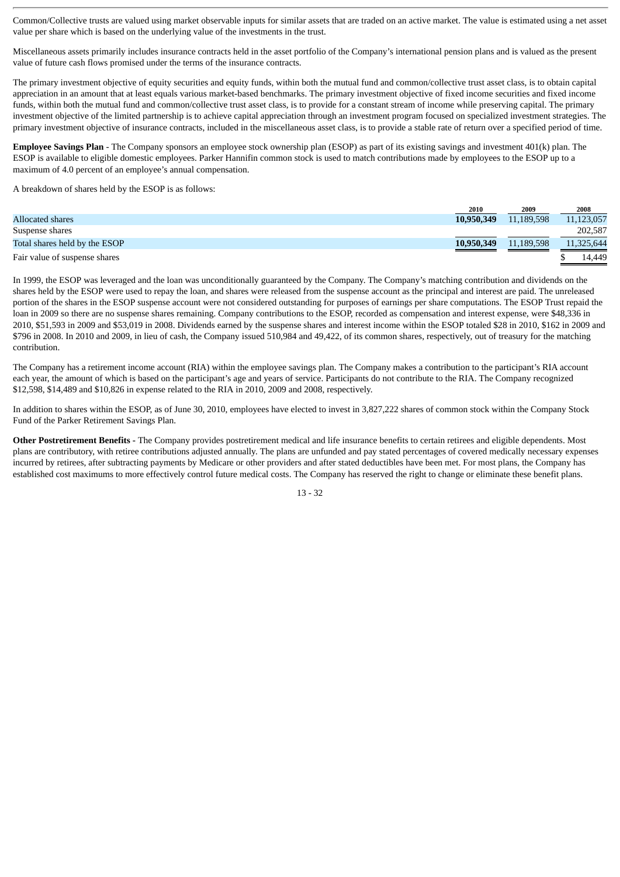Common/Collective trusts are valued using market observable inputs for similar assets that are traded on an active market. The value is estimated using a net asset value per share which is based on the underlying value of the investments in the trust.

Miscellaneous assets primarily includes insurance contracts held in the asset portfolio of the Company's international pension plans and is valued as the present value of future cash flows promised under the terms of the insurance contracts.

The primary investment objective of equity securities and equity funds, within both the mutual fund and common/collective trust asset class, is to obtain capital appreciation in an amount that at least equals various market-based benchmarks. The primary investment objective of fixed income securities and fixed income funds, within both the mutual fund and common/collective trust asset class, is to provide for a constant stream of income while preserving capital. The primary investment objective of the limited partnership is to achieve capital appreciation through an investment program focused on specialized investment strategies. The primary investment objective of insurance contracts, included in the miscellaneous asset class, is to provide a stable rate of return over a specified period of time.

**Employee Savings Plan** - The Company sponsors an employee stock ownership plan (ESOP) as part of its existing savings and investment 401(k) plan. The ESOP is available to eligible domestic employees. Parker Hannifin common stock is used to match contributions made by employees to the ESOP up to a maximum of 4.0 percent of an employee's annual compensation.

A breakdown of shares held by the ESOP is as follows:

|                               | 2010       | 2009       | 2008       |
|-------------------------------|------------|------------|------------|
| Allocated shares              | 10,950,349 | 11.189.598 | 11.123.057 |
| Suspense shares               |            |            | 202,587    |
| Total shares held by the ESOP | 10,950,349 | 11.189.598 | 11,325,644 |
| Fair value of suspense shares |            |            | 14.449     |

In 1999, the ESOP was leveraged and the loan was unconditionally guaranteed by the Company. The Company's matching contribution and dividends on the shares held by the ESOP were used to repay the loan, and shares were released from the suspense account as the principal and interest are paid. The unreleased portion of the shares in the ESOP suspense account were not considered outstanding for purposes of earnings per share computations. The ESOP Trust repaid the loan in 2009 so there are no suspense shares remaining. Company contributions to the ESOP, recorded as compensation and interest expense, were \$48,336 in 2010, \$51,593 in 2009 and \$53,019 in 2008. Dividends earned by the suspense shares and interest income within the ESOP totaled \$28 in 2010, \$162 in 2009 and \$796 in 2008. In 2010 and 2009, in lieu of cash, the Company issued 510,984 and 49,422, of its common shares, respectively, out of treasury for the matching contribution.

The Company has a retirement income account (RIA) within the employee savings plan. The Company makes a contribution to the participant's RIA account each year, the amount of which is based on the participant's age and years of service. Participants do not contribute to the RIA. The Company recognized \$12,598, \$14,489 and \$10,826 in expense related to the RIA in 2010, 2009 and 2008, respectively.

In addition to shares within the ESOP, as of June 30, 2010, employees have elected to invest in 3,827,222 shares of common stock within the Company Stock Fund of the Parker Retirement Savings Plan.

**Other Postretirement Benefits -** The Company provides postretirement medical and life insurance benefits to certain retirees and eligible dependents. Most plans are contributory, with retiree contributions adjusted annually. The plans are unfunded and pay stated percentages of covered medically necessary expenses incurred by retirees, after subtracting payments by Medicare or other providers and after stated deductibles have been met. For most plans, the Company has established cost maximums to more effectively control future medical costs. The Company has reserved the right to change or eliminate these benefit plans.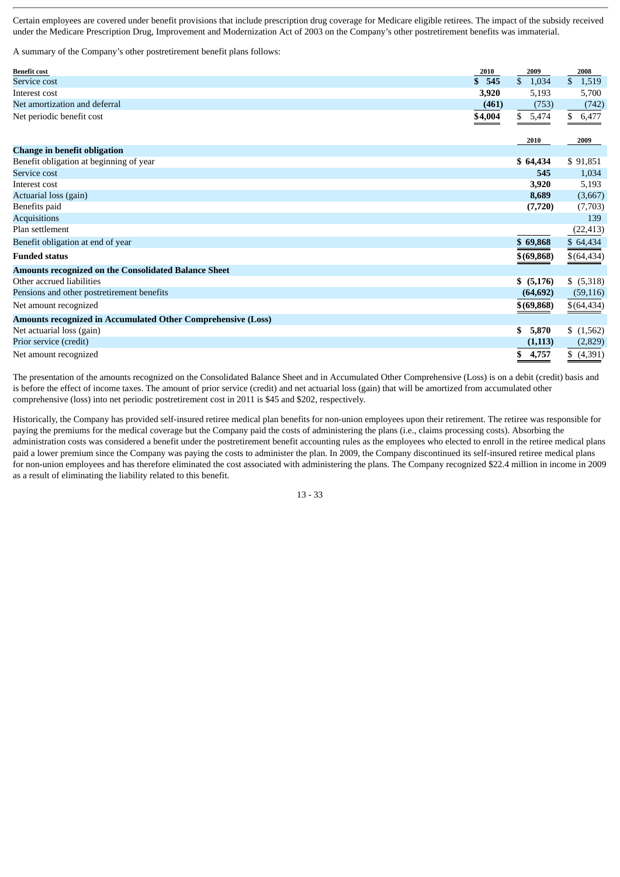Certain employees are covered under benefit provisions that include prescription drug coverage for Medicare eligible retirees. The impact of the subsidy received under the Medicare Prescription Drug, Improvement and Modernization Act of 2003 on the Company's other postretirement benefits was immaterial.

A summary of the Company's other postretirement benefit plans follows:

| <b>Benefit cost</b>                                                 | 2010      | 2009         | 2008         |
|---------------------------------------------------------------------|-----------|--------------|--------------|
| Service cost                                                        | 545<br>\$ | \$<br>1,034  | \$1,519      |
| Interest cost                                                       | 3,920     | 5,193        | 5,700        |
| Net amortization and deferral                                       | (461)     | (753)        | (742)        |
| Net periodic benefit cost                                           | \$4,004   | \$<br>5,474  | 6,477<br>\$  |
|                                                                     |           | 2010         | 2009         |
| <b>Change in benefit obligation</b>                                 |           |              |              |
| Benefit obligation at beginning of year                             |           | \$64,434     | \$91,851     |
| Service cost                                                        |           | 545          | 1,034        |
| Interest cost                                                       |           | 3,920        | 5,193        |
| Actuarial loss (gain)                                               |           | 8,689        | (3,667)      |
| Benefits paid                                                       |           | (7, 720)     | (7,703)      |
| <b>Acquisitions</b>                                                 |           |              | 139          |
| Plan settlement                                                     |           |              | (22, 413)    |
| Benefit obligation at end of year                                   |           | \$69,868     | \$64,434     |
| <b>Funded status</b>                                                |           | \$ (69, 868) | $$$ (64,434) |
| Amounts recognized on the Consolidated Balance Sheet                |           |              |              |
| Other accrued liabilities                                           |           | \$ (5,176)   | \$ (5,318)   |
| Pensions and other postretirement benefits                          |           | (64, 692)    | (59, 116)    |
| Net amount recognized                                               |           | \$ (69, 868) | $$$ (64,434) |
| <b>Amounts recognized in Accumulated Other Comprehensive (Loss)</b> |           |              |              |
| Net actuarial loss (gain)                                           |           | \$<br>5,870  | \$(1,562)    |
| Prior service (credit)                                              |           | (1, 113)     | (2,829)      |
| Net amount recognized                                               |           | \$<br>4,757  | \$(4,391)    |

The presentation of the amounts recognized on the Consolidated Balance Sheet and in Accumulated Other Comprehensive (Loss) is on a debit (credit) basis and is before the effect of income taxes. The amount of prior service (credit) and net actuarial loss (gain) that will be amortized from accumulated other comprehensive (loss) into net periodic postretirement cost in 2011 is \$45 and \$202, respectively.

Historically, the Company has provided self-insured retiree medical plan benefits for non-union employees upon their retirement. The retiree was responsible for paying the premiums for the medical coverage but the Company paid the costs of administering the plans (i.e., claims processing costs). Absorbing the administration costs was considered a benefit under the postretirement benefit accounting rules as the employees who elected to enroll in the retiree medical plans paid a lower premium since the Company was paying the costs to administer the plan. In 2009, the Company discontinued its self-insured retiree medical plans for non-union employees and has therefore eliminated the cost associated with administering the plans. The Company recognized \$22.4 million in income in 2009 as a result of eliminating the liability related to this benefit.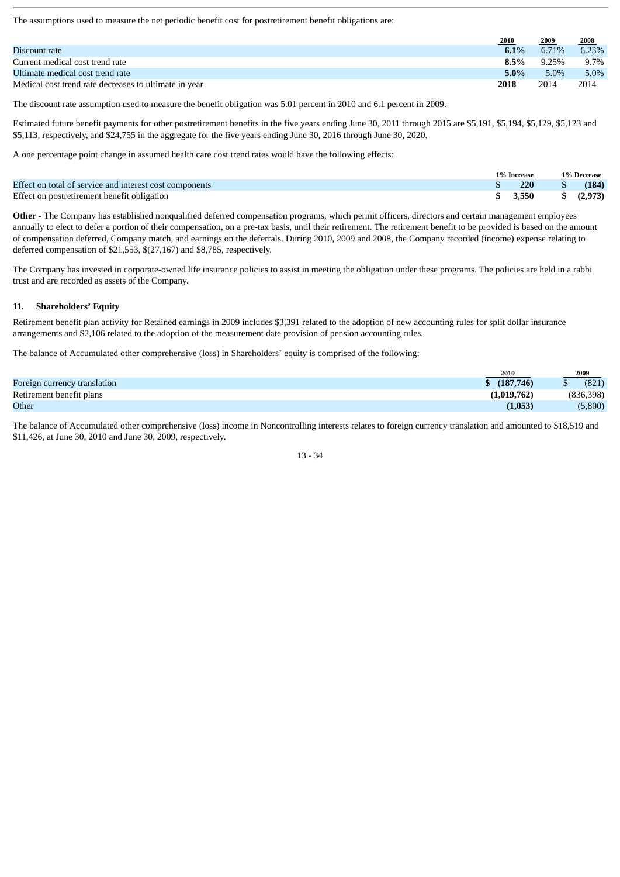The assumptions used to measure the net periodic benefit cost for postretirement benefit obligations are:

|                                                       | 2010    | 2009     | 2008    |
|-------------------------------------------------------|---------|----------|---------|
| Discount rate                                         | $6.1\%$ | 6.71%    | 6.23%   |
| Current medical cost trend rate                       | 8.5%    | $9.25\%$ | 9.7%    |
| Ultimate medical cost trend rate                      | $5.0\%$ | $5.0\%$  | $5.0\%$ |
| Medical cost trend rate decreases to ultimate in year | 2018    | 2014     | 2014    |

The discount rate assumption used to measure the benefit obligation was 5.01 percent in 2010 and 6.1 percent in 2009.

Estimated future benefit payments for other postretirement benefits in the five years ending June 30, 2011 through 2015 are \$5,191, \$5,194, \$5,129, \$5,123 and \$5,113, respectively, and \$24,755 in the aggregate for the five years ending June 30, 2016 through June 30, 2020.

A one percentage point change in assumed health care cost trend rates would have the following effects:

|                                                         | 1% Increase |  | 1% Decrease                               |
|---------------------------------------------------------|-------------|--|-------------------------------------------|
| Effect on total of service and interest cost components |             |  | $\frac{1}{20}$ \$ (184)                   |
| Effect on postretirement benefit obligation             |             |  | $\frac{1}{2}$ 3,550 $\frac{1}{2}$ (2,973) |

**Other** - The Company has established nonqualified deferred compensation programs, which permit officers, directors and certain management employees annually to elect to defer a portion of their compensation, on a pre-tax basis, until their retirement. The retirement benefit to be provided is based on the amount of compensation deferred, Company match, and earnings on the deferrals. During 2010, 2009 and 2008, the Company recorded (income) expense relating to deferred compensation of \$21,553, \$(27,167) and \$8,785, respectively.

The Company has invested in corporate-owned life insurance policies to assist in meeting the obligation under these programs. The policies are held in a rabbi trust and are recorded as assets of the Company.

## **11. Shareholders' Equity**

Retirement benefit plan activity for Retained earnings in 2009 includes \$3,391 related to the adoption of new accounting rules for split dollar insurance arrangements and \$2,106 related to the adoption of the measurement date provision of pension accounting rules.

The balance of Accumulated other comprehensive (loss) in Shareholders' equity is comprised of the following:

|                              | 2010        | 2009      |
|------------------------------|-------------|-----------|
| Foreign currency translation | \$(187,746) | (821)     |
| Retirement benefit plans     | (1.019.762) | (836,398) |
| Other                        | (1,053)     | (5,800)   |

The balance of Accumulated other comprehensive (loss) income in Noncontrolling interests relates to foreign currency translation and amounted to \$18,519 and \$11,426, at June 30, 2010 and June 30, 2009, respectively.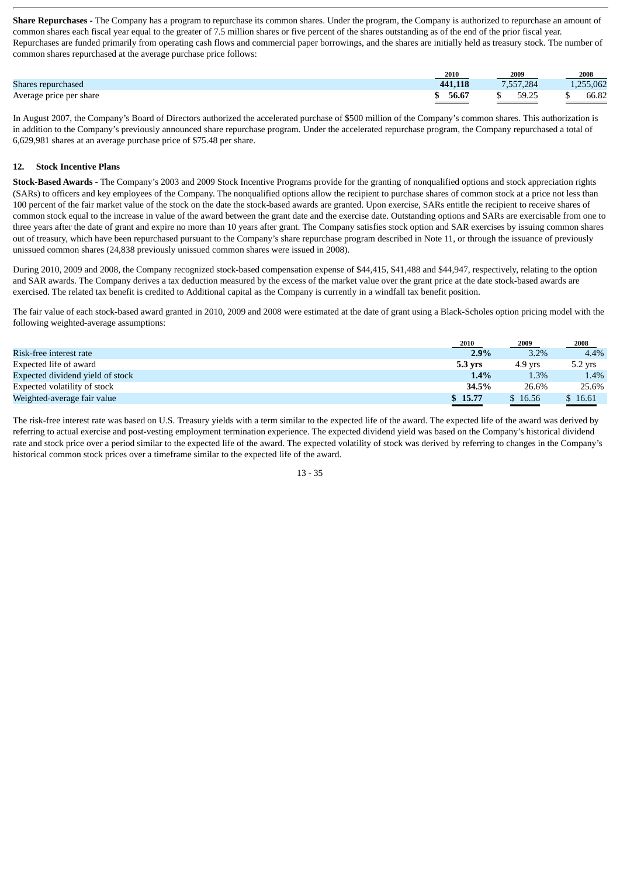**Share Repurchases -** The Company has a program to repurchase its common shares. Under the program, the Company is authorized to repurchase an amount of common shares each fiscal year equal to the greater of 7.5 million shares or five percent of the shares outstanding as of the end of the prior fiscal year. Repurchases are funded primarily from operating cash flows and commercial paper borrowings, and the shares are initially held as treasury stock. The number of common shares repurchased at the average purchase price follows:

|                         | 2010    | 2009      | 2008    |
|-------------------------|---------|-----------|---------|
| Shares repurchased      | 441,118 | 7.557.284 | 255,062 |
| Average price per share | 56.67   | 59.25     | 66.82   |

In August 2007, the Company's Board of Directors authorized the accelerated purchase of \$500 million of the Company's common shares. This authorization is in addition to the Company's previously announced share repurchase program. Under the accelerated repurchase program, the Company repurchased a total of 6,629,981 shares at an average purchase price of \$75.48 per share.

#### **12. Stock Incentive Plans**

**Stock-Based Awards -** The Company's 2003 and 2009 Stock Incentive Programs provide for the granting of nonqualified options and stock appreciation rights (SARs) to officers and key employees of the Company. The nonqualified options allow the recipient to purchase shares of common stock at a price not less than 100 percent of the fair market value of the stock on the date the stock-based awards are granted. Upon exercise, SARs entitle the recipient to receive shares of common stock equal to the increase in value of the award between the grant date and the exercise date. Outstanding options and SARs are exercisable from one to three years after the date of grant and expire no more than 10 years after grant. The Company satisfies stock option and SAR exercises by issuing common shares out of treasury, which have been repurchased pursuant to the Company's share repurchase program described in Note 11, or through the issuance of previously unissued common shares (24,838 previously unissued common shares were issued in 2008).

During 2010, 2009 and 2008, the Company recognized stock-based compensation expense of \$44,415, \$41,488 and \$44,947, respectively, relating to the option and SAR awards. The Company derives a tax deduction measured by the excess of the market value over the grant price at the date stock-based awards are exercised. The related tax benefit is credited to Additional capital as the Company is currently in a windfall tax benefit position.

The fair value of each stock-based award granted in 2010, 2009 and 2008 were estimated at the date of grant using a Black-Scholes option pricing model with the following weighted-average assumptions:

|                                  | 2010      | 2009      | 2008      |
|----------------------------------|-----------|-----------|-----------|
| Risk-free interest rate          | 2.9%      | 3.2%      | $4.4\%$   |
| Expected life of award           | $5.3$ yrs | $4.9$ vrs | $5.2$ yrs |
| Expected dividend vield of stock | 1.4%      | 1.3%      | 1.4%      |
| Expected volatility of stock     | 34.5%     | 26.6%     | 25.6%     |
| Weighted-average fair value      | \$15.77   | \$16.56   | \$16.61   |

The risk-free interest rate was based on U.S. Treasury yields with a term similar to the expected life of the award. The expected life of the award was derived by referring to actual exercise and post-vesting employment termination experience. The expected dividend yield was based on the Company's historical dividend rate and stock price over a period similar to the expected life of the award. The expected volatility of stock was derived by referring to changes in the Company's historical common stock prices over a timeframe similar to the expected life of the award.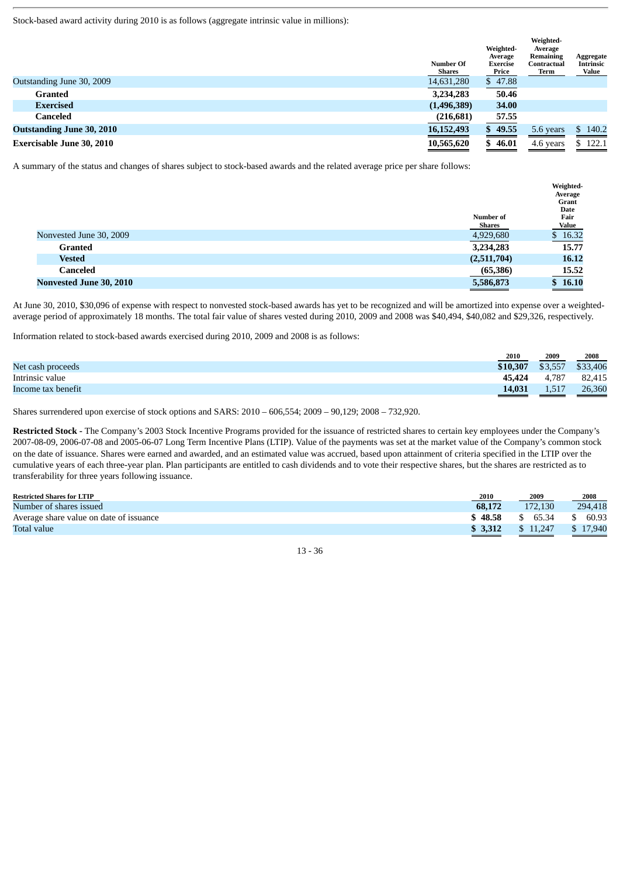Stock-based award activity during 2010 is as follows (aggregate intrinsic value in millions):

|                                  | <b>Number Of</b><br>Shares | Weighted-<br>Average<br>Exercise<br>Price | Weighted-<br>Average<br>Remaining<br>Contractual<br>Term | Aggregate<br><b>Intrinsic</b><br>Value |
|----------------------------------|----------------------------|-------------------------------------------|----------------------------------------------------------|----------------------------------------|
| Outstanding June 30, 2009        | 14,631,280                 | \$47.88                                   |                                                          |                                        |
| Granted                          | 3,234,283                  | 50.46                                     |                                                          |                                        |
| <b>Exercised</b>                 | (1,496,389)                | 34.00                                     |                                                          |                                        |
| Canceled                         | (216, 681)                 | 57.55                                     |                                                          |                                        |
| <b>Outstanding June 30, 2010</b> | 16,152,493                 | 49.55<br>S.                               | 5.6 years                                                | \$140.2                                |
| Exercisable June 30, 2010        | 10,565,620                 | \$46.01                                   | 4.6 years                                                | \$122.1                                |

A summary of the status and changes of shares subject to stock-based awards and the related average price per share follows:

|                                | Number of<br><b>Shares</b> | Weighted-<br>Average<br>Grant<br>Date<br>Fair<br>Value |
|--------------------------------|----------------------------|--------------------------------------------------------|
| Nonvested June 30, 2009        | 4,929,680                  | \$16.32                                                |
| <b>Granted</b>                 | 3,234,283                  | 15.77                                                  |
| <b>Vested</b>                  | (2,511,704)                | 16.12                                                  |
| Canceled                       | (65, 386)                  | 15.52                                                  |
| <b>Nonvested June 30, 2010</b> | 5,586,873                  | \$16.10                                                |
|                                |                            |                                                        |

At June 30, 2010, \$30,096 of expense with respect to nonvested stock-based awards has yet to be recognized and will be amortized into expense over a weightedaverage period of approximately 18 months. The total fair value of shares vested during 2010, 2009 and 2008 was \$40,494, \$40,082 and \$29,326, respectively.

Information related to stock-based awards exercised during 2010, 2009 and 2008 is as follows:

|                    | 2010     | 2009    | 2008                                                 |
|--------------------|----------|---------|------------------------------------------------------|
| Net cash proceeds  | \$10,307 | \$3,557 | \$33,406                                             |
| Intrinsic value    | 45,424   | 4,787   | 82,415                                               |
| Income tax benefit | 14,031   | 1,517   | 26,360<br><b>Contract Contract Contract Contract</b> |

Shares surrendered upon exercise of stock options and SARS: 2010 – 606,554; 2009 – 90,129; 2008 – 732,920.

**Restricted Stock -** The Company's 2003 Stock Incentive Programs provided for the issuance of restricted shares to certain key employees under the Company's 2007-08-09, 2006-07-08 and 2005-06-07 Long Term Incentive Plans (LTIP). Value of the payments was set at the market value of the Company's common stock on the date of issuance. Shares were earned and awarded, and an estimated value was accrued, based upon attainment of criteria specified in the LTIP over the cumulative years of each three-year plan. Plan participants are entitled to cash dividends and to vote their respective shares, but the shares are restricted as to transferability for three years following issuance.

| <b>Restricted Shares for LTIP</b>       | 2010    | 2009              | 2008     |
|-----------------------------------------|---------|-------------------|----------|
| Number of shares issued                 | 68.172  | 172.130           | 294,418  |
| Average share value on date of issuance |         | $$48.58$ $$65.34$ | \$ 60.93 |
| Total value                             | \$3.312 | \$11,247          | \$17,940 |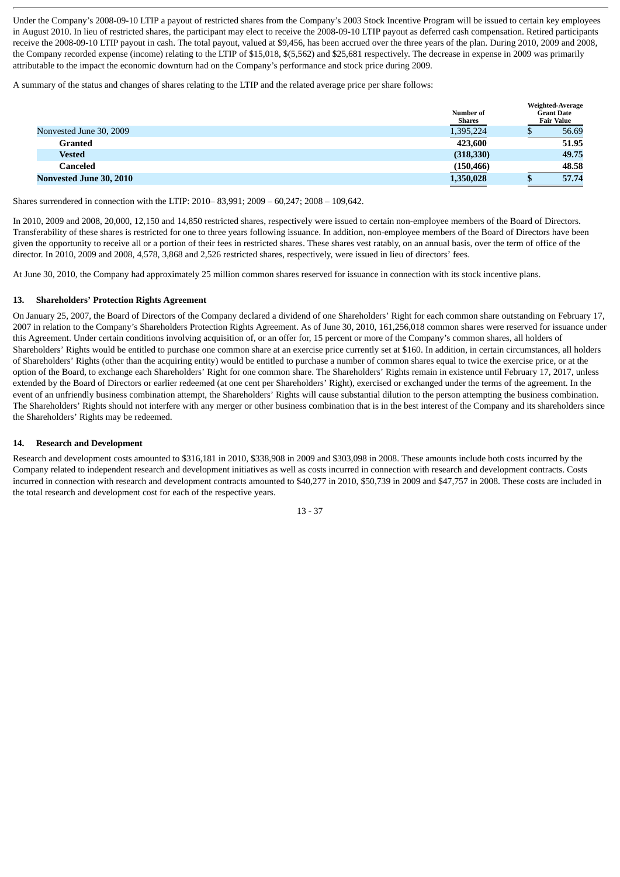Under the Company's 2008-09-10 LTIP a payout of restricted shares from the Company's 2003 Stock Incentive Program will be issued to certain key employees in August 2010. In lieu of restricted shares, the participant may elect to receive the 2008-09-10 LTIP payout as deferred cash compensation. Retired participants receive the 2008-09-10 LTIP payout in cash. The total payout, valued at \$9,456, has been accrued over the three years of the plan. During 2010, 2009 and 2008, the Company recorded expense (income) relating to the LTIP of \$15,018, \$(5,562) and \$25,681 respectively. The decrease in expense in 2009 was primarily attributable to the impact the economic downturn had on the Company's performance and stock price during 2009.

A summary of the status and changes of shares relating to the LTIP and the related average price per share follows:

|                                | Number of<br>Shares | Weighted-Average<br><b>Grant Date</b><br><b>Fair Value</b> |
|--------------------------------|---------------------|------------------------------------------------------------|
| Nonvested June 30, 2009        | 1,395,224           | 56.69                                                      |
| Granted                        | 423,600             | 51.95                                                      |
| Vested                         | (318, 330)          | 49.75                                                      |
| Canceled                       | (150, 466)          | 48.58                                                      |
| <b>Nonvested June 30, 2010</b> | 1,350,028           | 57.74                                                      |

Shares surrendered in connection with the LTIP: 2010– 83,991; 2009 – 60,247; 2008 – 109,642.

In 2010, 2009 and 2008, 20,000, 12,150 and 14,850 restricted shares, respectively were issued to certain non-employee members of the Board of Directors. Transferability of these shares is restricted for one to three years following issuance. In addition, non-employee members of the Board of Directors have been given the opportunity to receive all or a portion of their fees in restricted shares. These shares vest ratably, on an annual basis, over the term of office of the director. In 2010, 2009 and 2008, 4,578, 3,868 and 2,526 restricted shares, respectively, were issued in lieu of directors' fees.

At June 30, 2010, the Company had approximately 25 million common shares reserved for issuance in connection with its stock incentive plans.

## **13. Shareholders' Protection Rights Agreement**

On January 25, 2007, the Board of Directors of the Company declared a dividend of one Shareholders' Right for each common share outstanding on February 17, 2007 in relation to the Company's Shareholders Protection Rights Agreement. As of June 30, 2010, 161,256,018 common shares were reserved for issuance under this Agreement. Under certain conditions involving acquisition of, or an offer for, 15 percent or more of the Company's common shares, all holders of Shareholders' Rights would be entitled to purchase one common share at an exercise price currently set at \$160. In addition, in certain circumstances, all holders of Shareholders' Rights (other than the acquiring entity) would be entitled to purchase a number of common shares equal to twice the exercise price, or at the option of the Board, to exchange each Shareholders' Right for one common share. The Shareholders' Rights remain in existence until February 17, 2017, unless extended by the Board of Directors or earlier redeemed (at one cent per Shareholders' Right), exercised or exchanged under the terms of the agreement. In the event of an unfriendly business combination attempt, the Shareholders' Rights will cause substantial dilution to the person attempting the business combination. The Shareholders' Rights should not interfere with any merger or other business combination that is in the best interest of the Company and its shareholders since the Shareholders' Rights may be redeemed.

#### **14. Research and Development**

Research and development costs amounted to \$316,181 in 2010, \$338,908 in 2009 and \$303,098 in 2008. These amounts include both costs incurred by the Company related to independent research and development initiatives as well as costs incurred in connection with research and development contracts. Costs incurred in connection with research and development contracts amounted to \$40,277 in 2010, \$50,739 in 2009 and \$47,757 in 2008. These costs are included in the total research and development cost for each of the respective years.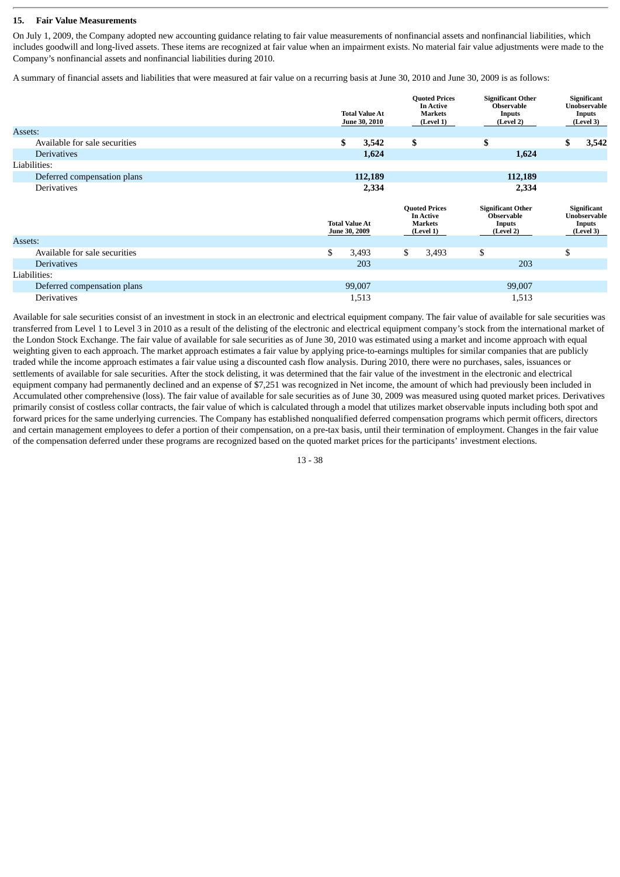#### **15. Fair Value Measurements**

On July 1, 2009, the Company adopted new accounting guidance relating to fair value measurements of nonfinancial assets and nonfinancial liabilities, which includes goodwill and long-lived assets. These items are recognized at fair value when an impairment exists. No material fair value adjustments were made to the Company's nonfinancial assets and nonfinancial liabilities during 2010.

A summary of financial assets and liabilities that were measured at fair value on a recurring basis at June 30, 2010 and June 30, 2009 is as follows:

|                               | <b>Total Value At</b><br>June 30, 2010 | <b>Quoted Prices</b><br><b>In Active</b><br><b>Markets</b><br>(Level 1) | <b>Significant Other</b><br><b>Observable</b><br>Inputs<br>(Level 2) | Significant<br><b>Unobservable</b><br>Inputs<br>(Level 3) |
|-------------------------------|----------------------------------------|-------------------------------------------------------------------------|----------------------------------------------------------------------|-----------------------------------------------------------|
| Assets:                       |                                        |                                                                         |                                                                      |                                                           |
| Available for sale securities | \$<br>3,542                            | \$                                                                      | \$                                                                   | 3,542<br>\$                                               |
| <b>Derivatives</b>            | 1,624                                  |                                                                         | 1,624                                                                |                                                           |
| Liabilities:                  |                                        |                                                                         |                                                                      |                                                           |
| Deferred compensation plans   | 112,189                                |                                                                         | 112,189                                                              |                                                           |
| <b>Derivatives</b>            | 2,334                                  |                                                                         | 2,334                                                                |                                                           |
|                               |                                        |                                                                         |                                                                      |                                                           |
|                               | <b>Total Value At</b><br>June 30, 2009 | <b>Quoted Prices</b><br><b>In Active</b><br><b>Markets</b><br>(Level 1) | <b>Significant Other</b><br><b>Observable</b><br>Inputs<br>(Level 2) | Significant<br><b>Unobservable</b><br>Inputs<br>(Level 3) |
| Assets:                       |                                        |                                                                         |                                                                      |                                                           |
| Available for sale securities | \$<br>3,493                            | \$<br>3,493                                                             | \$                                                                   | \$                                                        |
| <b>Derivatives</b>            | 203                                    |                                                                         | 203                                                                  |                                                           |
| Liabilities:                  |                                        |                                                                         |                                                                      |                                                           |
| Deferred compensation plans   | 99,007                                 |                                                                         | 99,007                                                               |                                                           |

Available for sale securities consist of an investment in stock in an electronic and electrical equipment company. The fair value of available for sale securities was transferred from Level 1 to Level 3 in 2010 as a result of the delisting of the electronic and electrical equipment company's stock from the international market of the London Stock Exchange. The fair value of available for sale securities as of June 30, 2010 was estimated using a market and income approach with equal weighting given to each approach. The market approach estimates a fair value by applying price-to-earnings multiples for similar companies that are publicly traded while the income approach estimates a fair value using a discounted cash flow analysis. During 2010, there were no purchases, sales, issuances or settlements of available for sale securities. After the stock delisting, it was determined that the fair value of the investment in the electronic and electrical equipment company had permanently declined and an expense of \$7,251 was recognized in Net income, the amount of which had previously been included in Accumulated other comprehensive (loss). The fair value of available for sale securities as of June 30, 2009 was measured using quoted market prices. Derivatives primarily consist of costless collar contracts, the fair value of which is calculated through a model that utilizes market observable inputs including both spot and forward prices for the same underlying currencies. The Company has established nonqualified deferred compensation programs which permit officers, directors and certain management employees to defer a portion of their compensation, on a pre-tax basis, until their termination of employment. Changes in the fair value of the compensation deferred under these programs are recognized based on the quoted market prices for the participants' investment elections.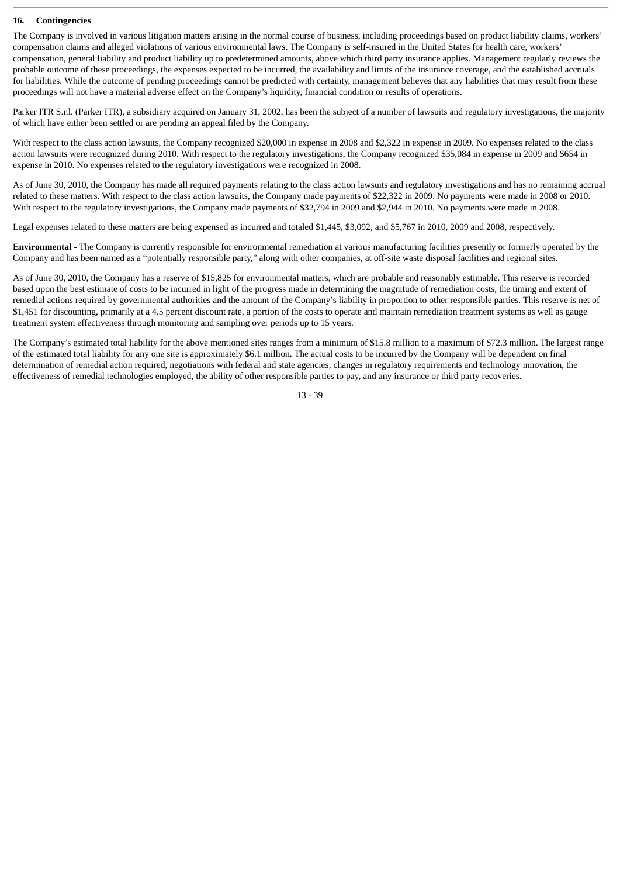#### **16. Contingencies**

The Company is involved in various litigation matters arising in the normal course of business, including proceedings based on product liability claims, workers' compensation claims and alleged violations of various environmental laws. The Company is self-insured in the United States for health care, workers' compensation, general liability and product liability up to predetermined amounts, above which third party insurance applies. Management regularly reviews the probable outcome of these proceedings, the expenses expected to be incurred, the availability and limits of the insurance coverage, and the established accruals for liabilities. While the outcome of pending proceedings cannot be predicted with certainty, management believes that any liabilities that may result from these proceedings will not have a material adverse effect on the Company's liquidity, financial condition or results of operations.

Parker ITR S.r.l. (Parker ITR), a subsidiary acquired on January 31, 2002, has been the subject of a number of lawsuits and regulatory investigations, the majority of which have either been settled or are pending an appeal filed by the Company.

With respect to the class action lawsuits, the Company recognized \$20,000 in expense in 2008 and \$2,322 in expense in 2009. No expenses related to the class action lawsuits were recognized during 2010. With respect to the regulatory investigations, the Company recognized \$35,084 in expense in 2009 and \$654 in expense in 2010. No expenses related to the regulatory investigations were recognized in 2008.

As of June 30, 2010, the Company has made all required payments relating to the class action lawsuits and regulatory investigations and has no remaining accrual related to these matters. With respect to the class action lawsuits, the Company made payments of \$22,322 in 2009. No payments were made in 2008 or 2010. With respect to the regulatory investigations, the Company made payments of \$32,794 in 2009 and \$2,944 in 2010. No payments were made in 2008.

Legal expenses related to these matters are being expensed as incurred and totaled \$1,445, \$3,092, and \$5,767 in 2010, 2009 and 2008, respectively.

**Environmental -** The Company is currently responsible for environmental remediation at various manufacturing facilities presently or formerly operated by the Company and has been named as a "potentially responsible party," along with other companies, at off-site waste disposal facilities and regional sites.

As of June 30, 2010, the Company has a reserve of \$15,825 for environmental matters, which are probable and reasonably estimable. This reserve is recorded based upon the best estimate of costs to be incurred in light of the progress made in determining the magnitude of remediation costs, the timing and extent of remedial actions required by governmental authorities and the amount of the Company's liability in proportion to other responsible parties. This reserve is net of \$1,451 for discounting, primarily at a 4.5 percent discount rate, a portion of the costs to operate and maintain remediation treatment systems as well as gauge treatment system effectiveness through monitoring and sampling over periods up to 15 years.

The Company's estimated total liability for the above mentioned sites ranges from a minimum of \$15.8 million to a maximum of \$72.3 million. The largest range of the estimated total liability for any one site is approximately \$6.1 million. The actual costs to be incurred by the Company will be dependent on final determination of remedial action required, negotiations with federal and state agencies, changes in regulatory requirements and technology innovation, the effectiveness of remedial technologies employed, the ability of other responsible parties to pay, and any insurance or third party recoveries.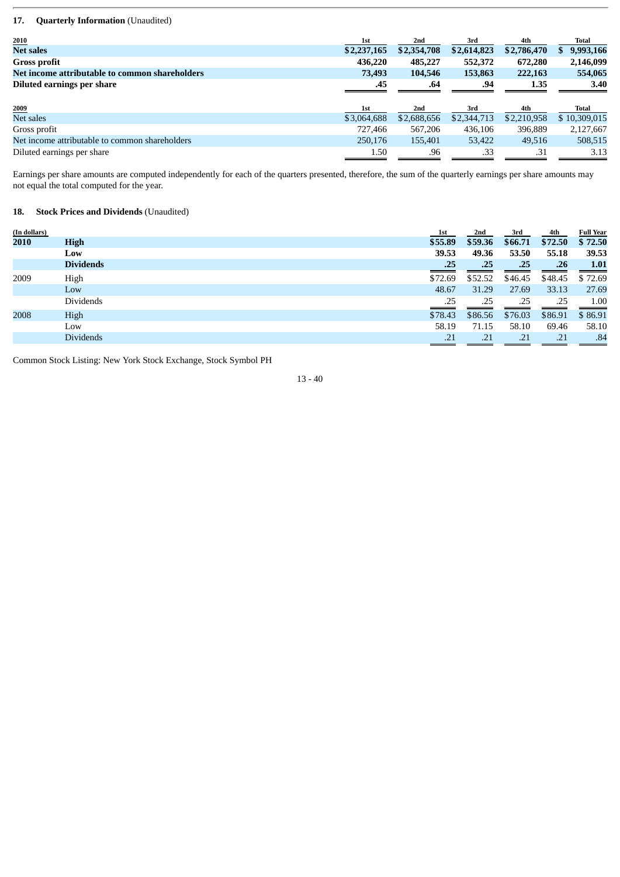# 17. **Quarterly Information** (Unaudited)

| 2010                                           | 1st         | 2nd         | 3rd         | 4th         | Total        |
|------------------------------------------------|-------------|-------------|-------------|-------------|--------------|
| <b>Net sales</b>                               | \$2,237,165 | \$2,354,708 | \$2,614,823 | \$2,786,470 | 9,993,166    |
| <b>Gross profit</b>                            | 436,220     | 485,227     | 552,372     | 672,280     | 2,146,099    |
| Net income attributable to common shareholders | 73,493      | 104,546     | 153,863     | 222,163     | 554,065      |
| Diluted earnings per share                     | .45         | .64         | .94         | 1.35        | 3.40         |
|                                                |             |             |             |             |              |
| 2009                                           | 1st         | 2nd         | 3rd         | 4th         | Total        |
| Net sales                                      | \$3,064,688 | \$2,688,656 | \$2,344,713 | \$2,210,958 | \$10,309,015 |
| Gross profit                                   | 727,466     | 567,206     | 436,106     | 396,889     | 2,127,667    |
| Net income attributable to common shareholders | 250,176     | 155,401     | 53,422      | 49,516      | 508,515      |
| Diluted earnings per share                     | 1.50        | .96         | .33         | .31         | 3.13         |
|                                                |             |             |             |             |              |

Earnings per share amounts are computed independently for each of the quarters presented, therefore, the sum of the quarterly earnings per share amounts may not equal the total computed for the year.

# **18. Stock Prices and Dividends** (Unaudited)

| (In dollars) |                  | 1st     | 2nd     | 3rd     | 4th     | <b>Full Year</b> |
|--------------|------------------|---------|---------|---------|---------|------------------|
| 2010         | <b>High</b>      | \$55.89 | \$59.36 | \$66.71 | \$72.50 | \$72.50          |
|              | Low              | 39.53   | 49.36   | 53.50   | 55.18   | 39.53            |
|              | <b>Dividends</b> | .25     | .25     | .25     | .26     | 1.01<br>_____    |
| 2009         | High             | \$72.69 | \$52.52 | \$46.45 | \$48.45 | \$72.69          |
|              | Low              | 48.67   | 31.29   | 27.69   | 33.13   | 27.69            |
|              | <b>Dividends</b> | .25     | .25     | .25     | .25     | 1.00             |
| 2008         | High             | \$78.43 | \$86.56 | \$76.03 | \$86.91 | \$86.91          |
|              | Low              | 58.19   | 71.15   | 58.10   | 69.46   | 58.10            |
|              | <b>Dividends</b> | .21     | .21     | .21     | .21     | .84              |

Common Stock Listing: New York Stock Exchange, Stock Symbol PH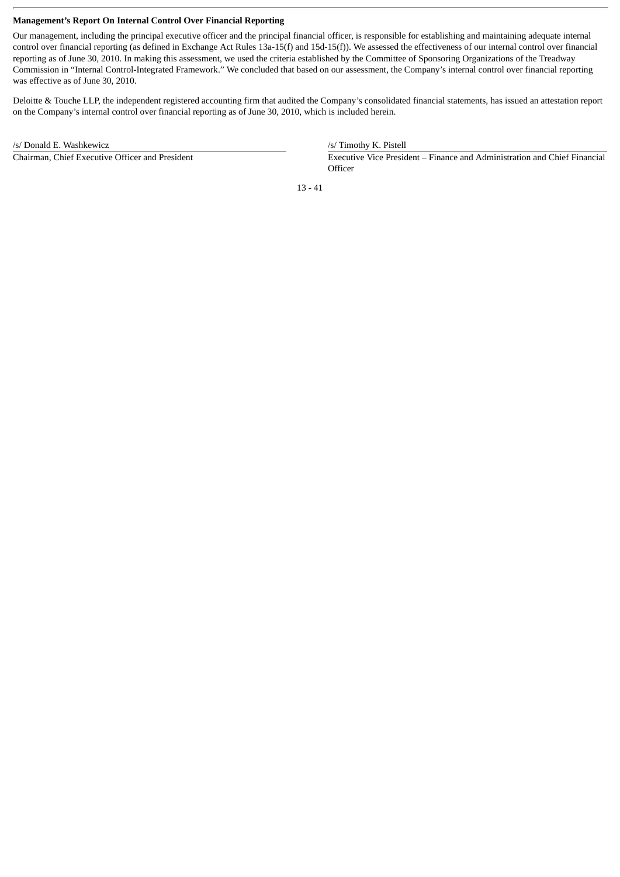## **Management's Report On Internal Control Over Financial Reporting**

Our management, including the principal executive officer and the principal financial officer, is responsible for establishing and maintaining adequate internal control over financial reporting (as defined in Exchange Act Rules 13a-15(f) and 15d-15(f)). We assessed the effectiveness of our internal control over financial reporting as of June 30, 2010. In making this assessment, we used the criteria established by the Committee of Sponsoring Organizations of the Treadway Commission in "Internal Control-Integrated Framework." We concluded that based on our assessment, the Company's internal control over financial reporting was effective as of June 30, 2010.

Deloitte & Touche LLP, the independent registered accounting firm that audited the Company's consolidated financial statements, has issued an attestation report on the Company's internal control over financial reporting as of June 30, 2010, which is included herein.

/s/ Donald E. Washkewicz /s/ Timothy K. Pistell

Chairman, Chief Executive Officer and President Executive Vice President – Finance and Administration and Chief Financial **Officer**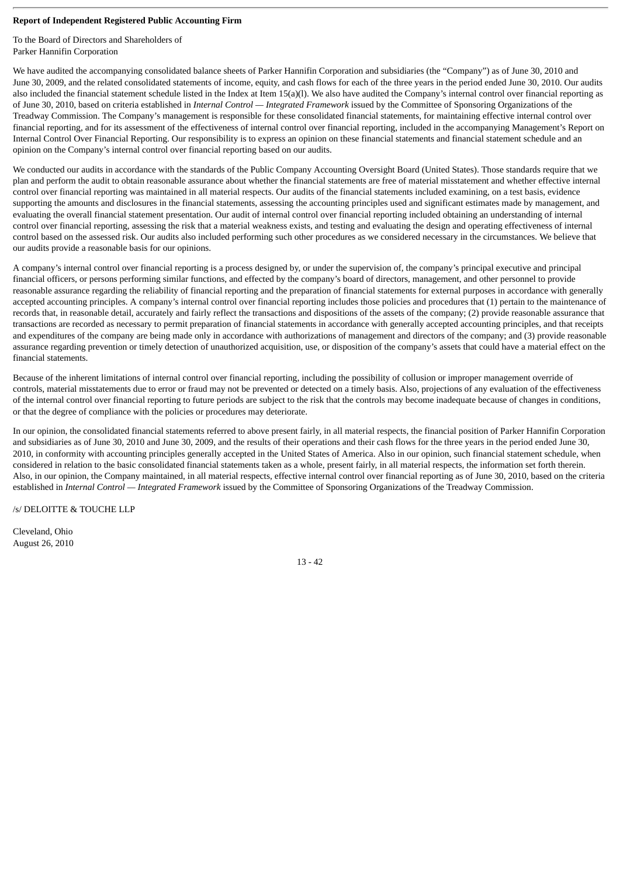#### **Report of Independent Registered Public Accounting Firm**

To the Board of Directors and Shareholders of Parker Hannifin Corporation

We have audited the accompanying consolidated balance sheets of Parker Hannifin Corporation and subsidiaries (the "Company") as of June 30, 2010 and June 30, 2009, and the related consolidated statements of income, equity, and cash flows for each of the three years in the period ended June 30, 2010. Our audits also included the financial statement schedule listed in the Index at Item 15(a)(l). We also have audited the Company's internal control over financial reporting as of June 30, 2010, based on criteria established in *Internal Control — Integrated Framework* issued by the Committee of Sponsoring Organizations of the Treadway Commission. The Company's management is responsible for these consolidated financial statements, for maintaining effective internal control over financial reporting, and for its assessment of the effectiveness of internal control over financial reporting, included in the accompanying Management's Report on Internal Control Over Financial Reporting. Our responsibility is to express an opinion on these financial statements and financial statement schedule and an opinion on the Company's internal control over financial reporting based on our audits.

We conducted our audits in accordance with the standards of the Public Company Accounting Oversight Board (United States). Those standards require that we plan and perform the audit to obtain reasonable assurance about whether the financial statements are free of material misstatement and whether effective internal control over financial reporting was maintained in all material respects. Our audits of the financial statements included examining, on a test basis, evidence supporting the amounts and disclosures in the financial statements, assessing the accounting principles used and significant estimates made by management, and evaluating the overall financial statement presentation. Our audit of internal control over financial reporting included obtaining an understanding of internal control over financial reporting, assessing the risk that a material weakness exists, and testing and evaluating the design and operating effectiveness of internal control based on the assessed risk. Our audits also included performing such other procedures as we considered necessary in the circumstances. We believe that our audits provide a reasonable basis for our opinions.

A company's internal control over financial reporting is a process designed by, or under the supervision of, the company's principal executive and principal financial officers, or persons performing similar functions, and effected by the company's board of directors, management, and other personnel to provide reasonable assurance regarding the reliability of financial reporting and the preparation of financial statements for external purposes in accordance with generally accepted accounting principles. A company's internal control over financial reporting includes those policies and procedures that (1) pertain to the maintenance of records that, in reasonable detail, accurately and fairly reflect the transactions and dispositions of the assets of the company; (2) provide reasonable assurance that transactions are recorded as necessary to permit preparation of financial statements in accordance with generally accepted accounting principles, and that receipts and expenditures of the company are being made only in accordance with authorizations of management and directors of the company; and (3) provide reasonable assurance regarding prevention or timely detection of unauthorized acquisition, use, or disposition of the company's assets that could have a material effect on the financial statements.

Because of the inherent limitations of internal control over financial reporting, including the possibility of collusion or improper management override of controls, material misstatements due to error or fraud may not be prevented or detected on a timely basis. Also, projections of any evaluation of the effectiveness of the internal control over financial reporting to future periods are subject to the risk that the controls may become inadequate because of changes in conditions, or that the degree of compliance with the policies or procedures may deteriorate.

In our opinion, the consolidated financial statements referred to above present fairly, in all material respects, the financial position of Parker Hannifin Corporation and subsidiaries as of June 30, 2010 and June 30, 2009, and the results of their operations and their cash flows for the three years in the period ended June 30, 2010, in conformity with accounting principles generally accepted in the United States of America. Also in our opinion, such financial statement schedule, when considered in relation to the basic consolidated financial statements taken as a whole, present fairly, in all material respects, the information set forth therein. Also, in our opinion, the Company maintained, in all material respects, effective internal control over financial reporting as of June 30, 2010, based on the criteria established in *Internal Control — Integrated Framework* issued by the Committee of Sponsoring Organizations of the Treadway Commission.

/s/ DELOITTE & TOUCHE LLP

Cleveland, Ohio August 26, 2010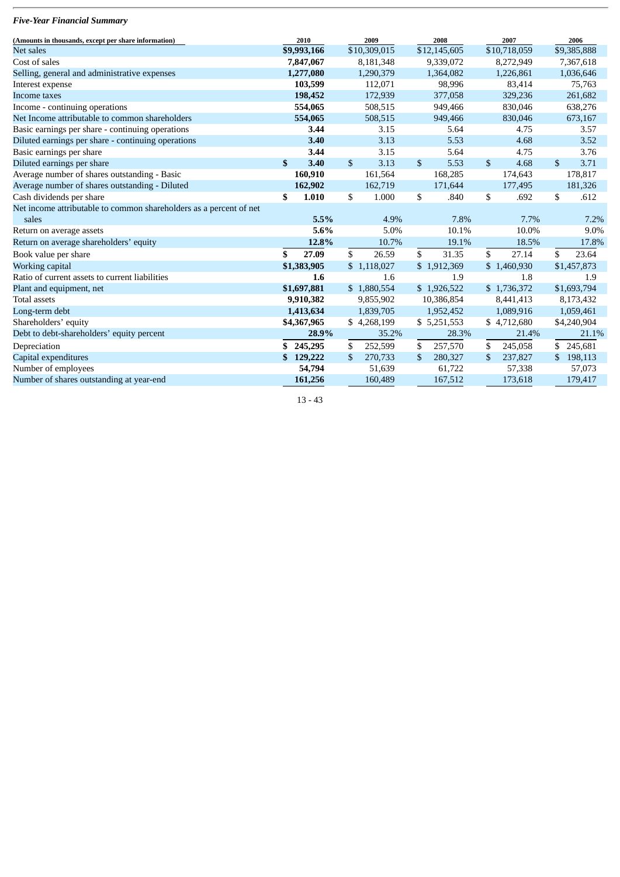# *Five-Year Financial Summary*

| (Amounts in thousands, except per share information)               |              | 2010        |               | 2009         |     | 2008         | 2007          | 2006        |
|--------------------------------------------------------------------|--------------|-------------|---------------|--------------|-----|--------------|---------------|-------------|
| <b>Net sales</b>                                                   |              | \$9,993,166 |               | \$10,309,015 |     | \$12,145,605 | \$10,718,059  | \$9,385,888 |
| Cost of sales                                                      |              | 7,847,067   |               | 8,181,348    |     | 9,339,072    | 8,272,949     | 7,367,618   |
| Selling, general and administrative expenses                       |              | 1,277,080   |               | 1,290,379    |     | 1,364,082    | 1,226,861     | 1,036,646   |
| Interest expense                                                   |              | 103,599     |               | 112,071      |     | 98,996       | 83,414        | 75,763      |
| Income taxes                                                       |              | 198,452     |               | 172,939      |     | 377,058      | 329,236       | 261,682     |
| Income - continuing operations                                     |              | 554,065     |               | 508,515      |     | 949,466      | 830,046       | 638,276     |
| Net Income attributable to common shareholders                     |              | 554,065     |               | 508,515      |     | 949,466      | 830,046       | 673,167     |
| Basic earnings per share - continuing operations                   |              | 3.44        |               | 3.15         |     | 5.64         | 4.75          | 3.57        |
| Diluted earnings per share - continuing operations                 |              | 3.40        |               | 3.13         |     | 5.53         | 4.68          | 3.52        |
| Basic earnings per share                                           |              | 3.44        |               | 3.15         |     | 5.64         | 4.75          | 3.76        |
| Diluted earnings per share                                         | $\mathbf{s}$ | 3.40        | $\mathbf{s}$  | 3.13         | \$  | 5.53         | \$<br>4.68    | \$<br>3.71  |
| Average number of shares outstanding - Basic                       |              | 160,910     |               | 161,564      |     | 168,285      | 174,643       | 178,817     |
| Average number of shares outstanding - Diluted                     |              | 162,902     |               | 162,719      |     | 171,644      | 177,495       | 181,326     |
| Cash dividends per share                                           | \$           | 1.010       | \$            | 1.000        | \$  | .840         | \$<br>.692    | \$<br>.612  |
| Net income attributable to common shareholders as a percent of net |              |             |               |              |     |              |               |             |
| sales                                                              |              | 5.5%        |               | 4.9%         |     | 7.8%         | 7.7%          | 7.2%        |
| Return on average assets                                           |              | 5.6%        |               | 5.0%         |     | 10.1%        | 10.0%         | 9.0%        |
| Return on average shareholders' equity                             |              | 12.8%       |               | 10.7%        |     | 19.1%        | 18.5%         | 17.8%       |
| Book value per share                                               | \$           | 27.09       | \$            | 26.59        | \$  | 31.35        | \$<br>27.14   | \$<br>23.64 |
| Working capital                                                    |              | \$1,383,905 |               | \$1,118,027  |     | \$1,912,369  | \$1,460,930   | \$1,457,873 |
| Ratio of current assets to current liabilities                     |              | 1.6         |               | 1.6          |     | 1.9          | 1.8           | 1.9         |
| Plant and equipment, net                                           |              | \$1,697,881 |               | \$1,880,554  |     | \$1,926,522  | \$1,736,372   | \$1,693,794 |
| <b>Total assets</b>                                                |              | 9,910,382   |               | 9,855,902    |     | 10,386,854   | 8,441,413     | 8,173,432   |
| Long-term debt                                                     |              | 1,413,634   |               | 1,839,705    |     | 1,952,452    | 1,089,916     | 1,059,461   |
| Shareholders' equity                                               |              | \$4,367,965 |               | \$4,268,199  |     | \$5,251,553  | \$4,712,680   | \$4,240,904 |
| Debt to debt-shareholders' equity percent                          |              | 28.9%       |               | 35.2%        |     | 28.3%        | 21.4%         | 21.1%       |
| Depreciation                                                       |              | 245,295     | \$            | 252,599      | \$. | 257,570      | \$<br>245,058 | \$245,681   |
| Capital expenditures                                               |              | \$129,222   | <sup>\$</sup> | 270,733      | \$  | 280,327      | \$<br>237,827 | \$ 198,113  |
| Number of employees                                                |              | 54,794      |               | 51,639       |     | 61,722       | 57,338        | 57,073      |
| Number of shares outstanding at year-end                           |              | 161,256     |               | 160,489      |     | 167,512      | 173,618       | 179,417     |
|                                                                    |              |             |               |              |     |              |               |             |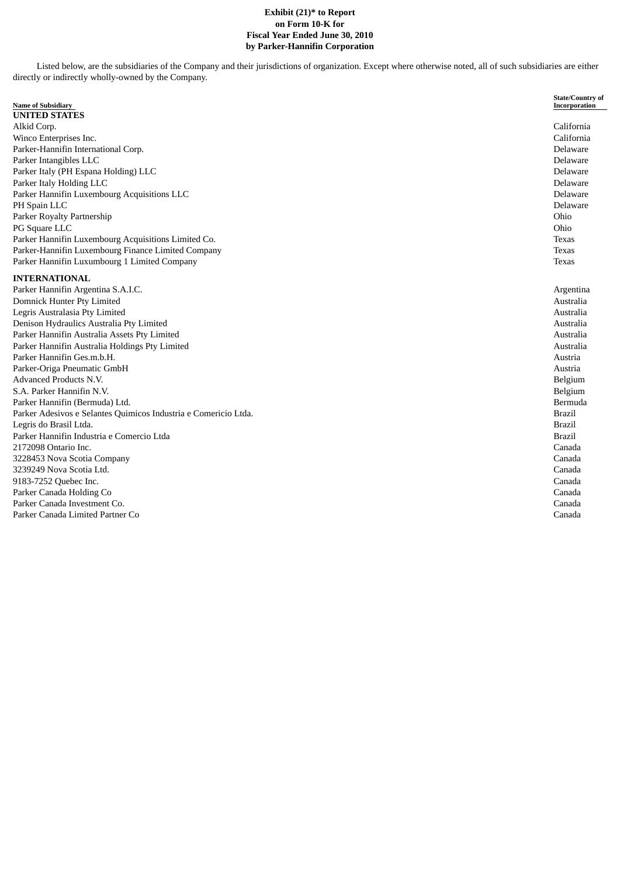# **Exhibit (21)\* to Report on Form 10-K for Fiscal Year Ended June 30, 2010 by Parker-Hannifin Corporation**

Listed below, are the subsidiaries of the Company and their jurisdictions of organization. Except where otherwise noted, all of such subsidiaries are either directly or indirectly wholly-owned by the Company.

|                                                                 | <b>State/Country of</b> |
|-----------------------------------------------------------------|-------------------------|
| <b>Name of Subsidiary</b><br><b>UNITED STATES</b>               | Incorporation           |
| Alkid Corp.                                                     | California              |
| Winco Enterprises Inc.                                          | California              |
| Parker-Hannifin International Corp.                             | Delaware                |
| Parker Intangibles LLC                                          | Delaware                |
| Parker Italy (PH Espana Holding) LLC                            | Delaware                |
| Parker Italy Holding LLC                                        | Delaware                |
| Parker Hannifin Luxembourg Acquisitions LLC                     | Delaware                |
| PH Spain LLC                                                    | Delaware                |
| Parker Royalty Partnership                                      | Ohio                    |
| PG Square LLC                                                   | Ohio                    |
| Parker Hannifin Luxembourg Acquisitions Limited Co.             | Texas                   |
| Parker-Hannifin Luxembourg Finance Limited Company              | Texas                   |
| Parker Hannifin Luxumbourg 1 Limited Company                    | <b>Texas</b>            |
| <b>INTERNATIONAL</b>                                            |                         |
| Parker Hannifin Argentina S.A.I.C.                              | Argentina               |
| Domnick Hunter Pty Limited                                      | Australia               |
| Legris Australasia Pty Limited                                  | Australia               |
| Denison Hydraulics Australia Pty Limited                        | Australia               |
| Parker Hannifin Australia Assets Pty Limited                    | Australia               |
| Parker Hannifin Australia Holdings Pty Limited                  | Australia               |
| Parker Hannifin Ges.m.b.H.                                      | Austria                 |
| Parker-Origa Pneumatic GmbH                                     | Austria                 |
| Advanced Products N.V.                                          | Belgium                 |
| S.A. Parker Hannifin N.V.                                       | Belgium                 |
| Parker Hannifin (Bermuda) Ltd.                                  | Bermuda                 |
| Parker Adesivos e Selantes Quimicos Industria e Comericio Ltda. | <b>Brazil</b>           |
| Legris do Brasil Ltda.                                          | <b>Brazil</b>           |
| Parker Hannifin Industria e Comercio Ltda                       | <b>Brazil</b>           |
| 2172098 Ontario Inc.                                            | Canada                  |
| 3228453 Nova Scotia Company                                     | Canada                  |
| 3239249 Nova Scotia Ltd.                                        | Canada                  |
| 9183-7252 Quebec Inc.                                           | Canada                  |
| Parker Canada Holding Co                                        | Canada                  |
| Parker Canada Investment Co.                                    | Canada                  |
| Parker Canada Limited Partner Co                                | Canada                  |
|                                                                 |                         |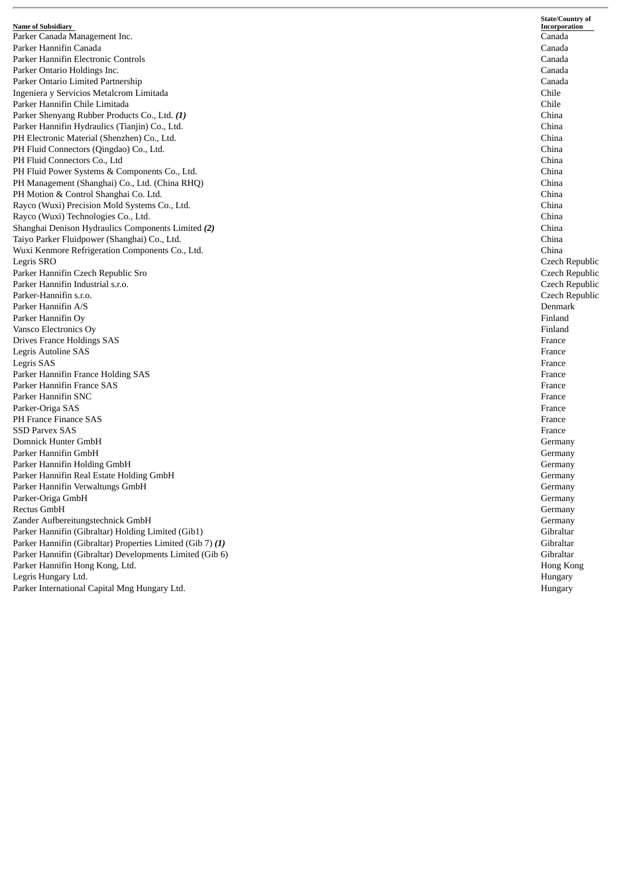**Name of Subsidiary** Parker Canada Management Inc. Canada Parker Hannifin Canada Canada Parker Hannifin Electronic Controls Canada Parker Ontario Holdings Inc. Canada Parker Ontario Limited Partnership Canada Ingeniera y Servicios Metalcrom Limitada Chile Parker Hannifin Chile Limitada Chile Parker Shenyang Rubber Products Co., Ltd. (1)<br>Parker Hannifin Hydraulics (Tianiin) Co., Ltd. **China** Parker Hannifin Hydraulics (Tianjin) Co., Ltd.<br>PH Electronic Material (Shenzhen) Co., Ltd. China PH Electronic Material (Shenzhen) Co., Ltd. China<br>
PH Fluid Connectors (Qingdao) Co., Ltd. China PH Fluid Connectors (Qingdao) Co., Ltd. PH Fluid Connectors Co., Ltd China PH Fluid Power Systems & Components Co., Ltd. China PH Management (Shanghai) Co., Ltd. (China RHQ) China China China China China China China China China China China China China China China China China China China China China China China China China China China China China C PH Motion & Control Shanghai Co. Ltd. China<br>Ravco (Wuxi) Precision Mold Systems Co., Ltd. China Rayco (Wuxi) Precision Mold Systems Co., Ltd. China Rayco (Wuxi) Technologies Co., Ltd. Shanghai Denison Hydraulics Components Limited *(2)* China Taiyo Parker Fluidpower (Shanghai) Co., Ltd. China Wuxi Kenmore Refrigeration Components Co., Ltd. (2008) 2008 2012 12:30 2012 2013 2014 2014 2015 2016 2016 2016<br>Caech Republic Caech Republic Legris SRO Czech Republic Parker Hannifin Czech Republic Sro Czech Republic Parker Hannifin Industrial s.r.o. Czech Republic Parker-Hannifin s.r.o. Parker Hannifin A/S Denmark Parker Hannifin Oy Finland<br>
Vansco Electronics Ov Finland Vansco Electronics Oy Finland and Search Control of the Search Control of Texas and Texas and Texas and Texas and Texas and Texas and Texas and Texas and Texas and Texas and Texas and Texas and Texas and Texas and Texas an Drives France Holdings SAS France Legris Autoline SAS Legris SAS France Parker Hannifin France Holding SAS France France France France France France France France France France France Parker Hannifin France SAS France SAS France SAS France SAS France SAS France SAS France SAS France SAS France Parker Hannifin SNC France Parker-Origa SAS France<br>
PH France Finance SAS France SAS France SAS France SAS France PH France PH France Finance SAS France PH France PH France Finance SAS France SAS France Finance SAS France Finance SAS France Finance SAS France France SAS France SAS France SAS France SAS France SAS France SAS France SAS France SAS France SAS France SAS France SAS Fran SSD Parvex SAS France Domnick Hunter GmbH Germany Parker Hannifin GmbH Germany Parker Hannifin Holding GmbH Germany Parker Hannifin Real Estate Holding GmbH Germany Companies and the state of the state of the Germany Germany Parker Hannifin Verwaltungs GmbH Germany Parker-Origa GmbH Germany (Germany Germany Germany Germany Germany Germany Germany Germany Germany Germany Germany Germany Germany Germany Germany Germany Germany Germany Germany Germany Germany Germany Germany Germany Ger Rectus GmbH Germany Zander Aufbereitungstechnick GmbH<br>Parker Hannifin (Gibraltar) Holding Limited (Gib1) Parker Hannifin (Gibraltar) Holding Limited (Gib1) Parker Hannifin (Gibraltar) Properties Limited (Gib 7) (1) Gibraltar Context of Gibraltar Context of Gibraltar Parker Hannifin (Gibraltar) Developments Limited (Gib 6) Gibraltar<br>Parker Hannifin Hong Kong, Ltd. Gibraltar Gibraltar (Gib 6) Gibraltar Gibraltar Gibraltar Gibraltar Gibraltar Parker Hannifin Hong Kong, Ltd. Legris Hungary Ltd. Hungary Parker International Capital Mng Hungary Ltd.

**State/Country of Incorporation**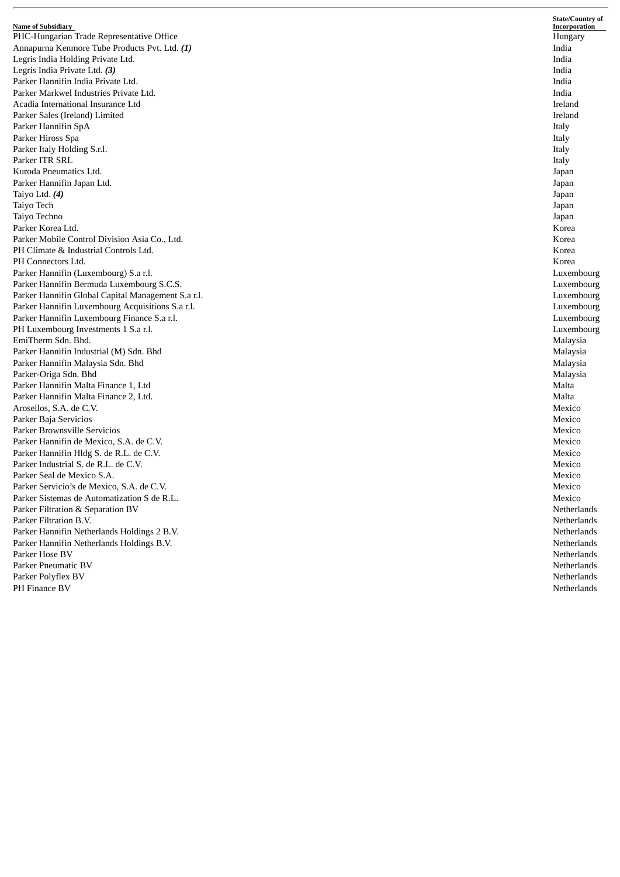**Name of Subsidiary** PHC-Hungarian Trade Representative Office **Hungary Hungary Hungary Hungary Hungary Hungary Hungary Hungary** Annapurna Kenmore Tube Products Pvt. Ltd. *(1)* India Legris India Holding Private Ltd.<br>
Legris India Private Ltd. (3) Shah and the United States of the India India India India India India India India Legris India Private Ltd. (3) Parker Hannifin India Private Ltd. India  $\blacksquare$ Parker Markwel Industries Private Ltd. India and the control of the control of the control of the control of the control of the control of the control of the control of the control of the control of the control of the cont Acadia International Insurance Ltd Ireland Parker Sales (Ireland) Limited Ireland and the set of the set of the Ireland Ireland Ireland Ireland Ireland I Parker Hannifin SpA **Italy** Parker Hiross Spa **Italy** 11 and 12 and 12 and 13 and 13 and 13 and 13 and 13 and 13 and 13 and 13 and 13 and 13 and 13 and 13 and 13 and 13 and 13 and 13 and 13 and 13 and 13 and 13 and 13 and 13 and 13 and 13 and 13 and Parker Italy Holding S.r.l. Italy Parker ITR SRL Formulation of the contract of the contract of the contract of the contract of the contract of the contract of the contract of the contract of the contract of the contract of the contract of the contract of Kuroda Pneumatics Ltd. **Japan** Parker Hannifin Japan Ltd. Japan Summar Japan Japan Summar Japan Japan Japan Japan Japan Japan Japan Japan Japan Japan Japan Japan Japan Japan Japan Japan Japan Japan Japan Japan Japan Japan Japan Japan Japan Japan Japan J Taiyo Ltd. *(4)* Japan Taiyo Tech Japan Taiyo Techno Japan Parker Korea Ltd. Korea Parker Mobile Control Division Asia Co., Ltd. **Korea Example 2018** Korea **Korea Korea** PH Climate & Industrial Controls Ltd. Korea PH Connectors Ltd. Korea Parker Hannifin (Luxembourg) S.a r.l. Parker Hannifin Bermuda Luxembourg S.C.S. Parker Hannifin Global Capital Management S.a r.l. Parker Hannifin Luxembourg Acquisitions S.a r.l. Parker Hannifin Luxembourg Finance S.a r.l. PH Luxembourg Investments 1 S.a r.l. Luxembour EmiTherm Sdn. Bhd. Malaysia Parker Hannifin Industrial (M) Sdn. Bhd Parker Hannifin Malaysia Sdn. Bhd<br>Parker-Origa Sdn. Bhd Malaysia Sdn. Bhd Malaysia Sdn. Bhd Malaysia Sharker-Origa Sdn. Bhd Malaysia Parker-Origa Sdn. Bhd Parker Hannifin Malta Finance 1, Ltd Malta Malta Superior Communication and Malta Malta Malta Malta Malta Malta Parker Hannifin Malta Finance 2, Ltd. Malta **Malta Communistic Communistic Communistic Communistic Communistic Communistic Communistic Communistic Communistic Communistic Communistic Communistic Communistic Communistic Com** Arosellos, S.A. de C.V. Mexico Parker Baja Servicios Mexico Parker Brownsville Servicios Parker Hannifin de Mexico, S.A. de C.V. Mexico Parker Hannifin Hldg S. de R.L. de C.V. Parker Industrial S. de R.L. de C.V. Mexico Parker Seal de Mexico S.A. Mexico S.A. (1993) 1998 (1999) 1999 (1999) 1999 (1999) 1999 (1999) 1999 (1999) 1999<br>Parker Servicio's de Mexico, S.A. de C.V. Parker Servicio's de Mexico, S.A. de C.V.<br>Parker Sistemas de Automatization S de R.L. Parker Sistemas de Automatization S de R.L.<br>Parker Filtration & Separation BV Parker Filtration & Separation BV<br>Parker Filtration B.V.<br>Parker Filtration B.V. Parker Filtration B.V.<br>Parker Hannifin Netherlands Holdings 2 B.V. Parker Hannifin Netherlands Holdings 2 B.V. Parker Hannifin Netherlands Holdings B.V. Netherlands and the state of the state of the state of the state of the state of the state of the state of the state of the state of the state of the state of the state of the stat Parker Hose BV Netherlands Parker Pneumatic BV<br>Parker Polyflex BV<br>Parker Polyflex BV Parker Polyflex BV Netherlands and the set of the set of the set of the set of the set of the set of the set of the set of the set of the set of the set of the set of the set of the set of the set of the set of the set of PH Finance BV Netherlands

**State/Country of Incorporation** Luxembourg Luxembourg Luxembourg Luxembourg Luxembourg Luxembourg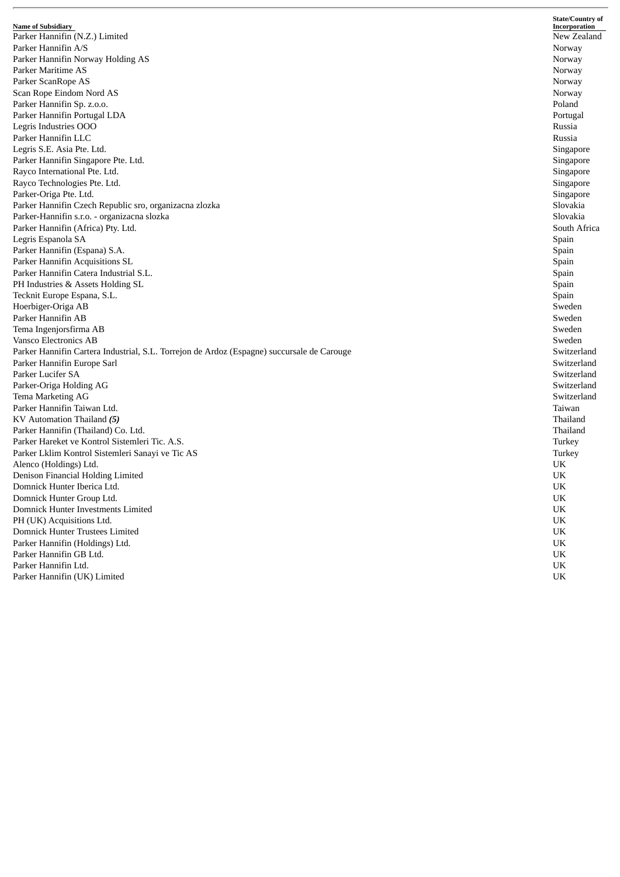**Name of Subsidiary** Parker Hannifin (N.Z.) Limited New Zealand Parker Hannifin A/S Norway Parker Hannifin Norway Holding AS Norway and the Second League of the Second League of the Norway Norway Norway Parker Maritime AS Norway Parker ScanRope AS Norway Scan Rope Eindom Nord AS Norway Parker Hannifin Sp. z.o.o. Poland Parker Hannifin Portugal LDA Portugal COA Portugal COA Portugal COA Portugal COA Portugal COA Portugal COA Portugal COA Portugal COA Portugal COA Portugal COA Portugal COA Portugal COA Portugal COA Portugal COA Portugal CO Legris Industries OOO Russia Parker Hannifin LLC<br>
Russia<br>
Legris S.E. Asia Pte. Ltd. Singapore Legris S.E. Asia Pte. Ltd. Parker Hannifin Singapore Pte. Ltd. Singapore Pte. Ltd. Singapore Singapore Singapore Singapore Singapore Singapore Rayco International Pte. Ltd. Singapore Rayco Technologies Pte. Ltd. Singapore Parker-Origa Pte. Ltd. Singapore<br>Parker Hannifin Czech Republic sro. organizacna zlozka kontrollari baranga shahar shahar shahar shahar shahar<br>Slovakia Parker Hannifin Czech Republic sro, organizacna zlozka Slovakia Slovakia Slovakia Slovakia Slovakia Slovakia<br>Parker-Hannifin s.r.o. - organizacna slozka Slovakia Slovakia Slovakia Slovakia Slovakia Slovakia Slovakia Slo Parker-Hannifin s.r.o. - organizacna slozka Parker Hannifin (Africa) Pty. Ltd. South Africa Legris Espanola SA Spain Parker Hannifin (Espana) S.A. Spain<br>Parker Hannifin Acquisitions SL Parker Hannifin Acquisitions SL<br>Parker Hannifin Catera Industrial S.L. Spain Parker Hannifin Catera Industrial S.L.<br>
PH Industries & Assets Holding SL<br>
Spain PH Industries & Assets Holding SL<br>
Tecknit Europe Espana, S.L. Spain Tecknit Europe Espana, S.L. Hoerbiger-Origa AB Sweden Parker Hannifin AB Sweden Tema Ingenjorsfirma AB Sweden Vansco Electronics AB<br>Parker Hannifin Cartera Industrial, S.L. Torreion de Ardoz (Espagne) succursale de Carouge entrarection of the Parker Hannifin Cartera Industrial, S.L. Torrejon de Ardoz (Espagne) succursale de Carouge Parker Hannifin Europe Sarl Switzerland<br>Parker Lucifer SA Switzerland Switzerland Switzerland Switzerland Switzerland Switzerland Switzerland Switzerland Parker Lucifer SA Switzerland Parker-Origa Holding AG Switzerland Tema Marketing AG Switzerland Switzerland Switzerland Switzerland Switzerland Switzerland Switzerland Switzerland Switzerland Switzerland Switzerland Switzerland Switzerland Switzerland Switzerland Switzerland Switzerland Parker Hannifin Taiwan Ltd. KV Automation Thailand *(5)* Thailand **(5)** Thailand **Parker Hannifestive Communist Communist Communist Communist Communist Communist Communist Communist Communist Communist Communist Communist Communist Communist Communis** Parker Hannifin (Thailand) Co. Ltd. Parker Hareket ve Kontrol Sistemleri Tic. A.S. Parker Lklim Kontrol Sistemleri Sanayi ve Tic AS Alenco (Holdings) Ltd. UK Denison Financial Holding Limited UK Domnick Hunter Iberica Ltd. UK Domnick Hunter Group Ltd. UK<br>Domnick Hunter Investments Limited Domnick Hunter Investments Limited<br>
PH (UK) Acquisitions Ltd. UK PH (UK) Acquisitions Ltd. UK<br>Domnick Hunter Trustees Limited UK Domnick Hunter Trustees Limited Parker Hannifin (Holdings) Ltd. UK Parker Hannifin GB Ltd. UK<br>Parker Hannifin Ltd. UK Parker Hannifin Ltd. UK<br>Parker Hannifin (UK) Limited UK Parker Hannifin (UK) Limited

**State/Country of Incorporation** Taiwan Turkey Turkey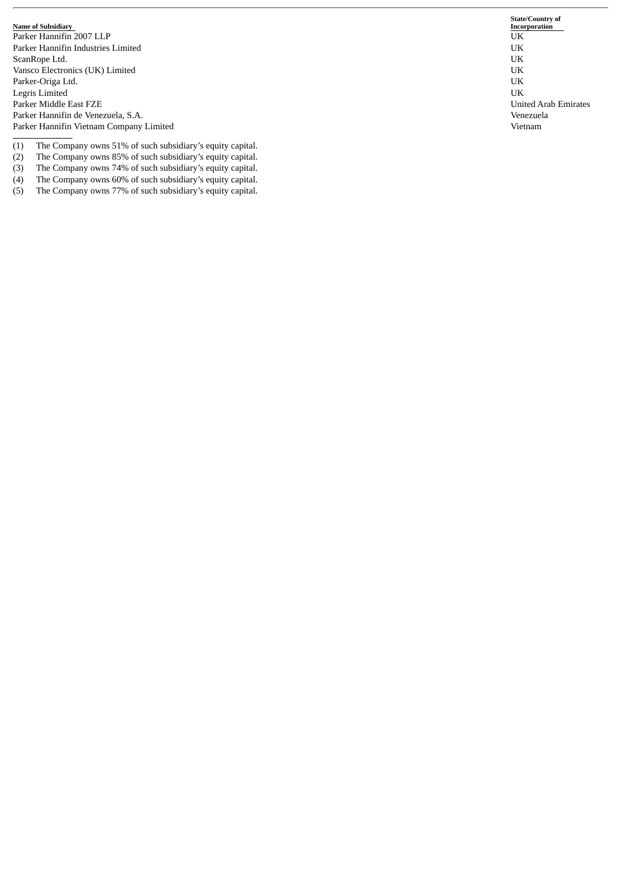**Name of Subsidiary** Parker Hannifin 2007 LLP<br>
Parker Hannifin Industries Limited<br>
UK Parker Hannifin Industries Limited UK<br>ScanRope Ltd. UK ScanRope Ltd. UK Vansco Electronics (UK) Limited UK<br>Parker-Origa Ltd. UK Parker-Origa Ltd. UK<br>Legris Limited UK Legris Limited UK Parker Middle East FZE United Arab Emirates Parker Hannifin de Venezuela, S.A. Parker Hannifin Vietnam Company Limited

- (1) The Company owns 51% of such subsidiary's equity capital.
- (2) The Company owns 85% of such subsidiary's equity capital.<br>(3) The Company owns 74% of such subsidiary's equity capital.
- The Company owns 74% of such subsidiary's equity capital.
- (4) The Company owns 60% of such subsidiary's equity capital.
- (5) The Company owns 77% of such subsidiary's equity capital.

**State/Country of Incorporation** Venezuela Vietnam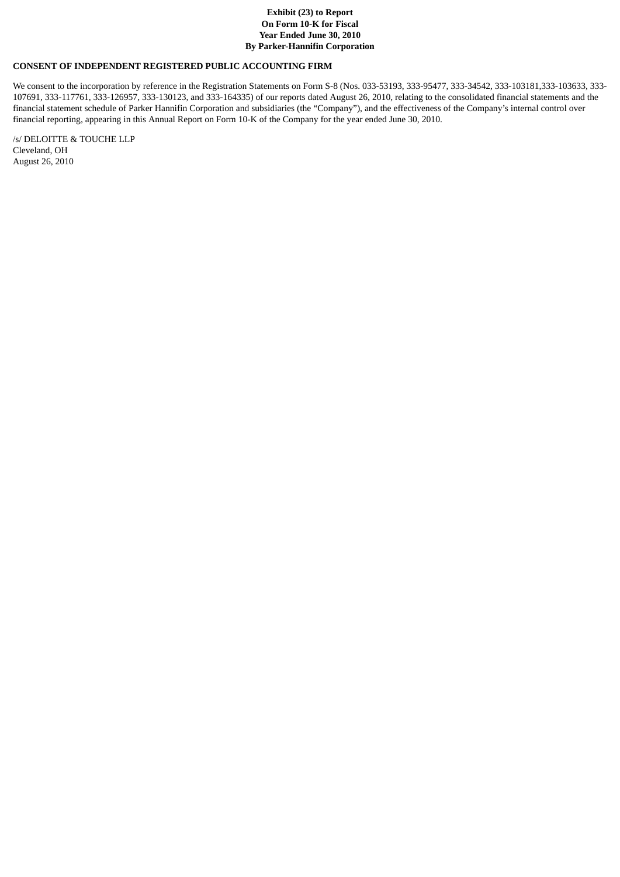### **Exhibit (23) to Report On Form 10-K for Fiscal Year Ended June 30, 2010 By Parker-Hannifin Corporation**

# **CONSENT OF INDEPENDENT REGISTERED PUBLIC ACCOUNTING FIRM**

We consent to the incorporation by reference in the Registration Statements on Form S-8 (Nos. 033-53193, 333-95477, 333-34542, 333-103181,333-103633, 333- 107691, 333-117761, 333-126957, 333-130123, and 333-164335) of our reports dated August 26, 2010, relating to the consolidated financial statements and the financial statement schedule of Parker Hannifin Corporation and subsidiaries (the "Company"), and the effectiveness of the Company's internal control over financial reporting, appearing in this Annual Report on Form 10-K of the Company for the year ended June 30, 2010.

/s/ DELOITTE & TOUCHE LLP Cleveland, OH August 26, 2010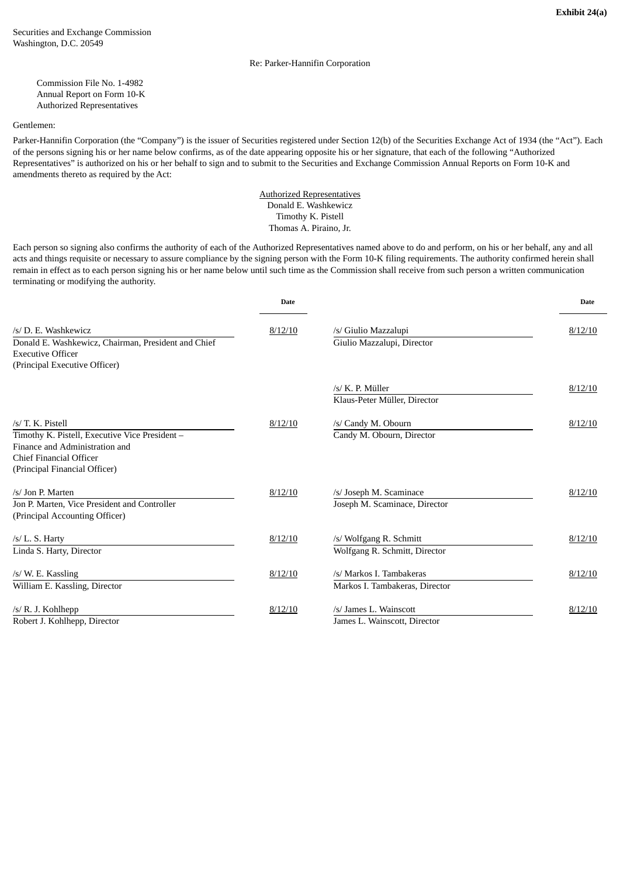## Re: Parker-Hannifin Corporation

Commission File No. 1-4982 Annual Report on Form 10-K Authorized Representatives

#### Gentlemen:

Parker-Hannifin Corporation (the "Company") is the issuer of Securities registered under Section 12(b) of the Securities Exchange Act of 1934 (the "Act"). Each of the persons signing his or her name below confirms, as of the date appearing opposite his or her signature, that each of the following "Authorized Representatives" is authorized on his or her behalf to sign and to submit to the Securities and Exchange Commission Annual Reports on Form 10-K and amendments thereto as required by the Act:

> Authorized Representatives Donald E. Washkewicz Timothy K. Pistell Thomas A. Piraino, Jr.

Each person so signing also confirms the authority of each of the Authorized Representatives named above to do and perform, on his or her behalf, any and all acts and things requisite or necessary to assure compliance by the signing person with the Form 10-K filing requirements. The authority confirmed herein shall remain in effect as to each person signing his or her name below until such time as the Commission shall receive from such person a written communication terminating or modifying the authority.

|                                                                                                                                                                   | <b>Date</b> |                                                            | <b>Date</b> |
|-------------------------------------------------------------------------------------------------------------------------------------------------------------------|-------------|------------------------------------------------------------|-------------|
| /s/ D. E. Washkewicz<br>Donald E. Washkewicz, Chairman, President and Chief<br><b>Executive Officer</b><br>(Principal Executive Officer)                          | 8/12/10     | /s/ Giulio Mazzalupi<br>Giulio Mazzalupi, Director         | 8/12/10     |
|                                                                                                                                                                   |             | /s/ K. P. Müller<br>Klaus-Peter Müller, Director           | 8/12/10     |
| /s/ T. K. Pistell<br>Timothy K. Pistell, Executive Vice President -<br>Finance and Administration and<br>Chief Financial Officer<br>(Principal Financial Officer) | 8/12/10     | /s/ Candy M. Obourn<br>Candy M. Obourn, Director           | 8/12/10     |
| /s/ Jon P. Marten<br>Jon P. Marten, Vice President and Controller<br>(Principal Accounting Officer)                                                               | 8/12/10     | /s/ Joseph M. Scaminace<br>Joseph M. Scaminace, Director   | 8/12/10     |
| /s/ L. S. Harty<br>Linda S. Harty, Director                                                                                                                       | 8/12/10     | /s/ Wolfgang R. Schmitt<br>Wolfgang R. Schmitt, Director   | 8/12/10     |
| /s/ W. E. Kassling<br>William E. Kassling, Director                                                                                                               | 8/12/10     | /s/ Markos I. Tambakeras<br>Markos I. Tambakeras, Director | 8/12/10     |
| /s/ R. J. Kohlhepp<br>Robert J. Kohlhepp, Director                                                                                                                | 8/12/10     | /s/ James L. Wainscott<br>James L. Wainscott, Director     | 8/12/10     |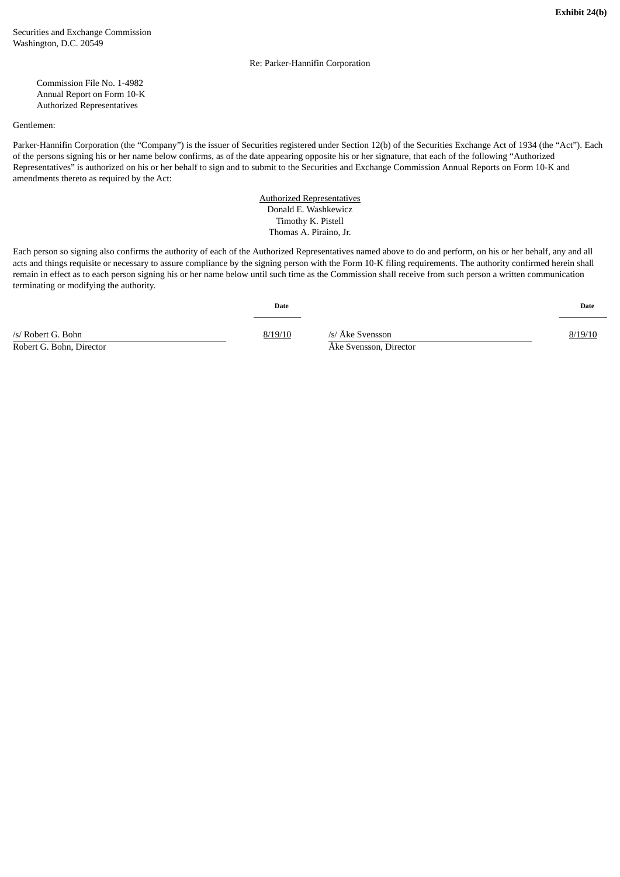## Re: Parker-Hannifin Corporation

Commission File No. 1-4982 Annual Report on Form 10-K Authorized Representatives

#### Gentlemen:

Parker-Hannifin Corporation (the "Company") is the issuer of Securities registered under Section 12(b) of the Securities Exchange Act of 1934 (the "Act"). Each of the persons signing his or her name below confirms, as of the date appearing opposite his or her signature, that each of the following "Authorized Representatives" is authorized on his or her behalf to sign and to submit to the Securities and Exchange Commission Annual Reports on Form 10-K and amendments thereto as required by the Act:

> Authorized Representatives Donald E. Washkewicz Timothy K. Pistell Thomas A. Piraino, Jr.

Each person so signing also confirms the authority of each of the Authorized Representatives named above to do and perform, on his or her behalf, any and all acts and things requisite or necessary to assure compliance by the signing person with the Form 10-K filing requirements. The authority confirmed herein shall remain in effect as to each person signing his or her name below until such time as the Commission shall receive from such person a written communication terminating or modifying the authority.

| Date    |                  | Date    |
|---------|------------------|---------|
| 8/19/10 | /s/ Åke Svensson | 8/19/10 |

/s/ Robert G. Bohn Robert G. Bohn, Director

Åke Svensson, Director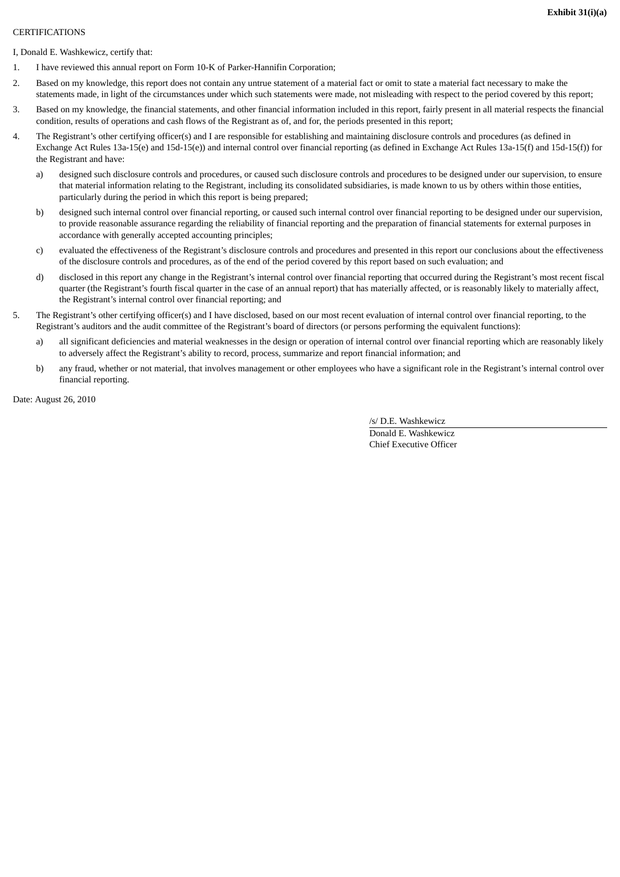#### CERTIFICATIONS

I, Donald E. Washkewicz, certify that:

- 1. I have reviewed this annual report on Form 10-K of Parker-Hannifin Corporation;
- 2. Based on my knowledge, this report does not contain any untrue statement of a material fact or omit to state a material fact necessary to make the statements made, in light of the circumstances under which such statements were made, not misleading with respect to the period covered by this report;
- 3. Based on my knowledge, the financial statements, and other financial information included in this report, fairly present in all material respects the financial condition, results of operations and cash flows of the Registrant as of, and for, the periods presented in this report;
- 4. The Registrant's other certifying officer(s) and I are responsible for establishing and maintaining disclosure controls and procedures (as defined in Exchange Act Rules 13a-15(e) and 15d-15(e)) and internal control over financial reporting (as defined in Exchange Act Rules 13a-15(f) and 15d-15(f)) for the Registrant and have:
	- a) designed such disclosure controls and procedures, or caused such disclosure controls and procedures to be designed under our supervision, to ensure that material information relating to the Registrant, including its consolidated subsidiaries, is made known to us by others within those entities, particularly during the period in which this report is being prepared;
	- b) designed such internal control over financial reporting, or caused such internal control over financial reporting to be designed under our supervision, to provide reasonable assurance regarding the reliability of financial reporting and the preparation of financial statements for external purposes in accordance with generally accepted accounting principles;
	- c) evaluated the effectiveness of the Registrant's disclosure controls and procedures and presented in this report our conclusions about the effectiveness of the disclosure controls and procedures, as of the end of the period covered by this report based on such evaluation; and
	- d) disclosed in this report any change in the Registrant's internal control over financial reporting that occurred during the Registrant's most recent fiscal quarter (the Registrant's fourth fiscal quarter in the case of an annual report) that has materially affected, or is reasonably likely to materially affect, the Registrant's internal control over financial reporting; and
- 5. The Registrant's other certifying officer(s) and I have disclosed, based on our most recent evaluation of internal control over financial reporting, to the Registrant's auditors and the audit committee of the Registrant's board of directors (or persons performing the equivalent functions):
	- a) all significant deficiencies and material weaknesses in the design or operation of internal control over financial reporting which are reasonably likely to adversely affect the Registrant's ability to record, process, summarize and report financial information; and
	- b) any fraud, whether or not material, that involves management or other employees who have a significant role in the Registrant's internal control over financial reporting.

Date: August 26, 2010

/s/ D.E. Washkewicz

Donald E. Washkewicz Chief Executive Officer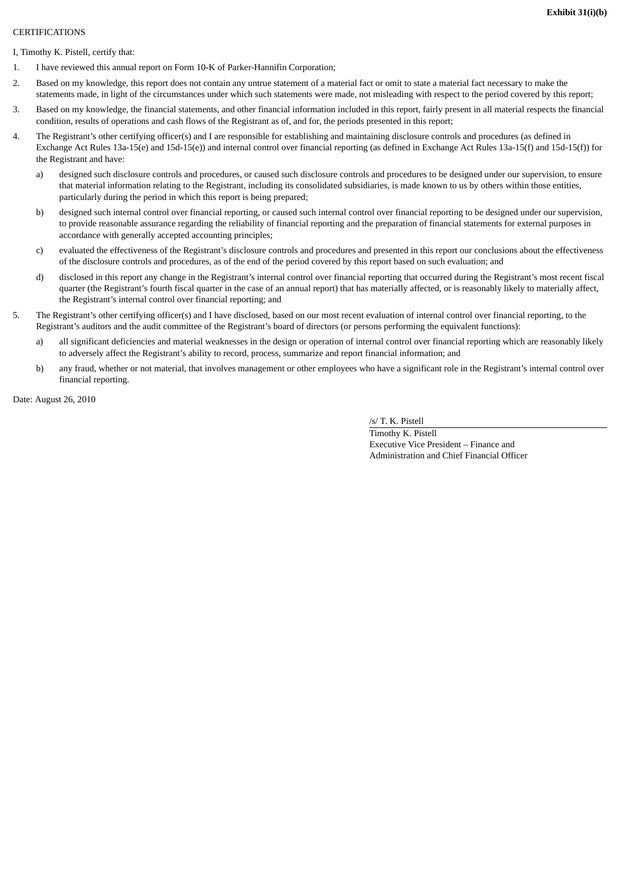#### CERTIFICATIONS

I, Timothy K. Pistell, certify that:

- 1. I have reviewed this annual report on Form 10-K of Parker-Hannifin Corporation;
- 2. Based on my knowledge, this report does not contain any untrue statement of a material fact or omit to state a material fact necessary to make the statements made, in light of the circumstances under which such statements were made, not misleading with respect to the period covered by this report;
- 3. Based on my knowledge, the financial statements, and other financial information included in this report, fairly present in all material respects the financial condition, results of operations and cash flows of the Registrant as of, and for, the periods presented in this report;
- 4. The Registrant's other certifying officer(s) and I are responsible for establishing and maintaining disclosure controls and procedures (as defined in Exchange Act Rules 13a-15(e) and 15d-15(e)) and internal control over financial reporting (as defined in Exchange Act Rules 13a-15(f) and 15d-15(f)) for the Registrant and have:
	- a) designed such disclosure controls and procedures, or caused such disclosure controls and procedures to be designed under our supervision, to ensure that material information relating to the Registrant, including its consolidated subsidiaries, is made known to us by others within those entities, particularly during the period in which this report is being prepared;
	- b) designed such internal control over financial reporting, or caused such internal control over financial reporting to be designed under our supervision, to provide reasonable assurance regarding the reliability of financial reporting and the preparation of financial statements for external purposes in accordance with generally accepted accounting principles;
	- c) evaluated the effectiveness of the Registrant's disclosure controls and procedures and presented in this report our conclusions about the effectiveness of the disclosure controls and procedures, as of the end of the period covered by this report based on such evaluation; and
	- d) disclosed in this report any change in the Registrant's internal control over financial reporting that occurred during the Registrant's most recent fiscal quarter (the Registrant's fourth fiscal quarter in the case of an annual report) that has materially affected, or is reasonably likely to materially affect, the Registrant's internal control over financial reporting; and
- 5. The Registrant's other certifying officer(s) and I have disclosed, based on our most recent evaluation of internal control over financial reporting, to the Registrant's auditors and the audit committee of the Registrant's board of directors (or persons performing the equivalent functions):
	- a) all significant deficiencies and material weaknesses in the design or operation of internal control over financial reporting which are reasonably likely to adversely affect the Registrant's ability to record, process, summarize and report financial information; and
	- b) any fraud, whether or not material, that involves management or other employees who have a significant role in the Registrant's internal control over financial reporting.

Date: August 26, 2010

/s/ T. K. Pistell

Timothy K. Pistell Executive Vice President – Finance and Administration and Chief Financial Officer